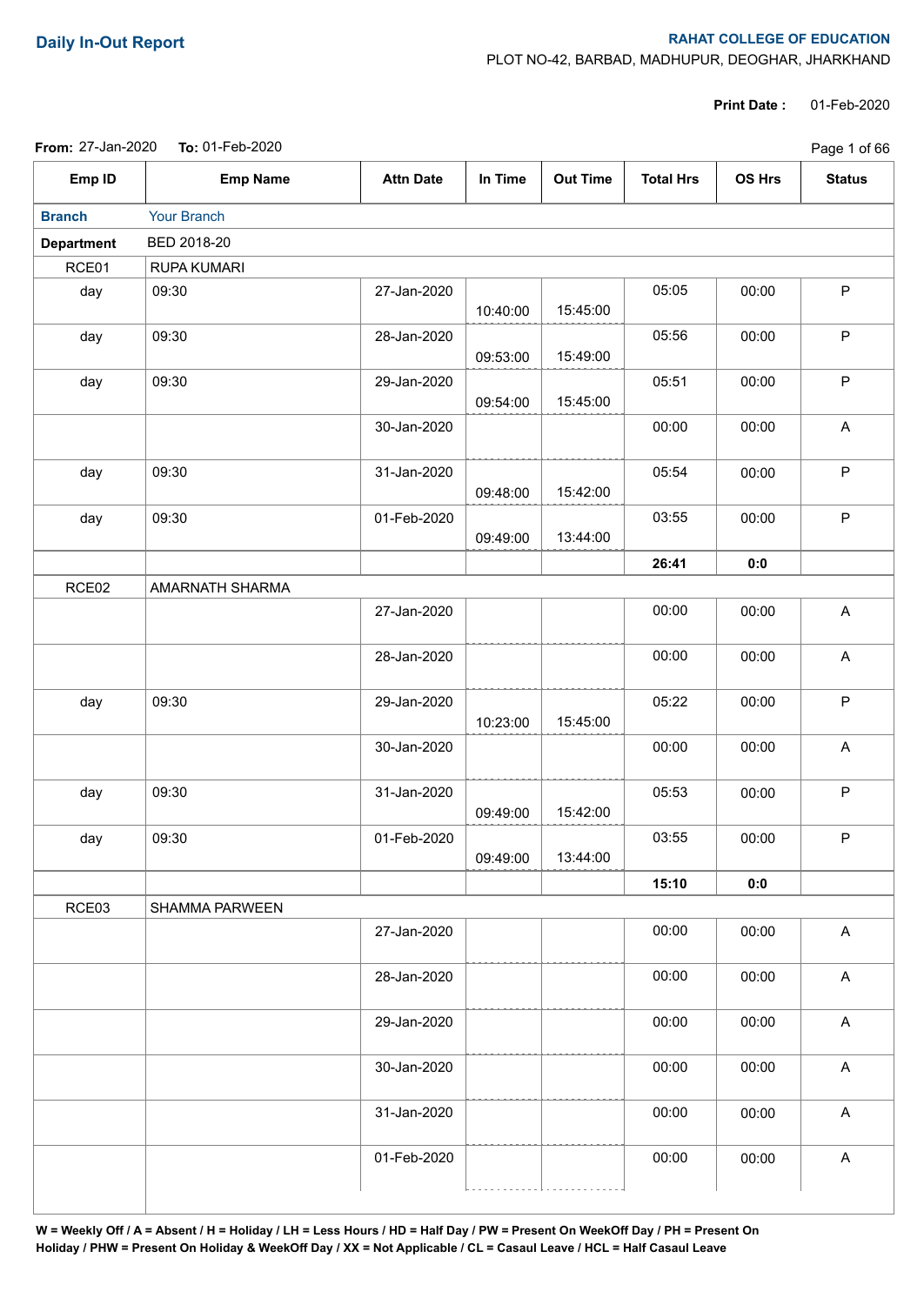## **Daily In-Out Report RAHAT COLLEGE OF EDUCATION**

PLOT NO-42, BARBAD, MADHUPUR, DEOGHAR, JHARKHAND

**Print Date :** 01-Feb-2020

| <b>From: 27-Jan-2020</b> | <b>To:</b> 01-Feb-2020 |  |
|--------------------------|------------------------|--|
|--------------------------|------------------------|--|

|                   | From: 27-Jan-2020  To: 01-Feb-2020 |                  |          |                 |                  |        | Page 1 of 66  |
|-------------------|------------------------------------|------------------|----------|-----------------|------------------|--------|---------------|
| Emp ID            | <b>Emp Name</b>                    | <b>Attn Date</b> | In Time  | <b>Out Time</b> | <b>Total Hrs</b> | OS Hrs | <b>Status</b> |
| <b>Branch</b>     | Your Branch                        |                  |          |                 |                  |        |               |
| <b>Department</b> | BED 2018-20                        |                  |          |                 |                  |        |               |
| RCE01             | <b>RUPA KUMARI</b>                 |                  |          |                 |                  |        |               |
| day               | 09:30                              | 27-Jan-2020      | 10:40:00 | 15:45:00        | 05:05            | 00:00  | $\mathsf P$   |
| day               | 09:30                              | 28-Jan-2020      | 09:53:00 | 15:49:00        | 05:56            | 00:00  | P             |
| day               | 09:30                              | 29-Jan-2020      | 09:54:00 | 15:45:00        | 05:51            | 00:00  | $\mathsf P$   |
|                   |                                    | 30-Jan-2020      |          |                 | 00:00            | 00:00  | $\mathsf A$   |
| day               | 09:30                              | 31-Jan-2020      | 09:48:00 | 15:42:00        | 05:54            | 00:00  | $\mathsf P$   |
| day               | 09:30                              | 01-Feb-2020      | 09:49:00 | 13:44:00        | 03:55            | 00:00  | $\mathsf P$   |
|                   |                                    |                  |          |                 | 26:41            | 0:0    |               |
| RCE02             | AMARNATH SHARMA                    |                  |          |                 |                  |        |               |
|                   |                                    | 27-Jan-2020      |          |                 | 00:00            | 00:00  | $\mathsf A$   |
|                   |                                    | 28-Jan-2020      |          |                 | 00:00            | 00:00  | A             |
| day               | 09:30                              | 29-Jan-2020      | 10:23:00 | 15:45:00        | 05:22            | 00:00  | $\mathsf P$   |
|                   |                                    | 30-Jan-2020      |          |                 | 00:00            | 00:00  | A             |
| day               | 09:30                              | 31-Jan-2020      | 09:49:00 | 15:42:00        | 05:53            | 00:00  | $\mathsf P$   |
| day               | 09:30                              | 01-Feb-2020      | 09:49:00 | 13:44:00        | 03:55            | 00:00  | ${\sf P}$     |
|                   |                                    |                  |          |                 | 15:10            | 0:0    |               |
| RCE03             | SHAMMA PARWEEN                     |                  |          |                 |                  |        |               |
|                   |                                    | 27-Jan-2020      |          |                 | 00:00            | 00:00  | $\mathsf{A}$  |
|                   |                                    | 28-Jan-2020      |          |                 | 00:00            | 00:00  | $\mathsf A$   |
|                   |                                    | 29-Jan-2020      |          |                 | 00:00            | 00:00  | A             |
|                   |                                    | 30-Jan-2020      |          |                 | 00:00            | 00:00  | $\mathsf A$   |
|                   |                                    | 31-Jan-2020      |          |                 | 00:00            | 00:00  | A             |
|                   |                                    | 01-Feb-2020      |          |                 | 00:00            | 00:00  | A             |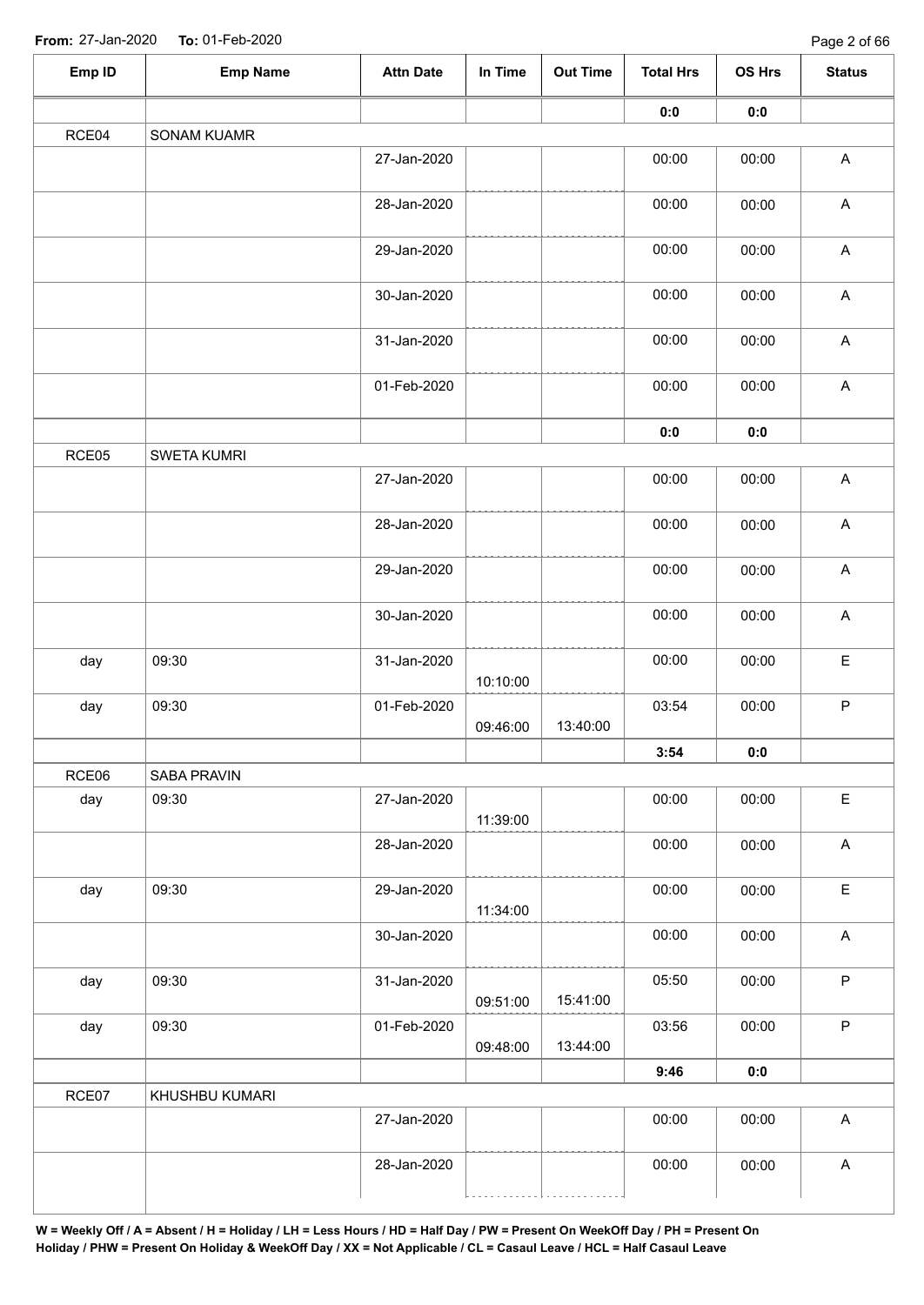| Emp ID | <b>Emp Name</b> | <b>Attn Date</b> | In Time  | <b>Out Time</b> | <b>Total Hrs</b> | OS Hrs         | <b>Status</b>             |
|--------|-----------------|------------------|----------|-----------------|------------------|----------------|---------------------------|
|        |                 |                  |          |                 | 0:0              | 0:0            |                           |
| RCE04  | SONAM KUAMR     |                  |          |                 |                  |                |                           |
|        |                 | 27-Jan-2020      |          |                 | 00:00            | 00:00          | $\boldsymbol{\mathsf{A}}$ |
|        |                 | 28-Jan-2020      |          |                 | 00:00            | 00:00          | $\mathsf A$               |
|        |                 | 29-Jan-2020      |          |                 | 00:00            | 00:00          | $\boldsymbol{\mathsf{A}}$ |
|        |                 | 30-Jan-2020      |          |                 | 00:00            | 00:00          | $\mathsf A$               |
|        |                 | 31-Jan-2020      |          |                 | 00:00            | 00:00          | $\boldsymbol{\mathsf{A}}$ |
|        |                 | 01-Feb-2020      |          |                 | 00:00            | 00:00          | $\boldsymbol{\mathsf{A}}$ |
|        |                 |                  |          |                 | 0:0              | $\mathbf{0}$ 0 |                           |
| RCE05  | SWETA KUMRI     |                  |          |                 |                  |                |                           |
|        |                 | 27-Jan-2020      |          |                 | 00:00            | 00:00          | $\mathsf A$               |
|        |                 | 28-Jan-2020      |          |                 | 00:00            | 00:00          | $\boldsymbol{\mathsf{A}}$ |
|        |                 | 29-Jan-2020      |          |                 | 00:00            | 00:00          | $\boldsymbol{\mathsf{A}}$ |
|        |                 | 30-Jan-2020      |          |                 | 00:00            | 00:00          | $\boldsymbol{\mathsf{A}}$ |
| day    | 09:30           | 31-Jan-2020      | 10:10:00 |                 | 00:00            | 00:00          | $\mathsf E$               |
| day    | 09:30           | 01-Feb-2020      | 09:46:00 | 13:40:00        | 03:54            | 00:00          | $\sf P$                   |
|        |                 |                  |          |                 | 3:54             | 0:0            |                           |
| RCE06  | SABA PRAVIN     |                  |          |                 |                  |                |                           |
| day    | 09:30           | 27-Jan-2020      | 11:39:00 |                 | 00:00            | 00:00          | $\mathsf E$               |
|        |                 | 28-Jan-2020      |          |                 | 00:00            | 00:00          | $\boldsymbol{\mathsf{A}}$ |
| day    | 09:30           | 29-Jan-2020      | 11:34:00 |                 | 00:00            | 00:00          | $\mathsf E$               |
|        |                 | 30-Jan-2020      |          |                 | 00:00            | 00:00          | $\boldsymbol{\mathsf{A}}$ |
| day    | 09:30           | 31-Jan-2020      | 09:51:00 | 15:41:00        | 05:50            | 00:00          | $\mathsf P$               |
| day    | 09:30           | 01-Feb-2020      | 09:48:00 | 13:44:00        | 03:56            | 00:00          | $\mathsf P$               |
|        |                 |                  |          |                 | 9:46             | 0:0            |                           |
| RCE07  | KHUSHBU KUMARI  |                  |          |                 |                  |                |                           |
|        |                 | 27-Jan-2020      |          |                 | 00:00            | 00:00          | $\boldsymbol{\mathsf{A}}$ |
|        |                 | 28-Jan-2020      |          |                 | 00:00            | 00:00          | $\boldsymbol{\mathsf{A}}$ |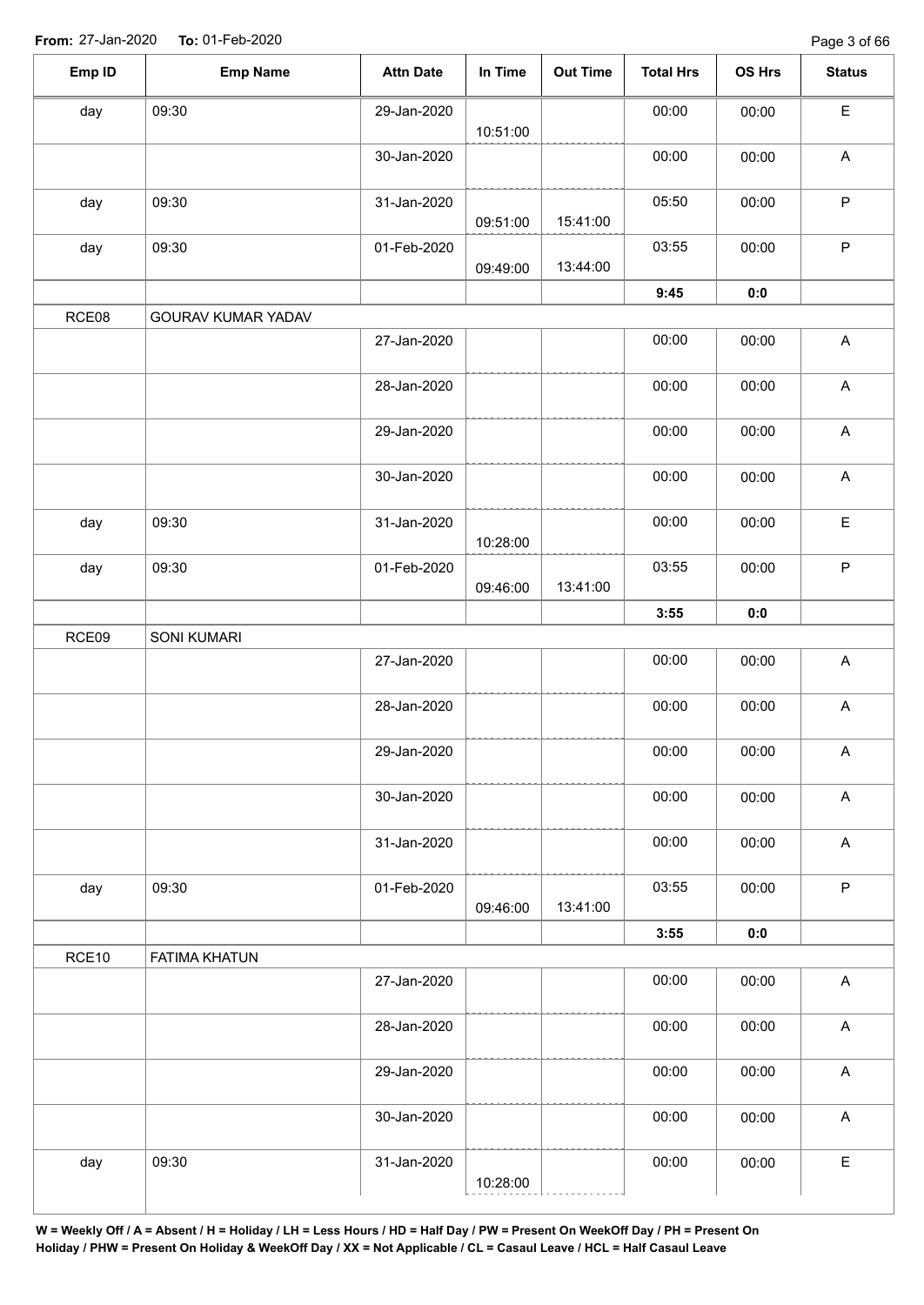| Emp ID | <b>Emp Name</b>      | <b>Attn Date</b> | In Time  | <b>Out Time</b> | <b>Total Hrs</b> | OS Hrs | <b>Status</b>             |
|--------|----------------------|------------------|----------|-----------------|------------------|--------|---------------------------|
| day    | 09:30                | 29-Jan-2020      | 10:51:00 |                 | 00:00            | 00:00  | $\mathsf E$               |
|        |                      | 30-Jan-2020      |          |                 | 00:00            | 00:00  | $\boldsymbol{\mathsf{A}}$ |
| day    | 09:30                | 31-Jan-2020      | 09:51:00 | 15:41:00        | 05:50            | 00:00  | $\mathsf P$               |
| day    | 09:30                | 01-Feb-2020      | 09:49:00 | 13:44:00        | 03:55            | 00:00  | $\mathsf P$               |
|        |                      |                  |          |                 | 9:45             | 0:0    |                           |
| RCE08  | GOURAV KUMAR YADAV   |                  |          |                 |                  |        |                           |
|        |                      | 27-Jan-2020      |          |                 | 00:00            | 00:00  | $\boldsymbol{\mathsf{A}}$ |
|        |                      | 28-Jan-2020      |          |                 | 00:00            | 00:00  | $\boldsymbol{\mathsf{A}}$ |
|        |                      | 29-Jan-2020      |          |                 | 00:00            | 00:00  | $\boldsymbol{\mathsf{A}}$ |
|        |                      | 30-Jan-2020      |          |                 | 00:00            | 00:00  | $\boldsymbol{\mathsf{A}}$ |
| day    | 09:30                | 31-Jan-2020      | 10:28:00 |                 | 00:00            | 00:00  | $\mathsf E$               |
| day    | 09:30                | 01-Feb-2020      | 09:46:00 | 13:41:00        | 03:55            | 00:00  | $\sf P$                   |
|        |                      |                  |          |                 | 3:55             | 0:0    |                           |
| RCE09  | SONI KUMARI          |                  |          |                 |                  |        |                           |
|        |                      | 27-Jan-2020      |          |                 | 00:00            | 00:00  | $\boldsymbol{\mathsf{A}}$ |
|        |                      | 28-Jan-2020      |          |                 | 00:00            | 00:00  | $\boldsymbol{\mathsf{A}}$ |
|        |                      | 29-Jan-2020      |          |                 | 00:00            | 00:00  | $\mathsf{A}$              |
|        |                      | 30-Jan-2020      |          |                 | 00:00            | 00:00  | $\boldsymbol{\mathsf{A}}$ |
|        |                      | 31-Jan-2020      |          |                 | 00:00            | 00:00  | $\boldsymbol{\mathsf{A}}$ |
| day    | 09:30                | 01-Feb-2020      | 09:46:00 | 13:41:00        | 03:55            | 00:00  | $\mathsf P$               |
|        |                      |                  |          |                 | 3:55             | 0:0    |                           |
| RCE10  | <b>FATIMA KHATUN</b> |                  |          |                 |                  |        |                           |
|        |                      | 27-Jan-2020      |          |                 | 00:00            | 00:00  | $\boldsymbol{\mathsf{A}}$ |
|        |                      | 28-Jan-2020      |          |                 | 00:00            | 00:00  | $\boldsymbol{\mathsf{A}}$ |
|        |                      | 29-Jan-2020      |          |                 | 00:00            | 00:00  | $\mathsf A$               |
|        |                      | 30-Jan-2020      |          |                 | 00:00            | 00:00  | $\mathsf A$               |
| day    | 09:30                | 31-Jan-2020      | 10:28:00 |                 | 00:00            | 00:00  | $\mathsf E$               |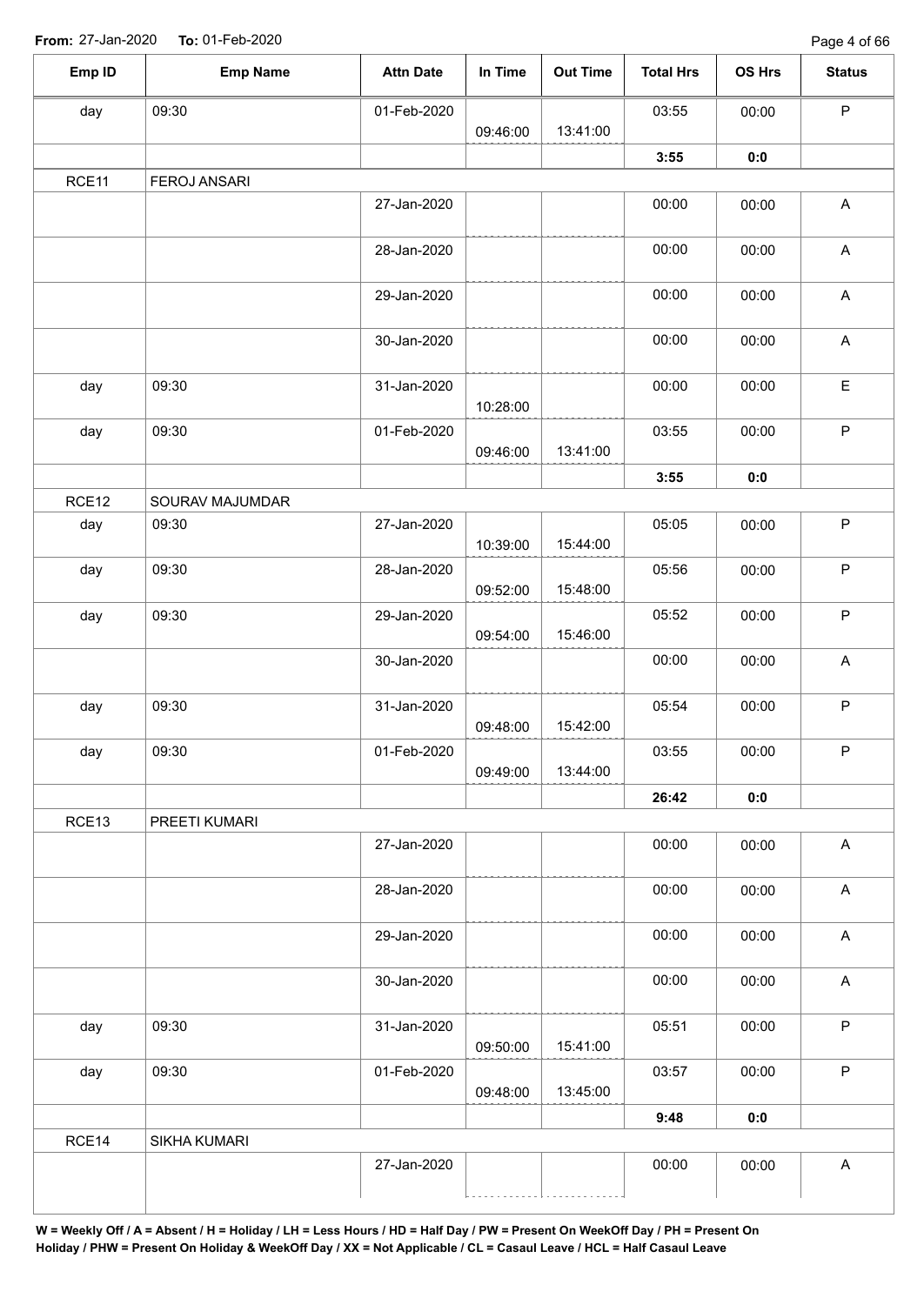| Emp ID | <b>Emp Name</b> | <b>Attn Date</b> | In Time  | <b>Out Time</b>      | <b>Total Hrs</b> | <b>OS Hrs</b> | <b>Status</b>             |
|--------|-----------------|------------------|----------|----------------------|------------------|---------------|---------------------------|
| day    | 09:30           | 01-Feb-2020      |          |                      | 03:55            | 00:00         | $\mathsf{P}$              |
|        |                 |                  | 09:46:00 | 13:41:00             |                  |               |                           |
|        |                 |                  |          |                      | 3:55             | 0:0           |                           |
| RCE11  | FEROJ ANSARI    |                  |          |                      |                  |               |                           |
|        |                 | 27-Jan-2020      |          |                      | 00:00            | 00:00         | $\mathsf{A}$              |
|        |                 | 28-Jan-2020      |          |                      | 00:00            | 00:00         | $\boldsymbol{\mathsf{A}}$ |
|        |                 | 29-Jan-2020      |          |                      | 00:00            | 00:00         | $\mathsf{A}$              |
|        |                 | 30-Jan-2020      |          |                      | 00:00            | 00:00         | $\mathsf A$               |
| day    | 09:30           | 31-Jan-2020      | 10:28:00 |                      | 00:00            | 00:00         | $\mathsf E$               |
| day    | 09:30           | 01-Feb-2020      | 09:46:00 | 13:41:00             | 03:55            | 00:00         | $\mathsf P$               |
|        |                 |                  |          |                      | 3:55             | 0:0           |                           |
| RCE12  | SOURAV MAJUMDAR |                  |          |                      |                  |               |                           |
| day    | 09:30           | 27-Jan-2020      | 10:39:00 | 15:44:00             | 05:05            | 00:00         | $\sf P$                   |
| day    | 09:30           | 28-Jan-2020      | 09:52:00 | 15:48:00             | 05:56            | 00:00         | $\mathsf P$               |
| day    | 09:30           | 29-Jan-2020      |          | 15:46:00             | 05:52            | 00:00         | $\sf P$                   |
|        |                 | 30-Jan-2020      | 09:54:00 |                      | 00:00            | 00:00         | $\mathsf A$               |
| day    | 09:30           | 31-Jan-2020      |          |                      | 05:54            | 00:00         | $\mathsf P$               |
| day    | 09:30           | 01-Feb-2020      | 09:48:00 | 15:42:00<br>13:44:00 | 03:55            | 00:00         | P                         |
|        |                 |                  | 09:49:00 |                      | 26:42            |               |                           |
| RCE13  | PREETI KUMARI   |                  |          |                      |                  | 0:0           |                           |
|        |                 | 27-Jan-2020      |          |                      | 00:00            | 00:00         | $\mathsf A$               |
|        |                 | 28-Jan-2020      |          |                      | 00:00            | 00:00         | $\mathsf A$               |
|        |                 | 29-Jan-2020      |          |                      | 00:00            | 00:00         | $\mathsf A$               |
|        |                 | 30-Jan-2020      |          |                      | 00:00            | 00:00         | A                         |
| day    | 09:30           | 31-Jan-2020      | 09:50:00 | 15:41:00             | 05:51            | 00:00         | $\mathsf{P}$              |
| day    | 09:30           | 01-Feb-2020      | 09:48:00 | 13:45:00             | 03:57            | 00:00         | $\sf P$                   |
|        |                 |                  |          |                      | 9:48             | 0:0           |                           |
| RCE14  | SIKHA KUMARI    |                  |          |                      |                  |               |                           |
|        |                 | 27-Jan-2020      |          |                      | 00:00            | 00:00         | $\boldsymbol{\mathsf{A}}$ |
|        |                 |                  |          |                      |                  |               |                           |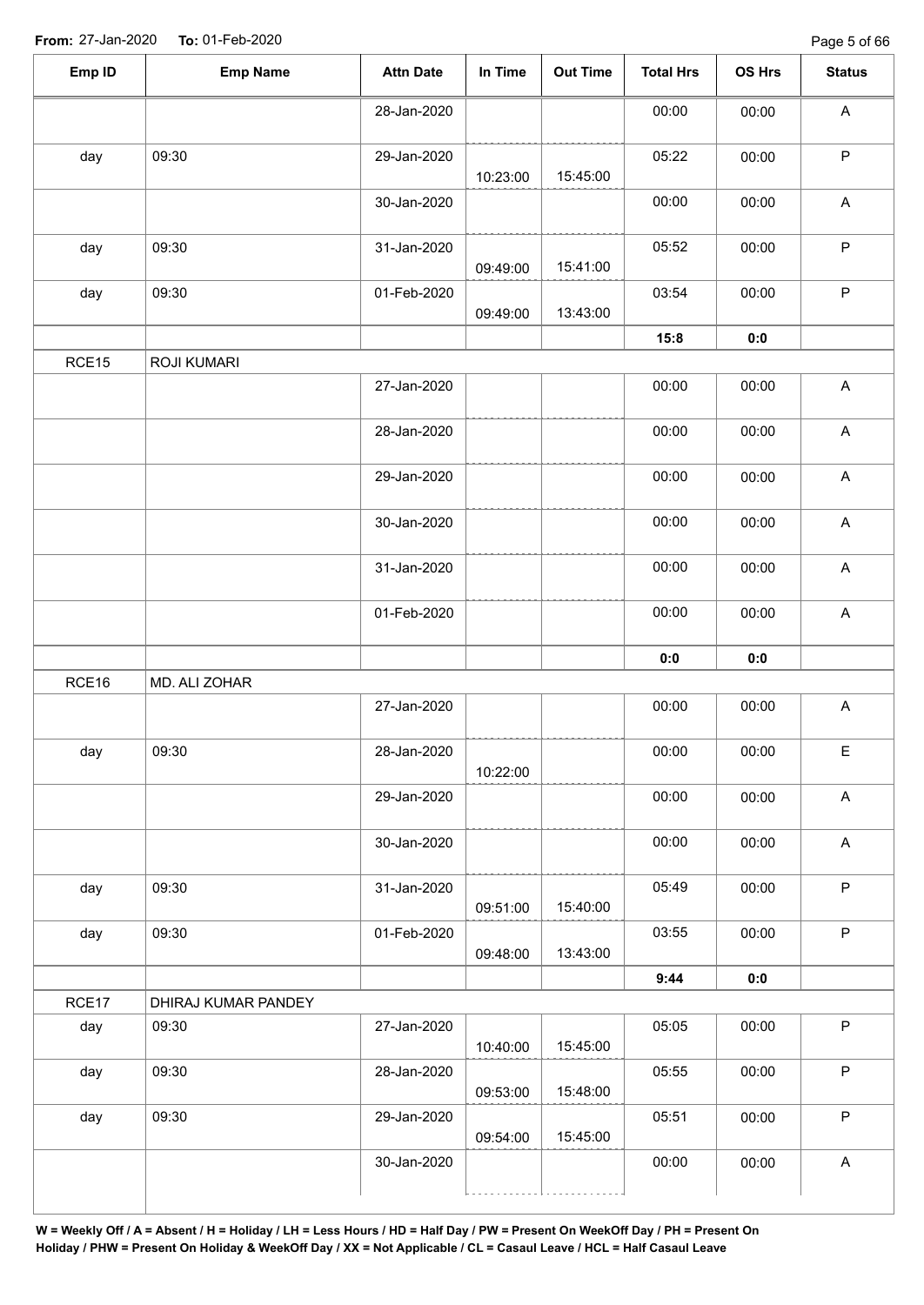| Emp ID | <b>Emp Name</b>     | <b>Attn Date</b> | In Time              | <b>Out Time</b> | <b>Total Hrs</b> | OS Hrs         | <b>Status</b>             |
|--------|---------------------|------------------|----------------------|-----------------|------------------|----------------|---------------------------|
|        |                     | 28-Jan-2020      |                      |                 | 00:00            | 00:00          | A                         |
| day    | 09:30               | 29-Jan-2020      | 10:23:00             | 15:45:00        | 05:22            | 00:00          | $\sf P$                   |
|        |                     | 30-Jan-2020      |                      |                 | 00:00            | 00:00          | $\boldsymbol{\mathsf{A}}$ |
| day    | 09:30               | 31-Jan-2020      | 09:49:00             | 15:41:00        | 05:52            | 00:00          | $\mathsf P$               |
| day    | 09:30               | 01-Feb-2020      | 09:49:00             | 13:43:00        | 03:54            | 00:00          | $\mathsf P$               |
|        |                     |                  |                      |                 | 15:8             | 0:0            |                           |
| RCE15  | ROJI KUMARI         |                  |                      |                 |                  |                |                           |
|        |                     | 27-Jan-2020      |                      |                 | 00:00            | 00:00          | $\boldsymbol{\mathsf{A}}$ |
|        |                     | 28-Jan-2020      |                      |                 | 00:00            | 00:00          | $\boldsymbol{\mathsf{A}}$ |
|        |                     | 29-Jan-2020      |                      |                 | 00:00            | 00:00          | $\boldsymbol{\mathsf{A}}$ |
|        |                     | 30-Jan-2020      |                      |                 | 00:00            | 00:00          | $\boldsymbol{\mathsf{A}}$ |
|        |                     | 31-Jan-2020      |                      |                 | 00:00            | 00:00          | $\boldsymbol{\mathsf{A}}$ |
|        |                     | 01-Feb-2020      |                      |                 | 00:00            | 00:00          | $\boldsymbol{\mathsf{A}}$ |
|        |                     |                  |                      |                 | 0:0              | $\mathbf{0}$ 0 |                           |
| RCE16  | MD. ALI ZOHAR       |                  |                      |                 |                  |                |                           |
|        |                     | 27-Jan-2020      |                      |                 | 00:00            | 00:00          | $\boldsymbol{\mathsf{A}}$ |
| day    | 09:30               | 28-Jan-2020      | 10:22:00             |                 | 00:00            | 00:00          | E                         |
|        |                     | 29-Jan-2020      |                      |                 | 00:00            | 00:00          | $\boldsymbol{\mathsf{A}}$ |
|        |                     | 30-Jan-2020      |                      |                 | 00:00            | 00:00          | $\mathsf{A}$              |
| day    | 09:30               | 31-Jan-2020      | 09:51:00             | 15:40:00        | 05:49            | 00:00          | $\mathsf P$               |
| day    | 09:30               | 01-Feb-2020      | 09:48:00             | 13:43:00        | 03:55            | 00:00          | $\mathsf P$               |
|        |                     |                  |                      |                 | 9:44             | 0:0            |                           |
| RCE17  | DHIRAJ KUMAR PANDEY |                  |                      |                 |                  |                |                           |
| day    | 09:30               | 27-Jan-2020      | 10:40:00             | 15:45:00        | 05:05            | 00:00          | $\mathsf P$               |
|        | 09:30               | 28-Jan-2020      |                      | 15:48:00        | 05:55            | 00:00          | $\mathsf P$               |
| day    |                     |                  |                      |                 |                  |                |                           |
| day    | 09:30               | 29-Jan-2020      | 09:53:00<br>09:54:00 | 15:45:00        | 05:51            | 00:00          | $\mathsf P$               |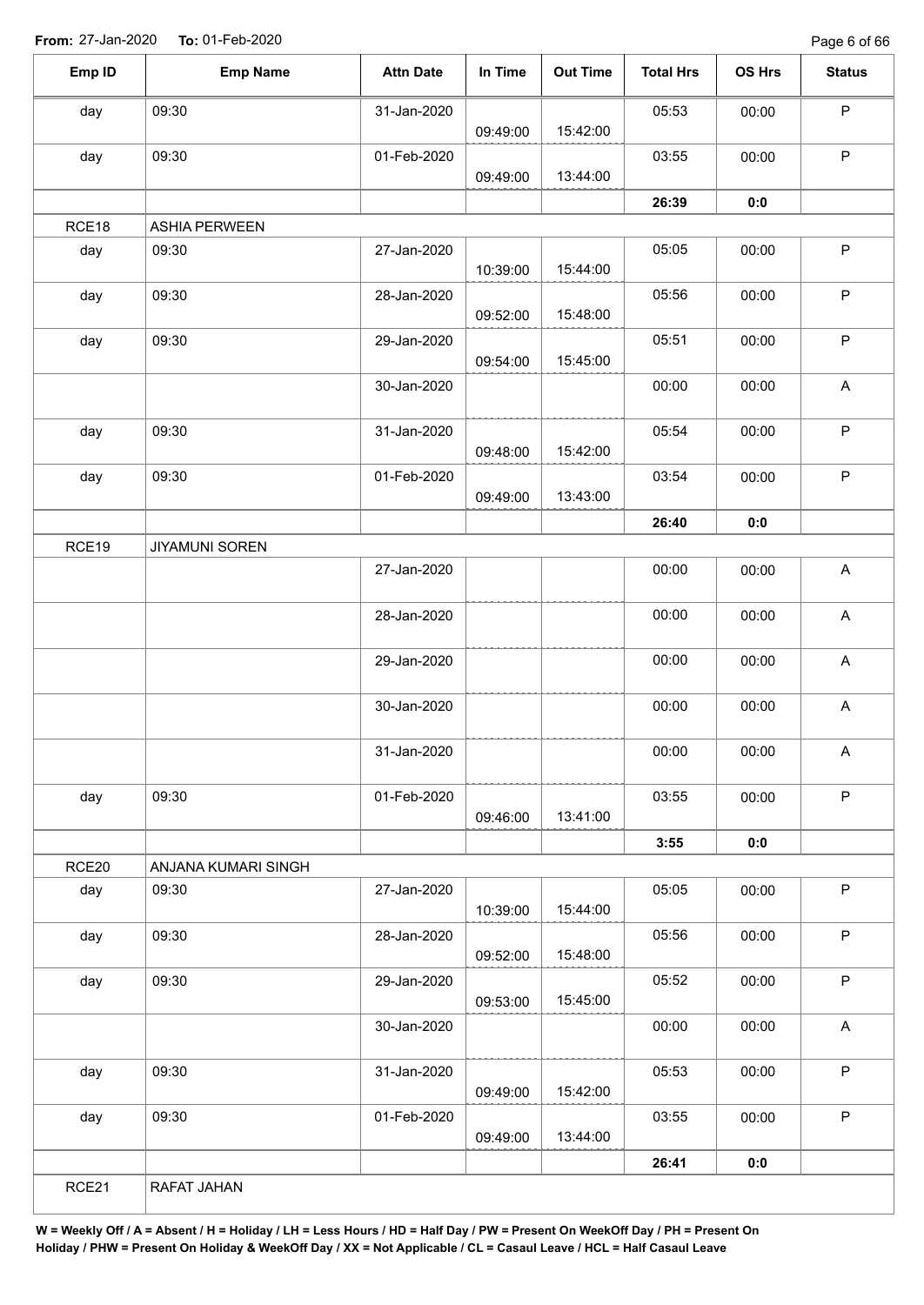Page 6 of 66

| Emp ID | <b>Emp Name</b>       | <b>Attn Date</b> | In Time  | <b>Out Time</b> | <b>Total Hrs</b> | OS Hrs | <b>Status</b>             |
|--------|-----------------------|------------------|----------|-----------------|------------------|--------|---------------------------|
| day    | 09:30                 | 31-Jan-2020      |          |                 | 05:53            | 00:00  | $\sf P$                   |
|        |                       |                  | 09:49:00 | 15:42:00        |                  |        |                           |
| day    | 09:30                 | 01-Feb-2020      |          |                 | 03:55            | 00:00  | $\mathsf P$               |
|        |                       |                  | 09:49:00 | 13:44:00        |                  |        |                           |
|        |                       |                  |          |                 | 26:39            | 0:0    |                           |
| RCE18  | <b>ASHIA PERWEEN</b>  |                  |          |                 |                  |        |                           |
| day    | 09:30                 | 27-Jan-2020      | 10:39:00 | 15:44:00        | 05:05            | 00:00  | $\sf P$                   |
| day    | 09:30                 | 28-Jan-2020      | 09:52:00 | 15:48:00        | 05:56            | 00:00  | $\mathsf P$               |
| day    | 09:30                 | 29-Jan-2020      | 09:54:00 | 15:45:00        | 05:51            | 00:00  | $\mathsf P$               |
|        |                       | 30-Jan-2020      |          |                 | 00:00            | 00:00  | A                         |
| day    | 09:30                 | 31-Jan-2020      |          |                 | 05:54            | 00:00  | $\sf P$                   |
|        |                       |                  | 09:48:00 | 15:42:00        |                  |        |                           |
| day    | 09:30                 | 01-Feb-2020      | 09:49:00 | 13:43:00        | 03:54            | 00:00  | $\sf P$                   |
|        |                       |                  |          |                 |                  |        |                           |
| RCE19  | <b>JIYAMUNI SOREN</b> |                  |          |                 | 26:40            | 0:0    |                           |
|        |                       | 27-Jan-2020      |          |                 | 00:00            | 00:00  | A                         |
|        |                       |                  |          |                 |                  |        |                           |
|        |                       | 28-Jan-2020      |          |                 | 00:00            | 00:00  | $\boldsymbol{\mathsf{A}}$ |
|        |                       | 29-Jan-2020      |          |                 | 00:00            | 00:00  | $\boldsymbol{\mathsf{A}}$ |
|        |                       | 30-Jan-2020      |          |                 | 00:00            | 00:00  | A                         |
|        |                       | 31-Jan-2020      |          |                 | 00:00            | 00:00  | $\mathsf{A}$              |
|        |                       |                  |          |                 |                  |        |                           |
| day    | 09:30                 | 01-Feb-2020      | 09:46:00 | 13:41:00        | 03:55            | 00:00  | $\mathsf P$               |
|        |                       |                  |          |                 | 3:55             | 0:0    |                           |
| RCE20  | ANJANA KUMARI SINGH   |                  |          |                 |                  |        |                           |
| day    | 09:30                 | 27-Jan-2020      | 10:39:00 | 15:44:00        | 05:05            | 00:00  | $\sf P$                   |
| day    | 09:30                 | 28-Jan-2020      |          |                 | 05:56            | 00:00  | $\sf P$                   |
|        |                       |                  | 09:52:00 | 15:48:00        |                  |        |                           |
| day    | 09:30                 | 29-Jan-2020      | 09:53:00 | 15:45:00        | 05:52            | 00:00  | $\sf P$                   |
|        |                       | 30-Jan-2020      |          |                 | 00:00            | 00:00  | A                         |
| day    | 09:30                 | 31-Jan-2020      |          |                 | 05:53            | 00:00  | $\mathsf P$               |
|        |                       |                  | 09:49:00 | 15:42:00        |                  |        |                           |
| day    | 09:30                 | 01-Feb-2020      | 09:49:00 | 13:44:00        | 03:55            | 00:00  | $\mathsf P$               |
|        |                       |                  |          |                 | 26:41            | 0:0    |                           |
| RCE21  | RAFAT JAHAN           |                  |          |                 |                  |        |                           |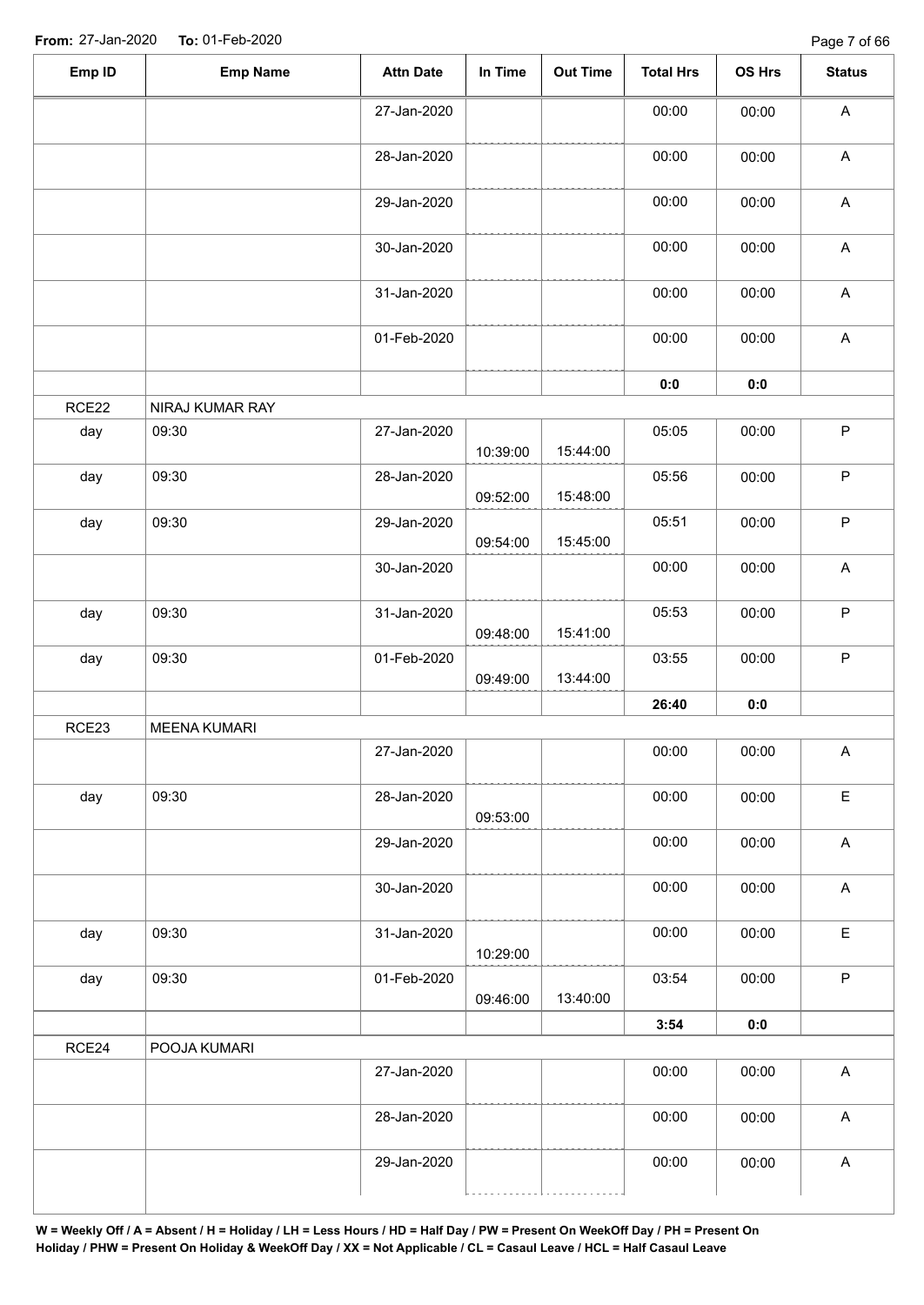| Emp ID | <b>Emp Name</b>     | <b>Attn Date</b> | In Time  | Out Time | <b>Total Hrs</b> | OS Hrs | <b>Status</b>             |
|--------|---------------------|------------------|----------|----------|------------------|--------|---------------------------|
|        |                     | 27-Jan-2020      |          |          | 00:00            | 00:00  | $\mathsf{A}$              |
|        |                     | 28-Jan-2020      |          |          | 00:00            | 00:00  | $\boldsymbol{\mathsf{A}}$ |
|        |                     | 29-Jan-2020      |          |          | 00:00            | 00:00  | $\boldsymbol{\mathsf{A}}$ |
|        |                     | 30-Jan-2020      |          |          | 00:00            | 00:00  | $\boldsymbol{\mathsf{A}}$ |
|        |                     | 31-Jan-2020      |          |          | 00:00            | 00:00  | $\boldsymbol{\mathsf{A}}$ |
|        |                     | 01-Feb-2020      |          |          | 00:00            | 00:00  | $\boldsymbol{\mathsf{A}}$ |
|        |                     |                  |          |          | 0:0              | 0:0    |                           |
| RCE22  | NIRAJ KUMAR RAY     |                  |          |          |                  |        |                           |
| day    | 09:30               | 27-Jan-2020      | 10:39:00 | 15:44:00 | 05:05            | 00:00  | $\mathsf P$               |
| day    | 09:30               | 28-Jan-2020      | 09:52:00 | 15:48:00 | 05:56            | 00:00  | $\mathsf P$               |
| day    | 09:30               | 29-Jan-2020      | 09:54:00 | 15:45:00 | 05:51            | 00:00  | $\mathsf P$               |
|        |                     | 30-Jan-2020      |          |          | 00:00            | 00:00  | $\mathsf A$               |
| day    | 09:30               | 31-Jan-2020      | 09:48:00 | 15:41:00 | 05:53            | 00:00  | $\mathsf P$               |
| day    | 09:30               | 01-Feb-2020      | 09:49:00 | 13:44:00 | 03:55            | 00:00  | P                         |
|        |                     |                  |          |          | 26:40            | 0:0    |                           |
| RCE23  | <b>MEENA KUMARI</b> |                  |          |          |                  |        |                           |
|        |                     | 27-Jan-2020      |          |          | 00:00            | 00:00  | A                         |
| day    | 09:30               | 28-Jan-2020      | 09:53:00 |          | 00:00            | 00:00  | $\mathsf E$               |
|        |                     | 29-Jan-2020      |          |          | 00:00            | 00:00  | $\mathsf A$               |
|        |                     | 30-Jan-2020      |          |          | 00:00            | 00:00  | $\mathsf{A}$              |
| day    | 09:30               | 31-Jan-2020      | 10:29:00 |          | 00:00            | 00:00  | $\mathsf E$               |
| day    | 09:30               | 01-Feb-2020      | 09:46:00 | 13:40:00 | 03:54            | 00:00  | $\mathsf{P}$              |
|        |                     |                  |          |          | 3:54             | 0:0    |                           |
| RCE24  | POOJA KUMARI        |                  |          |          |                  |        |                           |
|        |                     | 27-Jan-2020      |          |          | 00:00            | 00:00  | A                         |
|        |                     | 28-Jan-2020      |          |          | 00:00            | 00:00  | A                         |
|        |                     | 29-Jan-2020      |          |          | 00:00            | 00:00  | A                         |
|        |                     |                  |          |          |                  |        |                           |

```
W = Weekly Off / A = Absent / H = Holiday / LH = Less Hours / HD = Half Day / PW = Present On WeekOff Day / PH = Present On 
Holiday / PHW = Present On Holiday & WeekOff Day / XX = Not Applicable / CL = Casaul Leave / HCL = Half Casaul Leave
```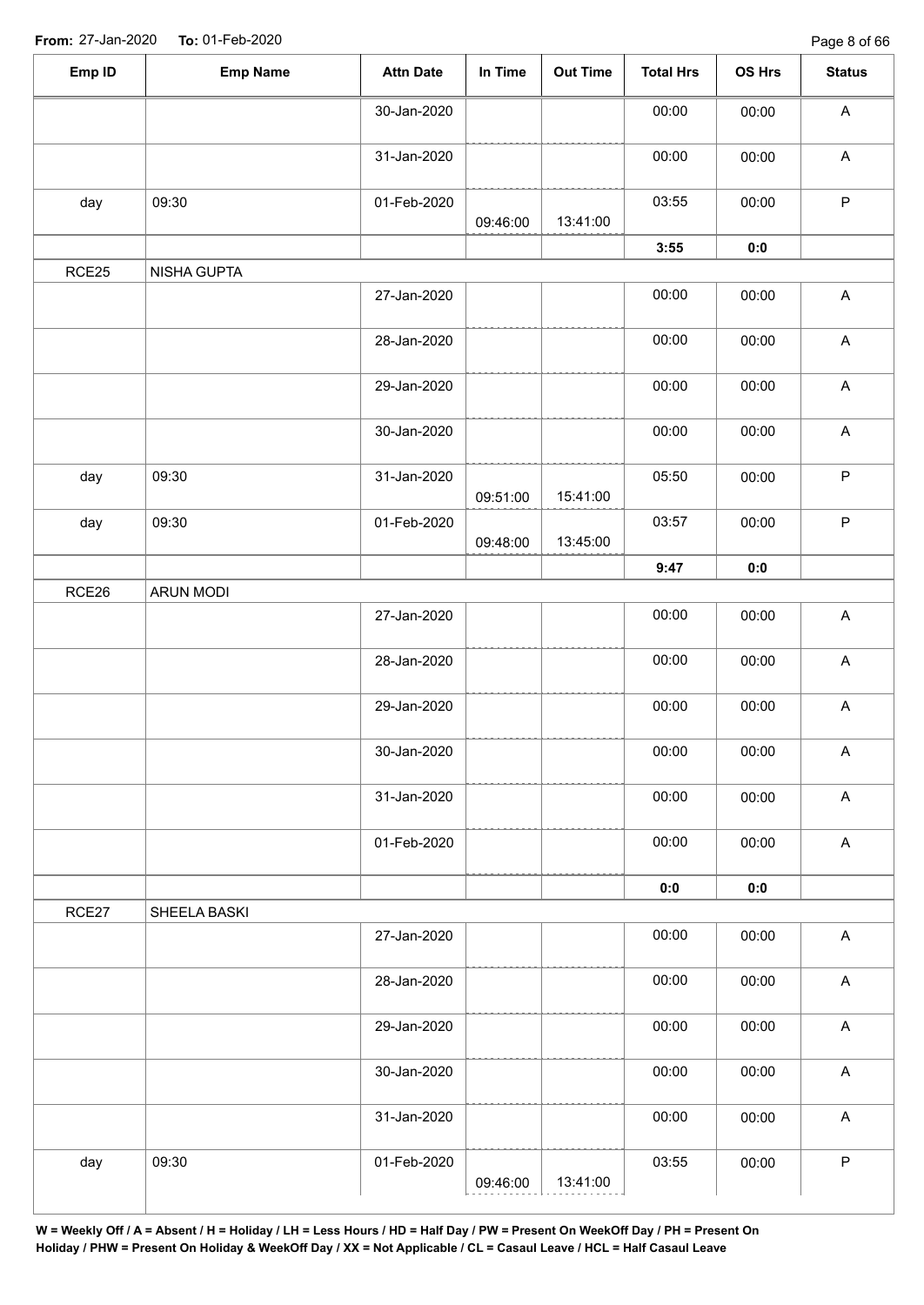| Emp ID | <b>Emp Name</b>    | <b>Attn Date</b> | In Time  | <b>Out Time</b> | <b>Total Hrs</b> | OS Hrs         | <b>Status</b>             |
|--------|--------------------|------------------|----------|-----------------|------------------|----------------|---------------------------|
|        |                    | 30-Jan-2020      |          |                 | 00:00            | 00:00          | $\boldsymbol{\mathsf{A}}$ |
|        |                    | 31-Jan-2020      |          |                 | 00:00            | 00:00          | $\boldsymbol{\mathsf{A}}$ |
| day    | 09:30              | 01-Feb-2020      | 09:46:00 | 13:41:00        | 03:55            | 00:00          | $\mathsf P$               |
|        |                    |                  |          |                 | 3:55             | 0:0            |                           |
| RCE25  | <b>NISHA GUPTA</b> |                  |          |                 |                  |                |                           |
|        |                    | 27-Jan-2020      |          |                 | 00:00            | 00:00          | $\boldsymbol{\mathsf{A}}$ |
|        |                    | 28-Jan-2020      |          |                 | 00:00            | 00:00          | $\boldsymbol{\mathsf{A}}$ |
|        |                    | 29-Jan-2020      |          |                 | 00:00            | 00:00          | $\boldsymbol{\mathsf{A}}$ |
|        |                    | 30-Jan-2020      |          |                 | 00:00            | 00:00          | $\boldsymbol{\mathsf{A}}$ |
| day    | 09:30              | 31-Jan-2020      | 09:51:00 | 15:41:00        | 05:50            | 00:00          | ${\sf P}$                 |
| day    | 09:30              | 01-Feb-2020      |          |                 | 03:57            | 00:00          | $\sf P$                   |
|        |                    |                  | 09:48:00 | 13:45:00        |                  |                |                           |
|        |                    |                  |          |                 | 9:47             | $\mathbf{0}$ 0 |                           |
| RCE26  | ARUN MODI          |                  |          |                 |                  |                |                           |
|        |                    | 27-Jan-2020      |          |                 | 00:00            | 00:00          | $\boldsymbol{\mathsf{A}}$ |
|        |                    | 28-Jan-2020      |          |                 | 00:00            | 00:00          | $\boldsymbol{\mathsf{A}}$ |
|        |                    | 29-Jan-2020      |          |                 | 00:00            | 00:00          | $\boldsymbol{\mathsf{A}}$ |
|        |                    | 30-Jan-2020      |          |                 | 00:00            | 00:00          | $\mathsf{A}$              |
|        |                    | 31-Jan-2020      |          |                 | 00:00            | 00:00          | $\boldsymbol{\mathsf{A}}$ |
|        |                    | 01-Feb-2020      |          |                 | 00:00            | 00:00          | $\mathsf{A}$              |
|        |                    |                  |          |                 | 0:0              | 0:0            |                           |
| RCE27  | SHEELA BASKI       |                  |          |                 |                  |                |                           |
|        |                    | 27-Jan-2020      |          |                 | 00:00            | 00:00          | $\boldsymbol{\mathsf{A}}$ |
|        |                    | 28-Jan-2020      |          |                 | 00:00            | 00:00          | $\boldsymbol{\mathsf{A}}$ |
|        |                    | 29-Jan-2020      |          |                 | 00:00            | 00:00          | $\boldsymbol{\mathsf{A}}$ |
|        |                    | 30-Jan-2020      |          |                 | 00:00            | 00:00          | $\boldsymbol{\mathsf{A}}$ |
|        |                    | 31-Jan-2020      |          |                 | 00:00            | 00:00          | $\boldsymbol{\mathsf{A}}$ |
| day    | 09:30              | 01-Feb-2020      |          |                 | 03:55            | 00:00          | $\sf P$                   |
|        |                    |                  | 09:46:00 | 13:41:00        |                  |                |                           |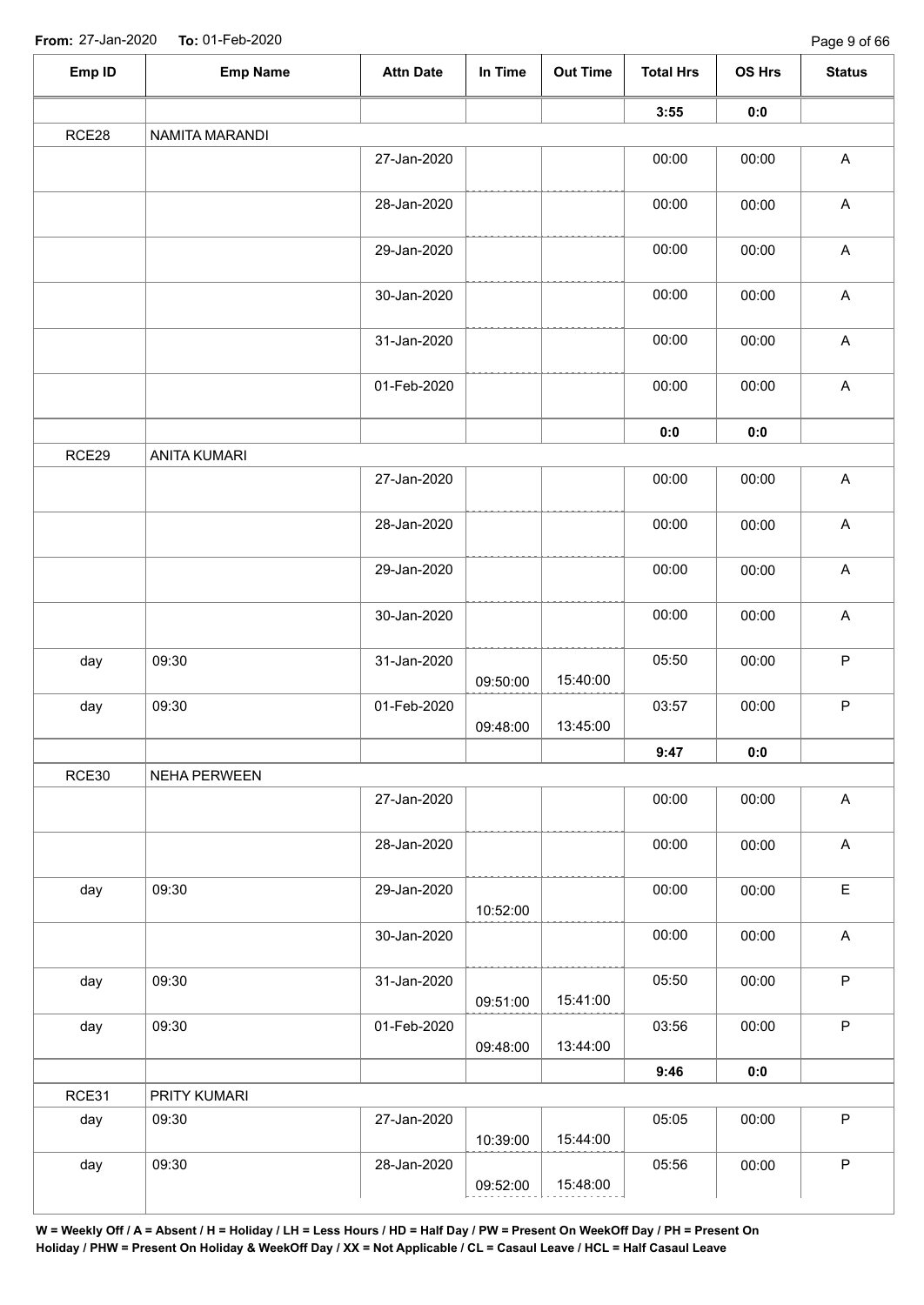| Emp ID | <b>Emp Name</b>     | <b>Attn Date</b> | In Time  | <b>Out Time</b> | <b>Total Hrs</b> | OS Hrs | <b>Status</b>             |
|--------|---------------------|------------------|----------|-----------------|------------------|--------|---------------------------|
|        |                     |                  |          |                 | 3:55             | 0:0    |                           |
| RCE28  | NAMITA MARANDI      |                  |          |                 |                  |        |                           |
|        |                     | 27-Jan-2020      |          |                 | 00:00            | 00:00  | $\boldsymbol{\mathsf{A}}$ |
|        |                     | 28-Jan-2020      |          |                 | 00:00            | 00:00  | $\boldsymbol{\mathsf{A}}$ |
|        |                     | 29-Jan-2020      |          |                 | 00:00            | 00:00  | $\boldsymbol{\mathsf{A}}$ |
|        |                     | 30-Jan-2020      |          |                 | 00:00            | 00:00  | $\mathsf A$               |
|        |                     | 31-Jan-2020      |          |                 | 00:00            | 00:00  | $\boldsymbol{\mathsf{A}}$ |
|        |                     | 01-Feb-2020      |          |                 | 00:00            | 00:00  | $\boldsymbol{\mathsf{A}}$ |
|        |                     |                  |          |                 | 0:0              | $0:0$  |                           |
| RCE29  | <b>ANITA KUMARI</b> |                  |          |                 |                  |        |                           |
|        |                     | 27-Jan-2020      |          |                 | 00:00            | 00:00  | $\boldsymbol{\mathsf{A}}$ |
|        |                     | 28-Jan-2020      |          |                 | 00:00            | 00:00  | $\boldsymbol{\mathsf{A}}$ |
|        |                     | 29-Jan-2020      |          |                 | 00:00            | 00:00  | $\boldsymbol{\mathsf{A}}$ |
|        |                     | 30-Jan-2020      |          |                 | 00:00            | 00:00  | $\boldsymbol{\mathsf{A}}$ |
| day    | 09:30               | 31-Jan-2020      | 09:50:00 | 15:40:00        | 05:50            | 00:00  | $\mathsf P$               |
| day    | 09:30               | 01-Feb-2020      | 09:48:00 | 13:45:00        | 03:57            | 00:00  | $\sf P$                   |
|        |                     |                  |          |                 | 9:47             | 0:0    |                           |
| RCE30  | NEHA PERWEEN        |                  |          |                 |                  |        |                           |
|        |                     | 27-Jan-2020      |          |                 | 00:00            | 00:00  | $\mathsf{A}$              |
|        |                     | 28-Jan-2020      |          |                 | 00:00            | 00:00  | $\boldsymbol{\mathsf{A}}$ |
| day    | 09:30               | 29-Jan-2020      | 10:52:00 |                 | 00:00            | 00:00  | $\mathsf E$               |
|        |                     | 30-Jan-2020      |          |                 | 00:00            | 00:00  | $\mathsf A$               |
| day    | 09:30               | 31-Jan-2020      | 09:51:00 | 15:41:00        | 05:50            | 00:00  | $\mathsf P$               |
| day    | 09:30               | 01-Feb-2020      | 09:48:00 | 13:44:00        | 03:56            | 00:00  | $\mathsf P$               |
|        |                     |                  |          |                 | 9:46             | 0:0    |                           |
| RCE31  | PRITY KUMARI        |                  |          |                 |                  |        |                           |
| day    | 09:30               | 27-Jan-2020      | 10:39:00 | 15:44:00        | 05:05            | 00:00  | $\mathsf P$               |
| day    | 09:30               | 28-Jan-2020      | 09:52:00 | 15:48:00        | 05:56            | 00:00  | $\mathsf P$               |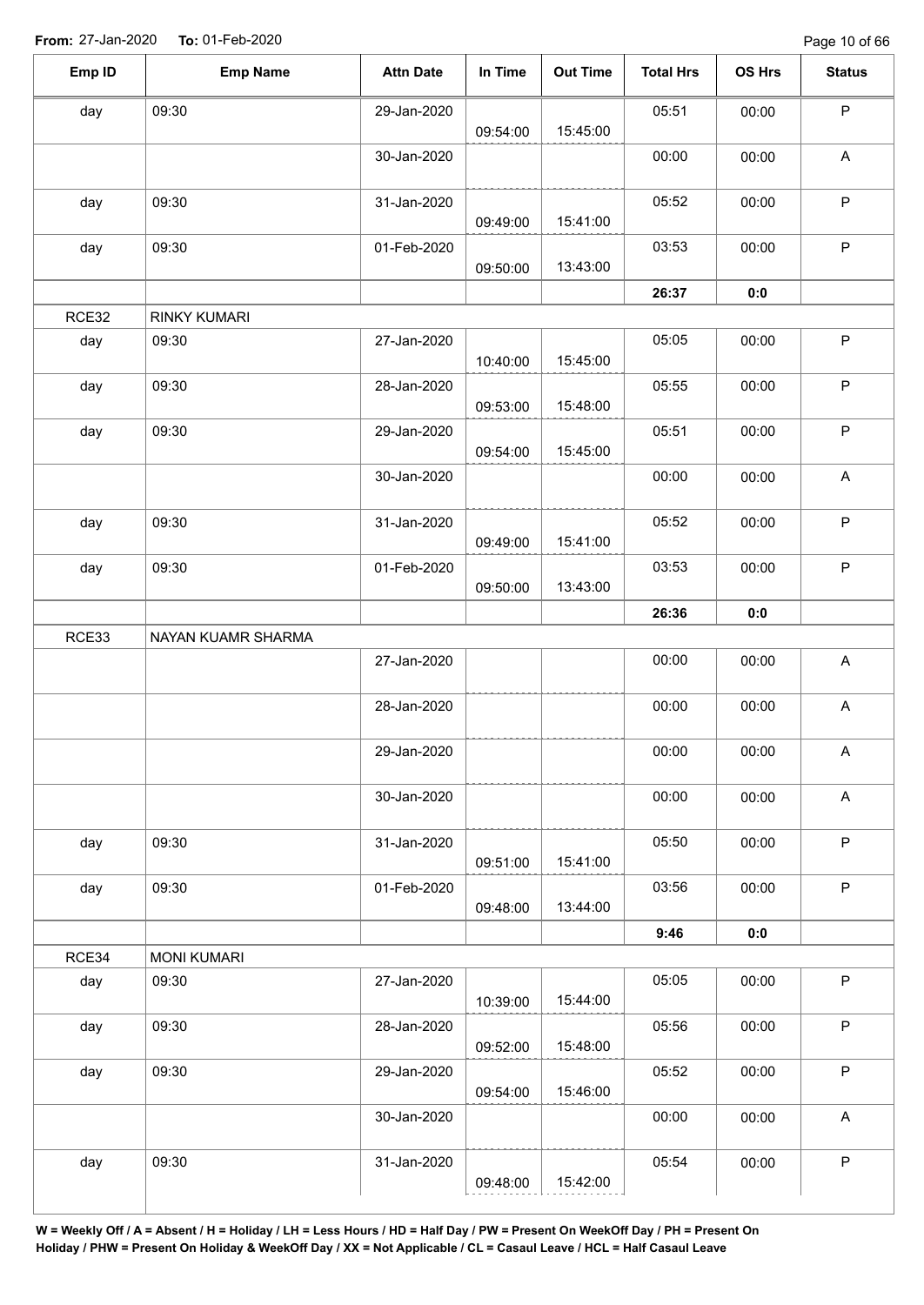| Emp ID | <b>Emp Name</b>    | <b>Attn Date</b> | In Time  | <b>Out Time</b> | <b>Total Hrs</b> | <b>OS Hrs</b> | <b>Status</b>             |
|--------|--------------------|------------------|----------|-----------------|------------------|---------------|---------------------------|
| day    | 09:30              | 29-Jan-2020      | 09:54:00 | 15:45:00        | 05:51            | 00:00         | $\mathsf P$               |
|        |                    | 30-Jan-2020      |          |                 | 00:00            | 00:00         | $\mathsf A$               |
| day    | 09:30              | 31-Jan-2020      | 09:49:00 | 15:41:00        | 05:52            | 00:00         | $\mathsf{P}$              |
| day    | 09:30              | 01-Feb-2020      | 09:50:00 | 13:43:00        | 03:53            | 00:00         | $\mathsf P$               |
|        |                    |                  |          |                 | 26:37            | 0:0           |                           |
| RCE32  | RINKY KUMARI       |                  |          |                 |                  |               |                           |
| day    | 09:30              | 27-Jan-2020      | 10:40:00 | 15:45:00        | 05:05            | 00:00         | $\mathsf P$               |
| day    | 09:30              | 28-Jan-2020      | 09:53:00 | 15:48:00        | 05:55            | 00:00         | $\mathsf P$               |
| day    | 09:30              | 29-Jan-2020      | 09:54:00 | 15:45:00        | 05:51            | 00:00         | $\sf P$                   |
|        |                    | 30-Jan-2020      |          |                 | 00:00            | 00:00         | A                         |
| day    | 09:30              | 31-Jan-2020      | 09:49:00 | 15:41:00        | 05:52            | 00:00         | $\mathsf P$               |
| day    | 09:30              | 01-Feb-2020      | 09:50:00 | 13:43:00        | 03:53            | 00:00         | $\sf P$                   |
|        |                    |                  |          |                 | 26:36            | 0:0           |                           |
| RCE33  | NAYAN KUAMR SHARMA |                  |          |                 |                  |               |                           |
|        |                    | 27-Jan-2020      |          |                 | 00:00            | 00:00         | $\boldsymbol{\mathsf{A}}$ |
|        |                    | 28-Jan-2020      |          |                 | 00:00            | 00:00         | $\mathsf A$               |
|        |                    | 29-Jan-2020      |          |                 | 00:00            | 00:00         | A                         |
|        |                    | 30-Jan-2020      |          |                 | 00:00            | 00:00         | $\mathsf A$               |
| day    | 09:30              | 31-Jan-2020      | 09:51:00 | 15:41:00        | 05:50            | 00:00         | $\mathsf{P}$              |
| day    | 09:30              | 01-Feb-2020      | 09:48:00 | 13:44:00        | 03:56            | 00:00         | $\mathsf P$               |
|        |                    |                  |          |                 | 9:46             | 0:0           |                           |
| RCE34  | <b>MONI KUMARI</b> |                  |          |                 |                  |               |                           |
| day    | 09:30              | 27-Jan-2020      | 10:39:00 | 15:44:00        | 05:05            | 00:00         | $\mathsf P$               |
| day    | 09:30              | 28-Jan-2020      | 09:52:00 | 15:48:00        | 05:56            | 00:00         | $\sf P$                   |
| day    | 09:30              | 29-Jan-2020      | 09:54:00 | 15:46:00        | 05:52            | 00:00         | $\mathsf P$               |
|        |                    | 30-Jan-2020      |          |                 | 00:00            | 00:00         | $\boldsymbol{\mathsf{A}}$ |
| day    | 09:30              | 31-Jan-2020      | 09:48:00 | 15:42:00        | 05:54            | 00:00         | $\mathsf P$               |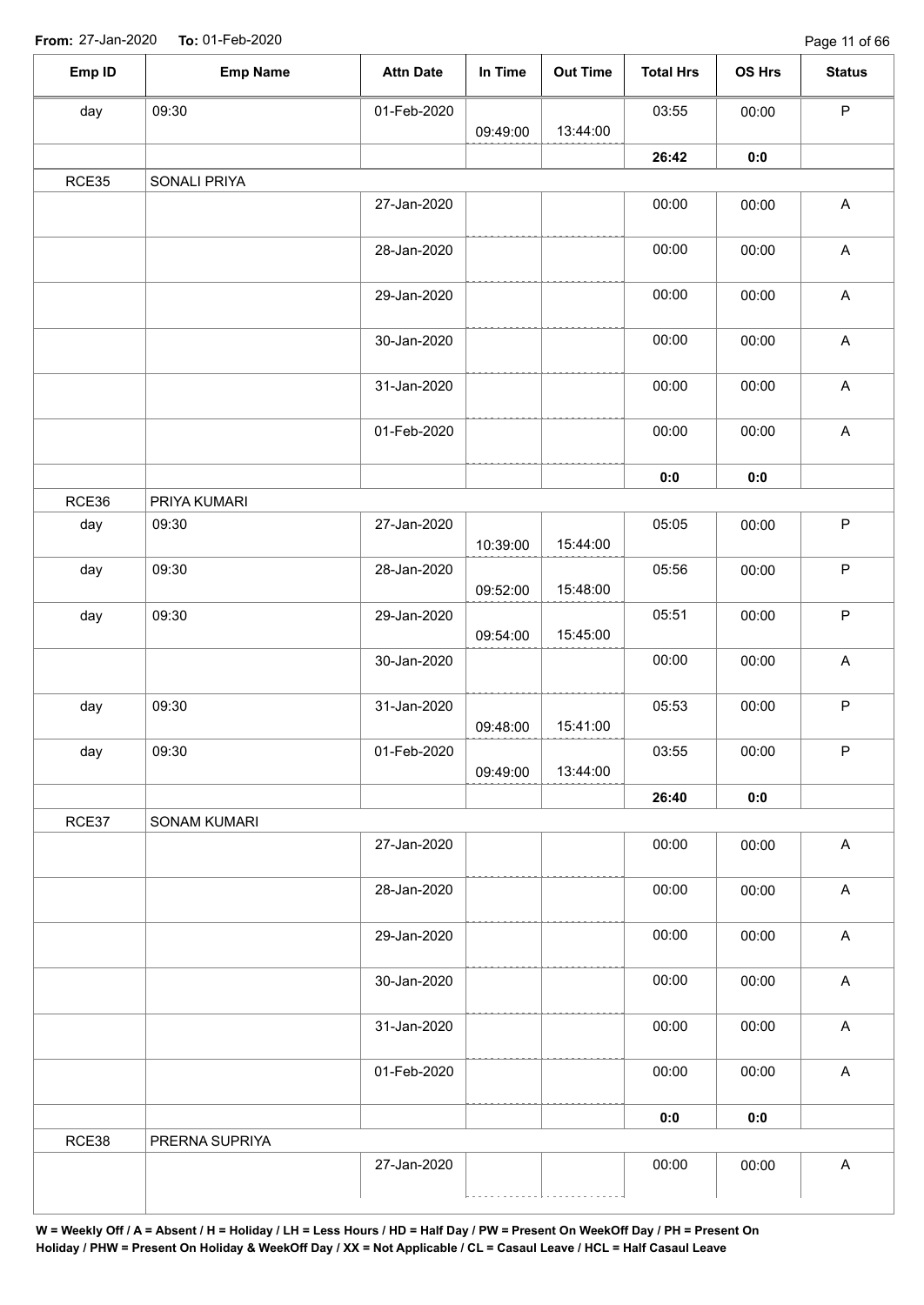Page 11 of 66

| Emp ID | <b>Emp Name</b>     | <b>Attn Date</b> | In Time  | <b>Out Time</b> | <b>Total Hrs</b> | OS Hrs | <b>Status</b>                                                         |
|--------|---------------------|------------------|----------|-----------------|------------------|--------|-----------------------------------------------------------------------|
| day    | 09:30               | 01-Feb-2020      |          |                 | 03:55            | 00:00  | $\sf P$                                                               |
|        |                     |                  | 09:49:00 | 13:44:00        |                  |        |                                                                       |
|        |                     |                  |          |                 | 26:42            | 0:0    |                                                                       |
| RCE35  | SONALI PRIYA        |                  |          |                 |                  |        |                                                                       |
|        |                     | 27-Jan-2020      |          |                 | 00:00            | 00:00  | $\boldsymbol{\mathsf{A}}$                                             |
|        |                     | 28-Jan-2020      |          |                 | 00:00            | 00:00  | $\boldsymbol{\mathsf{A}}$                                             |
|        |                     | 29-Jan-2020      |          |                 | 00:00            | 00:00  | $\mathsf{A}$                                                          |
|        |                     | 30-Jan-2020      |          |                 | 00:00            | 00:00  | $\mathsf A$                                                           |
|        |                     | 31-Jan-2020      |          |                 | 00:00            | 00:00  | $\mathsf A$                                                           |
|        |                     | 01-Feb-2020      |          |                 | 00:00            | 00:00  | $\mathsf{A}% _{\mathsf{A}}^{\prime}=\mathsf{A}_{\mathsf{A}}^{\prime}$ |
|        |                     |                  |          |                 | 0:0              | 0:0    |                                                                       |
| RCE36  | PRIYA KUMARI        |                  |          |                 |                  |        |                                                                       |
| day    | 09:30               | 27-Jan-2020      | 10:39:00 | 15:44:00        | 05:05            | 00:00  | $\sf P$                                                               |
| day    | 09:30               | 28-Jan-2020      | 09:52:00 | 15:48:00        | 05:56            | 00:00  | $\mathsf P$                                                           |
| day    | 09:30               | 29-Jan-2020      |          |                 | 05:51            | 00:00  | $\sf P$                                                               |
|        |                     |                  | 09:54:00 | 15:45:00        |                  |        |                                                                       |
|        |                     | 30-Jan-2020      |          |                 | 00:00            | 00:00  | $\mathsf A$                                                           |
| day    | 09:30               | 31-Jan-2020      | 09:48:00 | 15:41:00        | 05:53            | 00:00  | $\sf P$                                                               |
| day    | 09:30               | 01-Feb-2020      |          |                 | 03:55            | 00:00  | P                                                                     |
|        |                     |                  | 09:49:00 | 13:44:00        |                  |        |                                                                       |
|        |                     |                  |          |                 | 26:40            | 0:0    |                                                                       |
| RCE37  | <b>SONAM KUMARI</b> |                  |          |                 |                  |        |                                                                       |
|        |                     | 27-Jan-2020      |          |                 | 00:00            | 00:00  | $\boldsymbol{\mathsf{A}}$                                             |
|        |                     | 28-Jan-2020      |          |                 | 00:00            | 00:00  | $\boldsymbol{\mathsf{A}}$                                             |
|        |                     | 29-Jan-2020      |          |                 | 00:00            | 00:00  | $\boldsymbol{\mathsf{A}}$                                             |
|        |                     | 30-Jan-2020      |          |                 | 00:00            | 00:00  | $\boldsymbol{\mathsf{A}}$                                             |
|        |                     | 31-Jan-2020      |          |                 | 00:00            | 00:00  | $\boldsymbol{\mathsf{A}}$                                             |
|        |                     | 01-Feb-2020      |          |                 | 00:00            | 00:00  | $\boldsymbol{\mathsf{A}}$                                             |
|        |                     |                  |          |                 | 0:0              | 0:0    |                                                                       |
| RCE38  | PRERNA SUPRIYA      |                  |          |                 |                  |        |                                                                       |
|        |                     | 27-Jan-2020      |          |                 | 00:00            | 00:00  | $\boldsymbol{\mathsf{A}}$                                             |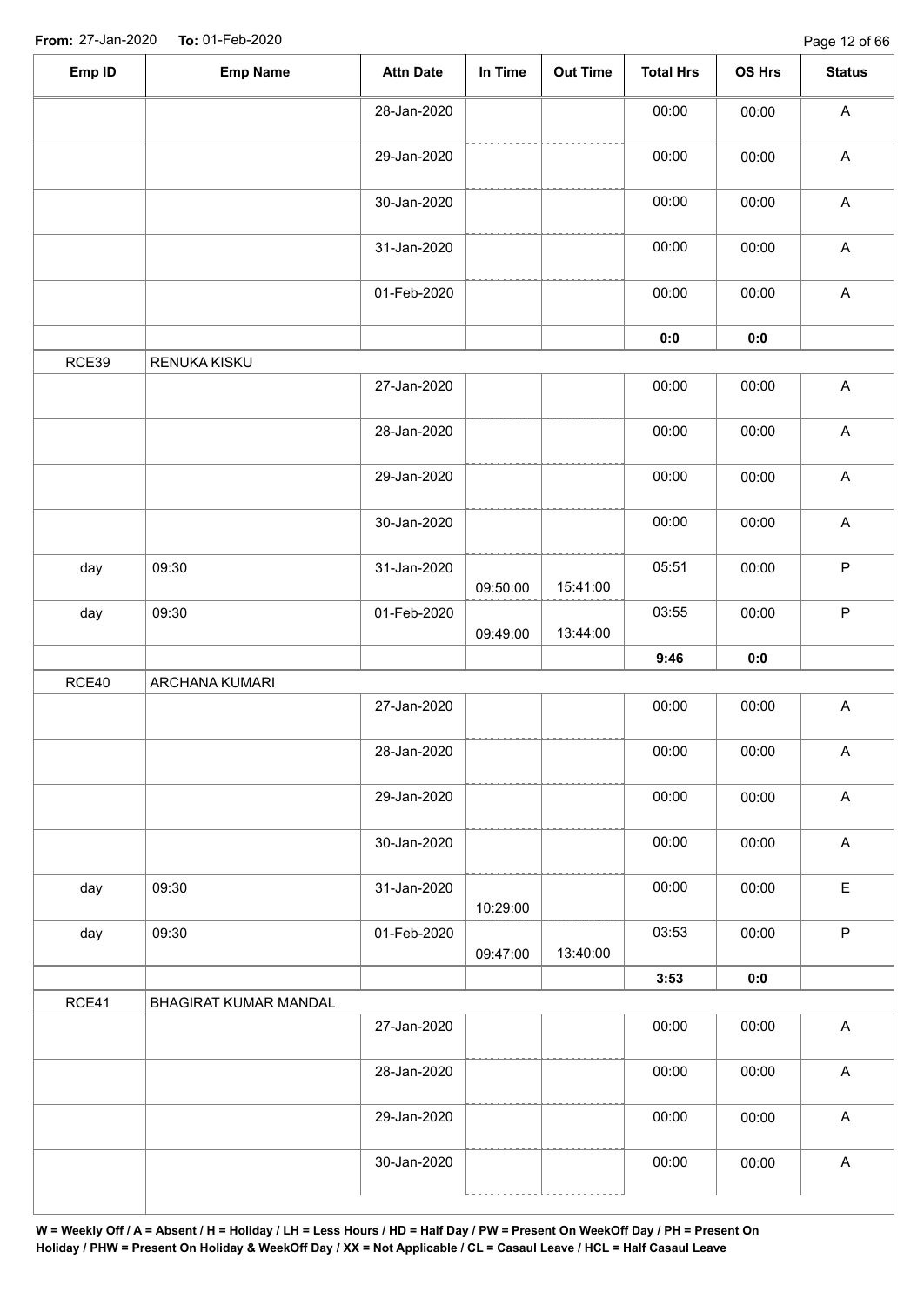| Emp ID | <b>Emp Name</b>       | <b>Attn Date</b> | In Time  | Out Time | <b>Total Hrs</b> | OS Hrs         | <b>Status</b>             |
|--------|-----------------------|------------------|----------|----------|------------------|----------------|---------------------------|
|        |                       | 28-Jan-2020      |          |          | 00:00            | 00:00          | $\boldsymbol{\mathsf{A}}$ |
|        |                       | 29-Jan-2020      |          |          | 00:00            | 00:00          | $\boldsymbol{\mathsf{A}}$ |
|        |                       | 30-Jan-2020      |          |          | 00:00            | 00:00          | $\boldsymbol{\mathsf{A}}$ |
|        |                       | 31-Jan-2020      |          |          | 00:00            | 00:00          | $\boldsymbol{\mathsf{A}}$ |
|        |                       | 01-Feb-2020      |          |          | 00:00            | 00:00          | $\boldsymbol{\mathsf{A}}$ |
|        |                       |                  |          |          | $\mathbf{0}$ 0   | 0:0            |                           |
| RCE39  | RENUKA KISKU          |                  |          |          |                  |                |                           |
|        |                       | 27-Jan-2020      |          |          | 00:00            | 00:00          | $\boldsymbol{\mathsf{A}}$ |
|        |                       | 28-Jan-2020      |          |          | 00:00            | 00:00          | $\boldsymbol{\mathsf{A}}$ |
|        |                       | 29-Jan-2020      |          |          | 00:00            | 00:00          | $\boldsymbol{\mathsf{A}}$ |
|        |                       | 30-Jan-2020      |          |          | 00:00            | 00:00          | $\boldsymbol{\mathsf{A}}$ |
| day    | 09:30                 | 31-Jan-2020      | 09:50:00 | 15:41:00 | 05:51            | 00:00          | $\mathsf P$               |
| day    | 09:30                 | 01-Feb-2020      | 09:49:00 | 13:44:00 | 03:55            | 00:00          | $\mathsf P$               |
|        |                       |                  |          |          | 9:46             | 0:0            |                           |
| RCE40  | ARCHANA KUMARI        |                  |          |          |                  |                |                           |
|        |                       | 27-Jan-2020      |          |          | 00:00            | 00:00          | A                         |
|        |                       | 28-Jan-2020      |          |          | 00:00            | 00:00          | A                         |
|        |                       | 29-Jan-2020      |          |          | 00:00            | 00:00          | $\boldsymbol{\mathsf{A}}$ |
|        |                       | 30-Jan-2020      |          |          | 00:00            | 00:00          | $\boldsymbol{\mathsf{A}}$ |
| day    | 09:30                 | 31-Jan-2020      | 10:29:00 |          | 00:00            | 00:00          | $\mathsf E$               |
|        | 09:30                 | 01-Feb-2020      |          | 13:40:00 | 03:53            | 00:00          | $\mathsf P$               |
| day    |                       |                  |          |          |                  |                |                           |
|        |                       |                  | 09:47:00 |          | 3:53             | $\mathbf{0}$ 0 |                           |
|        | BHAGIRAT KUMAR MANDAL |                  |          |          |                  |                |                           |
| RCE41  |                       | 27-Jan-2020      |          |          | 00:00            | 00:00          | $\boldsymbol{\mathsf{A}}$ |
|        |                       | 28-Jan-2020      |          |          | 00:00            | 00:00          | $\boldsymbol{\mathsf{A}}$ |
|        |                       | 29-Jan-2020      |          |          | 00:00            | 00:00          | $\boldsymbol{\mathsf{A}}$ |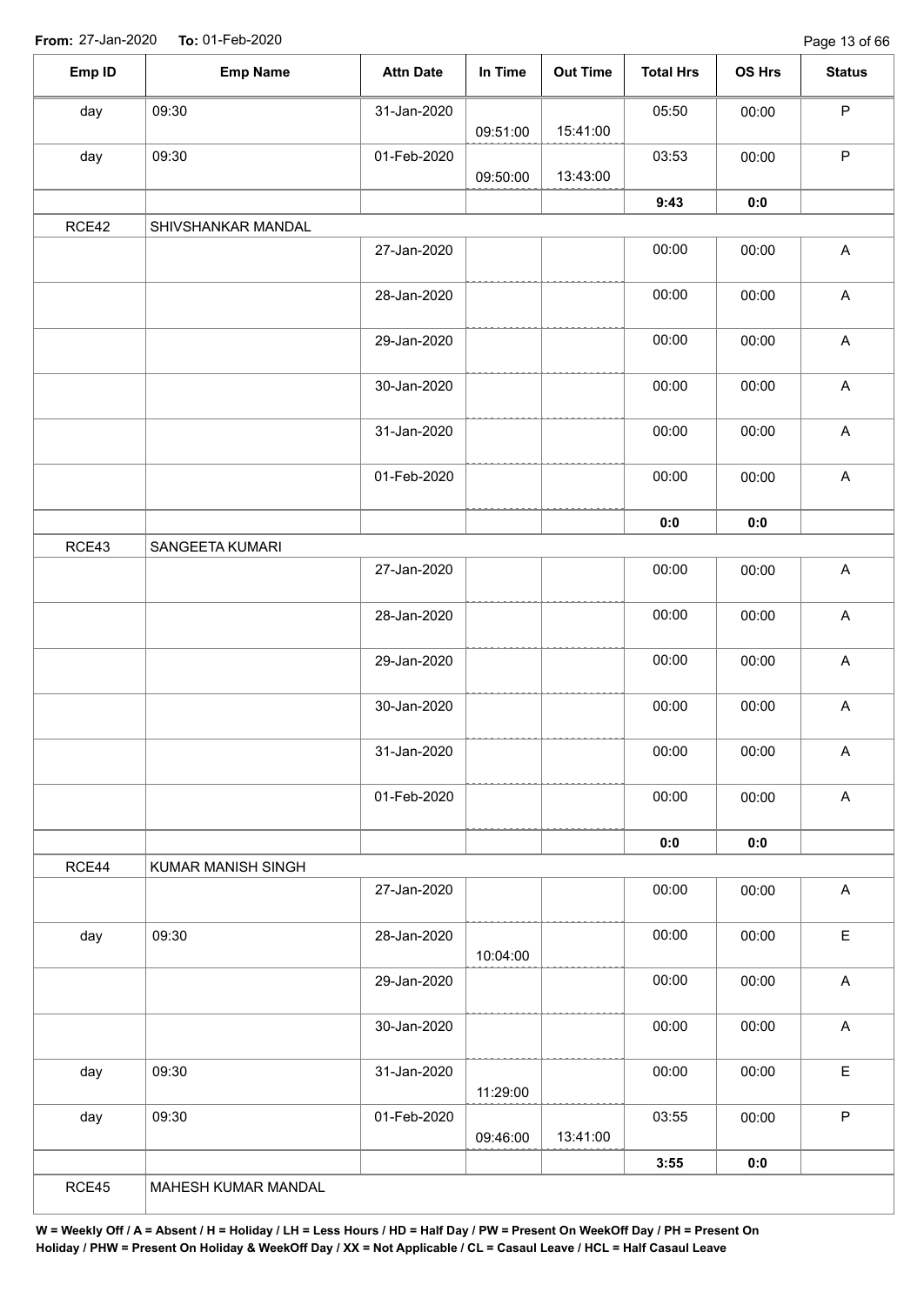Page 13 of 66

| Emp ID | <b>Emp Name</b>     | <b>Attn Date</b> | In Time  | <b>Out Time</b> | <b>Total Hrs</b> | OS Hrs | <b>Status</b>             |
|--------|---------------------|------------------|----------|-----------------|------------------|--------|---------------------------|
| day    | 09:30               | 31-Jan-2020      |          |                 | 05:50            | 00:00  | $\mathsf P$               |
|        |                     |                  | 09:51:00 | 15:41:00        |                  |        |                           |
| day    | 09:30               | 01-Feb-2020      | 09:50:00 | 13:43:00        | 03:53            | 00:00  | $\mathsf P$               |
|        |                     |                  |          |                 | 9:43             | 0:0    |                           |
| RCE42  | SHIVSHANKAR MANDAL  |                  |          |                 |                  |        |                           |
|        |                     | 27-Jan-2020      |          |                 | 00:00            | 00:00  | $\boldsymbol{\mathsf{A}}$ |
|        |                     | 28-Jan-2020      |          |                 | 00:00            | 00:00  | $\boldsymbol{\mathsf{A}}$ |
|        |                     | 29-Jan-2020      |          |                 | 00:00            | 00:00  | $\boldsymbol{\mathsf{A}}$ |
|        |                     | 30-Jan-2020      |          |                 | 00:00            | 00:00  | $\boldsymbol{\mathsf{A}}$ |
|        |                     | 31-Jan-2020      |          |                 | 00:00            | 00:00  | $\boldsymbol{\mathsf{A}}$ |
|        |                     | 01-Feb-2020      |          |                 | 00:00            | 00:00  | $\boldsymbol{\mathsf{A}}$ |
|        |                     |                  |          |                 | 0:0              | 0:0    |                           |
| RCE43  | SANGEETA KUMARI     |                  |          |                 |                  |        |                           |
|        |                     | 27-Jan-2020      |          |                 | 00:00            | 00:00  | $\boldsymbol{\mathsf{A}}$ |
|        |                     | 28-Jan-2020      |          |                 | 00:00            | 00:00  | $\boldsymbol{\mathsf{A}}$ |
|        |                     | 29-Jan-2020      |          |                 | 00:00            | 00:00  | $\boldsymbol{\mathsf{A}}$ |
|        |                     | 30-Jan-2020      |          |                 | 00:00            | 00:00  | $\boldsymbol{\mathsf{A}}$ |
|        |                     | 31-Jan-2020      |          |                 | 00:00            | 00:00  | $\boldsymbol{\mathsf{A}}$ |
|        |                     | 01-Feb-2020      |          |                 | 00:00            | 00:00  | $\boldsymbol{\mathsf{A}}$ |
|        |                     |                  |          |                 | 0:0              | 0:0    |                           |
| RCE44  | KUMAR MANISH SINGH  |                  |          |                 |                  |        |                           |
|        |                     | 27-Jan-2020      |          |                 | 00:00            | 00:00  | $\boldsymbol{\mathsf{A}}$ |
| day    | 09:30               | 28-Jan-2020      | 10:04:00 |                 | 00:00            | 00:00  | $\mathsf E$               |
|        |                     | 29-Jan-2020      |          |                 | 00:00            | 00:00  | $\boldsymbol{\mathsf{A}}$ |
|        |                     | 30-Jan-2020      |          |                 | 00:00            | 00:00  | $\boldsymbol{\mathsf{A}}$ |
| day    | 09:30               | 31-Jan-2020      | 11:29:00 |                 | 00:00            | 00:00  | $\mathsf E$               |
| day    | 09:30               | 01-Feb-2020      | 09:46:00 | 13:41:00        | 03:55            | 00:00  | $\mathsf P$               |
|        |                     |                  |          |                 | 3:55             | 0:0    |                           |
| RCE45  | MAHESH KUMAR MANDAL |                  |          |                 |                  |        |                           |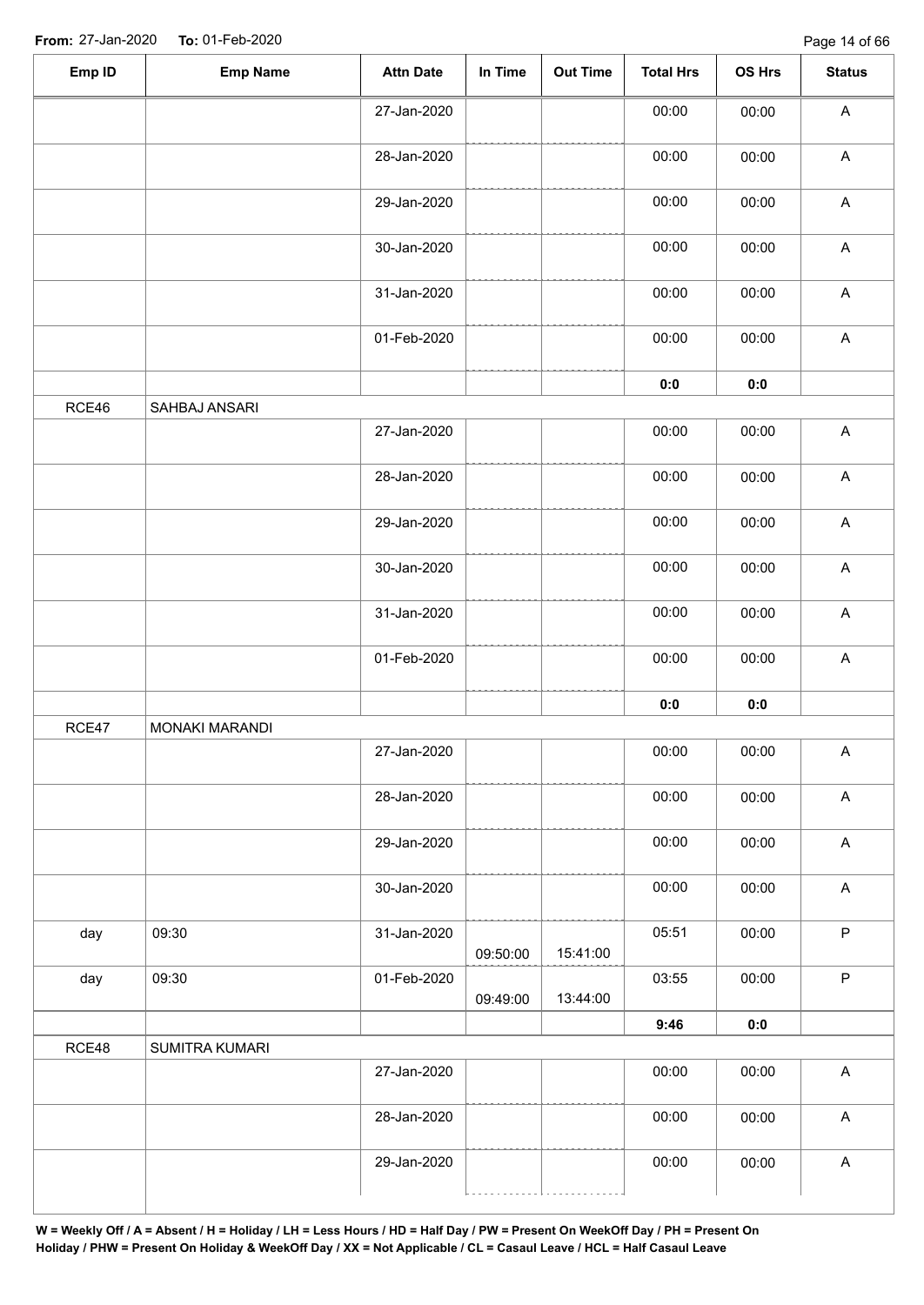| Emp ID | <b>Emp Name</b> | <b>Attn Date</b> | In Time  | <b>Out Time</b> | <b>Total Hrs</b> | OS Hrs | <b>Status</b>             |
|--------|-----------------|------------------|----------|-----------------|------------------|--------|---------------------------|
|        |                 | 27-Jan-2020      |          |                 | 00:00            | 00:00  | $\boldsymbol{\mathsf{A}}$ |
|        |                 | 28-Jan-2020      |          |                 | 00:00            | 00:00  | $\boldsymbol{\mathsf{A}}$ |
|        |                 | 29-Jan-2020      |          |                 | 00:00            | 00:00  | $\boldsymbol{\mathsf{A}}$ |
|        |                 | 30-Jan-2020      |          |                 | 00:00            | 00:00  | $\mathsf A$               |
|        |                 | 31-Jan-2020      |          |                 | 00:00            | 00:00  | $\boldsymbol{\mathsf{A}}$ |
|        |                 | 01-Feb-2020      |          |                 | 00:00            | 00:00  | $\boldsymbol{\mathsf{A}}$ |
|        |                 |                  |          |                 | 0:0              | 0:0    |                           |
| RCE46  | SAHBAJ ANSARI   |                  |          |                 |                  |        |                           |
|        |                 | 27-Jan-2020      |          |                 | 00:00            | 00:00  | $\boldsymbol{\mathsf{A}}$ |
|        |                 | 28-Jan-2020      |          |                 | 00:00            | 00:00  | $\mathsf A$               |
|        |                 | 29-Jan-2020      |          |                 | 00:00            | 00:00  | $\boldsymbol{\mathsf{A}}$ |
|        |                 | 30-Jan-2020      |          |                 | 00:00            | 00:00  | $\boldsymbol{\mathsf{A}}$ |
|        |                 | 31-Jan-2020      |          |                 | 00:00            | 00:00  | $\boldsymbol{\mathsf{A}}$ |
|        |                 | 01-Feb-2020      |          |                 | 00:00            | 00:00  | $\mathsf A$               |
|        |                 |                  |          |                 | $\mathbf{0}$ 0   | 0:0    |                           |
| RCE47  | MONAKI MARANDI  |                  |          |                 |                  |        |                           |
|        |                 | 27-Jan-2020      |          |                 | 00:00            | 00:00  | A                         |
|        |                 | 28-Jan-2020      |          |                 | 00:00            | 00:00  | $\boldsymbol{\mathsf{A}}$ |
|        |                 | 29-Jan-2020      |          |                 | 00:00            | 00:00  | $\boldsymbol{\mathsf{A}}$ |
|        |                 | 30-Jan-2020      |          |                 | 00:00            | 00:00  | $\boldsymbol{\mathsf{A}}$ |
| day    | 09:30           | 31-Jan-2020      | 09:50:00 | 15:41:00        | 05:51            | 00:00  | $\mathsf P$               |
| day    | 09:30           | 01-Feb-2020      | 09:49:00 | 13:44:00        | 03:55            | 00:00  | $\mathsf P$               |
|        |                 |                  |          |                 | 9:46             | 0:0    |                           |
| RCE48  | SUMITRA KUMARI  |                  |          |                 |                  |        |                           |
|        |                 | 27-Jan-2020      |          |                 | 00:00            | 00:00  | $\boldsymbol{\mathsf{A}}$ |
|        |                 | 28-Jan-2020      |          |                 | 00:00            | 00:00  | $\boldsymbol{\mathsf{A}}$ |
|        |                 | 29-Jan-2020      |          |                 | 00:00            | 00:00  | A                         |
|        |                 |                  |          |                 |                  |        |                           |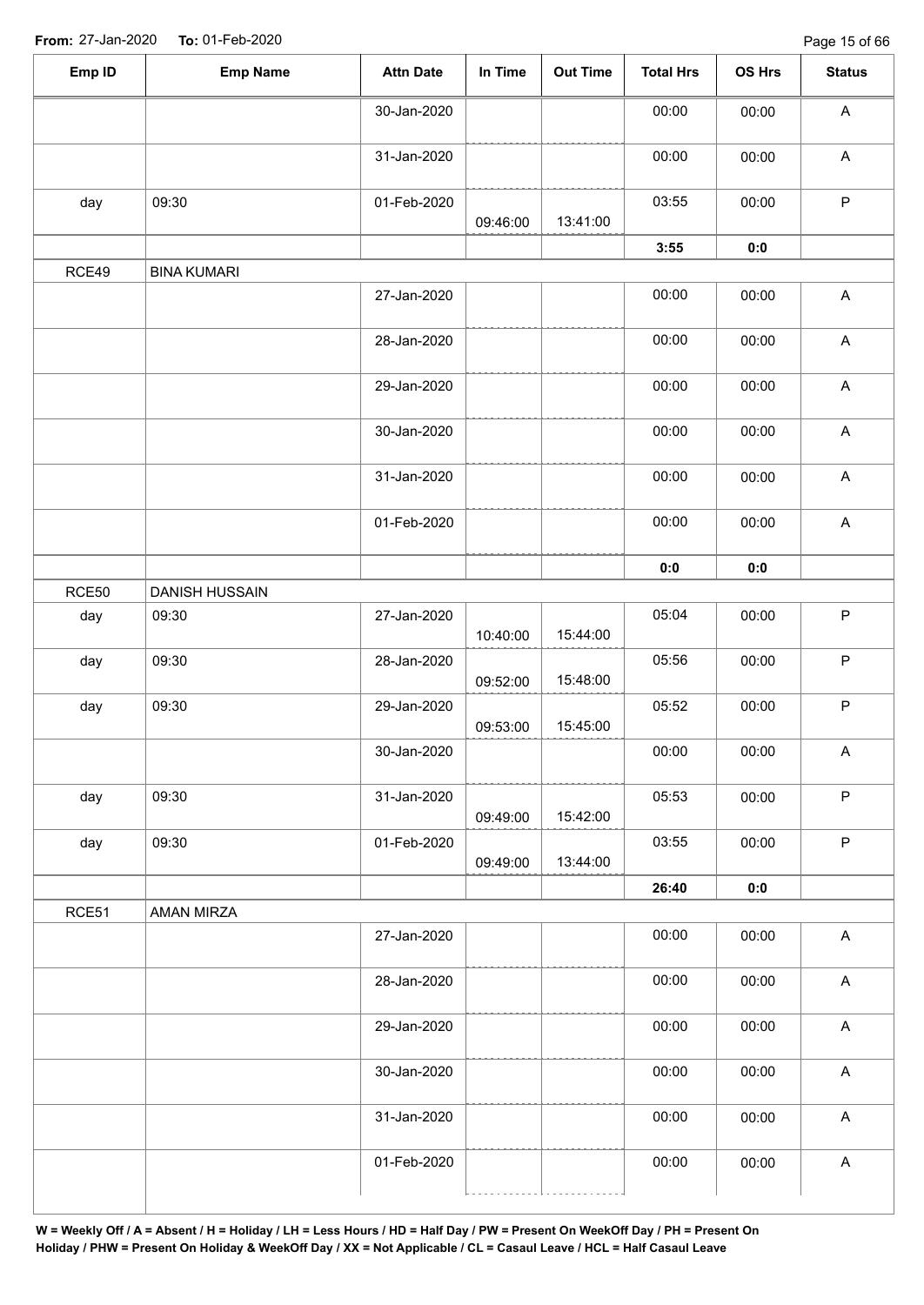Page 15 of 66

| Emp ID | <b>Emp Name</b>    | <b>Attn Date</b> | In Time  | <b>Out Time</b> | <b>Total Hrs</b> | OS Hrs | <b>Status</b>             |
|--------|--------------------|------------------|----------|-----------------|------------------|--------|---------------------------|
|        |                    | 30-Jan-2020      |          |                 | 00:00            | 00:00  | A                         |
|        |                    | 31-Jan-2020      |          |                 | 00:00            | 00:00  | $\boldsymbol{\mathsf{A}}$ |
| day    | 09:30              | 01-Feb-2020      | 09:46:00 | 13:41:00        | 03:55            | 00:00  | $\sf P$                   |
|        |                    |                  |          |                 | 3:55             | 0:0    |                           |
| RCE49  | <b>BINA KUMARI</b> |                  |          |                 |                  |        |                           |
|        |                    | 27-Jan-2020      |          |                 | 00:00            | 00:00  | $\boldsymbol{\mathsf{A}}$ |
|        |                    | 28-Jan-2020      |          |                 | 00:00            | 00:00  | $\boldsymbol{\mathsf{A}}$ |
|        |                    | 29-Jan-2020      |          |                 | 00:00            | 00:00  | $\boldsymbol{\mathsf{A}}$ |
|        |                    | 30-Jan-2020      |          |                 | 00:00            | 00:00  | $\boldsymbol{\mathsf{A}}$ |
|        |                    | 31-Jan-2020      |          |                 | 00:00            | 00:00  | $\boldsymbol{\mathsf{A}}$ |
|        |                    | 01-Feb-2020      |          |                 | 00:00            | 00:00  | $\boldsymbol{\mathsf{A}}$ |
|        |                    |                  |          |                 | 0:0              | 0:0    |                           |
| RCE50  | DANISH HUSSAIN     |                  |          |                 |                  |        |                           |
| day    | 09:30              | 27-Jan-2020      | 10:40:00 | 15:44:00        | 05:04            | 00:00  | $\sf P$                   |
| day    | 09:30              | 28-Jan-2020      | 09:52:00 | 15:48:00        | 05:56            | 00:00  | $\sf P$                   |
| day    | 09:30              | 29-Jan-2020      | 09:53:00 | 15:45:00        | 05:52            | 00:00  | $\sf P$                   |
|        |                    | 30-Jan-2020      |          |                 | 00:00            | 00:00  | A                         |
| day    | 09:30              | 31-Jan-2020      | 09:49:00 | 15:42:00        | 05:53            | 00:00  | $\sf P$                   |
| day    | 09:30              | 01-Feb-2020      | 09:49:00 | 13:44:00        | 03:55            | 00:00  | $\sf P$                   |
| RCE51  |                    |                  |          |                 | 26:40            | 0:0    |                           |
|        | AMAN MIRZA         |                  |          |                 |                  |        |                           |
|        |                    | 27-Jan-2020      |          |                 | 00:00            | 00:00  | $\mathsf A$               |
|        |                    | 28-Jan-2020      |          |                 | 00:00            | 00:00  | $\boldsymbol{\mathsf{A}}$ |
|        |                    | 29-Jan-2020      |          |                 | 00:00            | 00:00  | $\boldsymbol{\mathsf{A}}$ |
|        |                    | 30-Jan-2020      |          |                 | 00:00            | 00:00  | $\boldsymbol{\mathsf{A}}$ |
|        |                    | 31-Jan-2020      |          |                 | 00:00            | 00:00  | $\boldsymbol{\mathsf{A}}$ |
|        |                    | 01-Feb-2020      |          |                 | 00:00            | 00:00  | $\boldsymbol{\mathsf{A}}$ |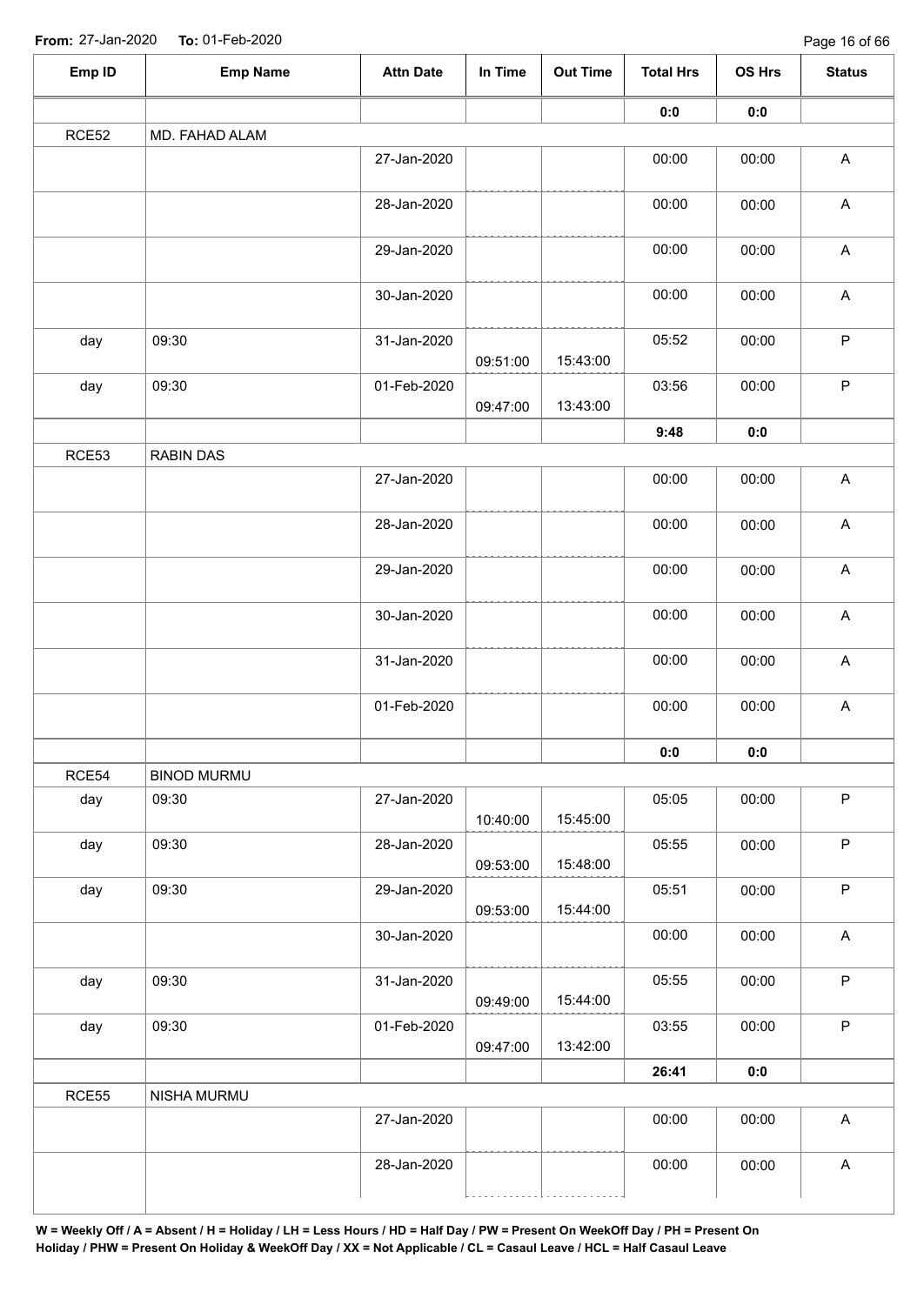| Emp ID       | <b>Emp Name</b>    | <b>Attn Date</b> | In Time  | <b>Out Time</b> | <b>Total Hrs</b> | OS Hrs | <b>Status</b>             |  |  |  |  |  |
|--------------|--------------------|------------------|----------|-----------------|------------------|--------|---------------------------|--|--|--|--|--|
|              |                    |                  |          |                 | 0:0              | 0:0    |                           |  |  |  |  |  |
| RCE52        | MD. FAHAD ALAM     |                  |          |                 |                  |        |                           |  |  |  |  |  |
|              |                    | 27-Jan-2020      |          |                 | 00:00            | 00:00  | $\boldsymbol{\mathsf{A}}$ |  |  |  |  |  |
|              |                    | 28-Jan-2020      |          |                 | 00:00            | 00:00  | $\boldsymbol{\mathsf{A}}$ |  |  |  |  |  |
|              |                    | 29-Jan-2020      |          |                 | 00:00            | 00:00  | $\boldsymbol{\mathsf{A}}$ |  |  |  |  |  |
|              |                    | 30-Jan-2020      |          |                 | 00:00            | 00:00  | $\mathsf A$               |  |  |  |  |  |
| day          | 09:30              | 31-Jan-2020      | 09:51:00 | 15:43:00        | 05:52            | 00:00  | $\sf P$                   |  |  |  |  |  |
| day          | 09:30              | 01-Feb-2020      | 09:47:00 | 13:43:00        | 03:56            | 00:00  | $\mathsf P$               |  |  |  |  |  |
|              |                    |                  |          |                 | 9:48             | $0:0$  |                           |  |  |  |  |  |
| RCE53        | RABIN DAS          |                  |          |                 |                  |        |                           |  |  |  |  |  |
|              |                    | 27-Jan-2020      |          |                 | 00:00            | 00:00  | $\mathsf A$               |  |  |  |  |  |
|              |                    | 28-Jan-2020      |          |                 | 00:00            | 00:00  | $\mathsf A$               |  |  |  |  |  |
|              |                    | 29-Jan-2020      |          |                 | 00:00            | 00:00  | $\mathsf A$               |  |  |  |  |  |
|              |                    | 30-Jan-2020      |          |                 | 00:00            | 00:00  | A                         |  |  |  |  |  |
|              |                    | 31-Jan-2020      |          |                 | 00:00            | 00:00  | $\mathsf A$               |  |  |  |  |  |
|              |                    | 01-Feb-2020      |          |                 | 00:00            | 00:00  | $\mathsf A$               |  |  |  |  |  |
|              |                    |                  |          |                 | 0:0              | 0:0    |                           |  |  |  |  |  |
| RCE54        | <b>BINOD MURMU</b> |                  |          |                 |                  |        |                           |  |  |  |  |  |
| day          | 09:30              | 27-Jan-2020      | 10:40:00 | 15:45:00        | 05:05            | 00:00  | $\mathsf P$               |  |  |  |  |  |
| day          | 09:30              | 28-Jan-2020      | 09:53:00 | 15:48:00        | 05:55            | 00:00  | $\sf P$                   |  |  |  |  |  |
| day          | 09:30              | 29-Jan-2020      | 09:53:00 | 15:44:00        | 05:51            | 00:00  | $\mathsf P$               |  |  |  |  |  |
|              |                    | 30-Jan-2020      |          |                 | 00:00            | 00:00  | $\mathsf A$               |  |  |  |  |  |
| day          | 09:30              | 31-Jan-2020      | 09:49:00 | 15:44:00        | 05:55            | 00:00  | $\mathsf P$               |  |  |  |  |  |
| day<br>RCE55 | 09:30              | 01-Feb-2020      | 09:47:00 | 13:42:00        | 03:55            | 00:00  | $\mathsf P$               |  |  |  |  |  |
|              |                    |                  |          |                 | 26:41            | 0:0    |                           |  |  |  |  |  |
|              | NISHA MURMU        |                  |          |                 |                  |        |                           |  |  |  |  |  |
|              |                    | 27-Jan-2020      |          |                 | 00:00            | 00:00  | $\mathsf A$               |  |  |  |  |  |
|              |                    | 28-Jan-2020      |          |                 | 00:00            | 00:00  | A                         |  |  |  |  |  |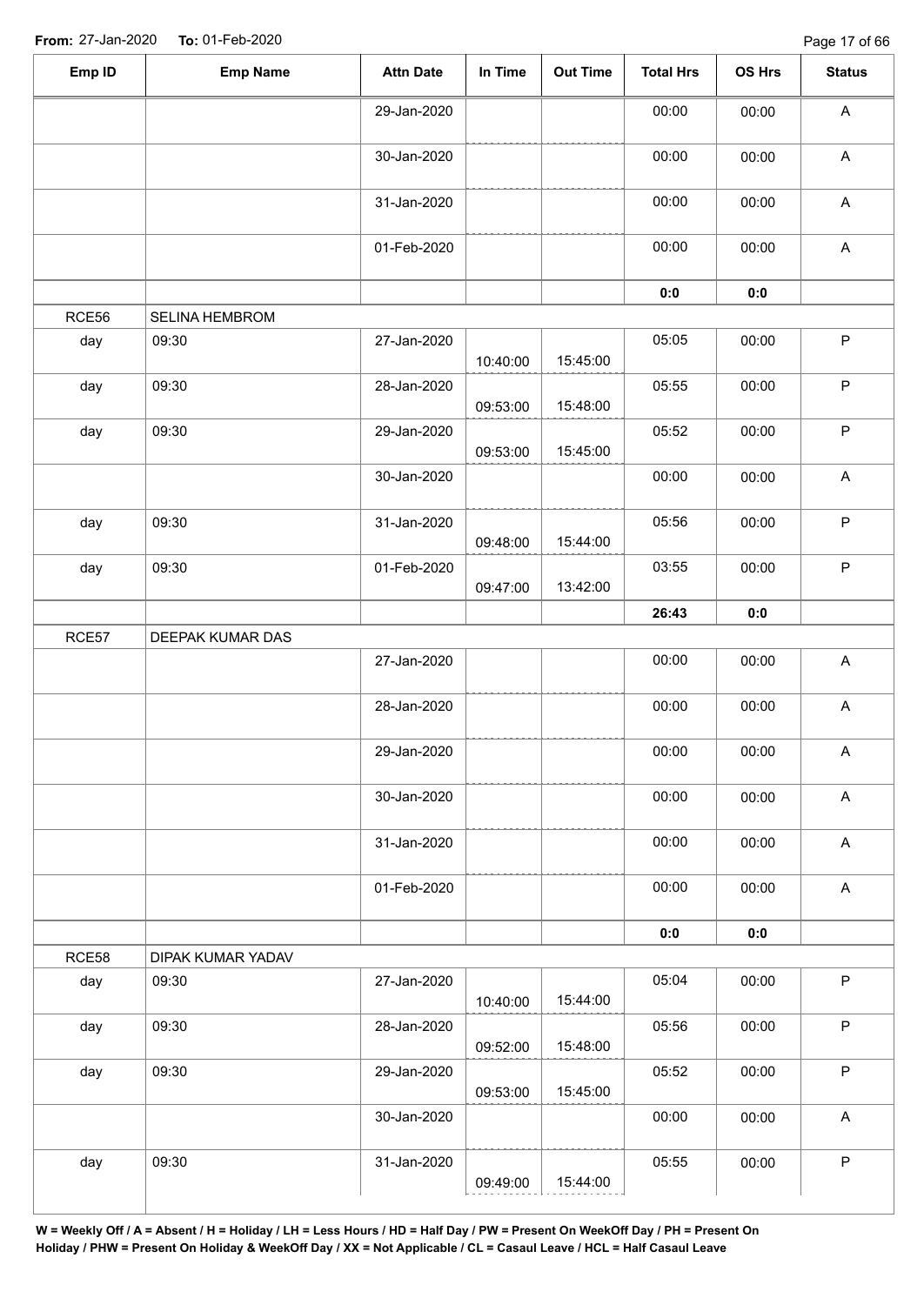| Emp ID | <b>Emp Name</b>   | <b>Attn Date</b> | In Time  | Out Time | <b>Total Hrs</b> | OS Hrs | <b>Status</b> |
|--------|-------------------|------------------|----------|----------|------------------|--------|---------------|
|        |                   | 29-Jan-2020      |          |          | 00:00            | 00:00  | A             |
|        |                   | 30-Jan-2020      |          |          | 00:00            | 00:00  | $\mathsf A$   |
|        |                   | 31-Jan-2020      |          |          | 00:00            | 00:00  | A             |
|        |                   | 01-Feb-2020      |          |          | 00:00            | 00:00  | $\mathsf A$   |
|        |                   |                  |          |          | 0:0              | 0:0    |               |
| RCE56  | SELINA HEMBROM    |                  |          |          |                  |        |               |
| day    | 09:30             | 27-Jan-2020      | 10:40:00 | 15:45:00 | 05:05            | 00:00  | $\sf P$       |
| day    | 09:30             | 28-Jan-2020      | 09:53:00 | 15:48:00 | 05:55            | 00:00  | $\mathsf P$   |
| day    | 09:30             | 29-Jan-2020      | 09:53:00 | 15:45:00 | 05:52            | 00:00  | P             |
|        |                   | 30-Jan-2020      |          |          | 00:00            | 00:00  | $\mathsf A$   |
| day    | 09:30             | 31-Jan-2020      | 09:48:00 | 15:44:00 | 05:56            | 00:00  | $\mathsf P$   |
| day    | 09:30             | 01-Feb-2020      | 09:47:00 | 13:42:00 | 03:55            | 00:00  | $\mathsf P$   |
|        |                   |                  |          |          | 26:43            | 0:0    |               |
| RCE57  | DEEPAK KUMAR DAS  |                  |          |          |                  |        |               |
|        |                   | 27-Jan-2020      |          |          | 00:00            | 00:00  | $\mathsf A$   |
|        |                   | 28-Jan-2020      |          |          | 00:00            | 00:00  | A             |
|        |                   | 29-Jan-2020      |          |          | 00:00            | 00:00  | A             |
|        |                   | 30-Jan-2020      |          |          | 00:00            | 00:00  | $\mathsf A$   |
|        |                   | 31-Jan-2020      |          |          | 00:00            | 00:00  | $\mathsf{A}$  |
|        |                   | 01-Feb-2020      |          |          | 00:00            | 00:00  | $\mathsf A$   |
|        |                   |                  |          |          | 0:0              | 0:0    |               |
| RCE58  | DIPAK KUMAR YADAV |                  |          |          |                  |        |               |
| day    | 09:30             | 27-Jan-2020      | 10:40:00 | 15:44:00 | 05:04            | 00:00  | $\mathsf P$   |
| day    | 09:30             | 28-Jan-2020      | 09:52:00 | 15:48:00 | 05:56            | 00:00  | $\mathsf P$   |
| day    | 09:30             | 29-Jan-2020      | 09:53:00 | 15:45:00 | 05:52            | 00:00  | $\mathsf P$   |
|        |                   | 30-Jan-2020      |          |          | 00:00            | 00:00  | $\mathsf A$   |
| day    | 09:30             | 31-Jan-2020      | 09:49:00 | 15:44:00 | 05:55            | 00:00  | $\sf P$       |
|        |                   |                  |          |          |                  |        |               |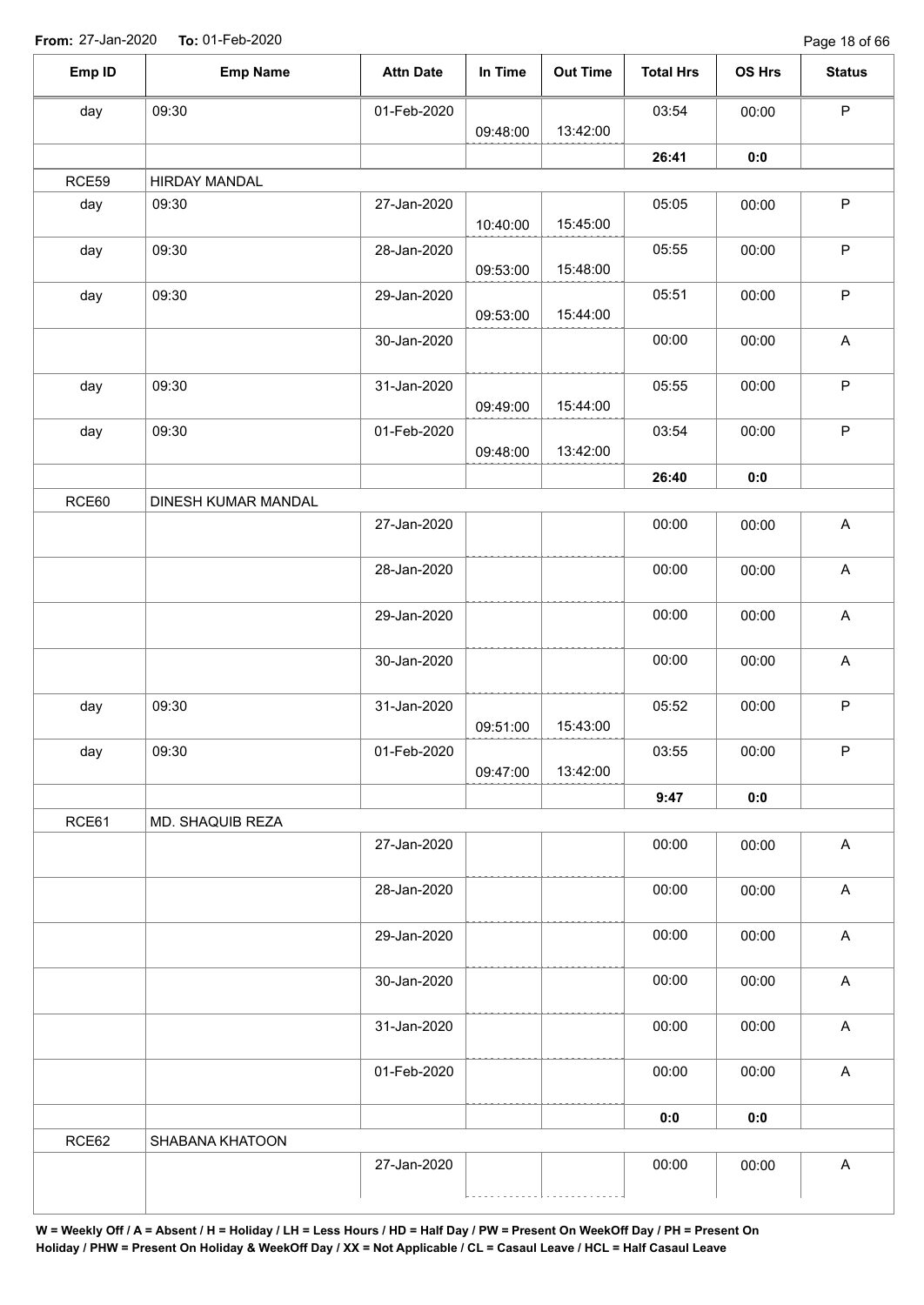Page 18 of 66

| Emp ID | <b>Emp Name</b>      | <b>Attn Date</b> | In Time  | <b>Out Time</b> | <b>Total Hrs</b> | OS Hrs | <b>Status</b>             |
|--------|----------------------|------------------|----------|-----------------|------------------|--------|---------------------------|
| day    | 09:30                | 01-Feb-2020      |          |                 | 03:54            | 00:00  | $\sf P$                   |
|        |                      |                  | 09:48:00 | 13:42:00        |                  |        |                           |
|        |                      |                  |          |                 | 26:41            | 0:0    |                           |
| RCE59  | <b>HIRDAY MANDAL</b> |                  |          |                 |                  |        |                           |
| day    | 09:30                | 27-Jan-2020      | 10:40:00 | 15:45:00        | 05:05            | 00:00  | $\sf P$                   |
| day    | 09:30                | 28-Jan-2020      | 09:53:00 | 15:48:00        | 05:55            | 00:00  | $\sf P$                   |
| day    | 09:30                | 29-Jan-2020      |          |                 | 05:51            | 00:00  | $\sf P$                   |
|        |                      | 30-Jan-2020      | 09:53:00 | 15:44:00        | 00:00            | 00:00  | $\boldsymbol{\mathsf{A}}$ |
|        |                      |                  |          |                 |                  |        |                           |
| day    | 09:30                | 31-Jan-2020      | 09:49:00 | 15:44:00        | 05:55            | 00:00  | P                         |
| day    | 09:30                | 01-Feb-2020      | 09:48:00 | 13:42:00        | 03:54            | 00:00  | $\sf P$                   |
|        |                      |                  |          |                 | 26:40            | 0:0    |                           |
| RCE60  | DINESH KUMAR MANDAL  |                  |          |                 |                  |        |                           |
|        |                      | 27-Jan-2020      |          |                 | 00:00            | 00:00  | $\boldsymbol{\mathsf{A}}$ |
|        |                      | 28-Jan-2020      |          |                 | 00:00            | 00:00  | A                         |
|        |                      | 29-Jan-2020      |          |                 | 00:00            | 00:00  | $\boldsymbol{\mathsf{A}}$ |
|        |                      | 30-Jan-2020      |          |                 | 00:00            | 00:00  | $\boldsymbol{\mathsf{A}}$ |
| day    | 09:30                | 31-Jan-2020      |          |                 | 05:52            | 00:00  | $\sf P$                   |
|        |                      |                  | 09:51:00 | 15:43:00        |                  |        |                           |
| day    | 09:30                | 01-Feb-2020      | 09:47:00 | 13:42:00        | 03:55            | 00:00  | P                         |
|        |                      |                  |          |                 | 9:47             | 0:0    |                           |
| RCE61  | MD. SHAQUIB REZA     |                  |          |                 |                  |        |                           |
|        |                      | 27-Jan-2020      |          |                 | 00:00            | 00:00  | $\boldsymbol{\mathsf{A}}$ |
|        |                      | 28-Jan-2020      |          |                 | 00:00            | 00:00  | $\boldsymbol{\mathsf{A}}$ |
|        |                      | 29-Jan-2020      |          |                 | 00:00            | 00:00  | $\boldsymbol{\mathsf{A}}$ |
|        |                      | 30-Jan-2020      |          |                 | 00:00            | 00:00  | $\boldsymbol{\mathsf{A}}$ |
|        |                      | 31-Jan-2020      |          |                 | 00:00            | 00:00  | $\boldsymbol{\mathsf{A}}$ |
|        |                      | 01-Feb-2020      |          |                 | 00:00            | 00:00  | $\boldsymbol{\mathsf{A}}$ |
|        |                      |                  |          |                 |                  |        |                           |
|        |                      |                  |          |                 | 0:0              | 0:0    |                           |
| RCE62  | SHABANA KHATOON      |                  |          |                 | 00:00            |        |                           |
|        |                      | 27-Jan-2020      |          |                 |                  | 00:00  | $\mathsf A$               |
|        |                      |                  |          |                 |                  |        |                           |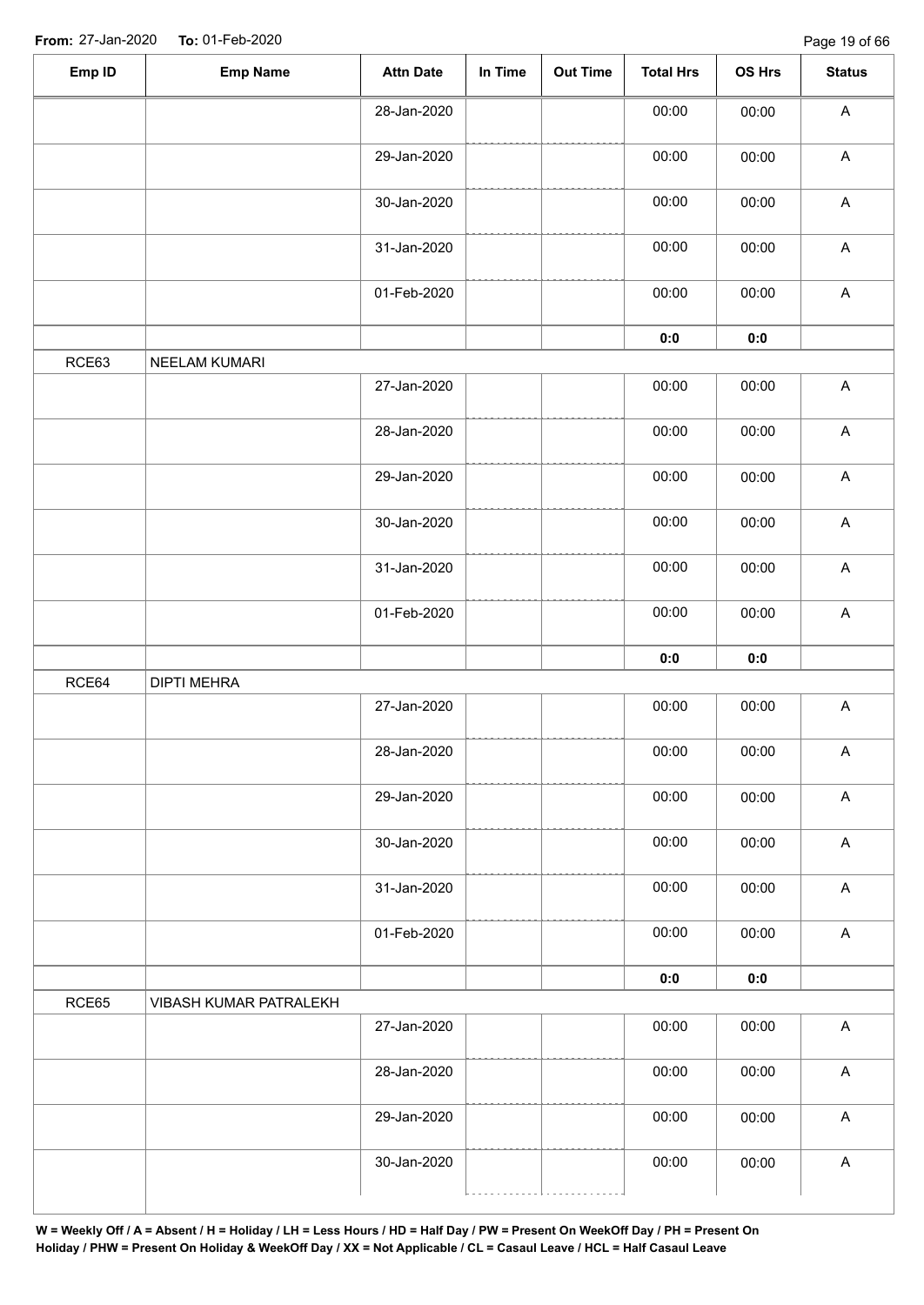| 00:00<br>28-Jan-2020<br>00:00<br>$\boldsymbol{\mathsf{A}}$<br>00:00<br>$\boldsymbol{\mathsf{A}}$<br>29-Jan-2020<br>00:00<br>$\boldsymbol{\mathsf{A}}$<br>30-Jan-2020<br>00:00<br>00:00<br>$\boldsymbol{\mathsf{A}}$<br>00:00<br>31-Jan-2020<br>00:00<br>$\mathsf A$<br>01-Feb-2020<br>00:00<br>00:00<br>$0:0$<br>0:0<br>RCE63<br>NEELAM KUMARI<br>$\mathsf A$<br>27-Jan-2020<br>00:00<br>00:00<br>$\boldsymbol{\mathsf{A}}$<br>28-Jan-2020<br>00:00<br>00:00<br>$\boldsymbol{\mathsf{A}}$<br>29-Jan-2020<br>00:00<br>00:00<br>$\boldsymbol{\mathsf{A}}$<br>30-Jan-2020<br>00:00<br>00:00<br>$\boldsymbol{\mathsf{A}}$<br>31-Jan-2020<br>00:00<br>00:00<br>$\boldsymbol{\mathsf{A}}$<br>01-Feb-2020<br>00:00<br>00:00<br>0:0<br>0:0<br>RCE64<br><b>DIPTI MEHRA</b><br>27-Jan-2020<br>$\boldsymbol{\mathsf{A}}$<br>00:00<br>00:00<br>00:00<br>28-Jan-2020<br>00:00<br>A<br>$\boldsymbol{\mathsf{A}}$<br>00:00<br>29-Jan-2020<br>00:00<br>$\boldsymbol{\mathsf{A}}$<br>30-Jan-2020<br>00:00<br>00:00<br>$\mathsf A$<br>31-Jan-2020<br>00:00<br>00:00<br>00:00<br>$\boldsymbol{\mathsf{A}}$<br>01-Feb-2020<br>00:00<br>0:0<br>0:0<br>RCE65<br>VIBASH KUMAR PATRALEKH<br>27-Jan-2020<br>00:00<br>$\boldsymbol{\mathsf{A}}$<br>00:00<br>00:00<br>$\boldsymbol{\mathsf{A}}$<br>28-Jan-2020<br>00:00<br>00:00<br>$\boldsymbol{\mathsf{A}}$<br>29-Jan-2020<br>00:00<br>00:00<br>30-Jan-2020<br>00:00<br>A | Emp ID | <b>Emp Name</b> | <b>Attn Date</b> | In Time | <b>Out Time</b> | <b>Total Hrs</b> | OS Hrs | <b>Status</b> |
|--------------------------------------------------------------------------------------------------------------------------------------------------------------------------------------------------------------------------------------------------------------------------------------------------------------------------------------------------------------------------------------------------------------------------------------------------------------------------------------------------------------------------------------------------------------------------------------------------------------------------------------------------------------------------------------------------------------------------------------------------------------------------------------------------------------------------------------------------------------------------------------------------------------------------------------------------------------------------------------------------------------------------------------------------------------------------------------------------------------------------------------------------------------------------------------------------------------------------------------------------------------------------------------------------------------------------------------------------------------------------------------------------|--------|-----------------|------------------|---------|-----------------|------------------|--------|---------------|
|                                                                                                                                                                                                                                                                                                                                                                                                                                                                                                                                                                                                                                                                                                                                                                                                                                                                                                                                                                                                                                                                                                                                                                                                                                                                                                                                                                                                  |        |                 |                  |         |                 |                  |        |               |
|                                                                                                                                                                                                                                                                                                                                                                                                                                                                                                                                                                                                                                                                                                                                                                                                                                                                                                                                                                                                                                                                                                                                                                                                                                                                                                                                                                                                  |        |                 |                  |         |                 |                  |        |               |
|                                                                                                                                                                                                                                                                                                                                                                                                                                                                                                                                                                                                                                                                                                                                                                                                                                                                                                                                                                                                                                                                                                                                                                                                                                                                                                                                                                                                  |        |                 |                  |         |                 |                  |        |               |
|                                                                                                                                                                                                                                                                                                                                                                                                                                                                                                                                                                                                                                                                                                                                                                                                                                                                                                                                                                                                                                                                                                                                                                                                                                                                                                                                                                                                  |        |                 |                  |         |                 |                  |        |               |
|                                                                                                                                                                                                                                                                                                                                                                                                                                                                                                                                                                                                                                                                                                                                                                                                                                                                                                                                                                                                                                                                                                                                                                                                                                                                                                                                                                                                  |        |                 |                  |         |                 |                  |        |               |
|                                                                                                                                                                                                                                                                                                                                                                                                                                                                                                                                                                                                                                                                                                                                                                                                                                                                                                                                                                                                                                                                                                                                                                                                                                                                                                                                                                                                  |        |                 |                  |         |                 |                  |        |               |
|                                                                                                                                                                                                                                                                                                                                                                                                                                                                                                                                                                                                                                                                                                                                                                                                                                                                                                                                                                                                                                                                                                                                                                                                                                                                                                                                                                                                  |        |                 |                  |         |                 |                  |        |               |
|                                                                                                                                                                                                                                                                                                                                                                                                                                                                                                                                                                                                                                                                                                                                                                                                                                                                                                                                                                                                                                                                                                                                                                                                                                                                                                                                                                                                  |        |                 |                  |         |                 |                  |        |               |
|                                                                                                                                                                                                                                                                                                                                                                                                                                                                                                                                                                                                                                                                                                                                                                                                                                                                                                                                                                                                                                                                                                                                                                                                                                                                                                                                                                                                  |        |                 |                  |         |                 |                  |        |               |
|                                                                                                                                                                                                                                                                                                                                                                                                                                                                                                                                                                                                                                                                                                                                                                                                                                                                                                                                                                                                                                                                                                                                                                                                                                                                                                                                                                                                  |        |                 |                  |         |                 |                  |        |               |
|                                                                                                                                                                                                                                                                                                                                                                                                                                                                                                                                                                                                                                                                                                                                                                                                                                                                                                                                                                                                                                                                                                                                                                                                                                                                                                                                                                                                  |        |                 |                  |         |                 |                  |        |               |
|                                                                                                                                                                                                                                                                                                                                                                                                                                                                                                                                                                                                                                                                                                                                                                                                                                                                                                                                                                                                                                                                                                                                                                                                                                                                                                                                                                                                  |        |                 |                  |         |                 |                  |        |               |
|                                                                                                                                                                                                                                                                                                                                                                                                                                                                                                                                                                                                                                                                                                                                                                                                                                                                                                                                                                                                                                                                                                                                                                                                                                                                                                                                                                                                  |        |                 |                  |         |                 |                  |        |               |
|                                                                                                                                                                                                                                                                                                                                                                                                                                                                                                                                                                                                                                                                                                                                                                                                                                                                                                                                                                                                                                                                                                                                                                                                                                                                                                                                                                                                  |        |                 |                  |         |                 |                  |        |               |
|                                                                                                                                                                                                                                                                                                                                                                                                                                                                                                                                                                                                                                                                                                                                                                                                                                                                                                                                                                                                                                                                                                                                                                                                                                                                                                                                                                                                  |        |                 |                  |         |                 |                  |        |               |
|                                                                                                                                                                                                                                                                                                                                                                                                                                                                                                                                                                                                                                                                                                                                                                                                                                                                                                                                                                                                                                                                                                                                                                                                                                                                                                                                                                                                  |        |                 |                  |         |                 |                  |        |               |
|                                                                                                                                                                                                                                                                                                                                                                                                                                                                                                                                                                                                                                                                                                                                                                                                                                                                                                                                                                                                                                                                                                                                                                                                                                                                                                                                                                                                  |        |                 |                  |         |                 |                  |        |               |
|                                                                                                                                                                                                                                                                                                                                                                                                                                                                                                                                                                                                                                                                                                                                                                                                                                                                                                                                                                                                                                                                                                                                                                                                                                                                                                                                                                                                  |        |                 |                  |         |                 |                  |        |               |
|                                                                                                                                                                                                                                                                                                                                                                                                                                                                                                                                                                                                                                                                                                                                                                                                                                                                                                                                                                                                                                                                                                                                                                                                                                                                                                                                                                                                  |        |                 |                  |         |                 |                  |        |               |
|                                                                                                                                                                                                                                                                                                                                                                                                                                                                                                                                                                                                                                                                                                                                                                                                                                                                                                                                                                                                                                                                                                                                                                                                                                                                                                                                                                                                  |        |                 |                  |         |                 |                  |        |               |
|                                                                                                                                                                                                                                                                                                                                                                                                                                                                                                                                                                                                                                                                                                                                                                                                                                                                                                                                                                                                                                                                                                                                                                                                                                                                                                                                                                                                  |        |                 |                  |         |                 |                  |        |               |
|                                                                                                                                                                                                                                                                                                                                                                                                                                                                                                                                                                                                                                                                                                                                                                                                                                                                                                                                                                                                                                                                                                                                                                                                                                                                                                                                                                                                  |        |                 |                  |         |                 |                  |        |               |
|                                                                                                                                                                                                                                                                                                                                                                                                                                                                                                                                                                                                                                                                                                                                                                                                                                                                                                                                                                                                                                                                                                                                                                                                                                                                                                                                                                                                  |        |                 |                  |         |                 |                  |        |               |
|                                                                                                                                                                                                                                                                                                                                                                                                                                                                                                                                                                                                                                                                                                                                                                                                                                                                                                                                                                                                                                                                                                                                                                                                                                                                                                                                                                                                  |        |                 |                  |         |                 |                  |        |               |
|                                                                                                                                                                                                                                                                                                                                                                                                                                                                                                                                                                                                                                                                                                                                                                                                                                                                                                                                                                                                                                                                                                                                                                                                                                                                                                                                                                                                  |        |                 |                  |         |                 |                  |        |               |
|                                                                                                                                                                                                                                                                                                                                                                                                                                                                                                                                                                                                                                                                                                                                                                                                                                                                                                                                                                                                                                                                                                                                                                                                                                                                                                                                                                                                  |        |                 |                  |         |                 |                  |        |               |
|                                                                                                                                                                                                                                                                                                                                                                                                                                                                                                                                                                                                                                                                                                                                                                                                                                                                                                                                                                                                                                                                                                                                                                                                                                                                                                                                                                                                  |        |                 |                  |         |                 |                  |        |               |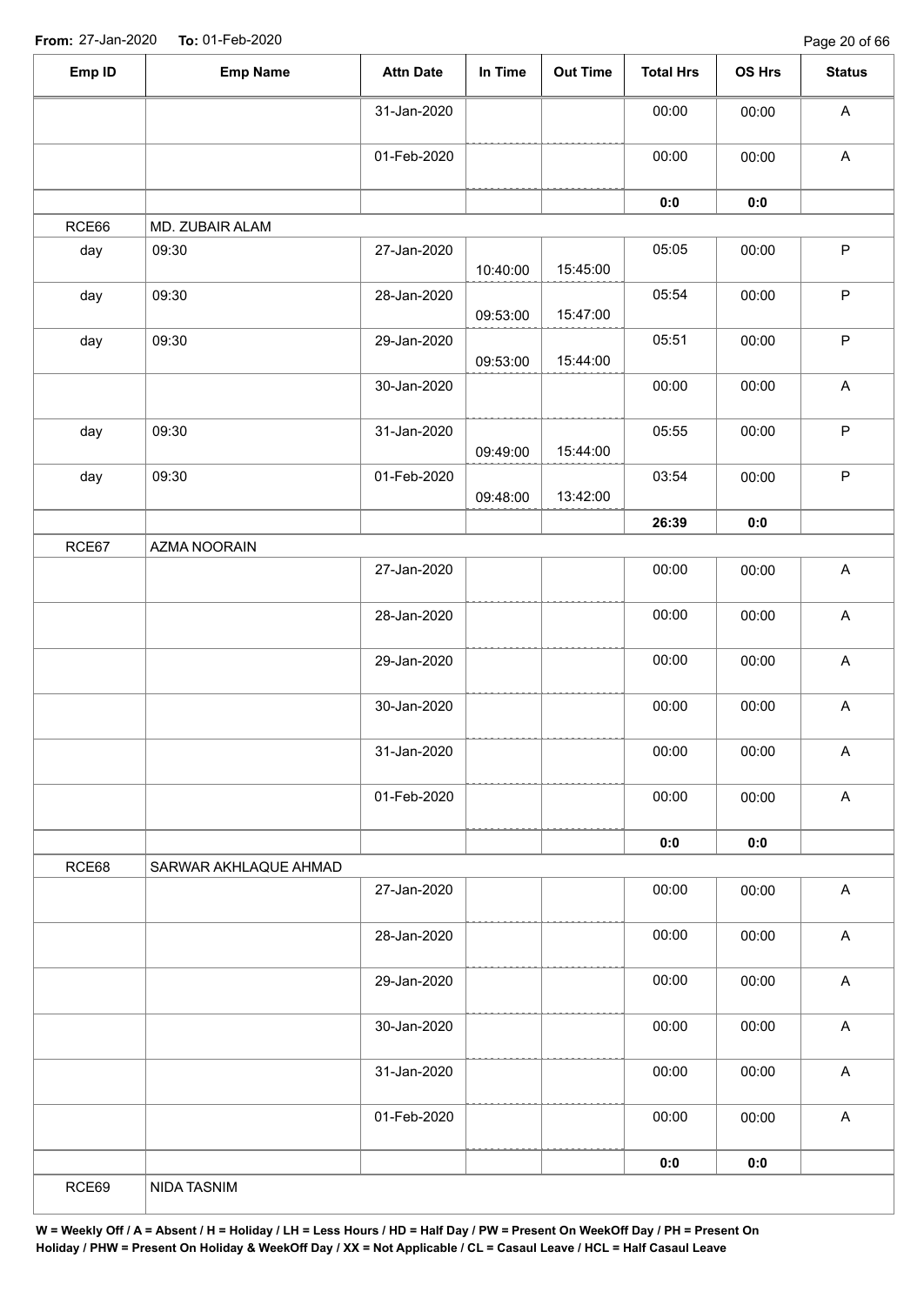| 00:00<br>31-Jan-2020<br>00:00<br>00:00<br>01-Feb-2020<br>00:00<br>0:0<br>0:0<br>MD. ZUBAIR ALAM<br>09:30<br>27-Jan-2020<br>05:05<br>00:00<br>15:45:00<br>10:40:00<br>09:30<br>28-Jan-2020<br>05:54<br>00:00<br>15:47:00<br>09:53:00<br>29-Jan-2020<br>05:51<br>09:30<br>00:00<br>15:44:00<br>09:53:00<br>30-Jan-2020<br>00:00<br>00:00<br>09:30<br>31-Jan-2020<br>05:55<br>00:00<br>15:44:00<br>09:49:00<br>09:30<br>01-Feb-2020<br>03:54<br>00:00<br>13:42:00<br>09:48:00<br>26:39<br>0:0<br>AZMA NOORAIN<br>27-Jan-2020<br>00:00<br>00:00<br>28-Jan-2020<br>00:00<br>00:00<br>29-Jan-2020<br>00:00<br>00:00<br>30-Jan-2020<br>00:00<br>00:00<br>00:00<br>31-Jan-2020<br>00:00<br>00:00<br>00:00<br>01-Feb-2020<br>0:0<br>0:0<br>SARWAR AKHLAQUE AHMAD<br>00:00<br>27-Jan-2020<br>00:00<br>28-Jan-2020<br>00:00<br>00:00<br>00:00<br>29-Jan-2020<br>00:00<br>00:00<br>00:00<br>30-Jan-2020<br>00:00<br>00:00<br>31-Jan-2020<br>00:00<br>01-Feb-2020<br>00:00 | Emp ID | <b>Emp Name</b> | <b>Attn Date</b> | In Time | Out Time | <b>Total Hrs</b> | OS Hrs | <b>Status</b>             |
|---------------------------------------------------------------------------------------------------------------------------------------------------------------------------------------------------------------------------------------------------------------------------------------------------------------------------------------------------------------------------------------------------------------------------------------------------------------------------------------------------------------------------------------------------------------------------------------------------------------------------------------------------------------------------------------------------------------------------------------------------------------------------------------------------------------------------------------------------------------------------------------------------------------------------------------------------------------|--------|-----------------|------------------|---------|----------|------------------|--------|---------------------------|
|                                                                                                                                                                                                                                                                                                                                                                                                                                                                                                                                                                                                                                                                                                                                                                                                                                                                                                                                                               |        |                 |                  |         |          |                  |        | $\boldsymbol{\mathsf{A}}$ |
|                                                                                                                                                                                                                                                                                                                                                                                                                                                                                                                                                                                                                                                                                                                                                                                                                                                                                                                                                               |        |                 |                  |         |          |                  |        | $\boldsymbol{\mathsf{A}}$ |
|                                                                                                                                                                                                                                                                                                                                                                                                                                                                                                                                                                                                                                                                                                                                                                                                                                                                                                                                                               |        |                 |                  |         |          |                  |        |                           |
|                                                                                                                                                                                                                                                                                                                                                                                                                                                                                                                                                                                                                                                                                                                                                                                                                                                                                                                                                               | RCE66  |                 |                  |         |          |                  |        |                           |
|                                                                                                                                                                                                                                                                                                                                                                                                                                                                                                                                                                                                                                                                                                                                                                                                                                                                                                                                                               | day    |                 |                  |         |          |                  |        | $\mathsf P$               |
|                                                                                                                                                                                                                                                                                                                                                                                                                                                                                                                                                                                                                                                                                                                                                                                                                                                                                                                                                               | day    |                 |                  |         |          |                  |        | $\mathsf P$               |
|                                                                                                                                                                                                                                                                                                                                                                                                                                                                                                                                                                                                                                                                                                                                                                                                                                                                                                                                                               | day    |                 |                  |         |          |                  |        | $\mathsf P$               |
|                                                                                                                                                                                                                                                                                                                                                                                                                                                                                                                                                                                                                                                                                                                                                                                                                                                                                                                                                               |        |                 |                  |         |          |                  |        | $\boldsymbol{\mathsf{A}}$ |
|                                                                                                                                                                                                                                                                                                                                                                                                                                                                                                                                                                                                                                                                                                                                                                                                                                                                                                                                                               | day    |                 |                  |         |          |                  |        | $\mathsf P$               |
|                                                                                                                                                                                                                                                                                                                                                                                                                                                                                                                                                                                                                                                                                                                                                                                                                                                                                                                                                               | day    |                 |                  |         |          |                  |        | $\mathsf P$               |
|                                                                                                                                                                                                                                                                                                                                                                                                                                                                                                                                                                                                                                                                                                                                                                                                                                                                                                                                                               |        |                 |                  |         |          |                  |        |                           |
|                                                                                                                                                                                                                                                                                                                                                                                                                                                                                                                                                                                                                                                                                                                                                                                                                                                                                                                                                               | RCE67  |                 |                  |         |          |                  |        |                           |
|                                                                                                                                                                                                                                                                                                                                                                                                                                                                                                                                                                                                                                                                                                                                                                                                                                                                                                                                                               |        |                 |                  |         |          |                  |        | $\boldsymbol{\mathsf{A}}$ |
|                                                                                                                                                                                                                                                                                                                                                                                                                                                                                                                                                                                                                                                                                                                                                                                                                                                                                                                                                               |        |                 |                  |         |          |                  |        | $\boldsymbol{\mathsf{A}}$ |
|                                                                                                                                                                                                                                                                                                                                                                                                                                                                                                                                                                                                                                                                                                                                                                                                                                                                                                                                                               |        |                 |                  |         |          |                  |        | $\boldsymbol{\mathsf{A}}$ |
|                                                                                                                                                                                                                                                                                                                                                                                                                                                                                                                                                                                                                                                                                                                                                                                                                                                                                                                                                               |        |                 |                  |         |          |                  |        | $\boldsymbol{\mathsf{A}}$ |
|                                                                                                                                                                                                                                                                                                                                                                                                                                                                                                                                                                                                                                                                                                                                                                                                                                                                                                                                                               |        |                 |                  |         |          |                  |        | A                         |
|                                                                                                                                                                                                                                                                                                                                                                                                                                                                                                                                                                                                                                                                                                                                                                                                                                                                                                                                                               |        |                 |                  |         |          |                  |        | $\boldsymbol{\mathsf{A}}$ |
|                                                                                                                                                                                                                                                                                                                                                                                                                                                                                                                                                                                                                                                                                                                                                                                                                                                                                                                                                               |        |                 |                  |         |          |                  |        |                           |
|                                                                                                                                                                                                                                                                                                                                                                                                                                                                                                                                                                                                                                                                                                                                                                                                                                                                                                                                                               | RCE68  |                 |                  |         |          |                  |        |                           |
|                                                                                                                                                                                                                                                                                                                                                                                                                                                                                                                                                                                                                                                                                                                                                                                                                                                                                                                                                               |        |                 |                  |         |          |                  |        | $\boldsymbol{\mathsf{A}}$ |
|                                                                                                                                                                                                                                                                                                                                                                                                                                                                                                                                                                                                                                                                                                                                                                                                                                                                                                                                                               |        |                 |                  |         |          |                  |        | $\boldsymbol{\mathsf{A}}$ |
|                                                                                                                                                                                                                                                                                                                                                                                                                                                                                                                                                                                                                                                                                                                                                                                                                                                                                                                                                               |        |                 |                  |         |          |                  |        | $\boldsymbol{\mathsf{A}}$ |
|                                                                                                                                                                                                                                                                                                                                                                                                                                                                                                                                                                                                                                                                                                                                                                                                                                                                                                                                                               |        |                 |                  |         |          |                  |        | $\boldsymbol{\mathsf{A}}$ |
|                                                                                                                                                                                                                                                                                                                                                                                                                                                                                                                                                                                                                                                                                                                                                                                                                                                                                                                                                               |        |                 |                  |         |          |                  |        | $\mathsf A$               |
|                                                                                                                                                                                                                                                                                                                                                                                                                                                                                                                                                                                                                                                                                                                                                                                                                                                                                                                                                               |        |                 |                  |         |          |                  |        | $\boldsymbol{\mathsf{A}}$ |
| 0:0<br>0:0                                                                                                                                                                                                                                                                                                                                                                                                                                                                                                                                                                                                                                                                                                                                                                                                                                                                                                                                                    |        |                 |                  |         |          |                  |        |                           |
| NIDA TASNIM                                                                                                                                                                                                                                                                                                                                                                                                                                                                                                                                                                                                                                                                                                                                                                                                                                                                                                                                                   | RCE69  |                 |                  |         |          |                  |        |                           |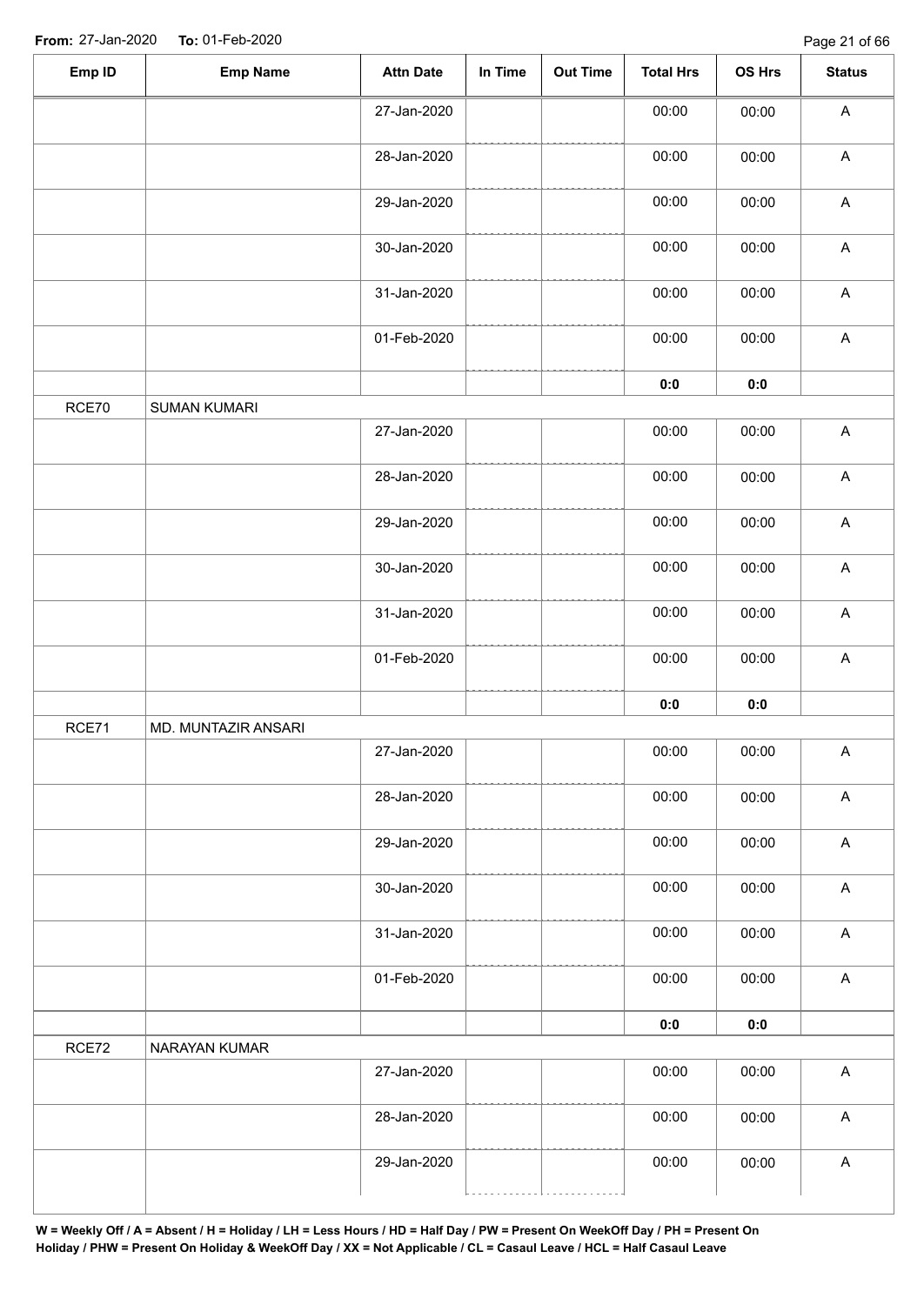| Emp ID | <b>Emp Name</b>     | <b>Attn Date</b> | In Time | <b>Out Time</b> | <b>Total Hrs</b> | OS Hrs         | <b>Status</b>             |
|--------|---------------------|------------------|---------|-----------------|------------------|----------------|---------------------------|
|        |                     | 27-Jan-2020      |         |                 | 00:00            | 00:00          | $\boldsymbol{\mathsf{A}}$ |
|        |                     | 28-Jan-2020      |         |                 | 00:00            | 00:00          | $\boldsymbol{\mathsf{A}}$ |
|        |                     | 29-Jan-2020      |         |                 | 00:00            | 00:00          | $\boldsymbol{\mathsf{A}}$ |
|        |                     | 30-Jan-2020      |         |                 | 00:00            | 00:00          | $\boldsymbol{\mathsf{A}}$ |
|        |                     | 31-Jan-2020      |         |                 | 00:00            | 00:00          | $\boldsymbol{\mathsf{A}}$ |
|        |                     | 01-Feb-2020      |         |                 | 00:00            | 00:00          | $\boldsymbol{\mathsf{A}}$ |
|        |                     |                  |         |                 | $0:0$            | $\mathbf{0}$ 0 |                           |
| RCE70  | <b>SUMAN KUMARI</b> |                  |         |                 |                  |                |                           |
|        |                     | 27-Jan-2020      |         |                 | 00:00            | 00:00          | $\boldsymbol{\mathsf{A}}$ |
|        |                     | 28-Jan-2020      |         |                 | 00:00            | 00:00          | $\boldsymbol{\mathsf{A}}$ |
|        |                     | 29-Jan-2020      |         |                 | 00:00            | 00:00          | $\boldsymbol{\mathsf{A}}$ |
|        |                     | 30-Jan-2020      |         |                 | 00:00            | 00:00          | $\boldsymbol{\mathsf{A}}$ |
|        |                     | 31-Jan-2020      |         |                 | 00:00            | 00:00          | $\boldsymbol{\mathsf{A}}$ |
|        |                     | 01-Feb-2020      |         |                 | 00:00            | 00:00          | $\mathsf A$               |
|        |                     |                  |         |                 | 0:0              | $\mathbf{0:0}$ |                           |
| RCE71  | MD. MUNTAZIR ANSARI |                  |         |                 |                  |                |                           |
|        |                     | 27-Jan-2020      |         |                 | 00:00            | 00:00          | A                         |
|        |                     | 28-Jan-2020      |         |                 | 00:00            | 00:00          | $\boldsymbol{\mathsf{A}}$ |
|        |                     | 29-Jan-2020      |         |                 | 00:00            | 00:00          | $\boldsymbol{\mathsf{A}}$ |
|        |                     | 30-Jan-2020      |         |                 | 00:00            | 00:00          | $\mathsf A$               |
|        |                     | 31-Jan-2020      |         |                 | 00:00            | 00:00          | $\boldsymbol{\mathsf{A}}$ |
|        |                     | 01-Feb-2020      |         |                 | 00:00            | 00:00          | $\boldsymbol{\mathsf{A}}$ |
|        |                     |                  |         |                 | 0:0              | 0:0            |                           |
| RCE72  | NARAYAN KUMAR       |                  |         |                 |                  |                |                           |
|        |                     | 27-Jan-2020      |         |                 | 00:00            | 00:00          | $\boldsymbol{\mathsf{A}}$ |
|        |                     | 28-Jan-2020      |         |                 | 00:00            | 00:00          | $\boldsymbol{\mathsf{A}}$ |
|        |                     | 29-Jan-2020      |         |                 | 00:00            | 00:00          | A                         |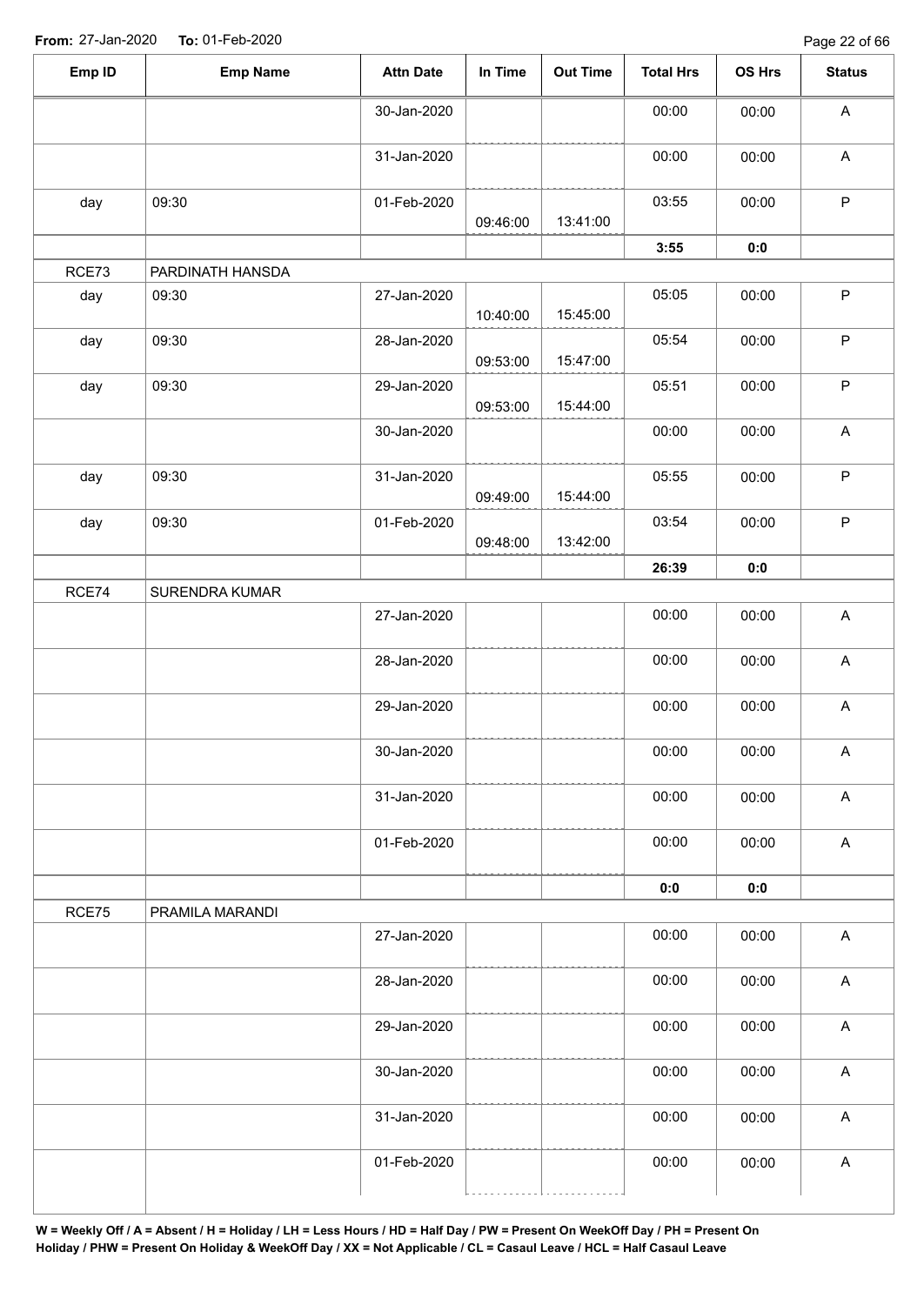| Emp ID | <b>Emp Name</b>  | <b>Attn Date</b> | In Time  | <b>Out Time</b> | <b>Total Hrs</b> | OS Hrs | <b>Status</b>             |
|--------|------------------|------------------|----------|-----------------|------------------|--------|---------------------------|
|        |                  | 30-Jan-2020      |          |                 | 00:00            | 00:00  | A                         |
|        |                  | 31-Jan-2020      |          |                 | 00:00            | 00:00  | $\mathsf A$               |
| day    | 09:30            | 01-Feb-2020      | 09:46:00 | 13:41:00        | 03:55            | 00:00  | $\mathsf{P}$              |
|        |                  |                  |          |                 | 3:55             | 0:0    |                           |
| RCE73  | PARDINATH HANSDA |                  |          |                 |                  |        |                           |
| day    | 09:30            | 27-Jan-2020      | 10:40:00 | 15:45:00        | 05:05            | 00:00  | $\mathsf P$               |
| day    | 09:30            | 28-Jan-2020      | 09:53:00 | 15:47:00        | 05:54            | 00:00  | $\mathsf P$               |
| day    | 09:30            | 29-Jan-2020      | 09:53:00 | 15:44:00        | 05:51            | 00:00  | $\mathsf P$               |
|        |                  | 30-Jan-2020      |          |                 | 00:00            | 00:00  | $\mathsf{A}$              |
| day    | 09:30            | 31-Jan-2020      | 09:49:00 | 15:44:00        | 05:55            | 00:00  | $\mathsf P$               |
| day    | 09:30            | 01-Feb-2020      | 09:48:00 | 13:42:00        | 03:54            | 00:00  | $\mathsf P$               |
|        |                  |                  |          |                 | 26:39            | 0:0    |                           |
| RCE74  | SURENDRA KUMAR   |                  |          |                 |                  |        |                           |
|        |                  | 27-Jan-2020      |          |                 | 00:00            | 00:00  | $\mathsf{A}$              |
|        |                  | 28-Jan-2020      |          |                 | 00:00            | 00:00  | $\mathsf A$               |
|        |                  | 29-Jan-2020      |          |                 | 00:00            | 00:00  | A                         |
|        |                  | 30-Jan-2020      |          |                 | 00:00            | 00:00  | A                         |
|        |                  | 31-Jan-2020      |          |                 | 00:00            | 00:00  | $\mathsf A$               |
|        |                  | 01-Feb-2020      |          |                 | 00:00            | 00:00  | $\mathsf A$               |
|        |                  |                  |          |                 | 0:0              | 0:0    |                           |
| RCE75  | PRAMILA MARANDI  |                  |          |                 |                  |        |                           |
|        |                  | 27-Jan-2020      |          |                 | 00:00            | 00:00  | $\mathsf{A}$              |
|        |                  | 28-Jan-2020      |          |                 | 00:00            | 00:00  | $\mathsf A$               |
|        |                  | 29-Jan-2020      |          |                 | 00:00            | 00:00  | $\boldsymbol{\mathsf{A}}$ |
|        |                  | 30-Jan-2020      |          |                 | 00:00            | 00:00  | $\mathsf A$               |
|        |                  | 31-Jan-2020      |          |                 | 00:00            | 00:00  | $\boldsymbol{\mathsf{A}}$ |
|        |                  | 01-Feb-2020      |          |                 | 00:00            | 00:00  | $\mathsf A$               |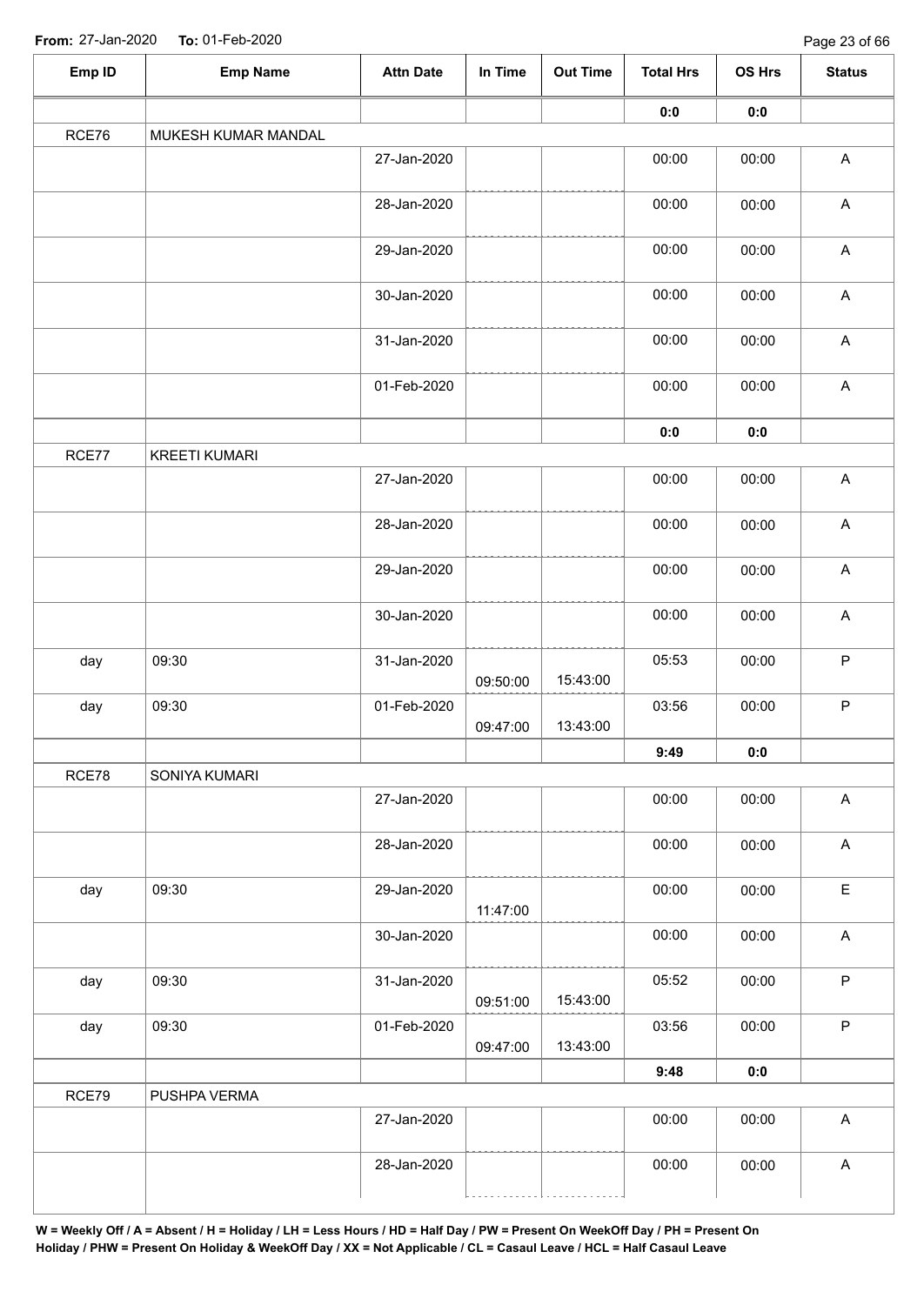| Emp ID | <b>Emp Name</b>      | <b>Attn Date</b> | In Time  | <b>Out Time</b> | <b>Total Hrs</b> | OS Hrs         | <b>Status</b>             |  |  |
|--------|----------------------|------------------|----------|-----------------|------------------|----------------|---------------------------|--|--|
|        |                      |                  |          |                 | 0:0              | 0:0            |                           |  |  |
| RCE76  | MUKESH KUMAR MANDAL  |                  |          |                 |                  |                |                           |  |  |
|        |                      | 27-Jan-2020      |          |                 | 00:00            | 00:00          | $\boldsymbol{\mathsf{A}}$ |  |  |
|        |                      | 28-Jan-2020      |          |                 | 00:00            | 00:00          | $\boldsymbol{\mathsf{A}}$ |  |  |
|        |                      | 29-Jan-2020      |          |                 | 00:00            | 00:00          | $\boldsymbol{\mathsf{A}}$ |  |  |
|        |                      | 30-Jan-2020      |          |                 | 00:00            | 00:00          | $\mathsf A$               |  |  |
|        |                      | 31-Jan-2020      |          |                 | 00:00            | 00:00          | $\boldsymbol{\mathsf{A}}$ |  |  |
|        |                      | 01-Feb-2020      |          |                 | 00:00            | 00:00          | $\boldsymbol{\mathsf{A}}$ |  |  |
|        |                      |                  |          |                 | 0:0              | $\mathbf{0}$ 0 |                           |  |  |
| RCE77  | <b>KREETI KUMARI</b> |                  |          |                 |                  |                |                           |  |  |
|        |                      | 27-Jan-2020      |          |                 | 00:00            | 00:00          | $\boldsymbol{\mathsf{A}}$ |  |  |
|        |                      | 28-Jan-2020      |          |                 | 00:00            | 00:00          | $\boldsymbol{\mathsf{A}}$ |  |  |
|        |                      | 29-Jan-2020      |          |                 | 00:00            | 00:00          | $\boldsymbol{\mathsf{A}}$ |  |  |
|        |                      | 30-Jan-2020      |          |                 | 00:00            | 00:00          | $\mathsf A$               |  |  |
| day    | 09:30                | 31-Jan-2020      | 09:50:00 | 15:43:00        | 05:53            | 00:00          | $\mathsf P$               |  |  |
| day    | 09:30                | 01-Feb-2020      | 09:47:00 | 13:43:00        | 03:56            | 00:00          | $\sf P$                   |  |  |
|        |                      |                  |          |                 | 9:49             | 0:0            |                           |  |  |
| RCE78  | SONIYA KUMARI        |                  |          |                 |                  |                |                           |  |  |
|        |                      | 27-Jan-2020      |          |                 | 00:00            | 00:00          | $\mathsf A$               |  |  |
|        |                      | 28-Jan-2020      |          |                 | 00:00            | 00:00          | $\boldsymbol{\mathsf{A}}$ |  |  |
| day    | 09:30                | 29-Jan-2020      | 11:47:00 |                 | 00:00            | 00:00          | $\mathsf E$               |  |  |
|        |                      | 30-Jan-2020      |          |                 | 00:00            | 00:00          | $\boldsymbol{\mathsf{A}}$ |  |  |
| day    | 09:30                | 31-Jan-2020      | 09:51:00 | 15:43:00        | 05:52            | 00:00          | $\sf P$                   |  |  |
| day    | 09:30                | 01-Feb-2020      | 09:47:00 | 13:43:00        | 03:56            | 00:00          | $\mathsf P$               |  |  |
|        |                      |                  |          |                 | 9:48             | 0:0            |                           |  |  |
| RCE79  | PUSHPA VERMA         |                  |          |                 |                  |                |                           |  |  |
|        |                      | 27-Jan-2020      |          |                 | 00:00            | 00:00          | $\mathsf A$               |  |  |
|        |                      | 28-Jan-2020      |          |                 | 00:00            | 00:00          | $\mathsf A$               |  |  |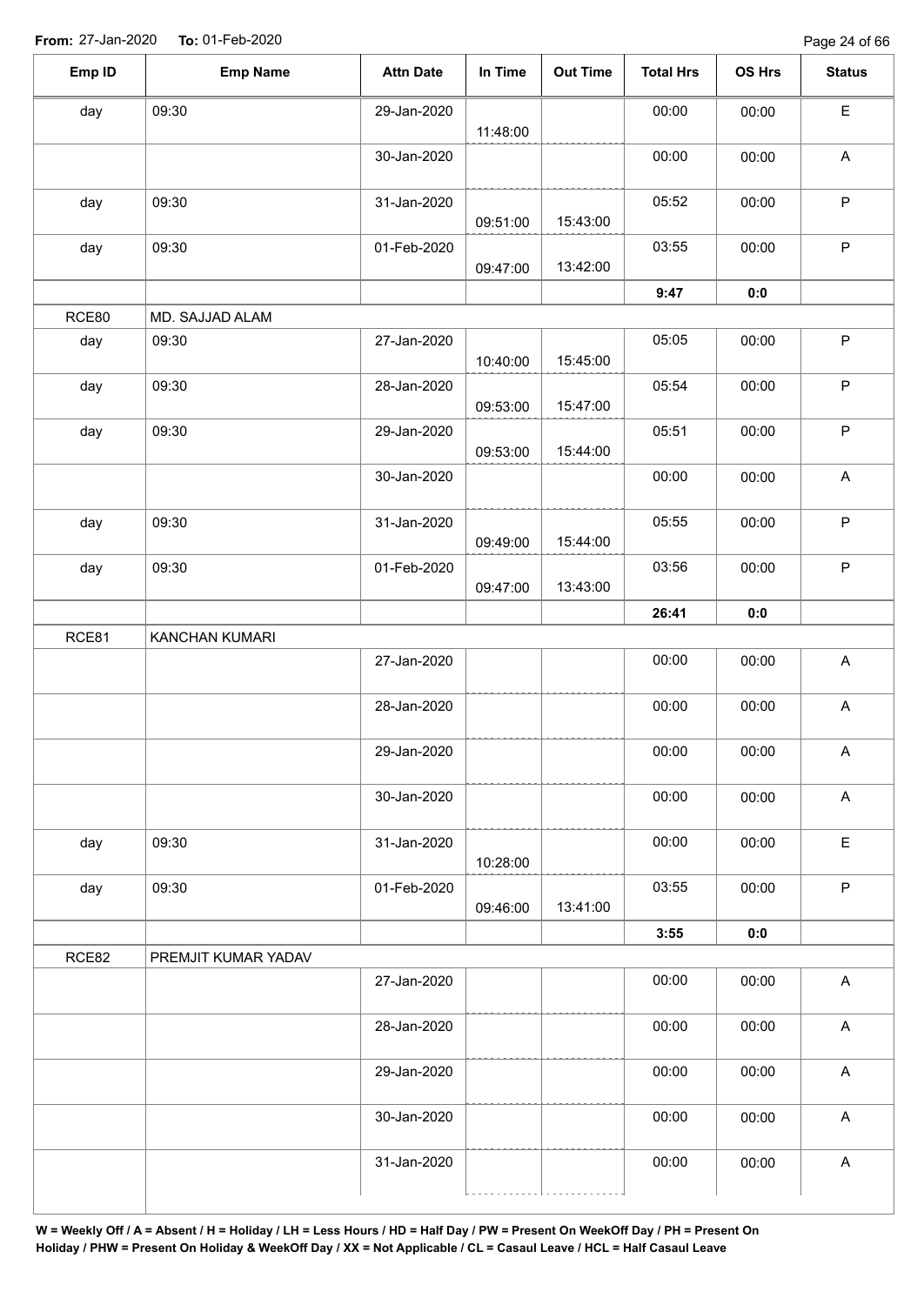| day   |                     |             |          |          | <b>Total Hrs</b> | <b>OS Hrs</b> | <b>Status</b>             |
|-------|---------------------|-------------|----------|----------|------------------|---------------|---------------------------|
|       | 09:30               | 29-Jan-2020 | 11:48:00 |          | 00:00            | 00:00         | $\mathsf E$               |
|       |                     | 30-Jan-2020 |          |          | 00:00            | 00:00         | $\mathsf A$               |
| day   | 09:30               | 31-Jan-2020 | 09:51:00 | 15:43:00 | 05:52            | 00:00         | $\mathsf P$               |
| day   | 09:30               | 01-Feb-2020 | 09:47:00 | 13:42:00 | 03:55            | 00:00         | $\sf P$                   |
|       |                     |             |          |          | 9:47             | 0:0           |                           |
| RCE80 | MD. SAJJAD ALAM     |             |          |          |                  |               |                           |
| day   | 09:30               | 27-Jan-2020 | 10:40:00 | 15:45:00 | 05:05            | 00:00         | $\mathsf P$               |
| day   | 09:30               | 28-Jan-2020 | 09:53:00 | 15:47:00 | 05:54            | 00:00         | $\mathsf P$               |
| day   | 09:30               | 29-Jan-2020 | 09:53:00 | 15:44:00 | 05:51            | 00:00         | $\mathsf P$               |
|       |                     | 30-Jan-2020 |          |          | 00:00            | 00:00         | $\boldsymbol{\mathsf{A}}$ |
| day   | 09:30               | 31-Jan-2020 | 09:49:00 | 15:44:00 | 05:55            | 00:00         | $\mathsf P$               |
| day   | 09:30               | 01-Feb-2020 | 09:47:00 | 13:43:00 | 03:56            | 00:00         | $\sf P$                   |
|       |                     |             |          |          | 26:41            | 0:0           |                           |
| RCE81 | KANCHAN KUMARI      |             |          |          |                  |               |                           |
|       |                     | 27-Jan-2020 |          |          | 00:00            | 00:00         | $\boldsymbol{\mathsf{A}}$ |
|       |                     | 28-Jan-2020 |          |          | 00:00            | 00:00         | $\boldsymbol{\mathsf{A}}$ |
|       |                     | 29-Jan-2020 |          |          | 00:00            | 00:00         | $\mathsf{A}$              |
|       |                     | 30-Jan-2020 |          |          | 00:00            | 00:00         | $\boldsymbol{\mathsf{A}}$ |
| day   | 09:30               | 31-Jan-2020 | 10:28:00 |          | 00:00            | 00:00         | $\mathsf E$               |
| day   | 09:30               | 01-Feb-2020 | 09:46:00 | 13:41:00 | 03:55            | 00:00         | $\sf P$                   |
|       |                     |             |          |          | 3:55             | 0:0           |                           |
| RCE82 | PREMJIT KUMAR YADAV |             |          |          |                  |               |                           |
|       |                     | 27-Jan-2020 |          |          | 00:00            | 00:00         | $\mathsf{A}$              |
|       |                     | 28-Jan-2020 |          |          | 00:00            | 00:00         | $\mathsf A$               |
|       |                     | 29-Jan-2020 |          |          | 00:00            | 00:00         | $\boldsymbol{\mathsf{A}}$ |
|       |                     |             |          |          | 00:00            | 00:00         | $\boldsymbol{\mathsf{A}}$ |
|       |                     | 30-Jan-2020 |          |          |                  |               |                           |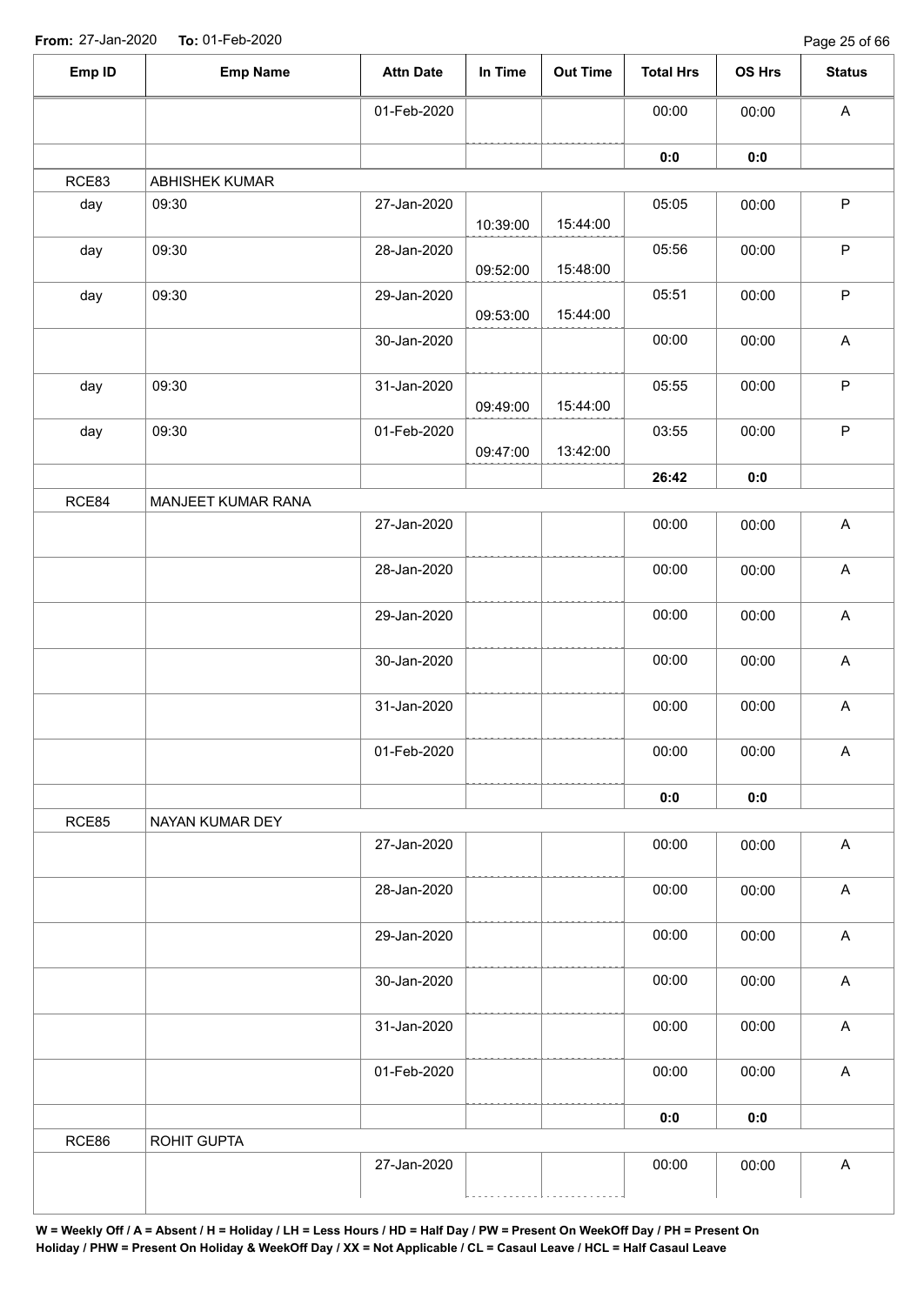Page 25 of 66

| Emp ID | <b>Emp Name</b>    | <b>Attn Date</b> | In Time  | <b>Out Time</b> | <b>Total Hrs</b> | OS Hrs | <b>Status</b>             |
|--------|--------------------|------------------|----------|-----------------|------------------|--------|---------------------------|
|        |                    | 01-Feb-2020      |          |                 | 00:00            | 00:00  | $\boldsymbol{\mathsf{A}}$ |
|        |                    |                  |          |                 | 0:0              | 0:0    |                           |
| RCE83  | ABHISHEK KUMAR     |                  |          |                 |                  |        |                           |
| day    | 09:30              | 27-Jan-2020      | 10:39:00 | 15:44:00        | 05:05            | 00:00  | $\mathsf P$               |
| day    | 09:30              | 28-Jan-2020      | 09:52:00 | 15:48:00        | 05:56            | 00:00  | $\sf P$                   |
| day    | 09:30              | 29-Jan-2020      | 09:53:00 | 15:44:00        | 05:51            | 00:00  | $\sf P$                   |
|        |                    | 30-Jan-2020      |          |                 | 00:00            | 00:00  | $\boldsymbol{\mathsf{A}}$ |
| day    | 09:30              | 31-Jan-2020      | 09:49:00 | 15:44:00        | 05:55            | 00:00  | $\mathsf P$               |
| day    | 09:30              | 01-Feb-2020      | 09:47:00 | 13:42:00        | 03:55            | 00:00  | $\mathsf P$               |
|        |                    |                  |          |                 | 26:42            | $0:0$  |                           |
| RCE84  | MANJEET KUMAR RANA |                  |          |                 |                  |        |                           |
|        |                    | 27-Jan-2020      |          |                 | 00:00            | 00:00  | $\boldsymbol{\mathsf{A}}$ |
|        |                    | 28-Jan-2020      |          |                 | 00:00            | 00:00  | $\boldsymbol{\mathsf{A}}$ |
|        |                    | 29-Jan-2020      |          |                 | 00:00            | 00:00  | $\boldsymbol{\mathsf{A}}$ |
|        |                    | 30-Jan-2020      |          |                 | 00:00            | 00:00  | $\boldsymbol{\mathsf{A}}$ |
|        |                    | 31-Jan-2020      |          |                 | 00:00            | 00:00  | $\boldsymbol{\mathsf{A}}$ |
|        |                    | 01-Feb-2020      |          |                 | 00:00            | 00:00  | $\boldsymbol{\mathsf{A}}$ |
|        |                    |                  |          |                 | 0:0              | $0:0$  |                           |
| RCE85  | NAYAN KUMAR DEY    |                  |          |                 |                  |        |                           |
|        |                    | 27-Jan-2020      |          |                 | 00:00            | 00:00  | $\boldsymbol{\mathsf{A}}$ |
|        |                    | 28-Jan-2020      |          |                 | 00:00            | 00:00  | $\boldsymbol{\mathsf{A}}$ |
|        |                    | 29-Jan-2020      |          |                 | 00:00            | 00:00  | $\boldsymbol{\mathsf{A}}$ |
|        |                    | 30-Jan-2020      |          |                 | 00:00            | 00:00  | $\boldsymbol{\mathsf{A}}$ |
|        |                    | 31-Jan-2020      |          |                 | 00:00            | 00:00  | $\boldsymbol{\mathsf{A}}$ |
|        |                    | 01-Feb-2020      |          |                 | 00:00            | 00:00  | $\boldsymbol{\mathsf{A}}$ |
|        |                    |                  |          |                 | 0:0              | 0:0    |                           |
| RCE86  | ROHIT GUPTA        |                  |          |                 |                  |        |                           |
|        |                    | 27-Jan-2020      |          |                 | 00:00            | 00:00  | $\boldsymbol{\mathsf{A}}$ |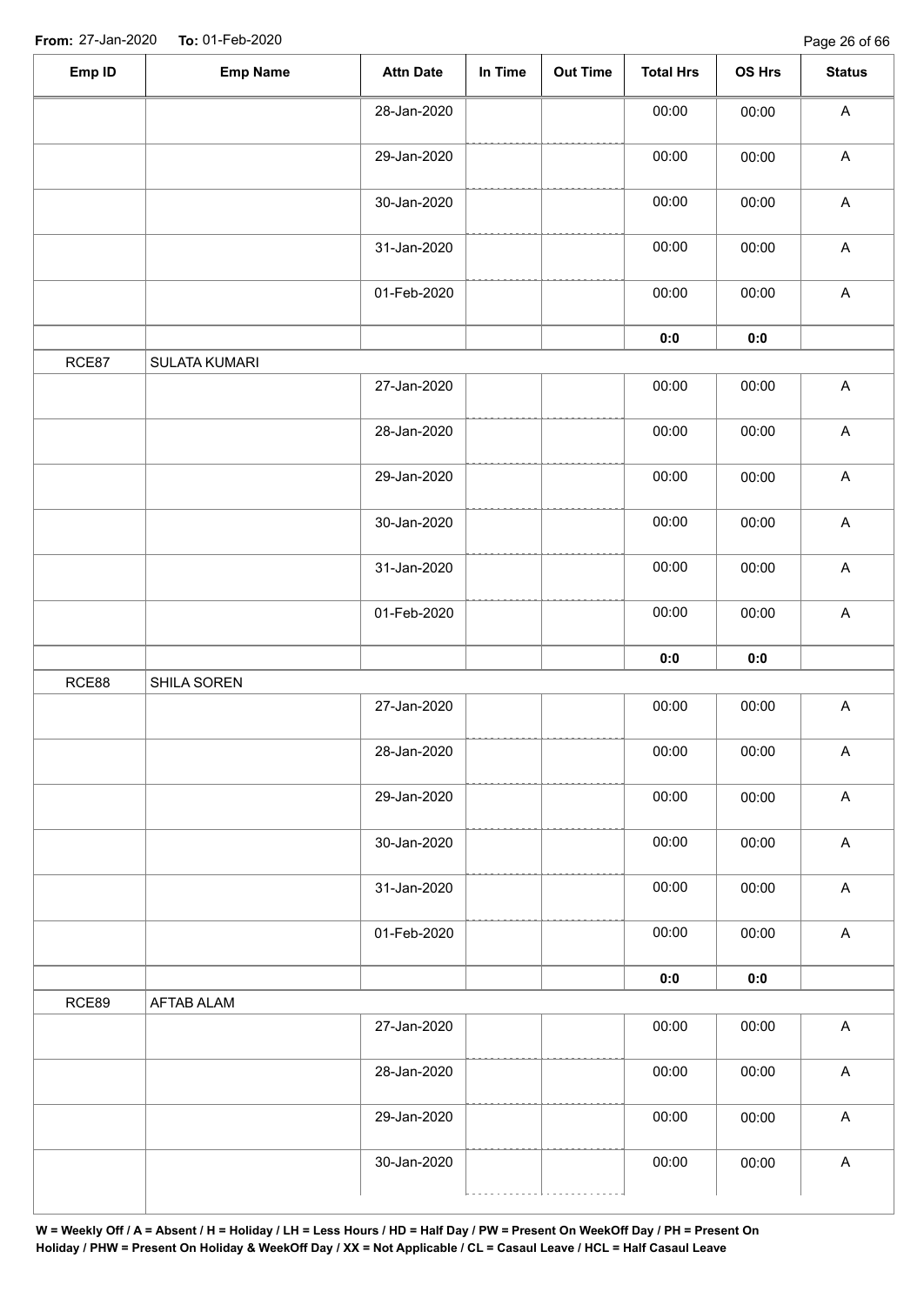| 00:00<br>00:00<br>28-Jan-2020<br>00:00<br>29-Jan-2020<br>00:00<br>30-Jan-2020<br>00:00<br>00:00<br>00:00<br>31-Jan-2020<br>00:00<br>00:00<br>01-Feb-2020<br>00:00<br>$0:0$<br>0:0<br>RCE87<br>SULATA KUMARI<br>27-Jan-2020<br>00:00<br>00:00<br>28-Jan-2020<br>00:00<br>00:00<br>29-Jan-2020<br>00:00<br>00:00<br>30-Jan-2020<br>00:00<br>00:00<br>31-Jan-2020<br>00:00<br>00:00<br>01-Feb-2020<br>00:00 | $\boldsymbol{\mathsf{A}}$<br>$\boldsymbol{\mathsf{A}}$<br>$\boldsymbol{\mathsf{A}}$<br>$\boldsymbol{\mathsf{A}}$<br>$\mathsf A$<br>$\mathsf A$<br>$\boldsymbol{\mathsf{A}}$<br>$\boldsymbol{\mathsf{A}}$ |
|----------------------------------------------------------------------------------------------------------------------------------------------------------------------------------------------------------------------------------------------------------------------------------------------------------------------------------------------------------------------------------------------------------|----------------------------------------------------------------------------------------------------------------------------------------------------------------------------------------------------------|
|                                                                                                                                                                                                                                                                                                                                                                                                          |                                                                                                                                                                                                          |
|                                                                                                                                                                                                                                                                                                                                                                                                          |                                                                                                                                                                                                          |
|                                                                                                                                                                                                                                                                                                                                                                                                          |                                                                                                                                                                                                          |
|                                                                                                                                                                                                                                                                                                                                                                                                          |                                                                                                                                                                                                          |
|                                                                                                                                                                                                                                                                                                                                                                                                          |                                                                                                                                                                                                          |
|                                                                                                                                                                                                                                                                                                                                                                                                          |                                                                                                                                                                                                          |
|                                                                                                                                                                                                                                                                                                                                                                                                          |                                                                                                                                                                                                          |
|                                                                                                                                                                                                                                                                                                                                                                                                          |                                                                                                                                                                                                          |
|                                                                                                                                                                                                                                                                                                                                                                                                          |                                                                                                                                                                                                          |
|                                                                                                                                                                                                                                                                                                                                                                                                          |                                                                                                                                                                                                          |
|                                                                                                                                                                                                                                                                                                                                                                                                          | $\boldsymbol{\mathsf{A}}$                                                                                                                                                                                |
|                                                                                                                                                                                                                                                                                                                                                                                                          | $\boldsymbol{\mathsf{A}}$                                                                                                                                                                                |
| 00:00                                                                                                                                                                                                                                                                                                                                                                                                    | $\boldsymbol{\mathsf{A}}$                                                                                                                                                                                |
| 0:0<br>0:0                                                                                                                                                                                                                                                                                                                                                                                               |                                                                                                                                                                                                          |
| RCE88<br>SHILA SOREN                                                                                                                                                                                                                                                                                                                                                                                     |                                                                                                                                                                                                          |
| 27-Jan-2020<br>00:00<br>00:00                                                                                                                                                                                                                                                                                                                                                                            | $\boldsymbol{\mathsf{A}}$                                                                                                                                                                                |
| 00:00<br>28-Jan-2020<br>00:00                                                                                                                                                                                                                                                                                                                                                                            | A                                                                                                                                                                                                        |
| 00:00<br>29-Jan-2020<br>00:00                                                                                                                                                                                                                                                                                                                                                                            | $\mathsf A$                                                                                                                                                                                              |
| 30-Jan-2020<br>00:00<br>00:00                                                                                                                                                                                                                                                                                                                                                                            | $\boldsymbol{\mathsf{A}}$                                                                                                                                                                                |
| 31-Jan-2020<br>00:00<br>00:00                                                                                                                                                                                                                                                                                                                                                                            | $\boldsymbol{\mathsf{A}}$                                                                                                                                                                                |
| 00:00<br>01-Feb-2020<br>00:00                                                                                                                                                                                                                                                                                                                                                                            | $\boldsymbol{\mathsf{A}}$                                                                                                                                                                                |
| $0:0$<br>$\mathbf{0}$ 0                                                                                                                                                                                                                                                                                                                                                                                  |                                                                                                                                                                                                          |
| RCE89<br><b>AFTAB ALAM</b>                                                                                                                                                                                                                                                                                                                                                                               |                                                                                                                                                                                                          |
| 27-Jan-2020<br>00:00<br>00:00                                                                                                                                                                                                                                                                                                                                                                            | $\boldsymbol{\mathsf{A}}$                                                                                                                                                                                |
| 00:00<br>28-Jan-2020<br>00:00                                                                                                                                                                                                                                                                                                                                                                            |                                                                                                                                                                                                          |
|                                                                                                                                                                                                                                                                                                                                                                                                          | $\boldsymbol{\mathsf{A}}$                                                                                                                                                                                |
| 00:00<br>29-Jan-2020<br>00:00                                                                                                                                                                                                                                                                                                                                                                            | $\boldsymbol{\mathsf{A}}$                                                                                                                                                                                |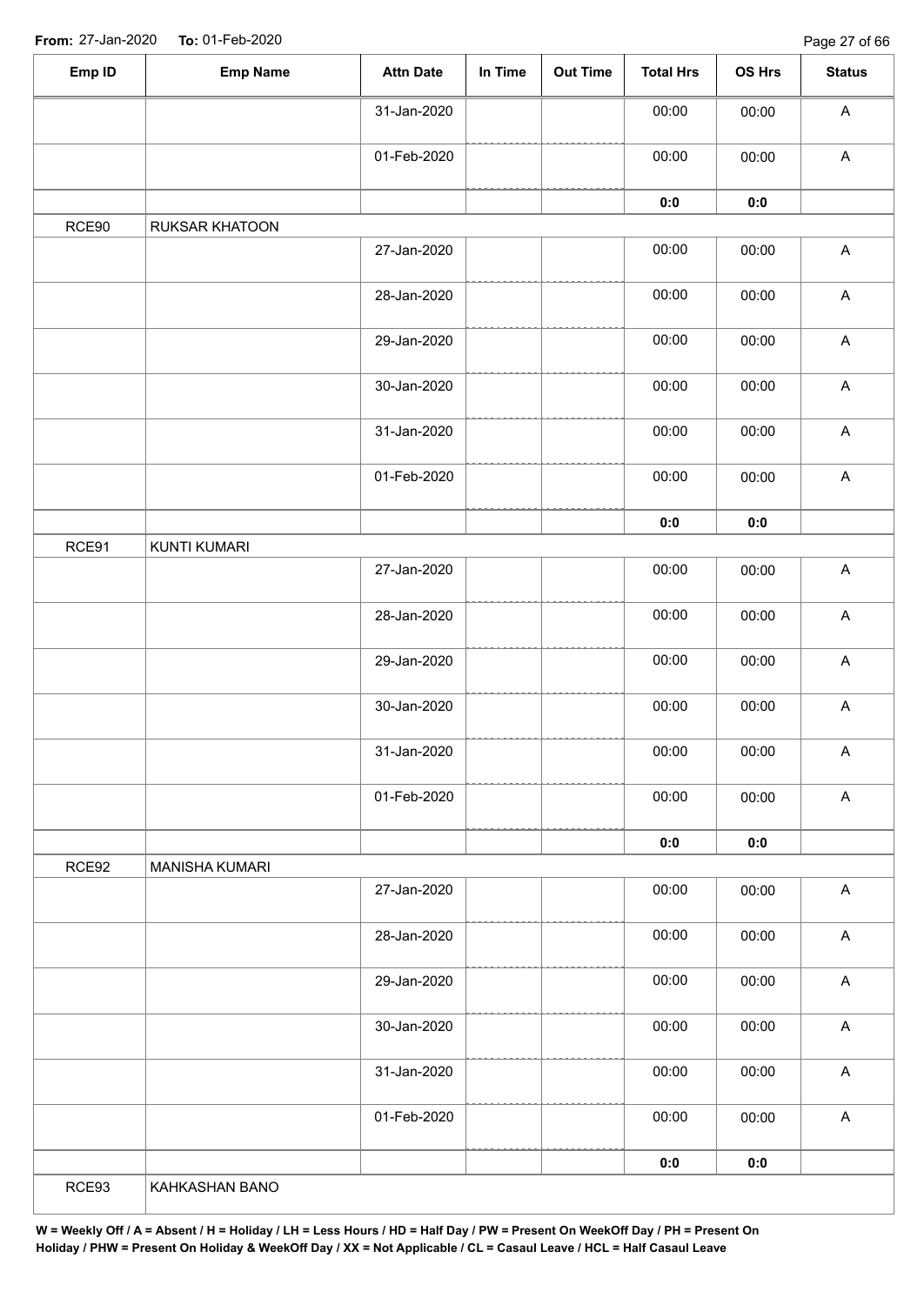| Emp ID | <b>Emp Name</b>       | <b>Attn Date</b> | In Time | Out Time | <b>Total Hrs</b> | OS Hrs         | <b>Status</b>             |
|--------|-----------------------|------------------|---------|----------|------------------|----------------|---------------------------|
|        |                       | 31-Jan-2020      |         |          | 00:00            | 00:00          | $\boldsymbol{\mathsf{A}}$ |
|        |                       | 01-Feb-2020      |         |          | 00:00            | 00:00          | $\boldsymbol{\mathsf{A}}$ |
|        |                       |                  |         |          | 0:0              | 0:0            |                           |
| RCE90  | RUKSAR KHATOON        |                  |         |          |                  |                |                           |
|        |                       | 27-Jan-2020      |         |          | 00:00            | 00:00          | $\boldsymbol{\mathsf{A}}$ |
|        |                       | 28-Jan-2020      |         |          | 00:00            | 00:00          | $\boldsymbol{\mathsf{A}}$ |
|        |                       | 29-Jan-2020      |         |          | 00:00            | 00:00          | $\boldsymbol{\mathsf{A}}$ |
|        |                       | 30-Jan-2020      |         |          | 00:00            | 00:00          | $\mathsf A$               |
|        |                       | 31-Jan-2020      |         |          | 00:00            | 00:00          | $\mathsf A$               |
|        |                       | 01-Feb-2020      |         |          | 00:00            | 00:00          | $\mathsf A$               |
|        |                       |                  |         |          | $\mathbf{0}$ 0   | $\mathbf{0}$ 0 |                           |
| RCE91  | KUNTI KUMARI          |                  |         |          |                  |                |                           |
|        |                       | 27-Jan-2020      |         |          | 00:00            | 00:00          | $\mathsf A$               |
|        |                       | 28-Jan-2020      |         |          | 00:00            | 00:00          | $\boldsymbol{\mathsf{A}}$ |
|        |                       | 29-Jan-2020      |         |          | 00:00            | 00:00          | $\mathsf A$               |
|        |                       | 30-Jan-2020      |         |          | 00:00            | 00:00          | $\boldsymbol{\mathsf{A}}$ |
|        |                       | 31-Jan-2020      |         |          | 00:00            | 00:00          | $\mathsf{A}$              |
|        |                       | 01-Feb-2020      |         |          | 00:00            | 00:00          | $\boldsymbol{\mathsf{A}}$ |
|        |                       |                  |         |          | 0:0              | 0:0            |                           |
| RCE92  | <b>MANISHA KUMARI</b> |                  |         |          |                  |                |                           |
|        |                       | 27-Jan-2020      |         |          | 00:00            | 00:00          | $\boldsymbol{\mathsf{A}}$ |
|        |                       | 28-Jan-2020      |         |          | 00:00            | 00:00          | $\boldsymbol{\mathsf{A}}$ |
|        |                       | 29-Jan-2020      |         |          | 00:00            | 00:00          | $\boldsymbol{\mathsf{A}}$ |
|        |                       | 30-Jan-2020      |         |          | 00:00            | 00:00          | $\boldsymbol{\mathsf{A}}$ |
|        |                       | 31-Jan-2020      |         |          | 00:00            | 00:00          | $\boldsymbol{\mathsf{A}}$ |
|        |                       | 01-Feb-2020      |         |          | 00:00            | 00:00          | $\boldsymbol{\mathsf{A}}$ |
|        |                       |                  |         |          | 0:0              | 0:0            |                           |
| RCE93  | KAHKASHAN BANO        |                  |         |          |                  |                |                           |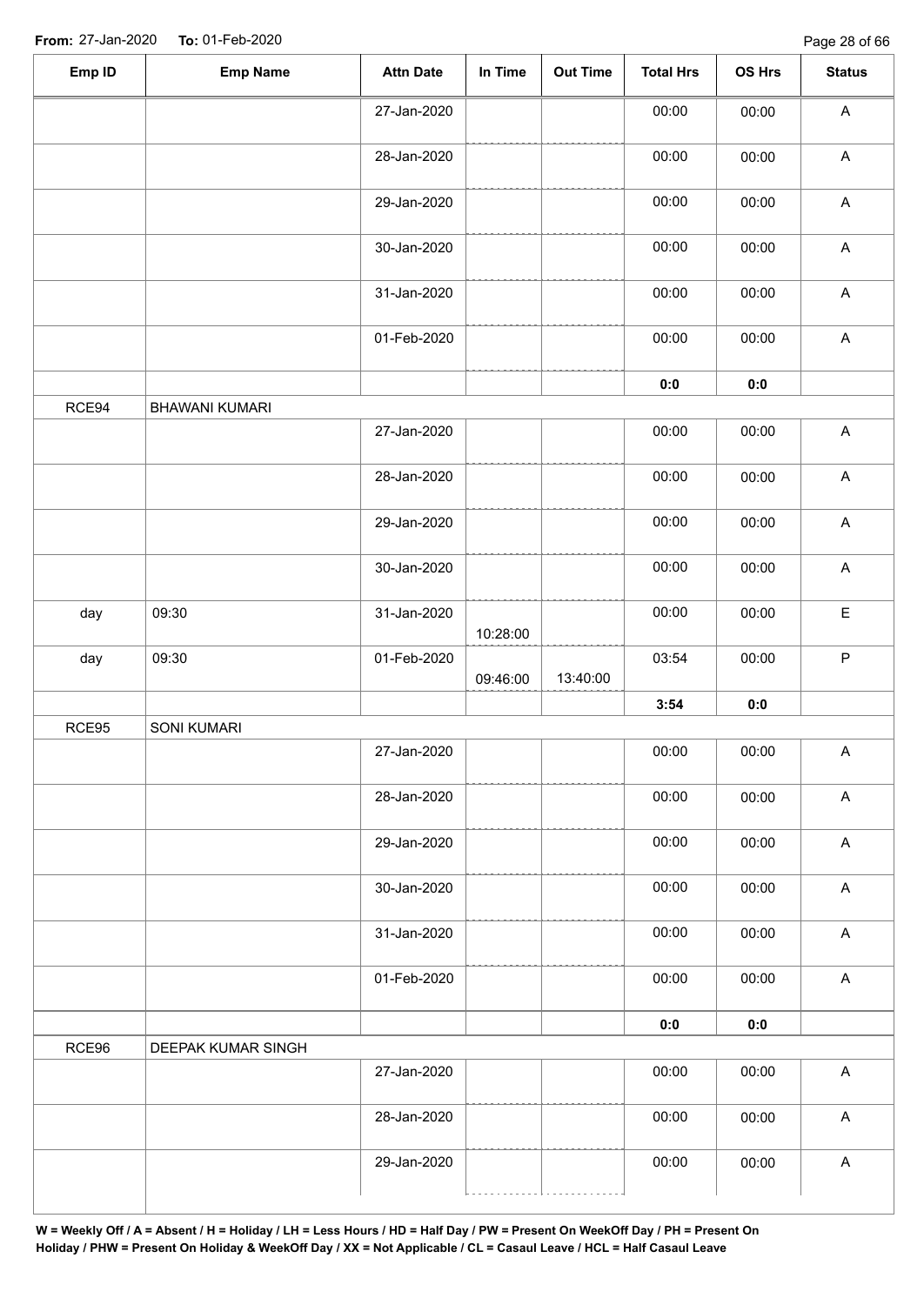| Emp ID | <b>Emp Name</b>       | <b>Attn Date</b> | In Time  | <b>Out Time</b> | <b>Total Hrs</b> | OS Hrs         | <b>Status</b>             |
|--------|-----------------------|------------------|----------|-----------------|------------------|----------------|---------------------------|
|        |                       | 27-Jan-2020      |          |                 | 00:00            | 00:00          | $\boldsymbol{\mathsf{A}}$ |
|        |                       | 28-Jan-2020      |          |                 | 00:00            | 00:00          | $\boldsymbol{\mathsf{A}}$ |
|        |                       | 29-Jan-2020      |          |                 | 00:00            | 00:00          | $\mathsf A$               |
|        |                       | 30-Jan-2020      |          |                 | 00:00            | 00:00          | $\mathsf A$               |
|        |                       | 31-Jan-2020      |          |                 | 00:00            | 00:00          | $\mathsf A$               |
|        |                       | 01-Feb-2020      |          |                 | 00:00            | 00:00          | $\boldsymbol{\mathsf{A}}$ |
|        |                       |                  |          |                 | $0:0$            | $\mathbf{0}$ 0 |                           |
| RCE94  | <b>BHAWANI KUMARI</b> |                  |          |                 |                  |                |                           |
|        |                       | 27-Jan-2020      |          |                 | 00:00            | 00:00          | $\boldsymbol{\mathsf{A}}$ |
|        |                       | 28-Jan-2020      |          |                 | 00:00            | 00:00          | $\boldsymbol{\mathsf{A}}$ |
|        |                       | 29-Jan-2020      |          |                 | 00:00            | 00:00          | $\boldsymbol{\mathsf{A}}$ |
|        |                       | 30-Jan-2020      |          |                 | 00:00            | 00:00          | $\boldsymbol{\mathsf{A}}$ |
| day    | 09:30                 | 31-Jan-2020      | 10:28:00 |                 | 00:00            | 00:00          | $\mathsf E$               |
| day    | 09:30                 | 01-Feb-2020      | 09:46:00 | 13:40:00        | 03:54            | 00:00          | $\sf P$                   |
|        |                       |                  |          |                 | 3:54             | $\mathbf{0}$ 0 |                           |
| RCE95  | SONI KUMARI           |                  |          |                 |                  |                |                           |
|        |                       | 27-Jan-2020      |          |                 | 00:00            | 00:00          | A                         |
|        |                       | 28-Jan-2020      |          |                 | 00:00            | 00:00          | $\mathsf A$               |
|        |                       | 29-Jan-2020      |          |                 | 00:00            | 00:00          | $\boldsymbol{\mathsf{A}}$ |
|        |                       | 30-Jan-2020      |          |                 | 00:00            | 00:00          | $\boldsymbol{\mathsf{A}}$ |
|        |                       | 31-Jan-2020      |          |                 | 00:00            | 00:00          | $\boldsymbol{\mathsf{A}}$ |
|        |                       | 01-Feb-2020      |          |                 | 00:00            | 00:00          | $\boldsymbol{\mathsf{A}}$ |
|        |                       |                  |          |                 | 0:0              | 0:0            |                           |
| RCE96  | DEEPAK KUMAR SINGH    |                  |          |                 |                  |                |                           |
|        |                       | 27-Jan-2020      |          |                 | 00:00            | 00:00          | $\boldsymbol{\mathsf{A}}$ |
|        |                       | 28-Jan-2020      |          |                 | 00:00            | 00:00          | $\boldsymbol{\mathsf{A}}$ |
|        |                       | 29-Jan-2020      |          |                 | 00:00            | 00:00          | A                         |
|        |                       |                  |          |                 |                  |                |                           |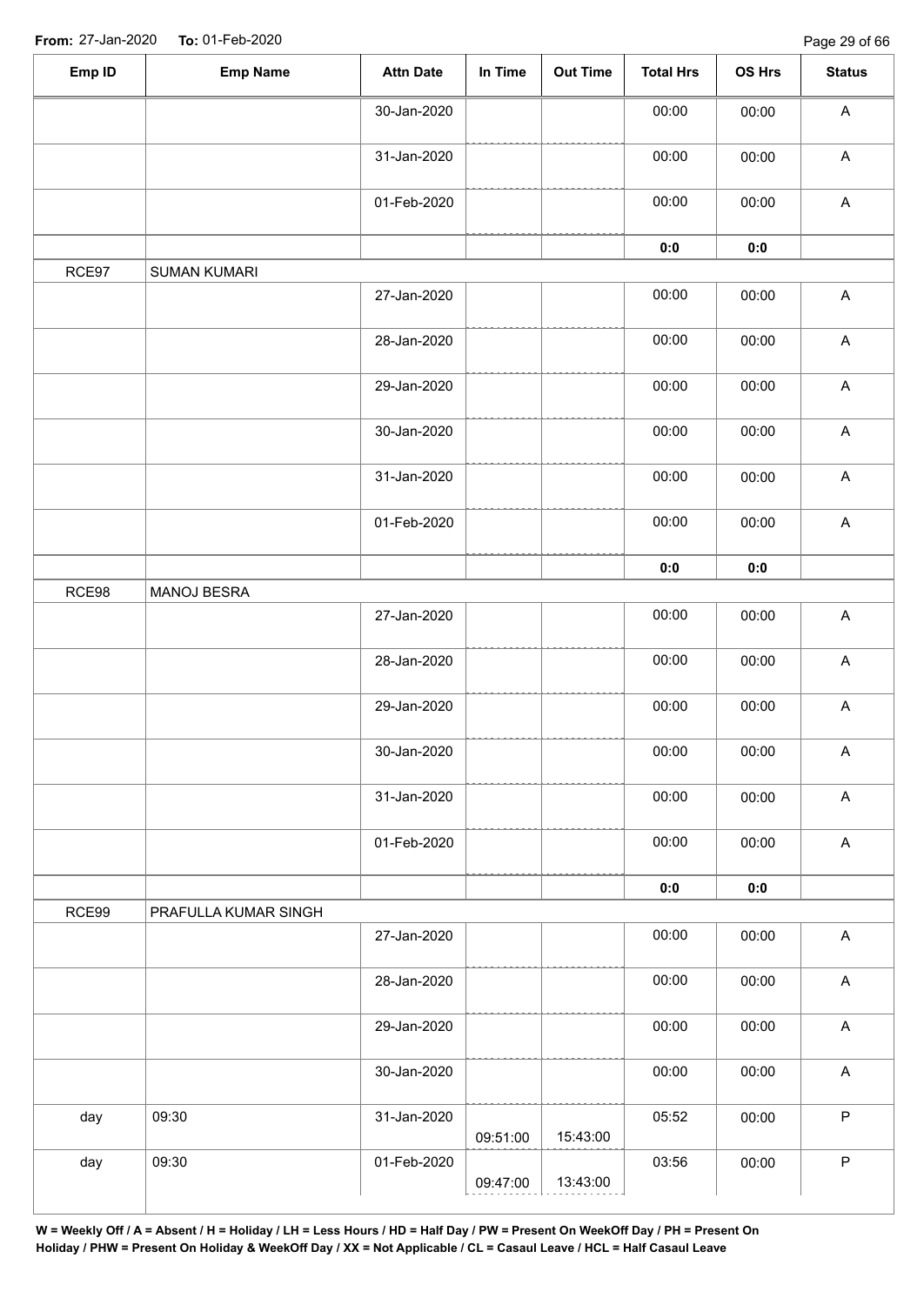Page 29 of 66

| Emp ID | <b>Emp Name</b>      | <b>Attn Date</b> | In Time  | <b>Out Time</b> | <b>Total Hrs</b> | OS Hrs         | <b>Status</b>             |
|--------|----------------------|------------------|----------|-----------------|------------------|----------------|---------------------------|
|        |                      | 30-Jan-2020      |          |                 | 00:00            | 00:00          | $\boldsymbol{\mathsf{A}}$ |
|        |                      | 31-Jan-2020      |          |                 | 00:00            | 00:00          | $\boldsymbol{\mathsf{A}}$ |
|        |                      | 01-Feb-2020      |          |                 | 00:00            | 00:00          | $\boldsymbol{\mathsf{A}}$ |
|        |                      |                  |          |                 | 0:0              | 0:0            |                           |
| RCE97  | <b>SUMAN KUMARI</b>  |                  |          |                 |                  |                |                           |
|        |                      | 27-Jan-2020      |          |                 | 00:00            | 00:00          | $\boldsymbol{\mathsf{A}}$ |
|        |                      | 28-Jan-2020      |          |                 | 00:00            | 00:00          | $\boldsymbol{\mathsf{A}}$ |
|        |                      | 29-Jan-2020      |          |                 | 00:00            | 00:00          | $\boldsymbol{\mathsf{A}}$ |
|        |                      | 30-Jan-2020      |          |                 | 00:00            | 00:00          | $\boldsymbol{\mathsf{A}}$ |
|        |                      | 31-Jan-2020      |          |                 | 00:00            | 00:00          | $\boldsymbol{\mathsf{A}}$ |
|        |                      | 01-Feb-2020      |          |                 | 00:00            | 00:00          | $\mathsf A$               |
|        |                      |                  |          |                 | 0:0              | $\mathbf{0}$ 0 |                           |
| RCE98  | MANOJ BESRA          |                  |          |                 |                  |                |                           |
|        |                      | 27-Jan-2020      |          |                 | 00:00            | 00:00          | $\mathsf A$               |
|        |                      | 28-Jan-2020      |          |                 | 00:00            | 00:00          | $\boldsymbol{\mathsf{A}}$ |
|        |                      | 29-Jan-2020      |          |                 | 00:00            | 00:00          | $\boldsymbol{\mathsf{A}}$ |
|        |                      | 30-Jan-2020      |          |                 | 00:00            | 00:00          | $\mathsf{A}$              |
|        |                      | 31-Jan-2020      |          |                 | 00:00            | 00:00          | $\boldsymbol{\mathsf{A}}$ |
|        |                      | 01-Feb-2020      |          |                 | 00:00            | 00:00          | $\mathsf{A}$              |
|        |                      |                  |          |                 | 0:0              | 0:0            |                           |
| RCE99  | PRAFULLA KUMAR SINGH |                  |          |                 |                  |                |                           |
|        |                      | 27-Jan-2020      |          |                 | 00:00            | 00:00          | $\mathsf{A}$              |
|        |                      | 28-Jan-2020      |          |                 | 00:00            | 00:00          | $\boldsymbol{\mathsf{A}}$ |
|        |                      | 29-Jan-2020      |          |                 | 00:00            | 00:00          | $\mathsf{A}$              |
|        |                      | 30-Jan-2020      |          |                 | 00:00            | 00:00          | $\boldsymbol{\mathsf{A}}$ |
| day    | 09:30                | 31-Jan-2020      | 09:51:00 | 15:43:00        | 05:52            | 00:00          | $\mathsf P$               |
| day    | 09:30                | 01-Feb-2020      | 09:47:00 | 13:43:00        | 03:56            | 00:00          | $\mathsf P$               |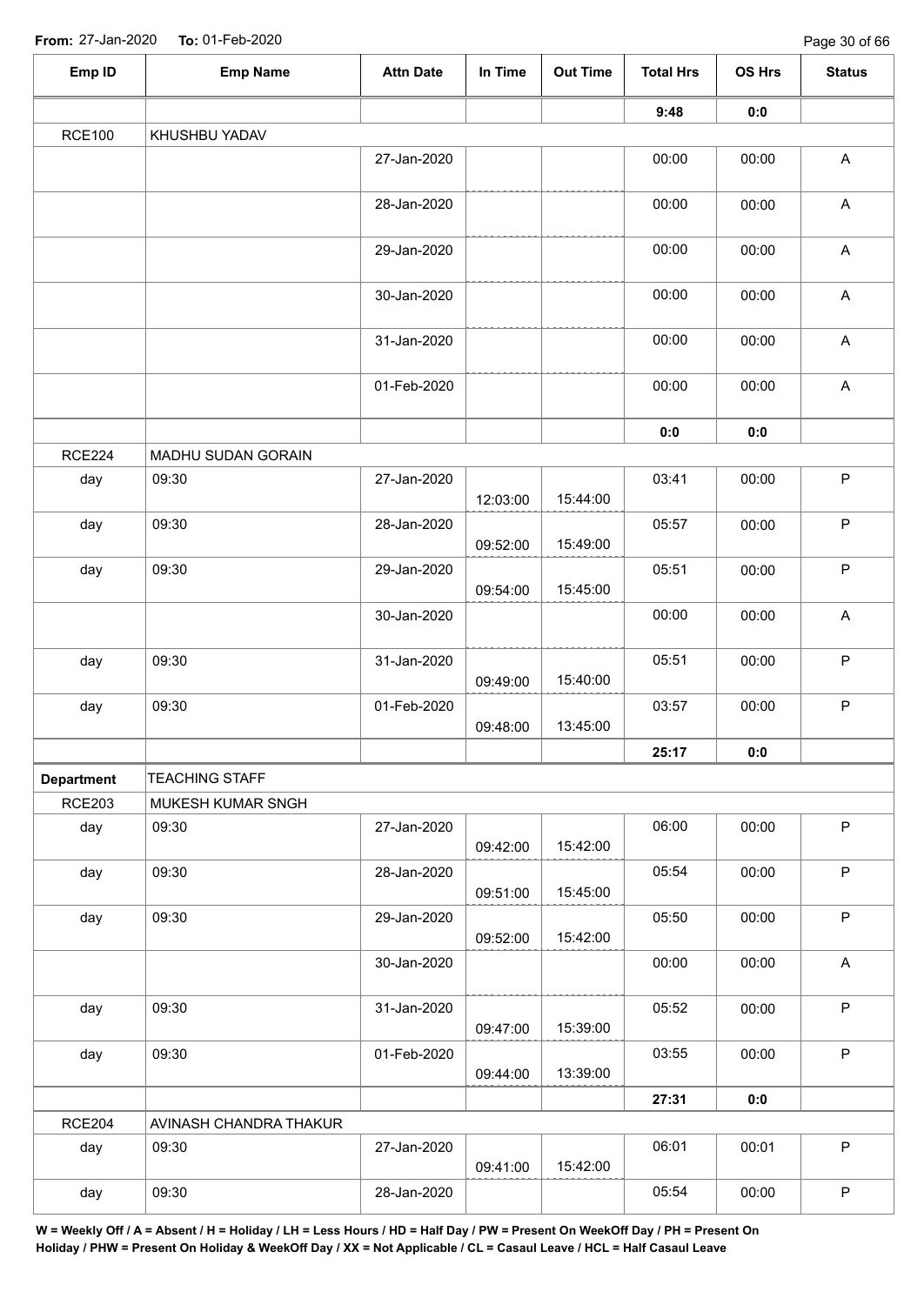| Emp ID            | <b>Emp Name</b>        | <b>Attn Date</b> | In Time  | <b>Out Time</b> | <b>Total Hrs</b> | OS Hrs | <b>Status</b>             |
|-------------------|------------------------|------------------|----------|-----------------|------------------|--------|---------------------------|
|                   |                        |                  |          |                 | 9:48             | 0:0    |                           |
| <b>RCE100</b>     | KHUSHBU YADAV          |                  |          |                 |                  |        |                           |
|                   |                        | 27-Jan-2020      |          |                 | 00:00            | 00:00  | $\mathsf{A}$              |
|                   |                        | 28-Jan-2020      |          |                 | 00:00            | 00:00  | $\boldsymbol{\mathsf{A}}$ |
|                   |                        | 29-Jan-2020      |          |                 | 00:00            | 00:00  | $\mathsf A$               |
|                   |                        | 30-Jan-2020      |          |                 | 00:00            | 00:00  | $\boldsymbol{\mathsf{A}}$ |
|                   |                        | 31-Jan-2020      |          |                 | 00:00            | 00:00  | $\boldsymbol{\mathsf{A}}$ |
|                   |                        | 01-Feb-2020      |          |                 | 00:00            | 00:00  | $\boldsymbol{\mathsf{A}}$ |
|                   |                        |                  |          |                 | 0:0              | 0:0    |                           |
| <b>RCE224</b>     | MADHU SUDAN GORAIN     |                  |          |                 |                  |        |                           |
| day               | 09:30                  | 27-Jan-2020      | 12:03:00 | 15:44:00        | 03:41            | 00:00  | $\mathsf{P}$              |
| day               | 09:30                  | 28-Jan-2020      | 09:52:00 | 15:49:00        | 05:57            | 00:00  | $\mathsf P$               |
| day               | 09:30                  | 29-Jan-2020      | 09:54:00 | 15:45:00        | 05:51            | 00:00  | $\mathsf P$               |
|                   |                        | 30-Jan-2020      |          |                 | 00:00            | 00:00  | $\boldsymbol{\mathsf{A}}$ |
| day               | 09:30                  | 31-Jan-2020      | 09:49:00 | 15:40:00        | 05:51            | 00:00  | $\sf P$                   |
| day               | 09:30                  | 01-Feb-2020      | 09:48:00 | 13:45:00        | 03:57            | 00:00  | $\mathsf P$               |
|                   |                        |                  |          |                 | 25:17            | 0:0    |                           |
| <b>Department</b> | <b>TEACHING STAFF</b>  |                  |          |                 |                  |        |                           |
| <b>RCE203</b>     | MUKESH KUMAR SNGH      |                  |          |                 |                  |        |                           |
| day               | 09:30                  | 27-Jan-2020      | 09:42:00 | 15:42:00        | 06:00            | 00:00  | $\mathsf P$               |
| day               | 09:30                  | 28-Jan-2020      | 09:51:00 | 15:45:00        | 05:54            | 00:00  | $\mathsf P$               |
| day               | 09:30                  | 29-Jan-2020      | 09:52:00 | 15:42:00        | 05:50            | 00:00  | $\mathsf P$               |
|                   |                        | 30-Jan-2020      |          |                 | 00:00            | 00:00  | $\boldsymbol{\mathsf{A}}$ |
| day               | 09:30                  | 31-Jan-2020      | 09:47:00 | 15:39:00        | 05:52            | 00:00  | $\mathsf{P}$              |
| day               | 09:30                  | 01-Feb-2020      | 09:44:00 | 13:39:00        | 03:55            | 00:00  | $\mathsf{P}$              |
|                   |                        |                  |          |                 | 27:31            | 0:0    |                           |
| <b>RCE204</b>     | AVINASH CHANDRA THAKUR |                  |          |                 |                  |        |                           |
| day               | 09:30                  | 27-Jan-2020      | 09:41:00 | 15:42:00        | 06:01            | 00:01  | $\sf P$                   |
| day               | 09:30                  | 28-Jan-2020      |          |                 | 05:54            | 00:00  | $\mathsf P$               |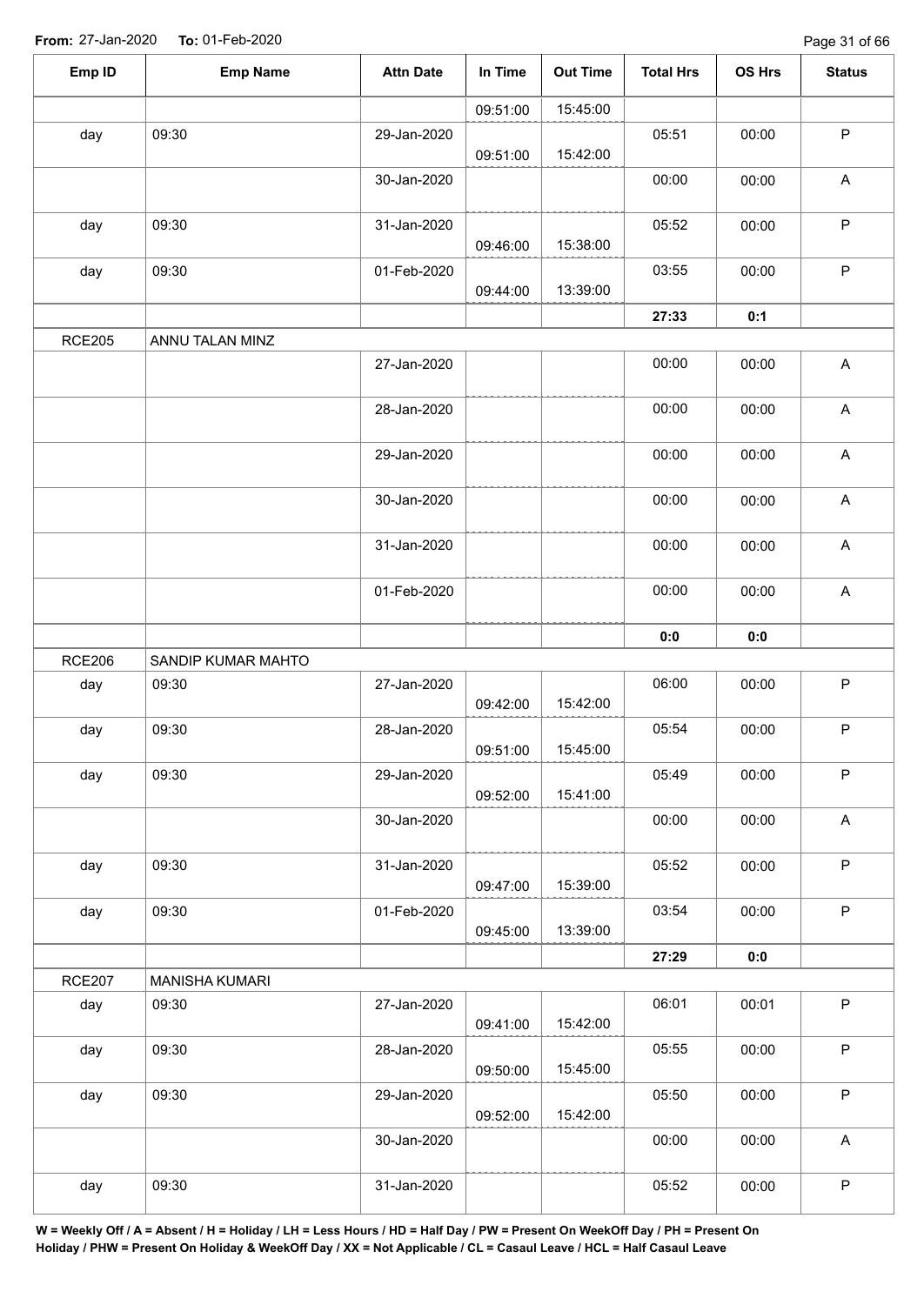| Emp ID        | <b>Emp Name</b>       | <b>Attn Date</b> | In Time  | <b>Out Time</b> | <b>Total Hrs</b> | OS Hrs | <b>Status</b>             |
|---------------|-----------------------|------------------|----------|-----------------|------------------|--------|---------------------------|
|               |                       |                  | 09:51:00 | 15:45:00        |                  |        |                           |
| day           | 09:30                 | 29-Jan-2020      | 09:51:00 | 15:42:00        | 05:51            | 00:00  | $\sf P$                   |
|               |                       | 30-Jan-2020      |          |                 | 00:00            | 00:00  | A                         |
| day           | 09:30                 | 31-Jan-2020      | 09:46:00 | 15:38:00        | 05:52            | 00:00  | $\mathsf P$               |
| day           | 09:30                 | 01-Feb-2020      | 09:44:00 | 13:39:00        | 03:55            | 00:00  | $\sf P$                   |
|               |                       |                  |          |                 | 27:33            | 0:1    |                           |
| <b>RCE205</b> | ANNU TALAN MINZ       |                  |          |                 |                  |        |                           |
|               |                       | 27-Jan-2020      |          |                 | 00:00            | 00:00  | $\boldsymbol{\mathsf{A}}$ |
|               |                       | 28-Jan-2020      |          |                 | 00:00            | 00:00  | $\boldsymbol{\mathsf{A}}$ |
|               |                       | 29-Jan-2020      |          |                 | 00:00            | 00:00  | $\boldsymbol{\mathsf{A}}$ |
|               |                       | 30-Jan-2020      |          |                 | 00:00            | 00:00  | $\mathsf A$               |
|               |                       | 31-Jan-2020      |          |                 | 00:00            | 00:00  | $\boldsymbol{\mathsf{A}}$ |
|               |                       | 01-Feb-2020      |          |                 | 00:00            | 00:00  | $\mathsf A$               |
|               |                       |                  |          |                 | 0:0              | 0:0    |                           |
| <b>RCE206</b> | SANDIP KUMAR MAHTO    |                  |          |                 |                  |        |                           |
| day           | 09:30                 | 27-Jan-2020      | 09:42:00 | 15:42:00        | 06:00            | 00:00  | $\mathsf P$               |
| day           | 09:30                 | 28-Jan-2020      | 09:51:00 | 15:45:00        | 05:54            | 00:00  | $\sf P$                   |
| day           | 09:30                 | 29-Jan-2020      | 09:52:00 | 15:41:00        | 05:49            | 00:00  | $\sf P$                   |
|               |                       | 30-Jan-2020      |          |                 | 00:00            | 00:00  | $\mathsf{A}$              |
| day           | 09:30                 | 31-Jan-2020      | 09:47:00 | 15:39:00        | 05:52            | 00:00  | $\mathsf P$               |
| day           | 09:30                 | 01-Feb-2020      | 09:45:00 | 13:39:00        | 03:54            | 00:00  | $\sf P$                   |
|               |                       |                  |          |                 | 27:29            | 0:0    |                           |
| <b>RCE207</b> | <b>MANISHA KUMARI</b> |                  |          |                 |                  |        |                           |
| day           | 09:30                 | 27-Jan-2020      | 09:41:00 | 15:42:00        | 06:01            | 00:01  | $\sf P$                   |
| day           | 09:30                 | 28-Jan-2020      | 09:50:00 | 15:45:00        | 05:55            | 00:00  | $\mathsf P$               |
| day           | 09:30                 | 29-Jan-2020      | 09:52:00 | 15:42:00        | 05:50            | 00:00  | $\sf P$                   |
|               |                       | 30-Jan-2020      |          |                 | 00:00            | 00:00  | $\mathsf{A}$              |
| day           | 09:30                 | 31-Jan-2020      |          |                 | 05:52            | 00:00  | $\mathsf P$               |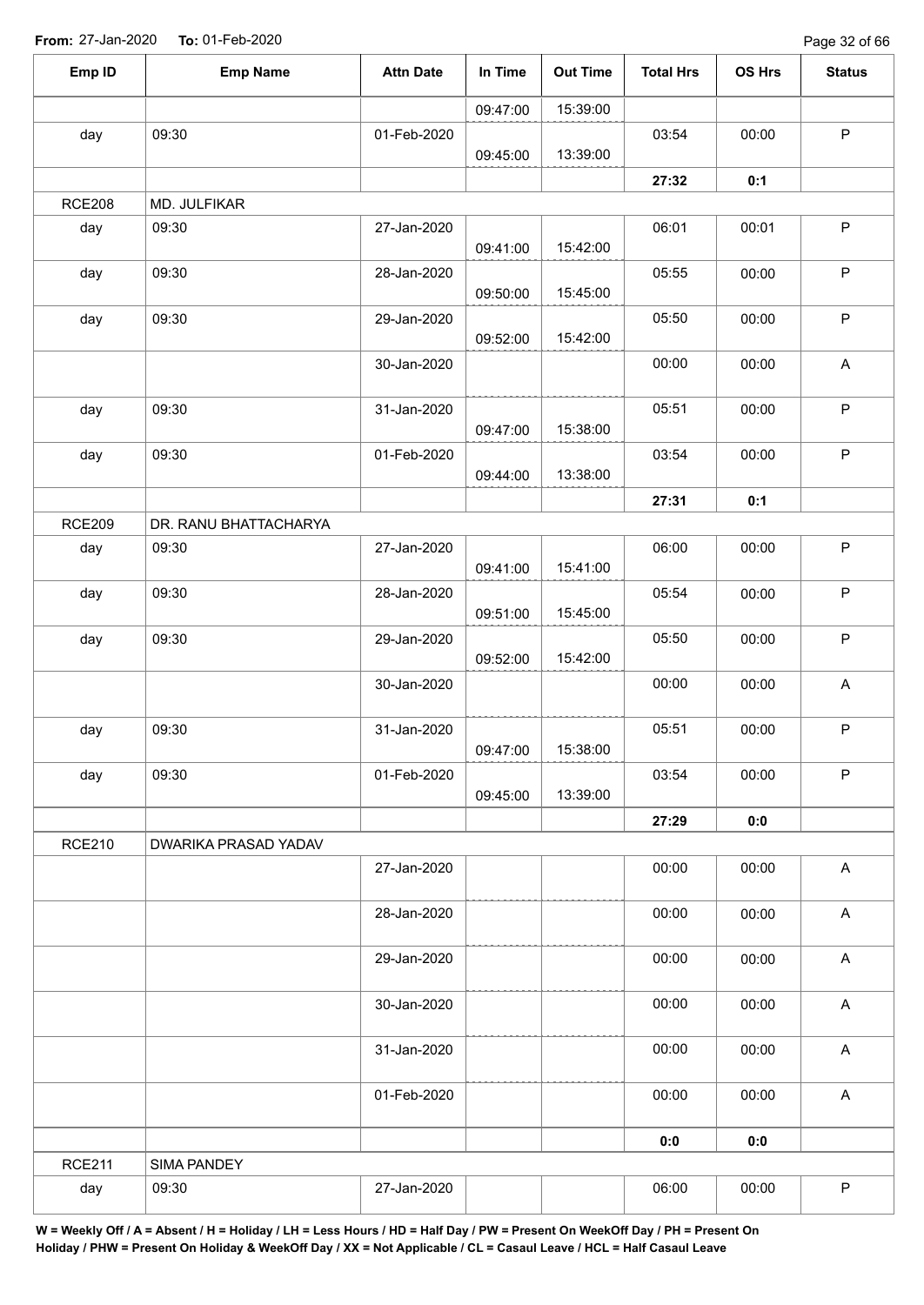Page 32 of 66

| Emp ID        | <b>Emp Name</b>       | <b>Attn Date</b> | In Time  | <b>Out Time</b> | <b>Total Hrs</b> | OS Hrs | <b>Status</b>             |
|---------------|-----------------------|------------------|----------|-----------------|------------------|--------|---------------------------|
|               |                       |                  | 09:47:00 | 15:39:00        |                  |        |                           |
| day           | 09:30                 | 01-Feb-2020      | 09:45:00 | 13:39:00        | 03:54            | 00:00  | $\mathsf P$               |
|               |                       |                  |          |                 | 27:32            | 0:1    |                           |
| <b>RCE208</b> | MD. JULFIKAR          |                  |          |                 |                  |        |                           |
| day           | 09:30                 | 27-Jan-2020      | 09:41:00 | 15:42:00        | 06:01            | 00:01  | $\mathsf P$               |
| day           | 09:30                 | 28-Jan-2020      | 09:50:00 | 15:45:00        | 05:55            | 00:00  | $\mathsf P$               |
| day           | 09:30                 | 29-Jan-2020      | 09:52:00 | 15:42:00        | 05:50            | 00:00  | $\sf P$                   |
|               |                       | 30-Jan-2020      |          |                 | 00:00            | 00:00  | A                         |
| day           | 09:30                 | 31-Jan-2020      | 09:47:00 | 15:38:00        | 05:51            | 00:00  | $\sf P$                   |
| day           | 09:30                 | 01-Feb-2020      |          | 13:38:00        | 03:54            | 00:00  | $\mathsf P$               |
|               |                       |                  | 09:44:00 |                 | 27:31            | 0:1    |                           |
| <b>RCE209</b> | DR. RANU BHATTACHARYA |                  |          |                 |                  |        |                           |
| day           | 09:30                 | 27-Jan-2020      | 09:41:00 | 15:41:00        | 06:00            | 00:00  | $\sf P$                   |
| day           | 09:30                 | 28-Jan-2020      | 09:51:00 | 15:45:00        | 05:54            | 00:00  | $\sf P$                   |
| day           | 09:30                 | 29-Jan-2020      | 09:52:00 | 15:42:00        | 05:50            | 00:00  | $\sf P$                   |
|               |                       | 30-Jan-2020      |          |                 | 00:00            | 00:00  | A                         |
| day           | 09:30                 | 31-Jan-2020      | 09:47:00 | 15:38:00        | 05:51            | 00:00  | $\sf P$                   |
| day           | 09:30                 | 01-Feb-2020      | 09:45:00 | 13:39:00        | 03:54            | 00:00  | $\sf P$                   |
|               |                       |                  |          |                 | 27:29            | 0:0    |                           |
| <b>RCE210</b> | DWARIKA PRASAD YADAV  |                  |          |                 |                  |        |                           |
|               |                       | 27-Jan-2020      |          |                 | 00:00            | 00:00  | $\boldsymbol{\mathsf{A}}$ |
|               |                       | 28-Jan-2020      |          |                 | 00:00            | 00:00  | $\boldsymbol{\mathsf{A}}$ |
|               |                       | 29-Jan-2020      |          |                 | 00:00            | 00:00  | $\boldsymbol{\mathsf{A}}$ |
|               |                       | 30-Jan-2020      |          |                 | 00:00            | 00:00  | $\boldsymbol{\mathsf{A}}$ |
|               |                       | 31-Jan-2020      |          |                 | 00:00            | 00:00  | $\boldsymbol{\mathsf{A}}$ |
|               |                       | 01-Feb-2020      |          |                 | 00:00            | 00:00  | $\boldsymbol{\mathsf{A}}$ |
|               |                       |                  |          |                 | 0:0              | 0:0    |                           |
| <b>RCE211</b> | SIMA PANDEY           |                  |          |                 |                  |        |                           |
| day           | 09:30                 | 27-Jan-2020      |          |                 | 06:00            | 00:00  | $\sf P$                   |
|               |                       |                  |          |                 |                  |        |                           |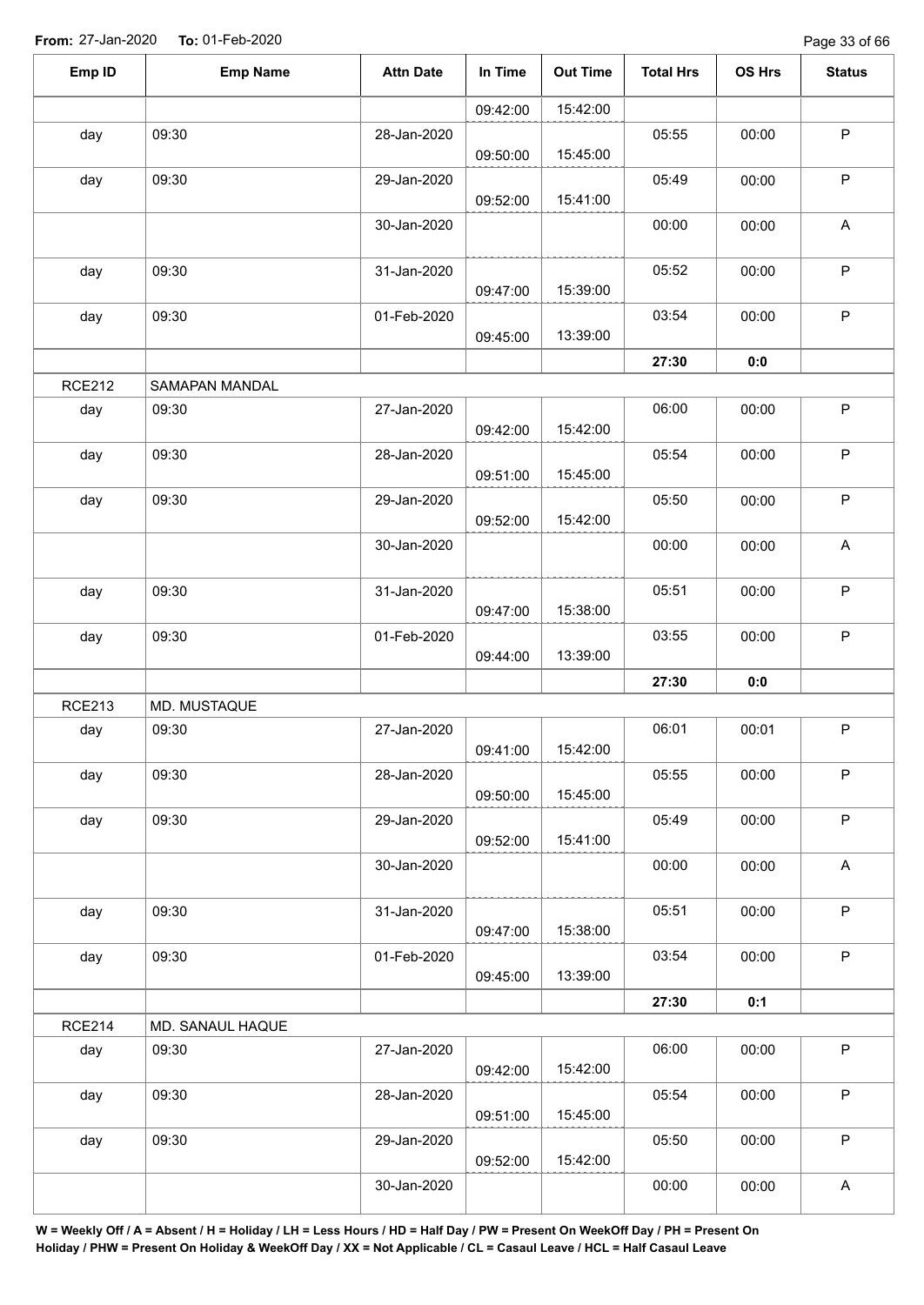| Emp ID        | <b>Emp Name</b>  | <b>Attn Date</b> | In Time  | <b>Out Time</b> | <b>Total Hrs</b> | OS Hrs | <b>Status</b>             |
|---------------|------------------|------------------|----------|-----------------|------------------|--------|---------------------------|
|               |                  |                  | 09:42:00 | 15:42:00        |                  |        |                           |
| day           | 09:30            | 28-Jan-2020      | 09:50:00 | 15:45:00        | 05:55            | 00:00  | $\mathsf P$               |
| day           | 09:30            | 29-Jan-2020      | 09:52:00 | 15:41:00        | 05:49            | 00:00  | $\sf P$                   |
|               |                  | 30-Jan-2020      |          |                 | 00:00            | 00:00  | A                         |
| day           | 09:30            | 31-Jan-2020      | 09:47:00 | 15:39:00        | 05:52            | 00:00  | $\sf P$                   |
| day           | 09:30            | 01-Feb-2020      | 09:45:00 | 13:39:00        | 03:54            | 00:00  | $\mathsf P$               |
|               |                  |                  |          |                 | 27:30            | 0:0    |                           |
| <b>RCE212</b> | SAMAPAN MANDAL   |                  |          |                 |                  |        |                           |
| day           | 09:30            | 27-Jan-2020      | 09:42:00 | 15:42:00        | 06:00            | 00:00  | $\sf P$                   |
| day           | 09:30            | 28-Jan-2020      | 09:51:00 | 15:45:00        | 05:54            | 00:00  | $\sf P$                   |
| day           | 09:30            | 29-Jan-2020      | 09:52:00 | 15:42:00        | 05:50            | 00:00  | $\sf P$                   |
|               |                  | 30-Jan-2020      |          |                 | 00:00            | 00:00  | $\boldsymbol{\mathsf{A}}$ |
| day           | 09:30            | 31-Jan-2020      | 09:47:00 | 15:38:00        | 05:51            | 00:00  | $\sf P$                   |
| day           | 09:30            | 01-Feb-2020      | 09:44:00 | 13:39:00        | 03:55            | 00:00  | ${\sf P}$                 |
|               |                  |                  |          |                 | 27:30            | 0:0    |                           |
| <b>RCE213</b> | MD. MUSTAQUE     |                  |          |                 |                  |        |                           |
| day           | 09:30            | 27-Jan-2020      | 09:41:00 | 15:42:00        | 06:01            | 00:01  | ${\sf P}$                 |
| day           | 09:30            | 28-Jan-2020      | 09:50:00 | 15:45:00        | 05:55            | 00:00  | $\sf P$                   |
| day           | 09:30            | 29-Jan-2020      | 09:52:00 | 15:41:00        | 05:49            | 00:00  | $\mathsf P$               |
|               |                  | 30-Jan-2020      |          |                 | 00:00            | 00:00  | $\mathsf A$               |
| day           | 09:30            | 31-Jan-2020      | 09:47:00 | 15:38:00        | 05:51            | 00:00  | $\mathsf P$               |
| day           | 09:30            | 01-Feb-2020      | 09:45:00 | 13:39:00        | 03:54            | 00:00  | $\mathsf P$               |
|               |                  |                  |          |                 | 27:30            | 0:1    |                           |
| <b>RCE214</b> | MD. SANAUL HAQUE |                  |          |                 |                  |        |                           |
| day           | 09:30            | 27-Jan-2020      | 09:42:00 | 15:42:00        | 06:00            | 00:00  | $\sf P$                   |
| day           | 09:30            | 28-Jan-2020      | 09:51:00 | 15:45:00        | 05:54            | 00:00  | $\mathsf P$               |
| day           | 09:30            | 29-Jan-2020      | 09:52:00 | 15:42:00        | 05:50            | 00:00  | $\mathsf P$               |
|               |                  | 30-Jan-2020      |          |                 | 00:00            | 00:00  | $\mathsf{A}$              |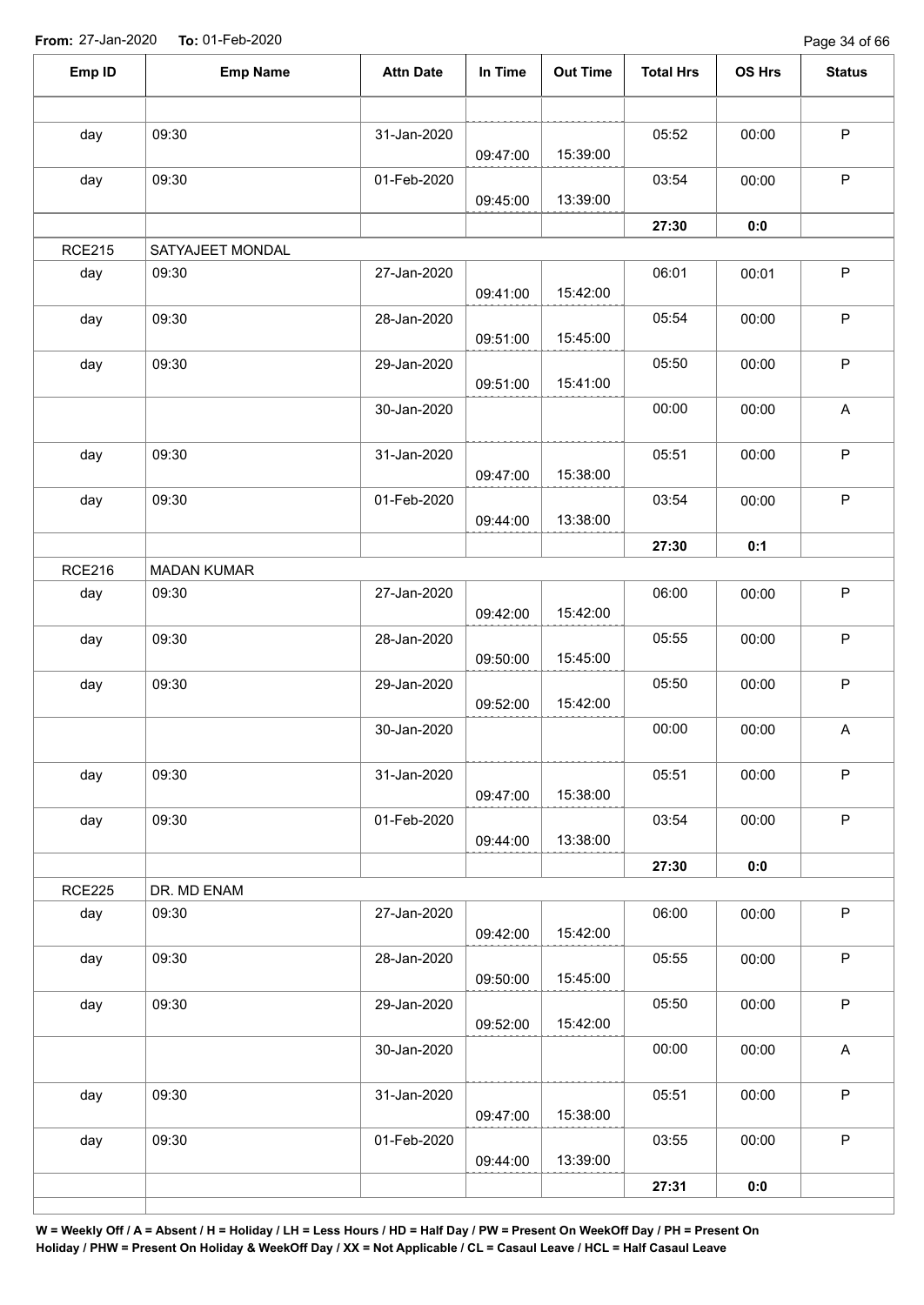Page 34 of 66

| Emp ID        | <b>Emp Name</b>    | <b>Attn Date</b> | In Time  | <b>Out Time</b> | <b>Total Hrs</b> | <b>OS Hrs</b> | <b>Status</b>             |
|---------------|--------------------|------------------|----------|-----------------|------------------|---------------|---------------------------|
|               |                    |                  |          |                 |                  |               |                           |
| day           | 09:30              | 31-Jan-2020      | 09:47:00 | 15:39:00        | 05:52            | 00:00         | $\sf P$                   |
| day           | 09:30              | 01-Feb-2020      | 09:45:00 | 13:39:00        | 03:54            | 00:00         | $\mathsf P$               |
|               |                    |                  |          |                 | 27:30            | 0:0           |                           |
| <b>RCE215</b> | SATYAJEET MONDAL   |                  |          |                 |                  |               |                           |
| day           | 09:30              | 27-Jan-2020      |          |                 | 06:01            | 00:01         | $\mathsf P$               |
|               |                    |                  | 09:41:00 | 15:42:00        |                  |               |                           |
| day           | 09:30              | 28-Jan-2020      | 09:51:00 | 15:45:00        | 05:54            | 00:00         | $\mathsf P$               |
| day           | 09:30              | 29-Jan-2020      | 09:51:00 | 15:41:00        | 05:50            | 00:00         | $\mathsf P$               |
|               |                    | 30-Jan-2020      |          |                 | 00:00            | 00:00         | $\boldsymbol{\mathsf{A}}$ |
| day           | 09:30              | 31-Jan-2020      | 09:47:00 | 15:38:00        | 05:51            | 00:00         | $\sf P$                   |
| day           | 09:30              | 01-Feb-2020      |          |                 | 03:54            | 00:00         | $\mathsf P$               |
|               |                    |                  | 09:44:00 | 13:38:00        |                  |               |                           |
|               |                    |                  |          |                 | 27:30            | 0:1           |                           |
| <b>RCE216</b> | <b>MADAN KUMAR</b> |                  |          |                 |                  |               |                           |
| day           | 09:30              | 27-Jan-2020      | 09:42:00 | 15:42:00        | 06:00            | 00:00         | $\sf P$                   |
| day           | 09:30              | 28-Jan-2020      | 09:50:00 | 15:45:00        | 05:55            | 00:00         | $\mathsf P$               |
| day           | 09:30              | 29-Jan-2020      | 09:52:00 | 15:42:00        | 05:50            | 00:00         | $\sf P$                   |
|               |                    | 30-Jan-2020      |          |                 | 00:00            | 00:00         | $\boldsymbol{\mathsf{A}}$ |
| day           | 09:30              | 31-Jan-2020      | 09:47:00 | 15:38:00        | 05:51            | 00:00         | $\mathsf P$               |
| day           | 09:30              | 01-Feb-2020      | 09:44:00 | 13:38:00        | 03:54            | 00:00         | $\mathsf P$               |
|               |                    |                  |          |                 | 27:30            | 0:0           |                           |
| <b>RCE225</b> | DR. MD ENAM        |                  |          |                 |                  |               |                           |
| day           | 09:30              | 27-Jan-2020      | 09:42:00 | 15:42:00        | 06:00            | 00:00         | $\mathsf P$               |
| day           | 09:30              | 28-Jan-2020      | 09:50:00 | 15:45:00        | 05:55            | 00:00         | $\mathsf P$               |
| day           | 09:30              | 29-Jan-2020      | 09:52:00 | 15:42:00        | 05:50            | 00:00         | $\mathsf P$               |
|               |                    | 30-Jan-2020      |          |                 | 00:00            | 00:00         | $\mathsf{A}$              |
| day           | 09:30              | 31-Jan-2020      | 09:47:00 | 15:38:00        | 05:51            | 00:00         | $\mathsf P$               |
| day           | 09:30              | 01-Feb-2020      | 09:44:00 | 13:39:00        | 03:55            | 00:00         | $\sf P$                   |
|               |                    |                  |          |                 | 27:31            | 0:0           |                           |
|               |                    |                  |          |                 |                  |               |                           |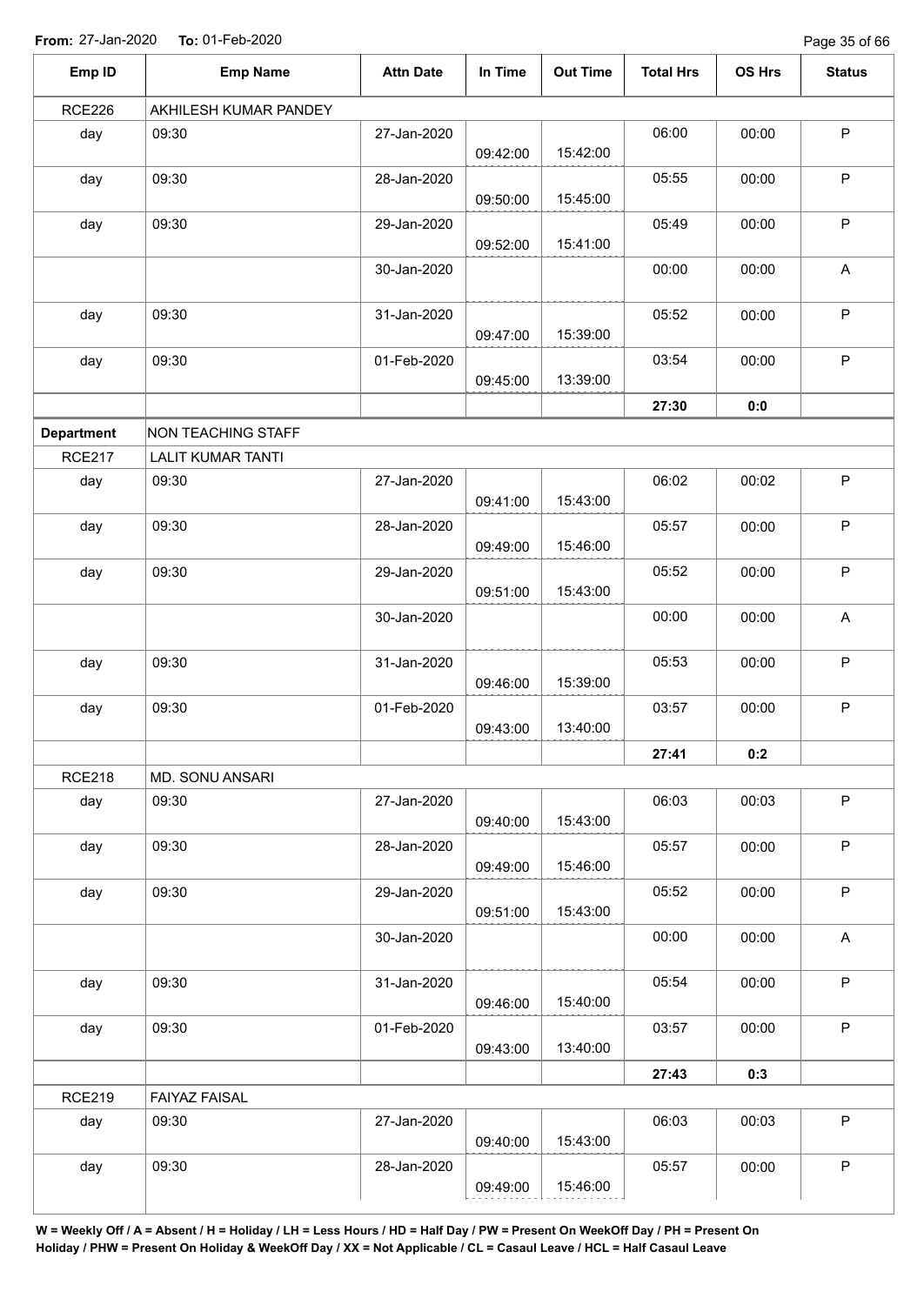Page 35 of 66

| Emp ID            | <b>Emp Name</b>           | <b>Attn Date</b> | In Time  | <b>Out Time</b> | <b>Total Hrs</b> | OS Hrs | <b>Status</b> |
|-------------------|---------------------------|------------------|----------|-----------------|------------------|--------|---------------|
| <b>RCE226</b>     | AKHILESH KUMAR PANDEY     |                  |          |                 |                  |        |               |
| day               | 09:30                     | 27-Jan-2020      | 09:42:00 | 15:42:00        | 06:00            | 00:00  | $\sf P$       |
| day               | 09:30                     | 28-Jan-2020      | 09:50:00 | 15:45:00        | 05:55            | 00:00  | $\mathsf P$   |
| day               | 09:30                     | 29-Jan-2020      | 09:52:00 | 15:41:00        | 05:49            | 00:00  | $\mathsf P$   |
|                   |                           | 30-Jan-2020      |          |                 | 00:00            | 00:00  | A             |
| day               | 09:30                     | 31-Jan-2020      | 09:47:00 | 15:39:00        | 05:52            | 00:00  | $\sf P$       |
| day               | 09:30                     | 01-Feb-2020      | 09:45:00 | 13:39:00        | 03:54            | 00:00  | $\mathsf P$   |
|                   |                           |                  |          |                 | 27:30            | 0:0    |               |
| <b>Department</b> | <b>NON TEACHING STAFF</b> |                  |          |                 |                  |        |               |
| <b>RCE217</b>     | <b>LALIT KUMAR TANTI</b>  |                  |          |                 |                  |        |               |
| day               | 09:30                     | 27-Jan-2020      | 09:41:00 | 15:43:00        | 06:02            | 00:02  | $\sf P$       |
| day               | 09:30                     | 28-Jan-2020      | 09:49:00 | 15:46:00        | 05:57            | 00:00  | $\mathsf P$   |
| day               | 09:30                     | 29-Jan-2020      | 09:51:00 | 15:43:00        | 05:52            | 00:00  | $\mathsf P$   |
|                   |                           | 30-Jan-2020      |          |                 | 00:00            | 00:00  | A             |
| day               | 09:30                     | 31-Jan-2020      | 09:46:00 | 15:39:00        | 05:53            | 00:00  | $\mathsf P$   |
| day               | 09:30                     | 01-Feb-2020      | 09:43:00 | 13:40:00        | 03:57            | 00:00  | $\sf P$       |
|                   |                           |                  |          |                 | 27:41            | 0:2    |               |
| <b>RCE218</b>     | MD. SONU ANSARI           |                  |          |                 |                  |        |               |
| day               | 09:30                     | 27-Jan-2020      | 09:40:00 | 15:43:00        | 06:03            | 00:03  | $\sf P$       |
| day               | 09:30                     | 28-Jan-2020      | 09:49:00 | 15:46:00        | 05:57            | 00:00  | $\mathsf P$   |
| day               | 09:30                     | 29-Jan-2020      | 09:51:00 | 15:43:00        | 05:52            | 00:00  | $\mathsf P$   |
|                   |                           | 30-Jan-2020      |          |                 | 00:00            | 00:00  | $\mathsf{A}$  |
| day               | 09:30                     | 31-Jan-2020      | 09:46:00 | 15:40:00        | 05:54            | 00:00  | $\mathsf P$   |
| day               | 09:30                     | 01-Feb-2020      | 09:43:00 | 13:40:00        | 03:57            | 00:00  | $\mathsf P$   |
|                   |                           |                  |          |                 | 27:43            | 0:3    |               |
| <b>RCE219</b>     | <b>FAIYAZ FAISAL</b>      |                  |          |                 |                  |        |               |
| day               | 09:30                     | 27-Jan-2020      | 09:40:00 | 15:43:00        | 06:03            | 00:03  | $\mathsf P$   |
| day               | 09:30                     | 28-Jan-2020      | 09:49:00 | 15:46:00        | 05:57            | 00:00  | $\sf P$       |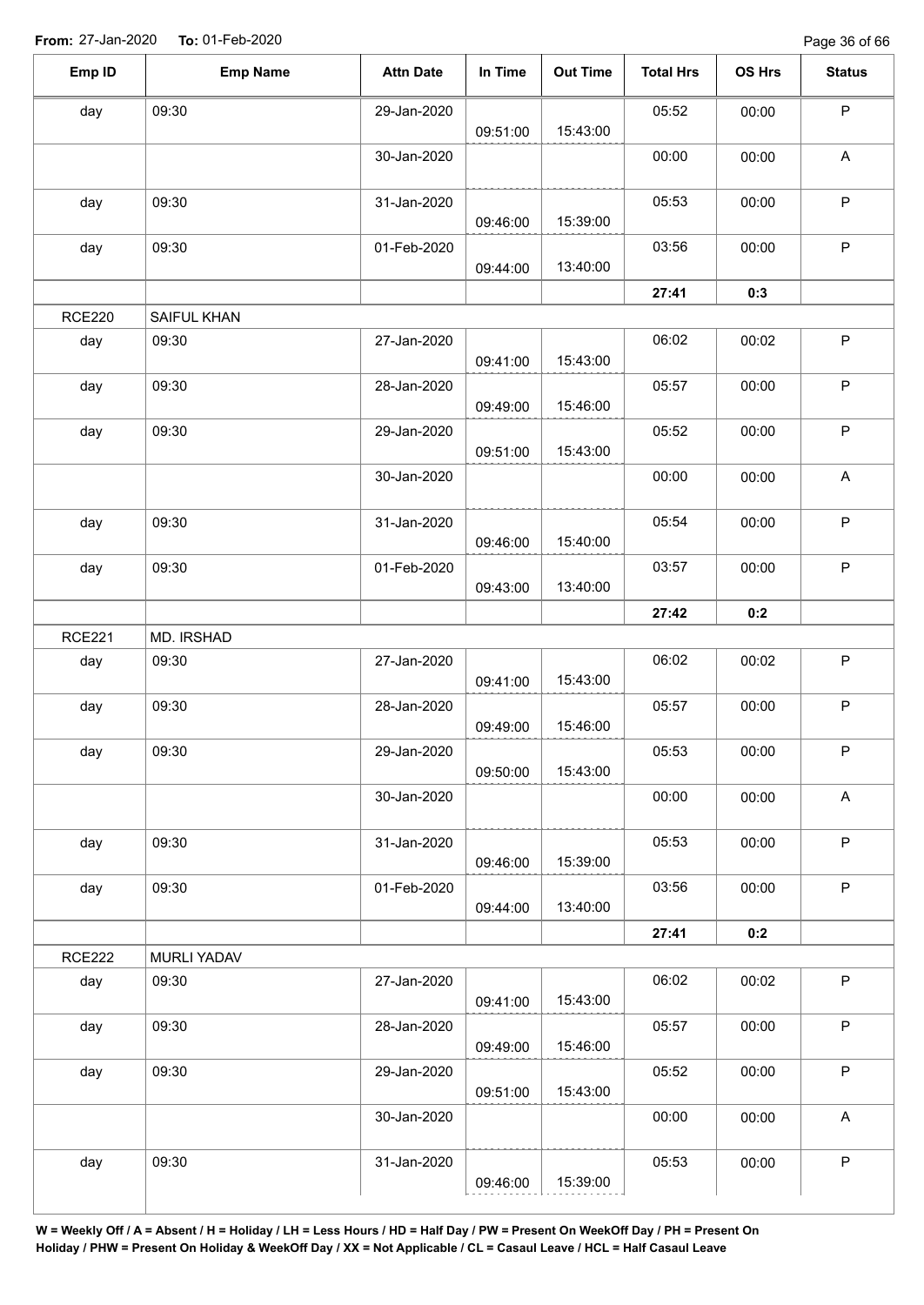| Emp ID        | <b>Emp Name</b> | <b>Attn Date</b> | In Time  | <b>Out Time</b> | <b>Total Hrs</b> | OS Hrs | <b>Status</b>             |
|---------------|-----------------|------------------|----------|-----------------|------------------|--------|---------------------------|
| day           | 09:30           | 29-Jan-2020      | 09:51:00 | 15:43:00        | 05:52            | 00:00  | $\sf P$                   |
|               |                 | 30-Jan-2020      |          |                 | 00:00            | 00:00  | $\boldsymbol{\mathsf{A}}$ |
| day           | 09:30           | 31-Jan-2020      | 09:46:00 | 15:39:00        | 05:53            | 00:00  | $\sf P$                   |
| day           | 09:30           | 01-Feb-2020      | 09:44:00 | 13:40:00        | 03:56            | 00:00  | $\mathsf P$               |
|               |                 |                  |          |                 | 27:41            | 0:3    |                           |
| <b>RCE220</b> | SAIFUL KHAN     |                  |          |                 |                  |        |                           |
| day           | 09:30           | 27-Jan-2020      | 09:41:00 | 15:43:00        | 06:02            | 00:02  | $\mathsf P$               |
| day           | 09:30           | 28-Jan-2020      | 09:49:00 | 15:46:00        | 05:57            | 00:00  | $\sf P$                   |
| day           | 09:30           | 29-Jan-2020      | 09:51:00 | 15:43:00        | 05:52            | 00:00  | $\sf P$                   |
|               |                 | 30-Jan-2020      |          |                 | 00:00            | 00:00  | $\boldsymbol{\mathsf{A}}$ |
| day           | 09:30           | 31-Jan-2020      | 09:46:00 | 15:40:00        | 05:54            | 00:00  | $\sf P$                   |
| day           | 09:30           | 01-Feb-2020      | 09:43:00 | 13:40:00        | 03:57            | 00:00  | ${\sf P}$                 |
|               |                 |                  |          |                 | 27:42            | 0:2    |                           |
| <b>RCE221</b> | MD. IRSHAD      |                  |          |                 |                  |        |                           |
| day           | 09:30           | 27-Jan-2020      | 09:41:00 | 15:43:00        | 06:02            | 00:02  | ${\sf P}$                 |
| day           | 09:30           | 28-Jan-2020      | 09:49:00 | 15:46:00        | 05:57            | 00:00  | $\sf P$                   |
| day           | 09:30           | 29-Jan-2020      | 09:50:00 | 15:43:00        | 05:53            | 00:00  | $\mathsf P$               |
|               |                 | 30-Jan-2020      |          |                 | 00:00            | 00:00  | $\boldsymbol{\mathsf{A}}$ |
| day           | 09:30           | 31-Jan-2020      | 09:46:00 | 15:39:00        | 05:53            | 00:00  | $\sf P$                   |
| day           | 09:30           | 01-Feb-2020      | 09:44:00 | 13:40:00        | 03:56            | 00:00  | $\sf P$                   |
|               |                 |                  |          |                 | 27:41            | 0:2    |                           |
| <b>RCE222</b> | MURLI YADAV     |                  |          |                 |                  |        |                           |
| day           | 09:30           | 27-Jan-2020      | 09:41:00 | 15:43:00        | 06:02            | 00:02  | $\sf P$                   |
| day           | 09:30           | 28-Jan-2020      | 09:49:00 | 15:46:00        | 05:57            | 00:00  | $\mathsf P$               |
| day           | 09:30           | 29-Jan-2020      | 09:51:00 | 15:43:00        | 05:52            | 00:00  | $\sf P$                   |
|               |                 | 30-Jan-2020      |          |                 | 00:00            | 00:00  | A                         |
| day           | 09:30           | 31-Jan-2020      | 09:46:00 | 15:39:00        | 05:53            | 00:00  | P                         |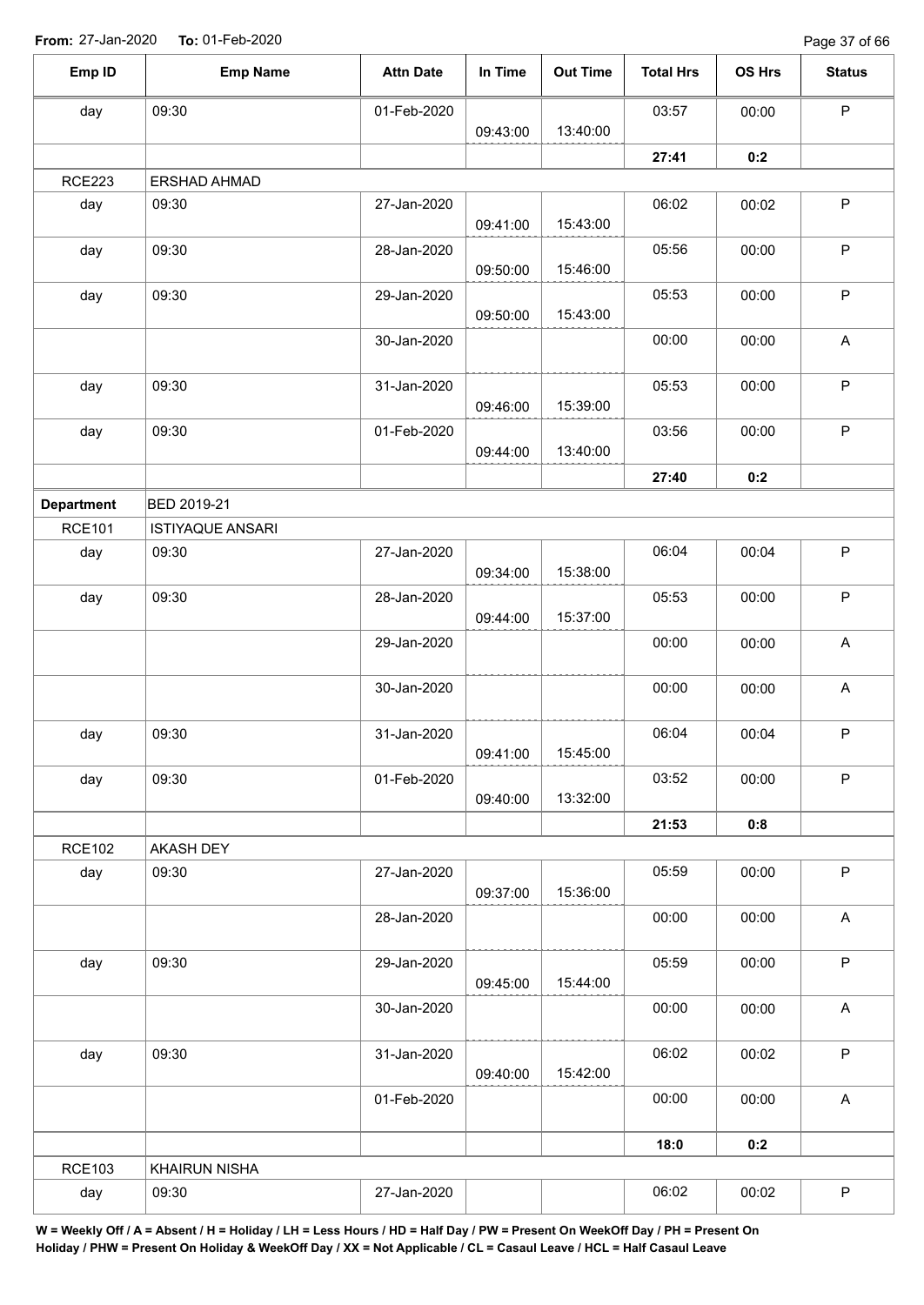Page 37 of 66

| Emp ID            | <b>Emp Name</b>         | <b>Attn Date</b> | In Time  | <b>Out Time</b> | <b>Total Hrs</b> | OS Hrs | <b>Status</b>             |
|-------------------|-------------------------|------------------|----------|-----------------|------------------|--------|---------------------------|
| day               | 09:30                   | 01-Feb-2020      |          |                 | 03:57            | 00:00  | $\mathsf P$               |
|                   |                         |                  | 09:43:00 | 13:40:00        |                  |        |                           |
|                   |                         |                  |          |                 | 27:41            | 0:2    |                           |
| <b>RCE223</b>     | ERSHAD AHMAD            |                  |          |                 |                  |        |                           |
| day               | 09:30                   | 27-Jan-2020      | 09:41:00 | 15:43:00        | 06:02            | 00:02  | $\sf P$                   |
|                   |                         |                  |          |                 |                  |        |                           |
| day               | 09:30                   | 28-Jan-2020      | 09:50:00 | 15:46:00        | 05:56            | 00:00  | $\sf P$                   |
| day               | 09:30                   | 29-Jan-2020      | 09:50:00 | 15:43:00        | 05:53            | 00:00  | $\mathsf P$               |
|                   |                         | 30-Jan-2020      |          |                 | 00:00            | 00:00  | $\boldsymbol{\mathsf{A}}$ |
|                   |                         |                  |          |                 |                  |        |                           |
| day               | 09:30                   | 31-Jan-2020      |          |                 | 05:53            | 00:00  | $\mathsf P$               |
|                   |                         |                  | 09:46:00 | 15:39:00        |                  |        |                           |
| day               | 09:30                   | 01-Feb-2020      |          |                 | 03:56            | 00:00  | $\sf P$                   |
|                   |                         |                  | 09:44:00 | 13:40:00        |                  |        |                           |
|                   |                         |                  |          |                 | 27:40            | 0:2    |                           |
| <b>Department</b> | BED 2019-21             |                  |          |                 |                  |        |                           |
| <b>RCE101</b>     | <b>ISTIYAQUE ANSARI</b> |                  |          |                 |                  |        |                           |
| day               | 09:30                   | 27-Jan-2020      |          |                 | 06:04            | 00:04  | $\mathsf P$               |
|                   |                         |                  | 09:34:00 | 15:38:00        |                  |        |                           |
| day               | 09:30                   | 28-Jan-2020      |          |                 | 05:53            | 00:00  | $\mathsf P$               |
|                   |                         |                  | 09:44:00 | 15:37:00        |                  |        |                           |
|                   |                         | 29-Jan-2020      |          |                 | 00:00            | 00:00  | $\boldsymbol{\mathsf{A}}$ |
|                   |                         | 30-Jan-2020      |          |                 | 00:00            | 00:00  | A                         |
|                   |                         |                  |          |                 |                  |        |                           |
| day               | 09:30                   | 31-Jan-2020      |          |                 | 06:04            | 00:04  | $\mathsf P$               |
|                   |                         |                  | 09:41:00 | 15:45:00        |                  |        |                           |
| day               | 09:30                   | 01-Feb-2020      |          |                 | 03:52            | 00:00  | $\mathsf P$               |
|                   |                         |                  | 09:40:00 | 13:32:00        |                  |        |                           |
|                   |                         |                  |          |                 | 21:53            | 0:8    |                           |
| <b>RCE102</b>     | AKASH DEY               |                  |          |                 |                  |        |                           |
| day               | 09:30                   | 27-Jan-2020      | 09:37:00 | 15:36:00        | 05:59            | 00:00  | $\sf P$                   |
|                   |                         | 28-Jan-2020      |          |                 | 00:00            | 00:00  | $\boldsymbol{\mathsf{A}}$ |
|                   |                         |                  |          |                 |                  |        |                           |
| day               | 09:30                   | 29-Jan-2020      |          |                 | 05:59            | 00:00  | $\mathsf P$               |
|                   |                         |                  | 09:45:00 | 15:44:00        |                  |        |                           |
|                   |                         | 30-Jan-2020      |          |                 | 00:00            | 00:00  | $\boldsymbol{\mathsf{A}}$ |
| day               | 09:30                   | 31-Jan-2020      |          |                 | 06:02            | 00:02  | $\mathsf P$               |
|                   |                         |                  | 09:40:00 | 15:42:00        |                  |        |                           |
|                   |                         | 01-Feb-2020      |          |                 | 00:00            | 00:00  | $\mathsf{A}$              |
|                   |                         |                  |          |                 |                  |        |                           |
|                   |                         |                  |          |                 | 18:0             | 0:2    |                           |
| <b>RCE103</b>     | <b>KHAIRUN NISHA</b>    |                  |          |                 |                  |        |                           |
| day               | 09:30                   | 27-Jan-2020      |          |                 | 06:02            | 00:02  | $\mathsf P$               |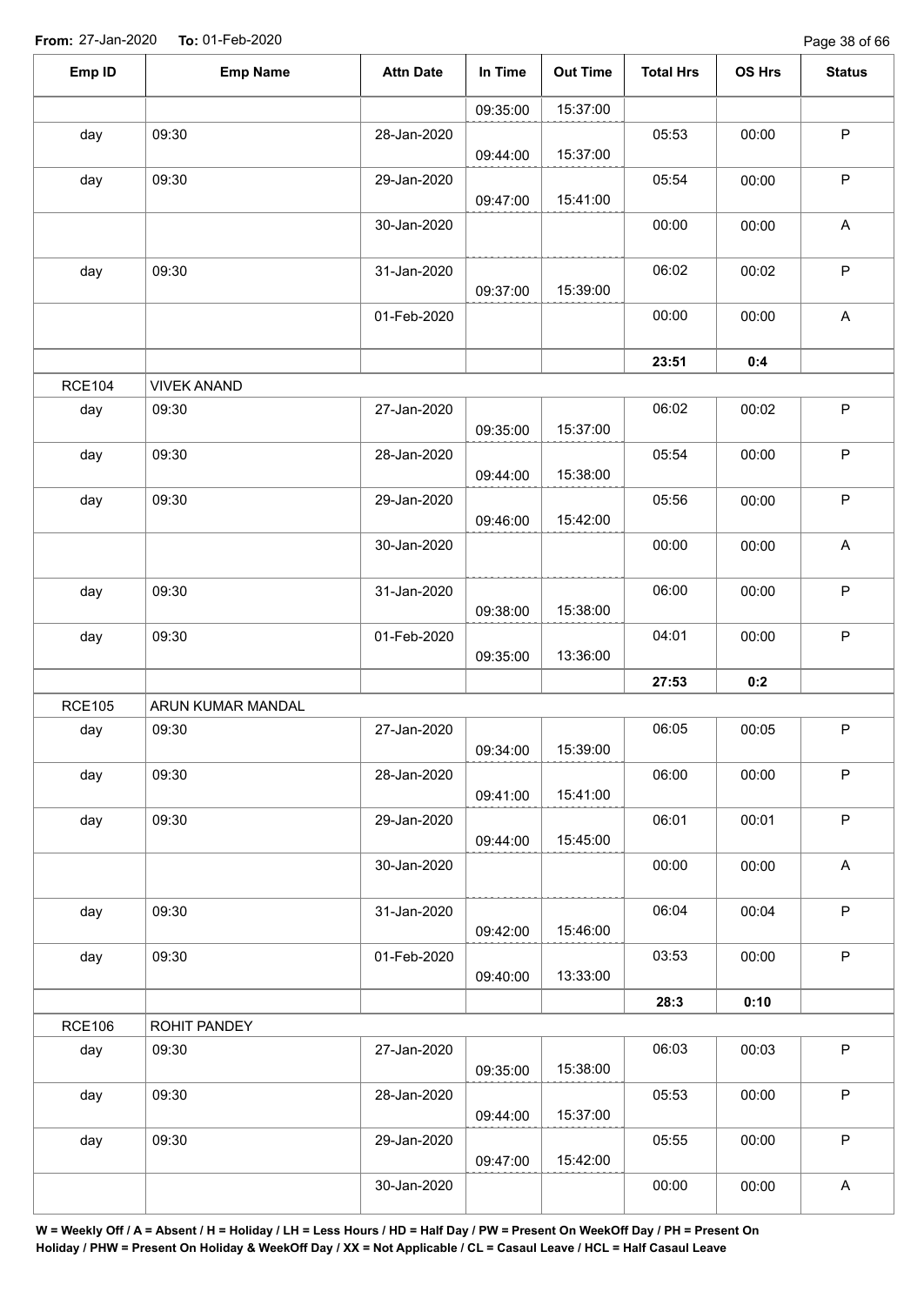| Emp ID        | <b>Emp Name</b>    | <b>Attn Date</b> | In Time  | <b>Out Time</b> | <b>Total Hrs</b> | OS Hrs | <b>Status</b>             |
|---------------|--------------------|------------------|----------|-----------------|------------------|--------|---------------------------|
|               |                    |                  | 09:35:00 | 15:37:00        |                  |        |                           |
| day           | 09:30              | 28-Jan-2020      | 09:44:00 | 15:37:00        | 05:53            | 00:00  | $\mathsf P$               |
| day           | 09:30              | 29-Jan-2020      | 09:47:00 | 15:41:00        | 05:54            | 00:00  | $\sf P$                   |
|               |                    | 30-Jan-2020      |          |                 | 00:00            | 00:00  | $\boldsymbol{\mathsf{A}}$ |
| day           | 09:30              | 31-Jan-2020      | 09:37:00 | 15:39:00        | 06:02            | 00:02  | $\sf P$                   |
|               |                    | 01-Feb-2020      |          |                 | 00:00            | 00:00  | $\boldsymbol{\mathsf{A}}$ |
|               |                    |                  |          |                 | 23:51            | 0:4    |                           |
| <b>RCE104</b> | <b>VIVEK ANAND</b> |                  |          |                 |                  |        |                           |
| day           | 09:30              | 27-Jan-2020      | 09:35:00 | 15:37:00        | 06:02            | 00:02  | $\sf P$                   |
| day           | 09:30              | 28-Jan-2020      | 09:44:00 | 15:38:00        | 05:54            | 00:00  | ${\sf P}$                 |
| day           | 09:30              | 29-Jan-2020      | 09:46:00 | 15:42:00        | 05:56            | 00:00  | $\mathsf P$               |
|               |                    | 30-Jan-2020      |          |                 | 00:00            | 00:00  | $\boldsymbol{\mathsf{A}}$ |
| day           | 09:30              | 31-Jan-2020      | 09:38:00 | 15:38:00        | 06:00            | 00:00  | $\sf P$                   |
| day           | 09:30              | 01-Feb-2020      | 09:35:00 | 13:36:00        | 04:01            | 00:00  | $\mathsf P$               |
|               |                    |                  |          |                 | 27:53            | 0:2    |                           |
| <b>RCE105</b> | ARUN KUMAR MANDAL  |                  |          |                 |                  |        |                           |
| day           | 09:30              | 27-Jan-2020      | 09:34:00 | 15:39:00        | 06:05            | 00:05  | $\mathsf P$               |
| day           | 09:30              | 28-Jan-2020      | 09:41:00 | 15:41:00        | 06:00            | 00:00  | $\sf P$                   |
| day           | 09:30              | 29-Jan-2020      | 09:44:00 | 15:45:00        | 06:01            | 00:01  | $\mathsf P$               |
|               |                    | 30-Jan-2020      |          |                 | 00:00            | 00:00  | A                         |
| day           | 09:30              | 31-Jan-2020      | 09:42:00 | 15:46:00        | 06:04            | 00:04  | $\sf P$                   |
| day           | 09:30              | 01-Feb-2020      | 09:40:00 | 13:33:00        | 03:53            | 00:00  | $\mathsf{P}$              |
|               |                    |                  |          |                 | 28:3             | 0:10   |                           |
| <b>RCE106</b> | ROHIT PANDEY       |                  |          |                 |                  |        |                           |
| day           | 09:30              | 27-Jan-2020      | 09:35:00 | 15:38:00        | 06:03            | 00:03  | $\mathsf{P}$              |
| day           | 09:30              | 28-Jan-2020      | 09:44:00 | 15:37:00        | 05:53            | 00:00  | $\mathsf P$               |
| day           | 09:30              | 29-Jan-2020      | 09:47:00 | 15:42:00        | 05:55            | 00:00  | P                         |
|               |                    | 30-Jan-2020      |          |                 | 00:00            | 00:00  | A                         |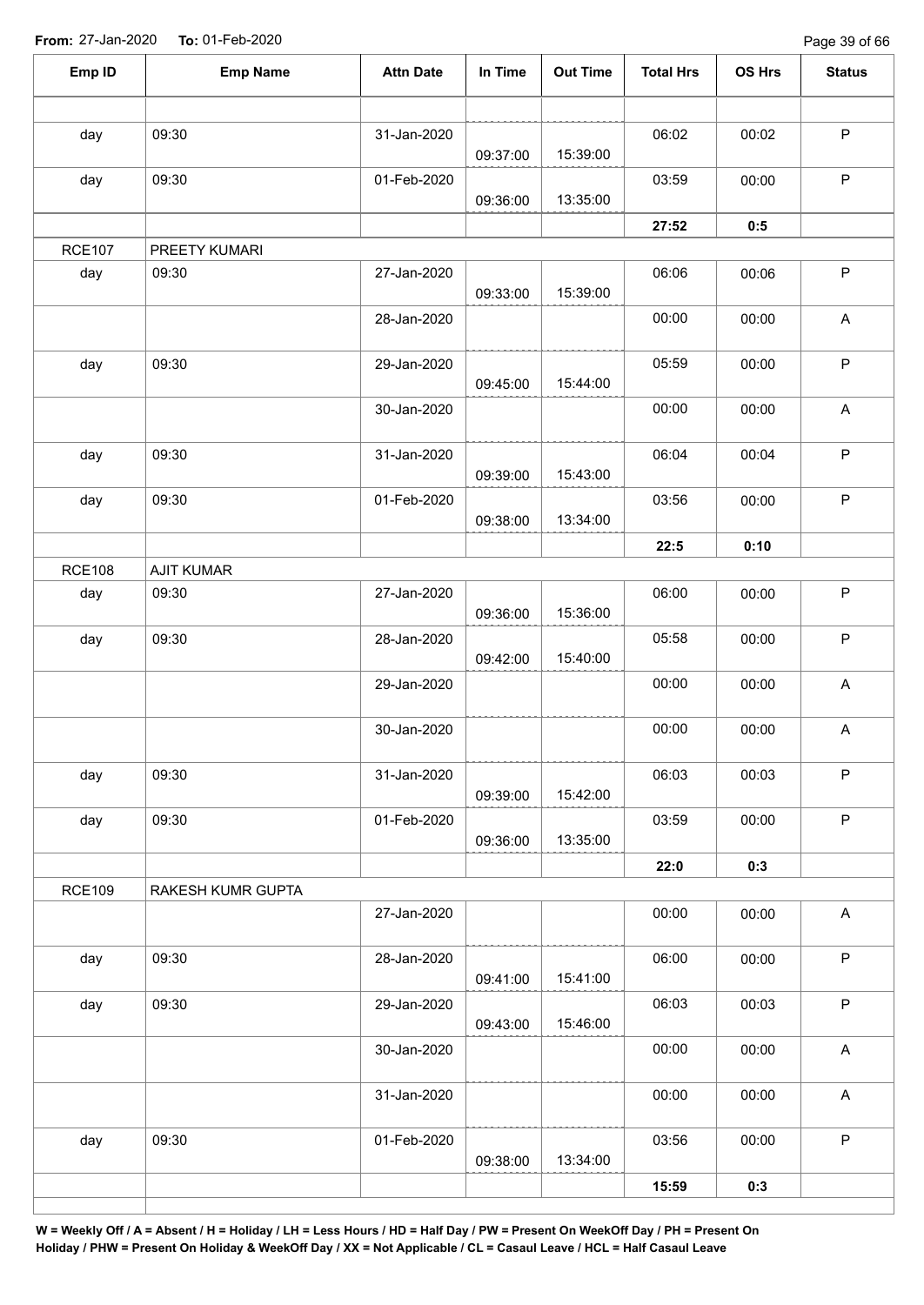Page 39 of 66

| Emp ID        | <b>Emp Name</b>   | <b>Attn Date</b> | In Time  | <b>Out Time</b> | <b>Total Hrs</b> | OS Hrs | <b>Status</b>             |
|---------------|-------------------|------------------|----------|-----------------|------------------|--------|---------------------------|
|               |                   |                  |          |                 |                  |        |                           |
| day           | 09:30             | 31-Jan-2020      | 09:37:00 | 15:39:00        | 06:02            | 00:02  | $\sf P$                   |
| day           | 09:30             | 01-Feb-2020      |          |                 | 03:59            | 00:00  | $\mathsf P$               |
|               |                   |                  | 09:36:00 | 13:35:00        |                  |        |                           |
|               |                   |                  |          |                 | 27:52            | 0:5    |                           |
| <b>RCE107</b> | PREETY KUMARI     |                  |          |                 |                  |        |                           |
| day           | 09:30             | 27-Jan-2020      | 09:33:00 | 15:39:00        | 06:06            | 00:06  | $\mathsf P$               |
|               |                   | 28-Jan-2020      |          |                 | 00:00            | 00:00  | $\boldsymbol{\mathsf{A}}$ |
| day           | 09:30             | 29-Jan-2020      | 09:45:00 | 15:44:00        | 05:59            | 00:00  | $\sf P$                   |
|               |                   | 30-Jan-2020      |          |                 | 00:00            | 00:00  | $\boldsymbol{\mathsf{A}}$ |
| day           | 09:30             | 31-Jan-2020      | 09:39:00 | 15:43:00        | 06:04            | 00:04  | $\mathsf P$               |
| day           | 09:30             | 01-Feb-2020      | 09:38:00 | 13:34:00        | 03:56            | 00:00  | $\mathsf P$               |
|               |                   |                  |          |                 | 22:5             | 0:10   |                           |
| <b>RCE108</b> | <b>AJIT KUMAR</b> |                  |          |                 |                  |        |                           |
| day           | 09:30             | 27-Jan-2020      | 09:36:00 | 15:36:00        | 06:00            | 00:00  | $\mathsf P$               |
| day           | 09:30             | 28-Jan-2020      | 09:42:00 | 15:40:00        | 05:58            | 00:00  | $\mathsf P$               |
|               |                   | 29-Jan-2020      |          |                 | 00:00            | 00:00  | $\boldsymbol{\mathsf{A}}$ |
|               |                   | 30-Jan-2020      |          |                 | 00:00            | 00:00  | $\boldsymbol{\mathsf{A}}$ |
| day           | 09:30             | 31-Jan-2020      | 09:39:00 | 15:42:00        | 06:03            | 00:03  | $\mathsf P$               |
| day           | 09:30             | 01-Feb-2020      | 09:36:00 | 13:35:00        | 03:59            | 00:00  | $\mathsf P$               |
|               |                   |                  |          |                 | 22:0             | 0:3    |                           |
| <b>RCE109</b> | RAKESH KUMR GUPTA |                  |          |                 |                  |        |                           |
|               |                   | 27-Jan-2020      |          |                 | 00:00            | 00:00  | $\boldsymbol{\mathsf{A}}$ |
| day           | 09:30             | 28-Jan-2020      | 09:41:00 | 15:41:00        | 06:00            | 00:00  | $\sf P$                   |
| day           | 09:30             | 29-Jan-2020      | 09:43:00 | 15:46:00        | 06:03            | 00:03  | $\mathsf P$               |
|               |                   | 30-Jan-2020      |          |                 | 00:00            | 00:00  | $\boldsymbol{\mathsf{A}}$ |
|               |                   | 31-Jan-2020      |          |                 | 00:00            | 00:00  | A                         |
| day           | 09:30             | 01-Feb-2020      |          |                 | 03:56            | 00:00  | $\sf P$                   |
|               |                   |                  | 09:38:00 | 13:34:00        |                  |        |                           |
|               |                   |                  |          |                 | 15:59            | 0:3    |                           |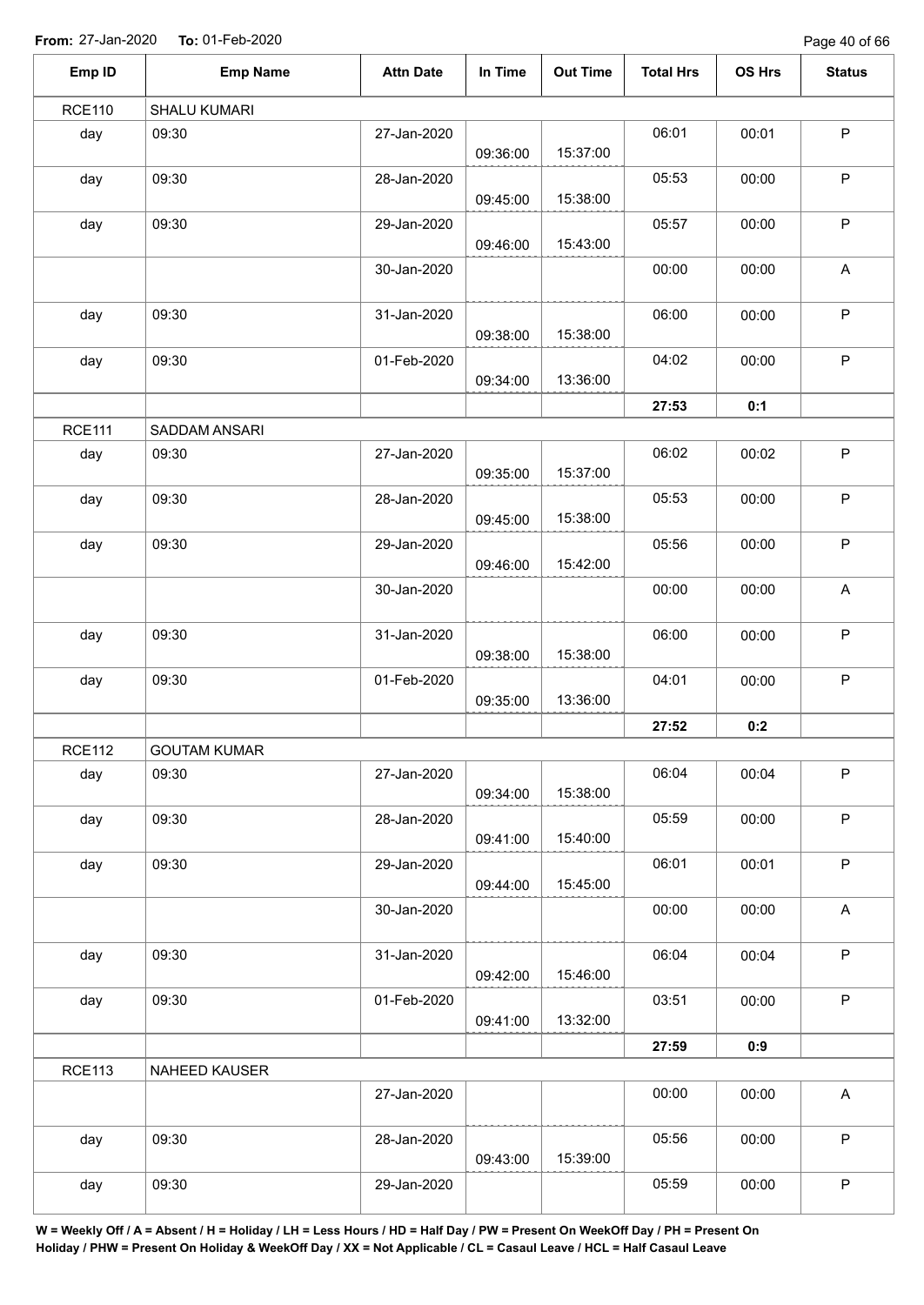Page 40 of 66

| Emp ID        | <b>Emp Name</b>     | <b>Attn Date</b> | In Time  | <b>Out Time</b> | <b>Total Hrs</b> | OS Hrs | <b>Status</b>             |
|---------------|---------------------|------------------|----------|-----------------|------------------|--------|---------------------------|
| <b>RCE110</b> | SHALU KUMARI        |                  |          |                 |                  |        |                           |
| day           | 09:30               | 27-Jan-2020      | 09:36:00 | 15:37:00        | 06:01            | 00:01  | $\sf P$                   |
| day           | 09:30               | 28-Jan-2020      | 09:45:00 | 15:38:00        | 05:53            | 00:00  | $\mathsf P$               |
| day           | 09:30               | 29-Jan-2020      | 09:46:00 | 15:43:00        | 05:57            | 00:00  | $\sf P$                   |
|               |                     | 30-Jan-2020      |          |                 | 00:00            | 00:00  | $\boldsymbol{\mathsf{A}}$ |
| day           | 09:30               | 31-Jan-2020      | 09:38:00 | 15:38:00        | 06:00            | 00:00  | $\mathsf P$               |
| day           | 09:30               | 01-Feb-2020      | 09:34:00 | 13:36:00        | 04:02            | 00:00  | $\mathsf P$               |
|               |                     |                  |          |                 | 27:53            | 0:1    |                           |
| <b>RCE111</b> | SADDAM ANSARI       |                  |          |                 |                  |        |                           |
| day           | 09:30               | 27-Jan-2020      | 09:35:00 | 15:37:00        | 06:02            | 00:02  | $\sf P$                   |
| day           | 09:30               | 28-Jan-2020      | 09:45:00 | 15:38:00        | 05:53            | 00:00  | $\mathsf P$               |
| day           | 09:30               | 29-Jan-2020      | 09:46:00 | 15:42:00        | 05:56            | 00:00  | $\sf P$                   |
|               |                     | 30-Jan-2020      |          |                 | 00:00            | 00:00  | A                         |
| day           | 09:30               | 31-Jan-2020      | 09:38:00 | 15:38:00        | 06:00            | 00:00  | $\sf P$                   |
| day           | 09:30               | 01-Feb-2020      | 09:35:00 | 13:36:00        | 04:01            | 00:00  | $\sf P$                   |
|               |                     |                  |          |                 | 27:52            | 0:2    |                           |
| <b>RCE112</b> | <b>GOUTAM KUMAR</b> |                  |          |                 |                  |        |                           |
| day           | 09:30               | 27-Jan-2020      | 09:34:00 | 15:38:00        | 06:04            | 00:04  | $\sf P$                   |
| day           | 09:30               | 28-Jan-2020      | 09:41:00 | 15:40:00        | 05:59            | 00:00  | $\mathsf P$               |
| day           | 09:30               | 29-Jan-2020      | 09:44:00 | 15:45:00        | 06:01            | 00:01  | $\sf P$                   |
|               |                     | 30-Jan-2020      |          |                 | 00:00            | 00:00  | $\boldsymbol{\mathsf{A}}$ |
| day           | 09:30               | 31-Jan-2020      | 09:42:00 | 15:46:00        | 06:04            | 00:04  | $\mathsf P$               |
| day           | 09:30               | 01-Feb-2020      | 09:41:00 | 13:32:00        | 03:51            | 00:00  | $\sf P$                   |
|               |                     |                  |          |                 | 27:59            | 0:9    |                           |
| <b>RCE113</b> | NAHEED KAUSER       |                  |          |                 |                  |        |                           |
|               |                     | 27-Jan-2020      |          |                 | 00:00            | 00:00  | A                         |
| day           | 09:30               | 28-Jan-2020      | 09:43:00 | 15:39:00        | 05:56            | 00:00  | $\mathsf P$               |
| day           | 09:30               | 29-Jan-2020      |          |                 | 05:59            | 00:00  | ${\sf P}$                 |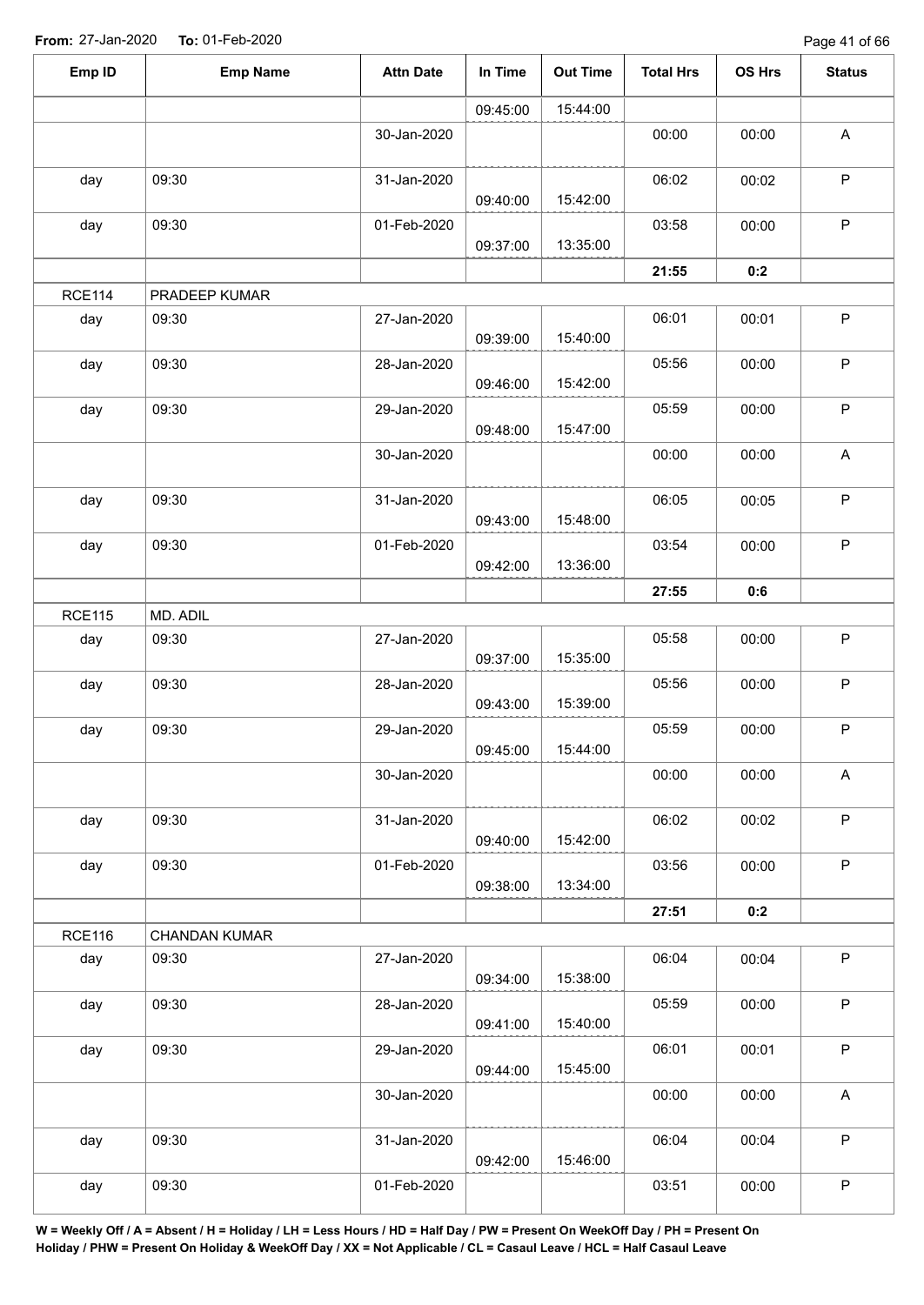Page 41 of 66

| Emp ID        | <b>Emp Name</b>      | <b>Attn Date</b> | In Time  | <b>Out Time</b> | <b>Total Hrs</b> | OS Hrs | <b>Status</b>             |
|---------------|----------------------|------------------|----------|-----------------|------------------|--------|---------------------------|
|               |                      |                  | 09:45:00 | 15:44:00        |                  |        |                           |
|               |                      | 30-Jan-2020      |          |                 | 00:00            | 00:00  | $\boldsymbol{\mathsf{A}}$ |
| day           | 09:30                | 31-Jan-2020      | 09:40:00 | 15:42:00        | 06:02            | 00:02  | $\mathsf P$               |
| day           | 09:30                | 01-Feb-2020      | 09:37:00 | 13:35:00        | 03:58            | 00:00  | $\mathsf P$               |
|               |                      |                  |          |                 | 21:55            | 0:2    |                           |
| <b>RCE114</b> | PRADEEP KUMAR        |                  |          |                 |                  |        |                           |
| day           | 09:30                | 27-Jan-2020      | 09:39:00 | 15:40:00        | 06:01            | 00:01  | $\mathsf P$               |
| day           | 09:30                | 28-Jan-2020      | 09:46:00 | 15:42:00        | 05:56            | 00:00  | $\sf P$                   |
| day           | 09:30                | 29-Jan-2020      | 09:48:00 | 15:47:00        | 05:59            | 00:00  | $\mathsf P$               |
|               |                      | 30-Jan-2020      |          |                 | 00:00            | 00:00  | $\boldsymbol{\mathsf{A}}$ |
| day           | 09:30                | 31-Jan-2020      | 09:43:00 | 15:48:00        | 06:05            | 00:05  | $\mathsf P$               |
| day           | 09:30                | 01-Feb-2020      | 09:42:00 | 13:36:00        | 03:54            | 00:00  | $\sf P$                   |
|               |                      |                  |          |                 | 27:55            | 0:6    |                           |
| <b>RCE115</b> | MD. ADIL             |                  |          |                 |                  |        |                           |
| day           | 09:30                | 27-Jan-2020      | 09:37:00 | 15:35:00        | 05:58            | 00:00  | $\mathsf P$               |
| day           | 09:30                | 28-Jan-2020      | 09:43:00 | 15:39:00        | 05:56            | 00:00  | $\mathsf P$               |
| day           | 09:30                | 29-Jan-2020      | 09:45:00 | 15:44:00        | 05:59            | 00:00  | P                         |
|               |                      | 30-Jan-2020      |          |                 | 00:00            | 00:00  | A                         |
| day           | 09:30                | 31-Jan-2020      | 09:40:00 | 15:42:00        | 06:02            | 00:02  | P                         |
| day           | 09:30                | 01-Feb-2020      | 09:38:00 | 13:34:00        | 03:56            | 00:00  | $\mathsf P$               |
|               |                      |                  |          |                 | 27:51            | 0:2    |                           |
| <b>RCE116</b> | <b>CHANDAN KUMAR</b> |                  |          |                 |                  |        |                           |
| day           | 09:30                | 27-Jan-2020      | 09:34:00 | 15:38:00        | 06:04            | 00:04  | $\sf P$                   |
| day           | 09:30                | 28-Jan-2020      | 09:41:00 | 15:40:00        | 05:59            | 00:00  | P                         |
| day           | 09:30                | 29-Jan-2020      | 09:44:00 | 15:45:00        | 06:01            | 00:01  | $\mathsf P$               |
|               |                      | 30-Jan-2020      |          |                 | 00:00            | 00:00  | $\mathsf{A}$              |
| day           | 09:30                | 31-Jan-2020      | 09:42:00 | 15:46:00        | 06:04            | 00:04  | $\mathsf P$               |
| day           | 09:30                | 01-Feb-2020      |          |                 | 03:51            | 00:00  | $\sf P$                   |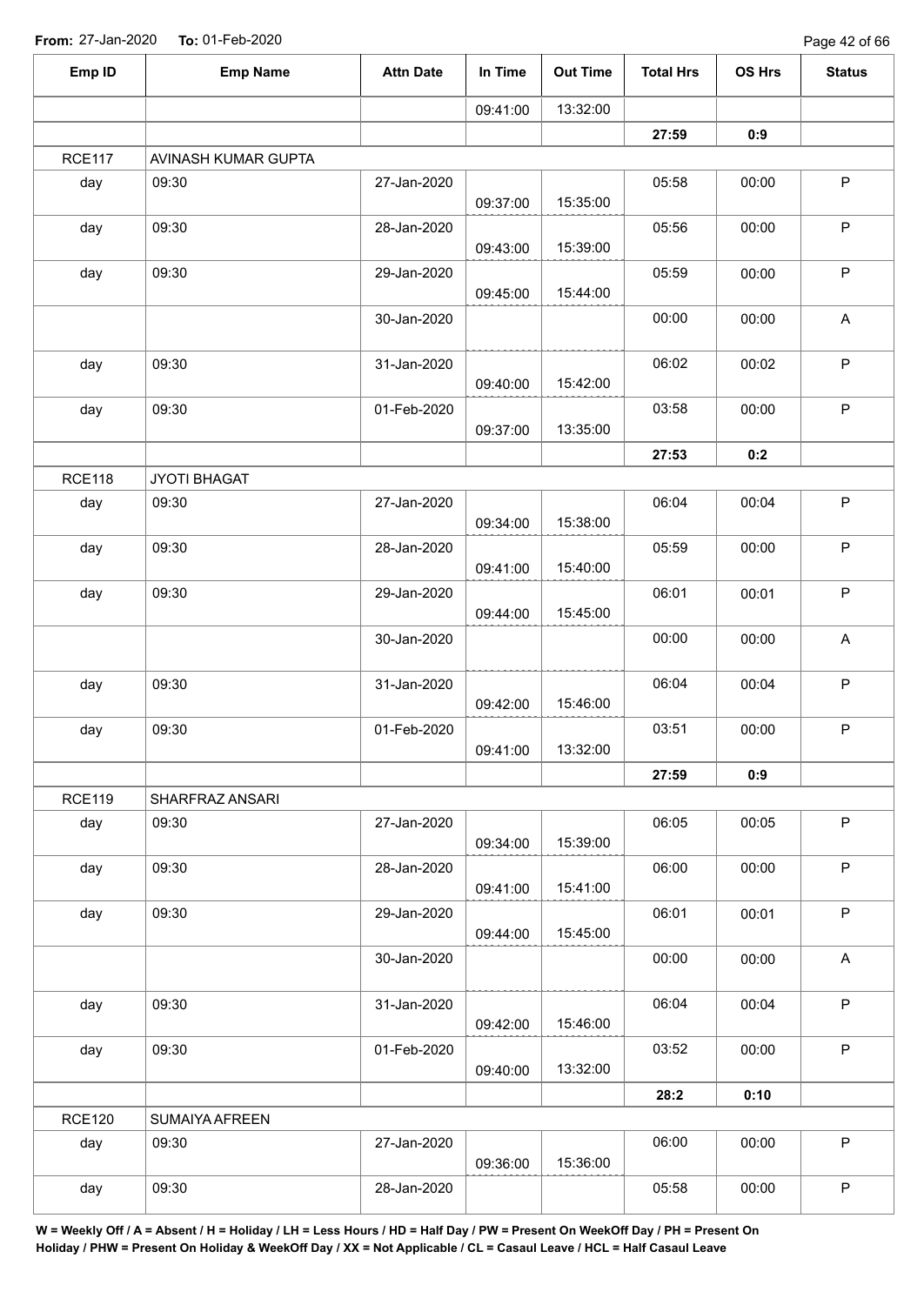Page 42 of 66

| 13:32:00<br>09:41:00<br>27:59<br>0:9<br><b>RCE117</b><br>AVINASH KUMAR GUPTA<br>09:30<br>27-Jan-2020<br>05:58<br>day<br>00:00<br>15:35:00<br>09:37:00<br>09:30<br>28-Jan-2020<br>05:56<br>00:00<br>day<br>15:39:00<br>09:43:00<br>09:30<br>day<br>29-Jan-2020<br>05:59<br>00:00<br>15:44:00<br>09:45:00<br>30-Jan-2020<br>00:00<br>00:00<br>09:30<br>31-Jan-2020<br>06:02<br>00:02<br>day<br>15:42:00<br>09:40:00<br>09:30<br>01-Feb-2020<br>03:58<br>day<br>00:00<br>13:35:00<br>09:37:00<br>27:53<br>0:2<br><b>RCE118</b><br>JYOTI BHAGAT<br>09:30<br>27-Jan-2020<br>06:04<br>00:04<br>day<br>15:38:00<br>09:34:00<br>05:59<br>09:30<br>00:00<br>day<br>28-Jan-2020<br>15:40:00<br>09:41:00<br>09:30<br>06:01<br>29-Jan-2020<br>00:01<br>day<br>15:45:00<br>09:44:00<br>00:00<br>00:00<br>30-Jan-2020<br>31-Jan-2020<br>06:04<br>09:30<br>00:04<br>day<br>15:46:00<br>09:42:00<br>09:30<br>03:51<br>01-Feb-2020<br>00:00<br>day<br>13:32:00<br>09:41:00<br>0:9<br>27:59<br><b>RCE119</b><br>SHARFRAZ ANSARI<br>06:05<br>09:30<br>27-Jan-2020<br>00:05<br>day<br>15:39:00<br>09:34:00<br>06:00<br>09:30<br>28-Jan-2020<br>00:00<br>day<br>15:41:00<br>09:41:00<br>06:01<br>09:30<br>00:01<br>day<br>29-Jan-2020<br>15:45:00<br>09:44:00<br>00:00<br>00:00<br>30-Jan-2020<br>06:04<br>09:30<br>00:04<br>day<br>31-Jan-2020<br>15:46:00<br>09:42:00<br>09:30<br>03:52<br>day<br>01-Feb-2020<br>00:00<br>13:32:00<br>09:40:00<br>28:2<br>0:10<br><b>RCE120</b><br>SUMAIYA AFREEN<br>06:00<br>09:30<br>27-Jan-2020<br>00:00<br>day<br>15:36:00<br>09:36:00<br>09:30<br>05:58<br>day<br>28-Jan-2020<br>00:00 | Emp ID | <b>Emp Name</b> | <b>Attn Date</b> | In Time | <b>Out Time</b> | <b>Total Hrs</b> | OS Hrs | <b>Status</b>             |
|----------------------------------------------------------------------------------------------------------------------------------------------------------------------------------------------------------------------------------------------------------------------------------------------------------------------------------------------------------------------------------------------------------------------------------------------------------------------------------------------------------------------------------------------------------------------------------------------------------------------------------------------------------------------------------------------------------------------------------------------------------------------------------------------------------------------------------------------------------------------------------------------------------------------------------------------------------------------------------------------------------------------------------------------------------------------------------------------------------------------------------------------------------------------------------------------------------------------------------------------------------------------------------------------------------------------------------------------------------------------------------------------------------------------------------------------------------------------------------------------------------------------------------------------------------------------------------------------------------|--------|-----------------|------------------|---------|-----------------|------------------|--------|---------------------------|
|                                                                                                                                                                                                                                                                                                                                                                                                                                                                                                                                                                                                                                                                                                                                                                                                                                                                                                                                                                                                                                                                                                                                                                                                                                                                                                                                                                                                                                                                                                                                                                                                          |        |                 |                  |         |                 |                  |        |                           |
|                                                                                                                                                                                                                                                                                                                                                                                                                                                                                                                                                                                                                                                                                                                                                                                                                                                                                                                                                                                                                                                                                                                                                                                                                                                                                                                                                                                                                                                                                                                                                                                                          |        |                 |                  |         |                 |                  |        |                           |
|                                                                                                                                                                                                                                                                                                                                                                                                                                                                                                                                                                                                                                                                                                                                                                                                                                                                                                                                                                                                                                                                                                                                                                                                                                                                                                                                                                                                                                                                                                                                                                                                          |        |                 |                  |         |                 |                  |        |                           |
|                                                                                                                                                                                                                                                                                                                                                                                                                                                                                                                                                                                                                                                                                                                                                                                                                                                                                                                                                                                                                                                                                                                                                                                                                                                                                                                                                                                                                                                                                                                                                                                                          |        |                 |                  |         |                 |                  |        | $\sf P$                   |
|                                                                                                                                                                                                                                                                                                                                                                                                                                                                                                                                                                                                                                                                                                                                                                                                                                                                                                                                                                                                                                                                                                                                                                                                                                                                                                                                                                                                                                                                                                                                                                                                          |        |                 |                  |         |                 |                  |        | P                         |
|                                                                                                                                                                                                                                                                                                                                                                                                                                                                                                                                                                                                                                                                                                                                                                                                                                                                                                                                                                                                                                                                                                                                                                                                                                                                                                                                                                                                                                                                                                                                                                                                          |        |                 |                  |         |                 |                  |        | P                         |
|                                                                                                                                                                                                                                                                                                                                                                                                                                                                                                                                                                                                                                                                                                                                                                                                                                                                                                                                                                                                                                                                                                                                                                                                                                                                                                                                                                                                                                                                                                                                                                                                          |        |                 |                  |         |                 |                  |        | A                         |
|                                                                                                                                                                                                                                                                                                                                                                                                                                                                                                                                                                                                                                                                                                                                                                                                                                                                                                                                                                                                                                                                                                                                                                                                                                                                                                                                                                                                                                                                                                                                                                                                          |        |                 |                  |         |                 |                  |        | $\sf P$                   |
|                                                                                                                                                                                                                                                                                                                                                                                                                                                                                                                                                                                                                                                                                                                                                                                                                                                                                                                                                                                                                                                                                                                                                                                                                                                                                                                                                                                                                                                                                                                                                                                                          |        |                 |                  |         |                 |                  |        | $\mathsf P$               |
|                                                                                                                                                                                                                                                                                                                                                                                                                                                                                                                                                                                                                                                                                                                                                                                                                                                                                                                                                                                                                                                                                                                                                                                                                                                                                                                                                                                                                                                                                                                                                                                                          |        |                 |                  |         |                 |                  |        |                           |
|                                                                                                                                                                                                                                                                                                                                                                                                                                                                                                                                                                                                                                                                                                                                                                                                                                                                                                                                                                                                                                                                                                                                                                                                                                                                                                                                                                                                                                                                                                                                                                                                          |        |                 |                  |         |                 |                  |        |                           |
|                                                                                                                                                                                                                                                                                                                                                                                                                                                                                                                                                                                                                                                                                                                                                                                                                                                                                                                                                                                                                                                                                                                                                                                                                                                                                                                                                                                                                                                                                                                                                                                                          |        |                 |                  |         |                 |                  |        | $\sf P$                   |
|                                                                                                                                                                                                                                                                                                                                                                                                                                                                                                                                                                                                                                                                                                                                                                                                                                                                                                                                                                                                                                                                                                                                                                                                                                                                                                                                                                                                                                                                                                                                                                                                          |        |                 |                  |         |                 |                  |        | P                         |
|                                                                                                                                                                                                                                                                                                                                                                                                                                                                                                                                                                                                                                                                                                                                                                                                                                                                                                                                                                                                                                                                                                                                                                                                                                                                                                                                                                                                                                                                                                                                                                                                          |        |                 |                  |         |                 |                  |        | $\sf P$                   |
|                                                                                                                                                                                                                                                                                                                                                                                                                                                                                                                                                                                                                                                                                                                                                                                                                                                                                                                                                                                                                                                                                                                                                                                                                                                                                                                                                                                                                                                                                                                                                                                                          |        |                 |                  |         |                 |                  |        | A                         |
|                                                                                                                                                                                                                                                                                                                                                                                                                                                                                                                                                                                                                                                                                                                                                                                                                                                                                                                                                                                                                                                                                                                                                                                                                                                                                                                                                                                                                                                                                                                                                                                                          |        |                 |                  |         |                 |                  |        | $\mathsf P$               |
|                                                                                                                                                                                                                                                                                                                                                                                                                                                                                                                                                                                                                                                                                                                                                                                                                                                                                                                                                                                                                                                                                                                                                                                                                                                                                                                                                                                                                                                                                                                                                                                                          |        |                 |                  |         |                 |                  |        | P                         |
|                                                                                                                                                                                                                                                                                                                                                                                                                                                                                                                                                                                                                                                                                                                                                                                                                                                                                                                                                                                                                                                                                                                                                                                                                                                                                                                                                                                                                                                                                                                                                                                                          |        |                 |                  |         |                 |                  |        |                           |
|                                                                                                                                                                                                                                                                                                                                                                                                                                                                                                                                                                                                                                                                                                                                                                                                                                                                                                                                                                                                                                                                                                                                                                                                                                                                                                                                                                                                                                                                                                                                                                                                          |        |                 |                  |         |                 |                  |        |                           |
|                                                                                                                                                                                                                                                                                                                                                                                                                                                                                                                                                                                                                                                                                                                                                                                                                                                                                                                                                                                                                                                                                                                                                                                                                                                                                                                                                                                                                                                                                                                                                                                                          |        |                 |                  |         |                 |                  |        | $\mathsf P$               |
|                                                                                                                                                                                                                                                                                                                                                                                                                                                                                                                                                                                                                                                                                                                                                                                                                                                                                                                                                                                                                                                                                                                                                                                                                                                                                                                                                                                                                                                                                                                                                                                                          |        |                 |                  |         |                 |                  |        | $\sf P$                   |
|                                                                                                                                                                                                                                                                                                                                                                                                                                                                                                                                                                                                                                                                                                                                                                                                                                                                                                                                                                                                                                                                                                                                                                                                                                                                                                                                                                                                                                                                                                                                                                                                          |        |                 |                  |         |                 |                  |        | P                         |
|                                                                                                                                                                                                                                                                                                                                                                                                                                                                                                                                                                                                                                                                                                                                                                                                                                                                                                                                                                                                                                                                                                                                                                                                                                                                                                                                                                                                                                                                                                                                                                                                          |        |                 |                  |         |                 |                  |        | $\boldsymbol{\mathsf{A}}$ |
|                                                                                                                                                                                                                                                                                                                                                                                                                                                                                                                                                                                                                                                                                                                                                                                                                                                                                                                                                                                                                                                                                                                                                                                                                                                                                                                                                                                                                                                                                                                                                                                                          |        |                 |                  |         |                 |                  |        | $\mathsf P$               |
|                                                                                                                                                                                                                                                                                                                                                                                                                                                                                                                                                                                                                                                                                                                                                                                                                                                                                                                                                                                                                                                                                                                                                                                                                                                                                                                                                                                                                                                                                                                                                                                                          |        |                 |                  |         |                 |                  |        | $\sf P$                   |
|                                                                                                                                                                                                                                                                                                                                                                                                                                                                                                                                                                                                                                                                                                                                                                                                                                                                                                                                                                                                                                                                                                                                                                                                                                                                                                                                                                                                                                                                                                                                                                                                          |        |                 |                  |         |                 |                  |        |                           |
|                                                                                                                                                                                                                                                                                                                                                                                                                                                                                                                                                                                                                                                                                                                                                                                                                                                                                                                                                                                                                                                                                                                                                                                                                                                                                                                                                                                                                                                                                                                                                                                                          |        |                 |                  |         |                 |                  |        |                           |
|                                                                                                                                                                                                                                                                                                                                                                                                                                                                                                                                                                                                                                                                                                                                                                                                                                                                                                                                                                                                                                                                                                                                                                                                                                                                                                                                                                                                                                                                                                                                                                                                          |        |                 |                  |         |                 |                  |        | $\mathsf P$               |
|                                                                                                                                                                                                                                                                                                                                                                                                                                                                                                                                                                                                                                                                                                                                                                                                                                                                                                                                                                                                                                                                                                                                                                                                                                                                                                                                                                                                                                                                                                                                                                                                          |        |                 |                  |         |                 |                  |        | $\mathsf P$               |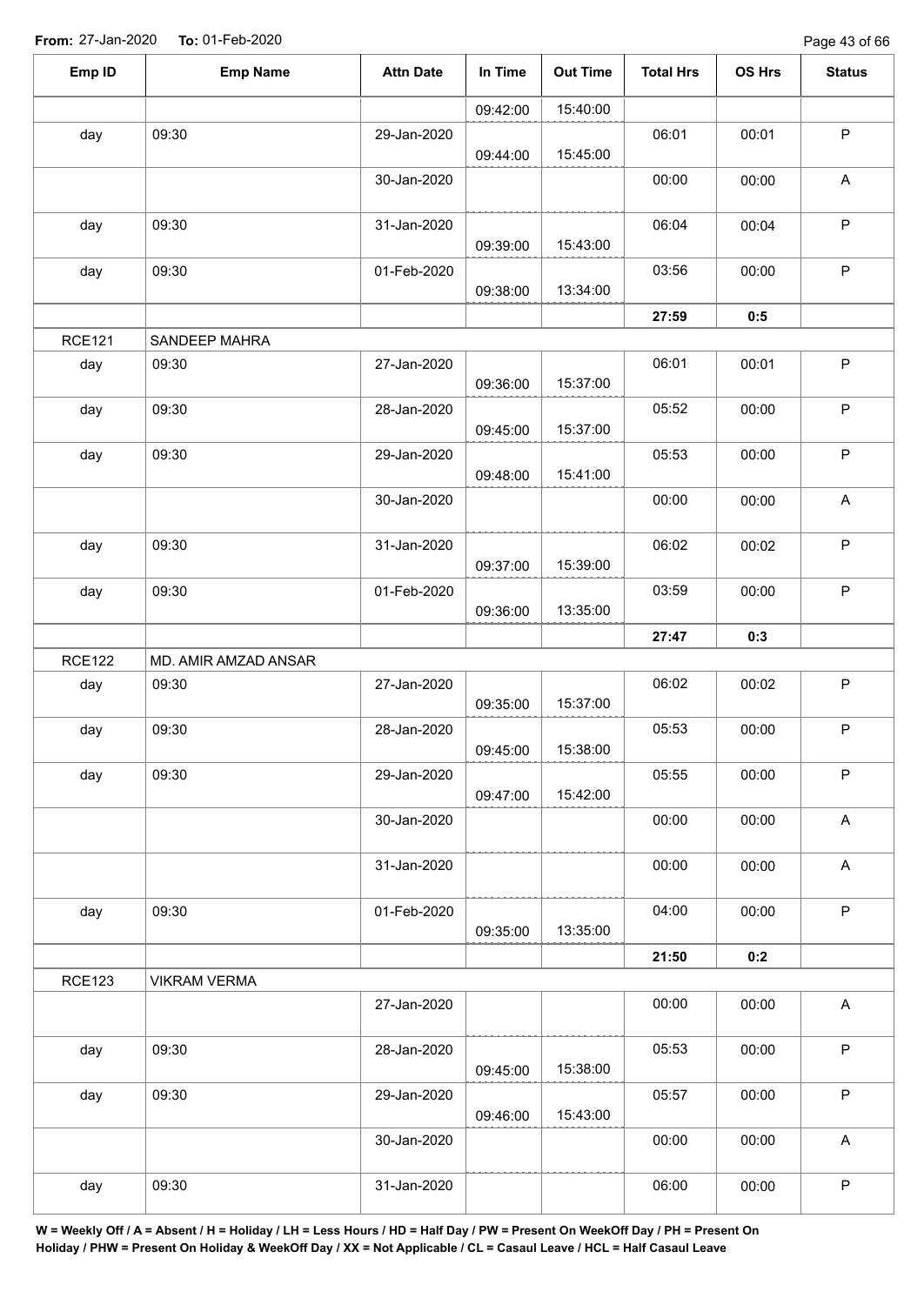| Emp ID        | <b>Emp Name</b>      | <b>Attn Date</b> | In Time  | <b>Out Time</b> | <b>Total Hrs</b> | OS Hrs | <b>Status</b>             |
|---------------|----------------------|------------------|----------|-----------------|------------------|--------|---------------------------|
|               |                      |                  | 09:42:00 | 15:40:00        |                  |        |                           |
| day           | 09:30                | 29-Jan-2020      | 09:44:00 | 15:45:00        | 06:01            | 00:01  | $\mathsf P$               |
|               |                      | 30-Jan-2020      |          |                 | 00:00            | 00:00  | A                         |
| day           | 09:30                | 31-Jan-2020      | 09:39:00 | 15:43:00        | 06:04            | 00:04  | $\sf P$                   |
| day           | 09:30                | 01-Feb-2020      | 09:38:00 | 13:34:00        | 03:56            | 00:00  | ${\sf P}$                 |
|               |                      |                  |          |                 | 27:59            | 0:5    |                           |
| <b>RCE121</b> | SANDEEP MAHRA        |                  |          |                 |                  |        |                           |
| day           | 09:30                | 27-Jan-2020      | 09:36:00 | 15:37:00        | 06:01            | 00:01  | $\sf P$                   |
| day           | 09:30                | 28-Jan-2020      | 09:45:00 | 15:37:00        | 05:52            | 00:00  | $\mathsf P$               |
| day           | 09:30                | 29-Jan-2020      | 09:48:00 | 15:41:00        | 05:53            | 00:00  | $\sf P$                   |
|               |                      | 30-Jan-2020      |          |                 | 00:00            | 00:00  | $\mathsf A$               |
| day           | 09:30                | 31-Jan-2020      | 09:37:00 | 15:39:00        | 06:02            | 00:02  | $\sf P$                   |
| day           | 09:30                | 01-Feb-2020      | 09:36:00 | 13:35:00        | 03:59            | 00:00  | $\sf P$                   |
|               |                      |                  |          |                 | 27:47            | 0:3    |                           |
| <b>RCE122</b> | MD. AMIR AMZAD ANSAR |                  |          |                 |                  |        |                           |
| day           | 09:30                | 27-Jan-2020      | 09:35:00 | 15:37:00        | 06:02            | 00:02  | $\mathsf P$               |
| day           | 09:30                | 28-Jan-2020      | 09:45:00 | 15:38:00        | 05:53            | 00:00  | $\sf P$                   |
| day           | 09:30                | 29-Jan-2020      | 09:47:00 | 15:42:00        | 05:55            | 00:00  | $\mathsf P$               |
|               |                      | 30-Jan-2020      |          |                 | 00:00            | 00:00  | A                         |
|               |                      | 31-Jan-2020      |          |                 | 00:00            | 00:00  | $\mathsf A$               |
| day           | 09:30                | 01-Feb-2020      | 09:35:00 | 13:35:00        | 04:00            | 00:00  | $\sf P$                   |
|               |                      |                  |          |                 | 21:50            | 0:2    |                           |
| <b>RCE123</b> | <b>VIKRAM VERMA</b>  |                  |          |                 |                  |        |                           |
|               |                      | 27-Jan-2020      |          |                 | 00:00            | 00:00  | $\boldsymbol{\mathsf{A}}$ |
| day           | 09:30                | 28-Jan-2020      | 09:45:00 | 15:38:00        | 05:53            | 00:00  | $\mathsf P$               |
| day           | 09:30                | 29-Jan-2020      | 09:46:00 | 15:43:00        | 05:57            | 00:00  | $\sf P$                   |
|               |                      | 30-Jan-2020      |          |                 | 00:00            | 00:00  | A                         |
| day           | 09:30                | 31-Jan-2020      |          |                 | 06:00            | 00:00  | $\mathsf P$               |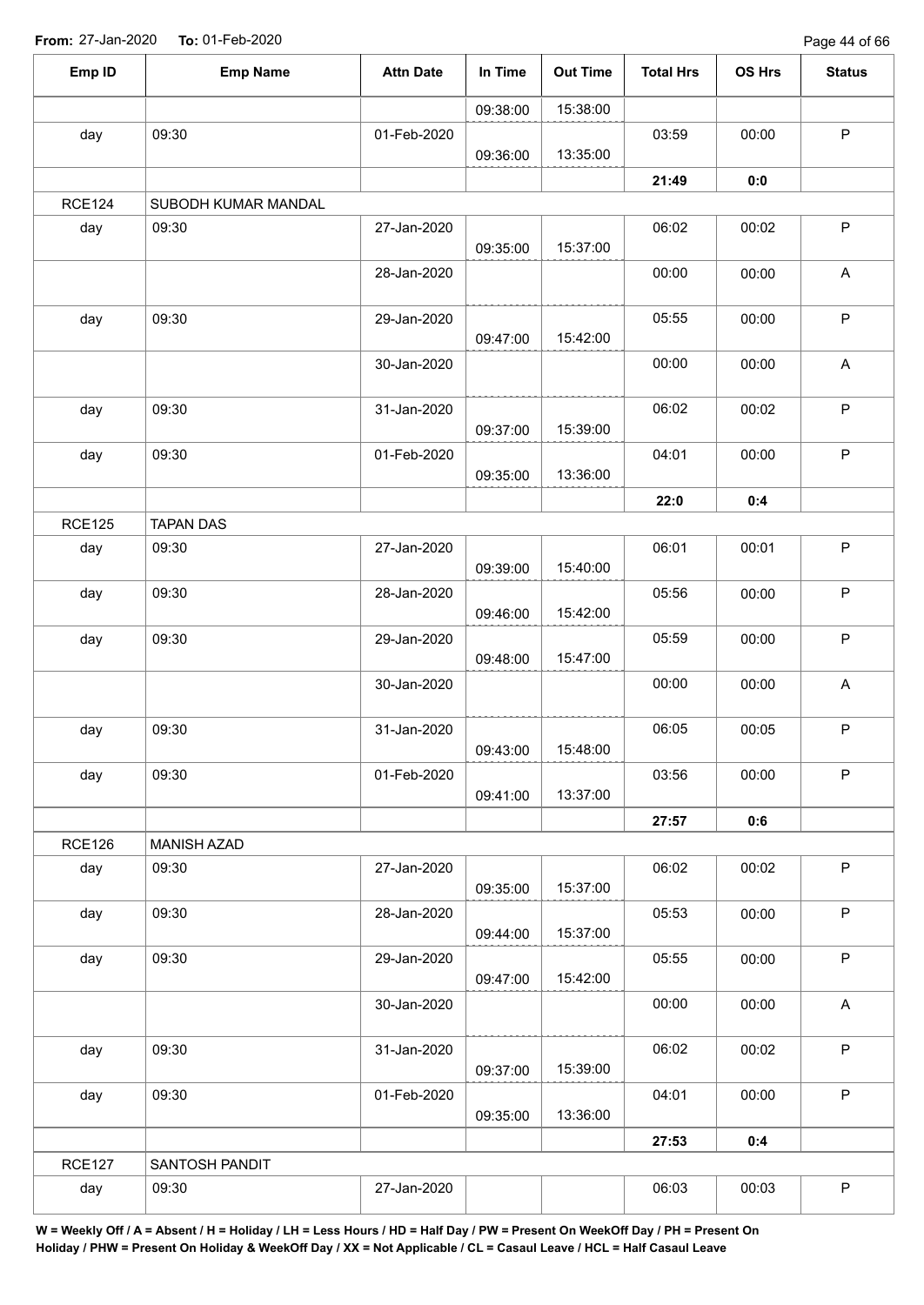Page 44 of 66

| Emp ID        | <b>Emp Name</b>     | <b>Attn Date</b> | In Time  | <b>Out Time</b> | <b>Total Hrs</b> | OS Hrs | <b>Status</b>             |
|---------------|---------------------|------------------|----------|-----------------|------------------|--------|---------------------------|
|               |                     |                  | 09:38:00 | 15:38:00        |                  |        |                           |
| day           | 09:30               | 01-Feb-2020      | 09:36:00 | 13:35:00        | 03:59            | 00:00  | $\mathsf P$               |
|               |                     |                  |          |                 | 21:49            | 0:0    |                           |
| <b>RCE124</b> | SUBODH KUMAR MANDAL |                  |          |                 |                  |        |                           |
| day           | 09:30               | 27-Jan-2020      | 09:35:00 | 15:37:00        | 06:02            | 00:02  | $\mathsf P$               |
|               |                     | 28-Jan-2020      |          |                 | 00:00            | 00:00  | $\boldsymbol{\mathsf{A}}$ |
| day           | 09:30               | 29-Jan-2020      | 09:47:00 | 15:42:00        | 05:55            | 00:00  | ${\sf P}$                 |
|               |                     | 30-Jan-2020      |          |                 | 00:00            | 00:00  | A                         |
| day           | 09:30               | 31-Jan-2020      | 09:37:00 | 15:39:00        | 06:02            | 00:02  | $\sf P$                   |
| day           | 09:30               | 01-Feb-2020      | 09:35:00 | 13:36:00        | 04:01            | 00:00  | $\sf P$                   |
|               |                     |                  |          |                 | 22:0             | 0:4    |                           |
| <b>RCE125</b> | <b>TAPAN DAS</b>    |                  |          |                 |                  |        |                           |
| day           | 09:30               | 27-Jan-2020      | 09:39:00 | 15:40:00        | 06:01            | 00:01  | $\mathsf P$               |
| day           | 09:30               | 28-Jan-2020      | 09:46:00 | 15:42:00        | 05:56            | 00:00  | $\sf P$                   |
| day           | 09:30               | 29-Jan-2020      | 09:48:00 | 15:47:00        | 05:59            | 00:00  | $\mathsf P$               |
|               |                     | 30-Jan-2020      |          |                 | 00:00            | 00:00  | A                         |
| day           | 09:30               | 31-Jan-2020      | 09:43:00 | 15:48:00        | 06:05            | 00:05  | $\sf P$                   |
| day           | 09:30               | 01-Feb-2020      | 09:41:00 | 13:37:00        | 03:56            | 00:00  | $\mathsf P$               |
|               |                     |                  |          |                 | 27:57            | 0:6    |                           |
| <b>RCE126</b> | <b>MANISH AZAD</b>  |                  |          |                 |                  |        |                           |
| day           | 09:30               | 27-Jan-2020      | 09:35:00 | 15:37:00        | 06:02            | 00:02  | $\mathsf P$               |
| day           | 09:30               | 28-Jan-2020      | 09:44:00 | 15:37:00        | 05:53            | 00:00  | $\mathsf P$               |
| day           | 09:30               | 29-Jan-2020      | 09:47:00 | 15:42:00        | 05:55            | 00:00  | $\sf P$                   |
|               |                     | 30-Jan-2020      |          |                 | 00:00            | 00:00  | $\mathsf{A}$              |
| day           | 09:30               | 31-Jan-2020      | 09:37:00 | 15:39:00        | 06:02            | 00:02  | $\sf P$                   |
| day           | 09:30               | 01-Feb-2020      | 09:35:00 | 13:36:00        | 04:01            | 00:00  | P                         |
|               |                     |                  |          |                 | 27:53            | 0:4    |                           |
| <b>RCE127</b> | SANTOSH PANDIT      |                  |          |                 |                  |        |                           |
| day           | 09:30               | 27-Jan-2020      |          |                 | 06:03            | 00:03  | $\sf P$                   |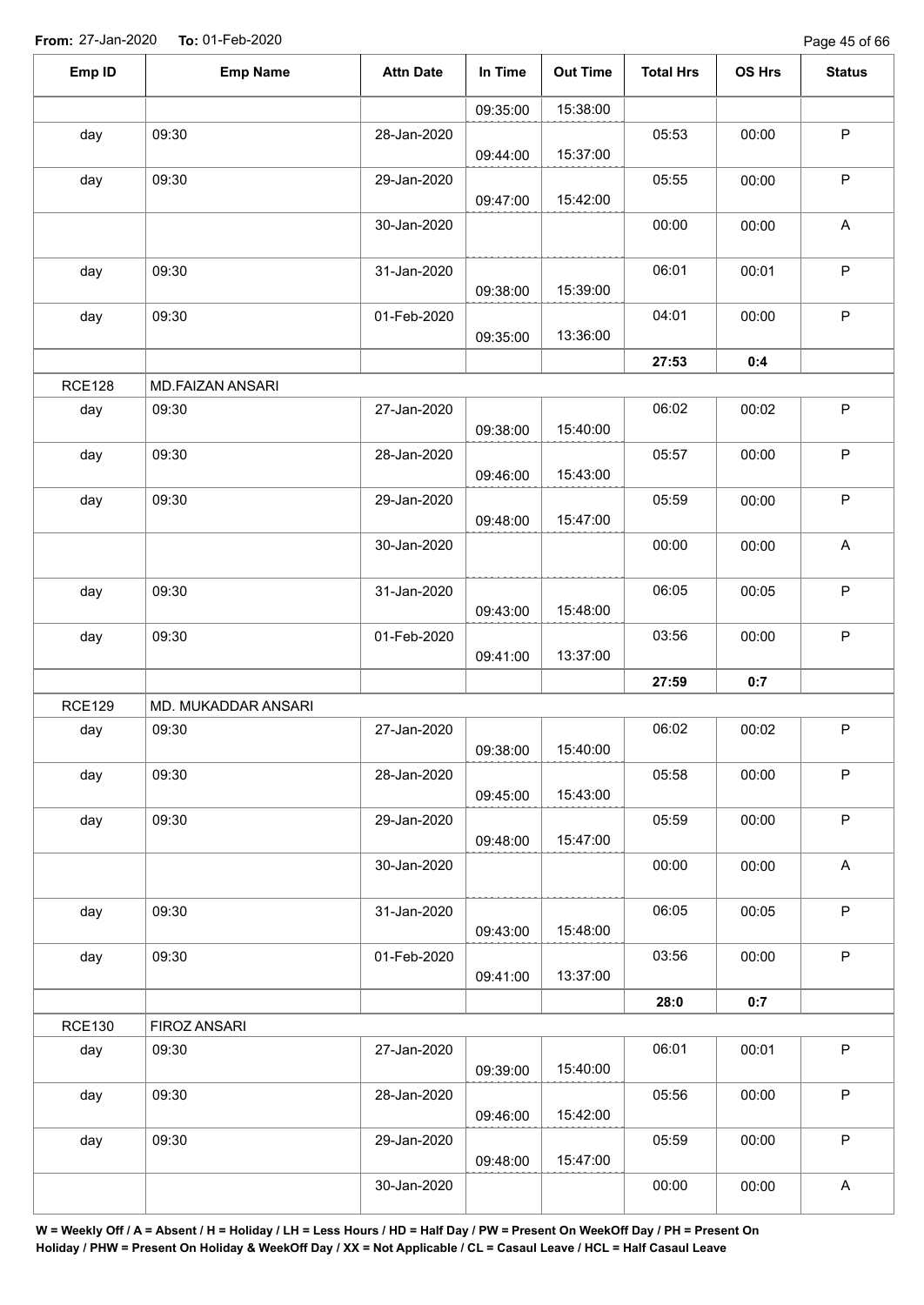| Emp ID        | <b>Emp Name</b>     | <b>Attn Date</b> | In Time  | <b>Out Time</b> | <b>Total Hrs</b> | OS Hrs | <b>Status</b>             |
|---------------|---------------------|------------------|----------|-----------------|------------------|--------|---------------------------|
|               |                     |                  | 09:35:00 | 15:38:00        |                  |        |                           |
| day           | 09:30               | 28-Jan-2020      | 09:44:00 | 15:37:00        | 05:53            | 00:00  | $\sf P$                   |
| day           | 09:30               | 29-Jan-2020      | 09:47:00 | 15:42:00        | 05:55            | 00:00  | $\sf P$                   |
|               |                     | 30-Jan-2020      |          |                 | 00:00            | 00:00  | $\boldsymbol{\mathsf{A}}$ |
| day           | 09:30               | 31-Jan-2020      | 09:38:00 | 15:39:00        | 06:01            | 00:01  | $\sf P$                   |
| day           | 09:30               | 01-Feb-2020      | 09:35:00 | 13:36:00        | 04:01            | 00:00  | $\mathsf P$               |
|               |                     |                  |          |                 | 27:53            | 0:4    |                           |
| <b>RCE128</b> | MD.FAIZAN ANSARI    |                  |          |                 |                  |        |                           |
| day           | 09:30               | 27-Jan-2020      | 09:38:00 | 15:40:00        | 06:02            | 00:02  | $\sf P$                   |
| day           | 09:30               | 28-Jan-2020      | 09:46:00 | 15:43:00        | 05:57            | 00:00  | $\sf P$                   |
| day           | 09:30               | 29-Jan-2020      | 09:48:00 | 15:47:00        | 05:59            | 00:00  | $\mathsf P$               |
|               |                     | 30-Jan-2020      |          |                 | 00:00            | 00:00  | $\boldsymbol{\mathsf{A}}$ |
| day           | 09:30               | 31-Jan-2020      | 09:43:00 | 15:48:00        | 06:05            | 00:05  | $\sf P$                   |
| day           | 09:30               | 01-Feb-2020      | 09:41:00 | 13:37:00        | 03:56            | 00:00  | $\sf P$                   |
|               |                     |                  |          |                 | 27:59            | 0:7    |                           |
| <b>RCE129</b> | MD. MUKADDAR ANSARI |                  |          |                 |                  |        |                           |
| day           | 09:30               | 27-Jan-2020      | 09:38:00 | 15:40:00        | 06:02            | 00:02  | ${\sf P}$                 |
| day           | 09:30               | 28-Jan-2020      | 09:45:00 | 15:43:00        | 05:58            | 00:00  | $\mathsf P$               |
| day           | 09:30               | 29-Jan-2020      | 09:48:00 | 15:47:00        | 05:59            | 00:00  | $\sf P$                   |
|               |                     | 30-Jan-2020      |          |                 | 00:00            | 00:00  | $\mathsf A$               |
| day           | 09:30               | 31-Jan-2020      | 09:43:00 | 15:48:00        | 06:05            | 00:05  | $\sf P$                   |
| day           | 09:30               | 01-Feb-2020      | 09:41:00 | 13:37:00        | 03:56            | 00:00  | $\mathsf P$               |
|               |                     |                  |          |                 | 28:0             | 0:7    |                           |
| <b>RCE130</b> | FIROZ ANSARI        |                  |          |                 |                  |        |                           |
| day           | 09:30               | 27-Jan-2020      | 09:39:00 | 15:40:00        | 06:01            | 00:01  | $\sf P$                   |
| day           | 09:30               | 28-Jan-2020      | 09:46:00 | 15:42:00        | 05:56            | 00:00  | $\mathsf P$               |
| day           | 09:30               | 29-Jan-2020      | 09:48:00 | 15:47:00        | 05:59            | 00:00  | $\sf P$                   |
|               |                     | 30-Jan-2020      |          |                 | 00:00            | 00:00  | A                         |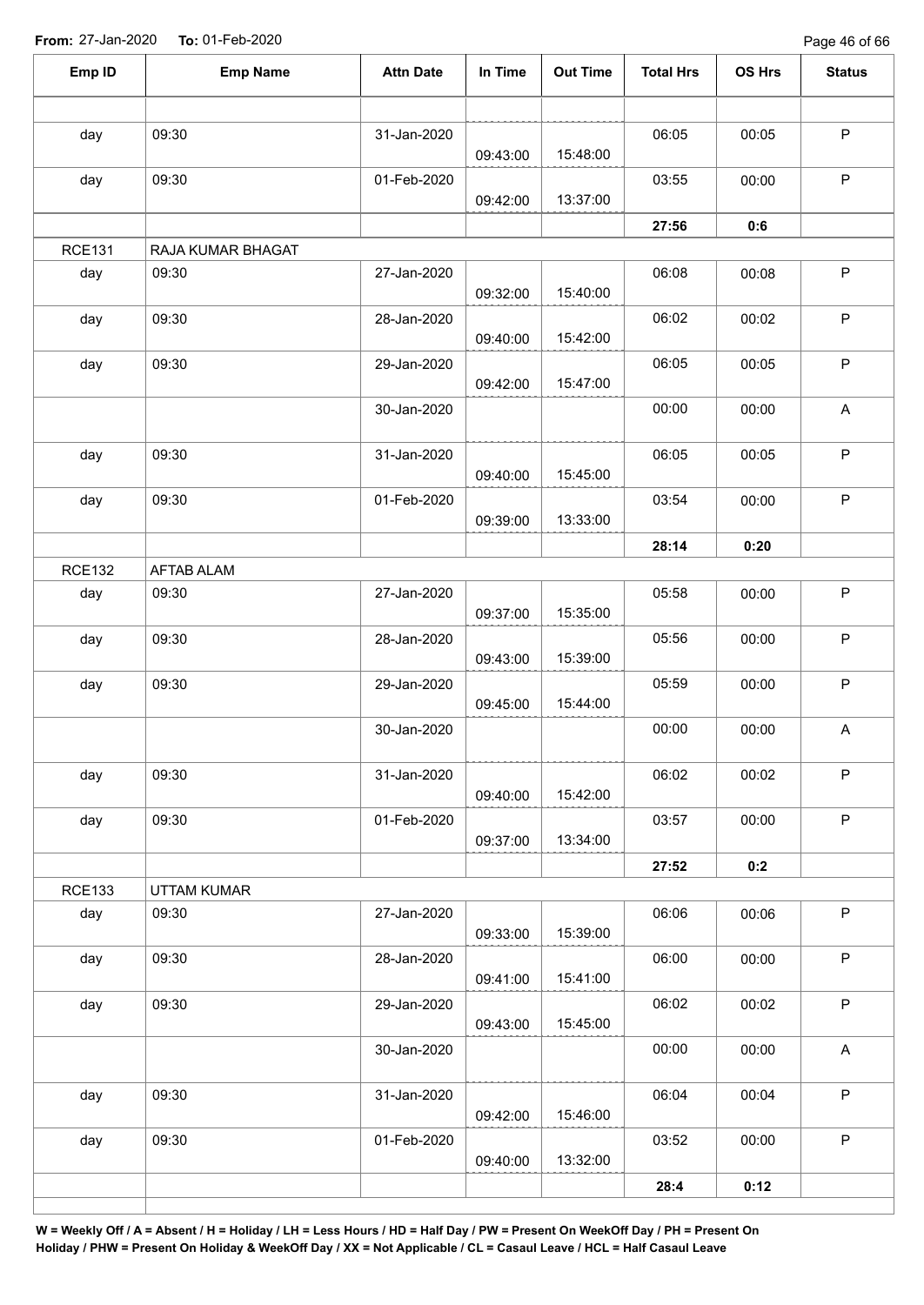Page 46 of 66

| Emp ID        | <b>Emp Name</b>   | <b>Attn Date</b> | In Time  | <b>Out Time</b> | <b>Total Hrs</b> | OS Hrs | <b>Status</b>             |
|---------------|-------------------|------------------|----------|-----------------|------------------|--------|---------------------------|
|               |                   |                  |          |                 |                  |        |                           |
| day           | 09:30             | 31-Jan-2020      | 09:43:00 | 15:48:00        | 06:05            | 00:05  | $\sf P$                   |
| day           | 09:30             | 01-Feb-2020      | 09:42:00 | 13:37:00        | 03:55            | 00:00  | $\mathsf P$               |
|               |                   |                  |          |                 | 27:56            | 0:6    |                           |
| <b>RCE131</b> | RAJA KUMAR BHAGAT |                  |          |                 |                  |        |                           |
| day           | 09:30             | 27-Jan-2020      | 09:32:00 | 15:40:00        | 06:08            | 00:08  | $\mathsf P$               |
| day           | 09:30             | 28-Jan-2020      | 09:40:00 | 15:42:00        | 06:02            | 00:02  | $\mathsf P$               |
| day           | 09:30             | 29-Jan-2020      | 09:42:00 | 15:47:00        | 06:05            | 00:05  | $\sf P$                   |
|               |                   | 30-Jan-2020      |          |                 | 00:00            | 00:00  | A                         |
| day           | 09:30             | 31-Jan-2020      | 09:40:00 | 15:45:00        | 06:05            | 00:05  | $\mathsf P$               |
| day           | 09:30             | 01-Feb-2020      | 09:39:00 | 13:33:00        | 03:54            | 00:00  | $\mathsf P$               |
|               |                   |                  |          |                 | 28:14            | 0:20   |                           |
| <b>RCE132</b> | <b>AFTAB ALAM</b> |                  |          |                 |                  |        |                           |
| day           | 09:30             | 27-Jan-2020      | 09:37:00 | 15:35:00        | 05:58            | 00:00  | $\mathsf P$               |
| day           | 09:30             | 28-Jan-2020      | 09:43:00 | 15:39:00        | 05:56            | 00:00  | $\sf P$                   |
| day           | 09:30             | 29-Jan-2020      | 09:45:00 | 15:44:00        | 05:59            | 00:00  | $\mathsf P$               |
|               |                   | 30-Jan-2020      |          |                 | 00:00            | 00:00  | A                         |
| day           | 09:30             | 31-Jan-2020      | 09:40:00 | 15:42:00        | 06:02            | 00:02  | $\sf P$                   |
| day           | 09:30             | 01-Feb-2020      | 09:37:00 | 13:34:00        | 03:57            | 00:00  | $\mathsf P$               |
|               |                   |                  |          |                 | 27:52            | 0:2    |                           |
| <b>RCE133</b> | UTTAM KUMAR       |                  |          |                 |                  |        |                           |
| day           | 09:30             | 27-Jan-2020      | 09:33:00 | 15:39:00        | 06:06            | 00:06  | $\mathsf P$               |
| day           | 09:30             | 28-Jan-2020      | 09:41:00 | 15:41:00        | 06:00            | 00:00  | $\sf P$                   |
| day           | 09:30             | 29-Jan-2020      | 09:43:00 | 15:45:00        | 06:02            | 00:02  | $\mathsf P$               |
|               |                   | 30-Jan-2020      |          |                 | 00:00            | 00:00  | $\boldsymbol{\mathsf{A}}$ |
| day           | 09:30             | 31-Jan-2020      | 09:42:00 | 15:46:00        | 06:04            | 00:04  | $\sf P$                   |
| day           | 09:30             | 01-Feb-2020      | 09:40:00 | 13:32:00        | 03:52            | 00:00  | $\sf P$                   |
|               |                   |                  |          |                 | 28:4             | 0:12   |                           |
|               |                   |                  |          |                 |                  |        |                           |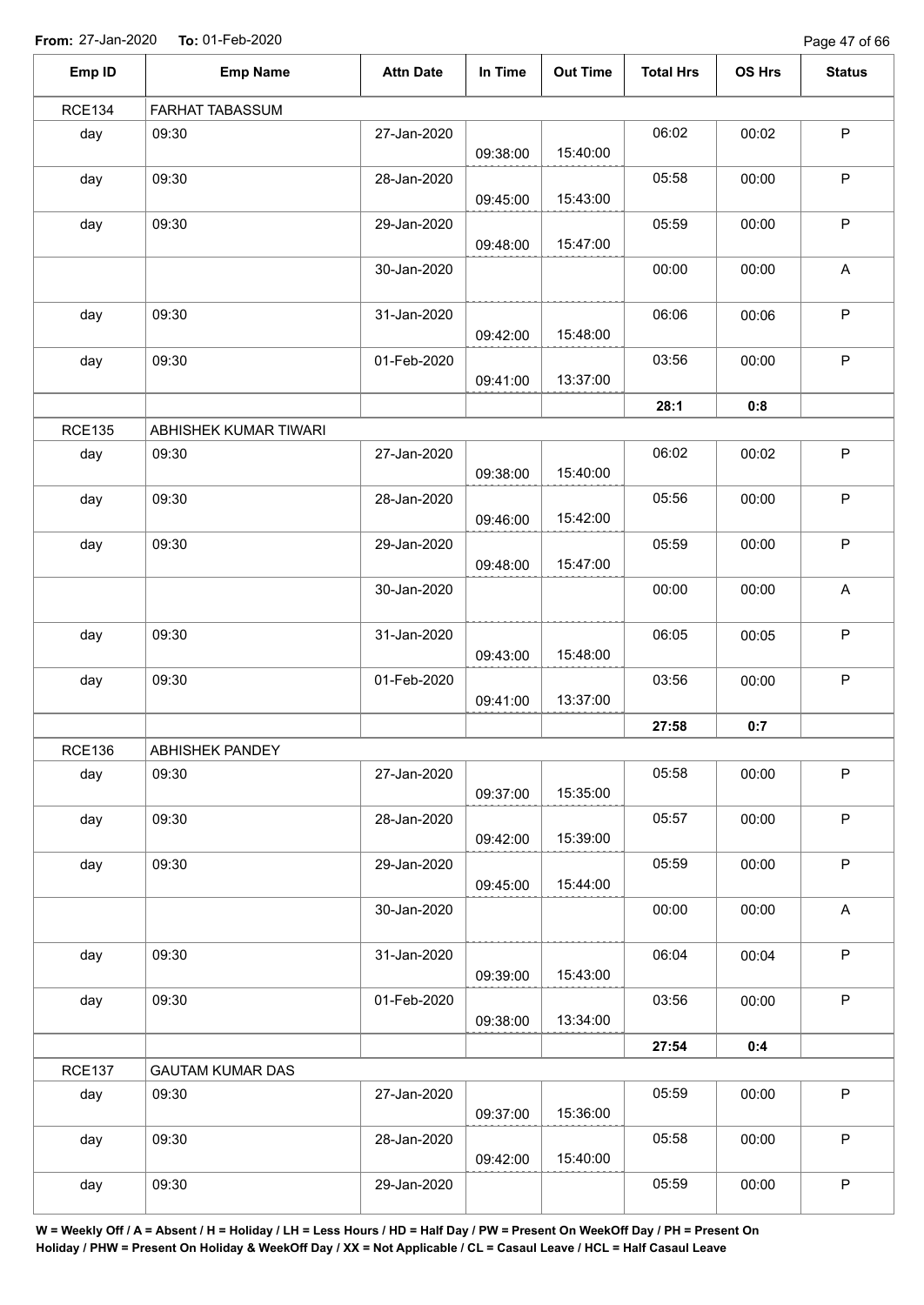Page 47 of 66

| Emp ID        | <b>Emp Name</b>         | <b>Attn Date</b> | In Time  | <b>Out Time</b> | <b>Total Hrs</b> | OS Hrs | <b>Status</b> |
|---------------|-------------------------|------------------|----------|-----------------|------------------|--------|---------------|
| <b>RCE134</b> | FARHAT TABASSUM         |                  |          |                 |                  |        |               |
| day           | 09:30                   | 27-Jan-2020      | 09:38:00 | 15:40:00        | 06:02            | 00:02  | $\sf P$       |
| day           | 09:30                   | 28-Jan-2020      | 09:45:00 | 15:43:00        | 05:58            | 00:00  | $\mathsf P$   |
| day           | 09:30                   | 29-Jan-2020      | 09:48:00 | 15:47:00        | 05:59            | 00:00  | P             |
|               |                         | 30-Jan-2020      |          |                 | 00:00            | 00:00  | A             |
| day           | 09:30                   | 31-Jan-2020      | 09:42:00 | 15:48:00        | 06:06            | 00:06  | P             |
| day           | 09:30                   | 01-Feb-2020      | 09:41:00 | 13:37:00        | 03:56            | 00:00  | $\mathsf P$   |
|               |                         |                  |          |                 | 28:1             | 0:8    |               |
| <b>RCE135</b> | ABHISHEK KUMAR TIWARI   |                  |          |                 |                  |        |               |
| day           | 09:30                   | 27-Jan-2020      | 09:38:00 | 15:40:00        | 06:02            | 00:02  | $\mathsf P$   |
| day           | 09:30                   | 28-Jan-2020      | 09:46:00 | 15:42:00        | 05:56            | 00:00  | P             |
| day           | 09:30                   | 29-Jan-2020      | 09:48:00 | 15:47:00        | 05:59            | 00:00  | $\sf P$       |
|               |                         | 30-Jan-2020      |          |                 | 00:00            | 00:00  | A             |
| day           | 09:30                   | 31-Jan-2020      | 09:43:00 | 15:48:00        | 06:05            | 00:05  | $\mathsf P$   |
| day           | 09:30                   | 01-Feb-2020      | 09:41:00 | 13:37:00        | 03:56            | 00:00  | $\sf P$       |
|               |                         |                  |          |                 | 27:58            | 0:7    |               |
| <b>RCE136</b> | ABHISHEK PANDEY         |                  |          |                 |                  |        |               |
| day           | 09:30                   | 27-Jan-2020      | 09:37:00 | 15:35:00        | 05:58            | 00:00  | $\mathsf P$   |
| day           | 09:30                   | 28-Jan-2020      | 09:42:00 | 15:39:00        | 05:57            | 00:00  | $\mathsf P$   |
| day           | 09:30                   | 29-Jan-2020      | 09:45:00 | 15:44:00        | 05:59            | 00:00  | $\sf P$       |
|               |                         | 30-Jan-2020      |          |                 | 00:00            | 00:00  | $\mathsf A$   |
| day           | 09:30                   | 31-Jan-2020      | 09:39:00 | 15:43:00        | 06:04            | 00:04  | $\mathsf P$   |
| day           | 09:30                   | 01-Feb-2020      | 09:38:00 | 13:34:00        | 03:56            | 00:00  | $\mathsf P$   |
|               |                         |                  |          |                 | 27:54            | 0:4    |               |
| <b>RCE137</b> | <b>GAUTAM KUMAR DAS</b> |                  |          |                 |                  |        |               |
| day           | 09:30                   | 27-Jan-2020      | 09:37:00 | 15:36:00        | 05:59            | 00:00  | $\sf P$       |
| day           | 09:30                   | 28-Jan-2020      | 09:42:00 | 15:40:00        | 05:58            | 00:00  | $\mathsf P$   |
| day           | 09:30                   | 29-Jan-2020      |          |                 | 05:59            | 00:00  | $\sf P$       |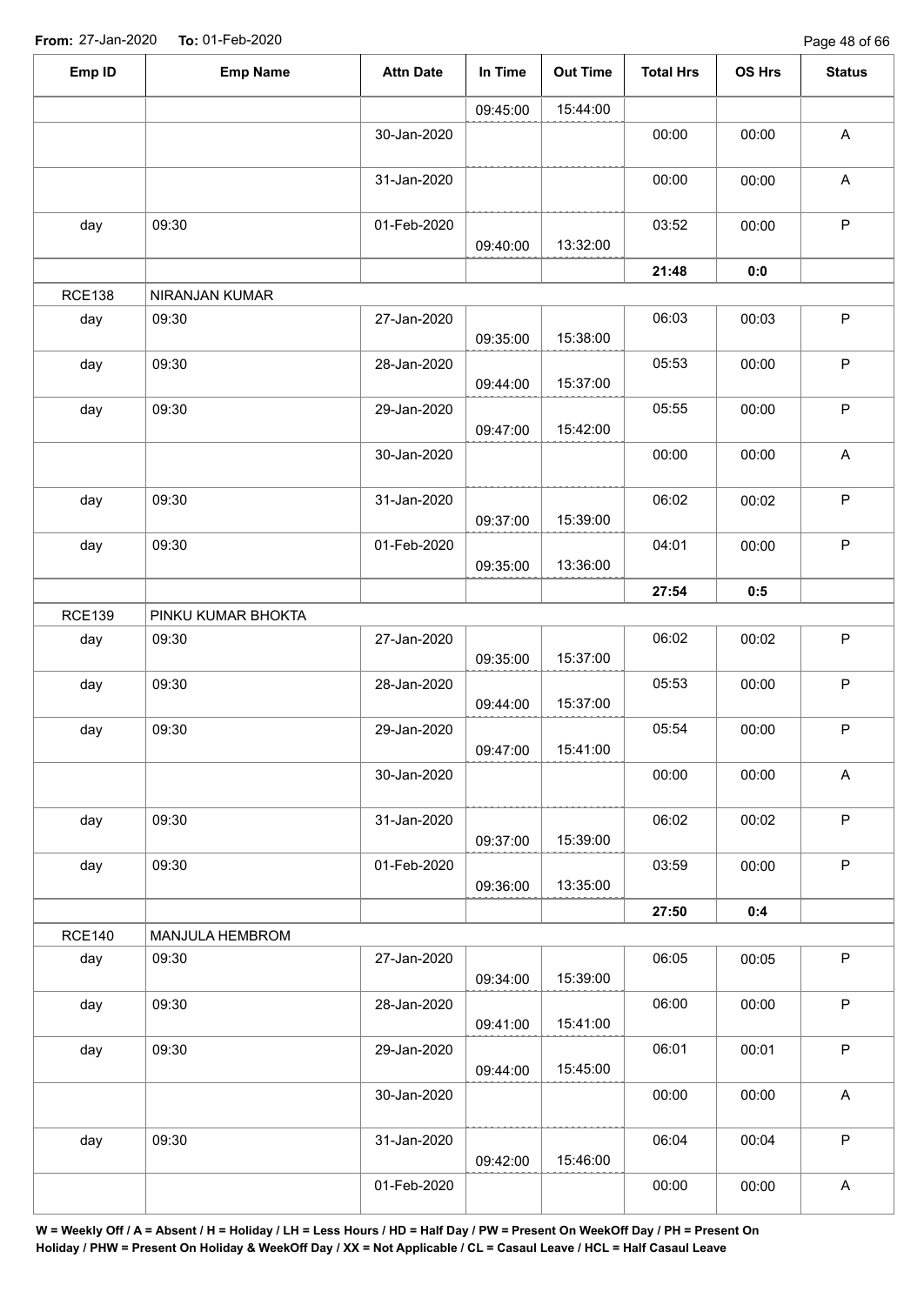| 15:44:00<br>09:45:00<br>00:00<br>30-Jan-2020<br>00:00<br>31-Jan-2020<br>00:00<br>00:00<br>09:30<br>03:52<br>01-Feb-2020<br>00:00<br>day<br>13:32:00<br>09:40:00<br>21:48<br>0:0<br>NIRANJAN KUMAR<br>27-Jan-2020<br>06:03<br>09:30<br>00:03<br>day<br>15:38:00<br>09:35:00<br>09:30<br>28-Jan-2020<br>05:53<br>00:00<br>day<br>15:37:00<br>09:44:00<br>09:30<br>05:55<br>day<br>29-Jan-2020<br>00:00<br>15:42:00<br>09:47:00<br>30-Jan-2020<br>00:00<br>00:00<br>09:30<br>31-Jan-2020<br>06:02<br>00:02<br>day<br>15:39:00<br>09:37:00<br>09:30<br>01-Feb-2020<br>04:01<br>00:00<br>day<br>13:36:00<br>09:35:00<br>27:54<br>0:5<br><b>RCE139</b><br>PINKU KUMAR BHOKTA<br>27-Jan-2020<br>06:02<br>00:02<br>09:30<br>day<br>15:37:00<br>09:35:00<br>05:53<br>09:30<br>28-Jan-2020<br>00:00<br>day<br>15:37:00<br>09:44:00<br>05:54<br>09:30<br>29-Jan-2020<br>00:00<br>day<br>15:41:00<br>09:47:00<br>00:00<br>30-Jan-2020<br>00:00<br>06:02<br>09:30<br>31-Jan-2020<br>00:02<br>day<br>15:39:00<br>09:37:00<br>03:59<br>09:30<br>00:00<br>day<br>01-Feb-2020<br>13:35:00<br>09:36:00<br>27:50<br>0:4<br>MANJULA HEMBROM<br>06:05<br>09:30<br>27-Jan-2020<br>00:05<br>day<br>15:39:00<br>09:34:00<br>09:30<br>06:00<br>day<br>28-Jan-2020<br>00:00<br>15:41:00<br>09:41:00<br>09:30<br>06:01<br>00:01<br>day<br>29-Jan-2020<br>15:45:00<br>09:44:00<br>00:00<br>30-Jan-2020<br>00:00<br>09:30<br>06:04<br>00:04<br>day<br>31-Jan-2020<br>15:46:00<br>09:42:00<br>00:00<br>01-Feb-2020<br>00:00 | Emp ID        | <b>Emp Name</b> | <b>Attn Date</b> | In Time | <b>Out Time</b> | <b>Total Hrs</b> | OS Hrs | <b>Status</b> |
|-----------------------------------------------------------------------------------------------------------------------------------------------------------------------------------------------------------------------------------------------------------------------------------------------------------------------------------------------------------------------------------------------------------------------------------------------------------------------------------------------------------------------------------------------------------------------------------------------------------------------------------------------------------------------------------------------------------------------------------------------------------------------------------------------------------------------------------------------------------------------------------------------------------------------------------------------------------------------------------------------------------------------------------------------------------------------------------------------------------------------------------------------------------------------------------------------------------------------------------------------------------------------------------------------------------------------------------------------------------------------------------------------------------------------------------------------------------------------------------------------|---------------|-----------------|------------------|---------|-----------------|------------------|--------|---------------|
|                                                                                                                                                                                                                                                                                                                                                                                                                                                                                                                                                                                                                                                                                                                                                                                                                                                                                                                                                                                                                                                                                                                                                                                                                                                                                                                                                                                                                                                                                               |               |                 |                  |         |                 |                  |        |               |
|                                                                                                                                                                                                                                                                                                                                                                                                                                                                                                                                                                                                                                                                                                                                                                                                                                                                                                                                                                                                                                                                                                                                                                                                                                                                                                                                                                                                                                                                                               |               |                 |                  |         |                 |                  |        | A             |
|                                                                                                                                                                                                                                                                                                                                                                                                                                                                                                                                                                                                                                                                                                                                                                                                                                                                                                                                                                                                                                                                                                                                                                                                                                                                                                                                                                                                                                                                                               |               |                 |                  |         |                 |                  |        | $\mathsf A$   |
|                                                                                                                                                                                                                                                                                                                                                                                                                                                                                                                                                                                                                                                                                                                                                                                                                                                                                                                                                                                                                                                                                                                                                                                                                                                                                                                                                                                                                                                                                               |               |                 |                  |         |                 |                  |        | P             |
|                                                                                                                                                                                                                                                                                                                                                                                                                                                                                                                                                                                                                                                                                                                                                                                                                                                                                                                                                                                                                                                                                                                                                                                                                                                                                                                                                                                                                                                                                               |               |                 |                  |         |                 |                  |        |               |
|                                                                                                                                                                                                                                                                                                                                                                                                                                                                                                                                                                                                                                                                                                                                                                                                                                                                                                                                                                                                                                                                                                                                                                                                                                                                                                                                                                                                                                                                                               | <b>RCE138</b> |                 |                  |         |                 |                  |        |               |
|                                                                                                                                                                                                                                                                                                                                                                                                                                                                                                                                                                                                                                                                                                                                                                                                                                                                                                                                                                                                                                                                                                                                                                                                                                                                                                                                                                                                                                                                                               |               |                 |                  |         |                 |                  |        | P             |
|                                                                                                                                                                                                                                                                                                                                                                                                                                                                                                                                                                                                                                                                                                                                                                                                                                                                                                                                                                                                                                                                                                                                                                                                                                                                                                                                                                                                                                                                                               |               |                 |                  |         |                 |                  |        | P             |
|                                                                                                                                                                                                                                                                                                                                                                                                                                                                                                                                                                                                                                                                                                                                                                                                                                                                                                                                                                                                                                                                                                                                                                                                                                                                                                                                                                                                                                                                                               |               |                 |                  |         |                 |                  |        | $\mathsf{P}$  |
|                                                                                                                                                                                                                                                                                                                                                                                                                                                                                                                                                                                                                                                                                                                                                                                                                                                                                                                                                                                                                                                                                                                                                                                                                                                                                                                                                                                                                                                                                               |               |                 |                  |         |                 |                  |        | A             |
|                                                                                                                                                                                                                                                                                                                                                                                                                                                                                                                                                                                                                                                                                                                                                                                                                                                                                                                                                                                                                                                                                                                                                                                                                                                                                                                                                                                                                                                                                               |               |                 |                  |         |                 |                  |        | P             |
|                                                                                                                                                                                                                                                                                                                                                                                                                                                                                                                                                                                                                                                                                                                                                                                                                                                                                                                                                                                                                                                                                                                                                                                                                                                                                                                                                                                                                                                                                               |               |                 |                  |         |                 |                  |        | P             |
|                                                                                                                                                                                                                                                                                                                                                                                                                                                                                                                                                                                                                                                                                                                                                                                                                                                                                                                                                                                                                                                                                                                                                                                                                                                                                                                                                                                                                                                                                               |               |                 |                  |         |                 |                  |        |               |
|                                                                                                                                                                                                                                                                                                                                                                                                                                                                                                                                                                                                                                                                                                                                                                                                                                                                                                                                                                                                                                                                                                                                                                                                                                                                                                                                                                                                                                                                                               |               |                 |                  |         |                 |                  |        |               |
|                                                                                                                                                                                                                                                                                                                                                                                                                                                                                                                                                                                                                                                                                                                                                                                                                                                                                                                                                                                                                                                                                                                                                                                                                                                                                                                                                                                                                                                                                               |               |                 |                  |         |                 |                  |        | $\mathsf P$   |
|                                                                                                                                                                                                                                                                                                                                                                                                                                                                                                                                                                                                                                                                                                                                                                                                                                                                                                                                                                                                                                                                                                                                                                                                                                                                                                                                                                                                                                                                                               |               |                 |                  |         |                 |                  |        | P             |
|                                                                                                                                                                                                                                                                                                                                                                                                                                                                                                                                                                                                                                                                                                                                                                                                                                                                                                                                                                                                                                                                                                                                                                                                                                                                                                                                                                                                                                                                                               |               |                 |                  |         |                 |                  |        | P             |
|                                                                                                                                                                                                                                                                                                                                                                                                                                                                                                                                                                                                                                                                                                                                                                                                                                                                                                                                                                                                                                                                                                                                                                                                                                                                                                                                                                                                                                                                                               |               |                 |                  |         |                 |                  |        | A             |
|                                                                                                                                                                                                                                                                                                                                                                                                                                                                                                                                                                                                                                                                                                                                                                                                                                                                                                                                                                                                                                                                                                                                                                                                                                                                                                                                                                                                                                                                                               |               |                 |                  |         |                 |                  |        | $\mathsf P$   |
|                                                                                                                                                                                                                                                                                                                                                                                                                                                                                                                                                                                                                                                                                                                                                                                                                                                                                                                                                                                                                                                                                                                                                                                                                                                                                                                                                                                                                                                                                               |               |                 |                  |         |                 |                  |        | $\mathsf P$   |
|                                                                                                                                                                                                                                                                                                                                                                                                                                                                                                                                                                                                                                                                                                                                                                                                                                                                                                                                                                                                                                                                                                                                                                                                                                                                                                                                                                                                                                                                                               |               |                 |                  |         |                 |                  |        |               |
|                                                                                                                                                                                                                                                                                                                                                                                                                                                                                                                                                                                                                                                                                                                                                                                                                                                                                                                                                                                                                                                                                                                                                                                                                                                                                                                                                                                                                                                                                               | <b>RCE140</b> |                 |                  |         |                 |                  |        |               |
|                                                                                                                                                                                                                                                                                                                                                                                                                                                                                                                                                                                                                                                                                                                                                                                                                                                                                                                                                                                                                                                                                                                                                                                                                                                                                                                                                                                                                                                                                               |               |                 |                  |         |                 |                  |        | $\mathsf P$   |
|                                                                                                                                                                                                                                                                                                                                                                                                                                                                                                                                                                                                                                                                                                                                                                                                                                                                                                                                                                                                                                                                                                                                                                                                                                                                                                                                                                                                                                                                                               |               |                 |                  |         |                 |                  |        | $\sf P$       |
|                                                                                                                                                                                                                                                                                                                                                                                                                                                                                                                                                                                                                                                                                                                                                                                                                                                                                                                                                                                                                                                                                                                                                                                                                                                                                                                                                                                                                                                                                               |               |                 |                  |         |                 |                  |        | P             |
|                                                                                                                                                                                                                                                                                                                                                                                                                                                                                                                                                                                                                                                                                                                                                                                                                                                                                                                                                                                                                                                                                                                                                                                                                                                                                                                                                                                                                                                                                               |               |                 |                  |         |                 |                  |        | A             |
|                                                                                                                                                                                                                                                                                                                                                                                                                                                                                                                                                                                                                                                                                                                                                                                                                                                                                                                                                                                                                                                                                                                                                                                                                                                                                                                                                                                                                                                                                               |               |                 |                  |         |                 |                  |        | P             |
|                                                                                                                                                                                                                                                                                                                                                                                                                                                                                                                                                                                                                                                                                                                                                                                                                                                                                                                                                                                                                                                                                                                                                                                                                                                                                                                                                                                                                                                                                               |               |                 |                  |         |                 |                  |        | $\mathsf A$   |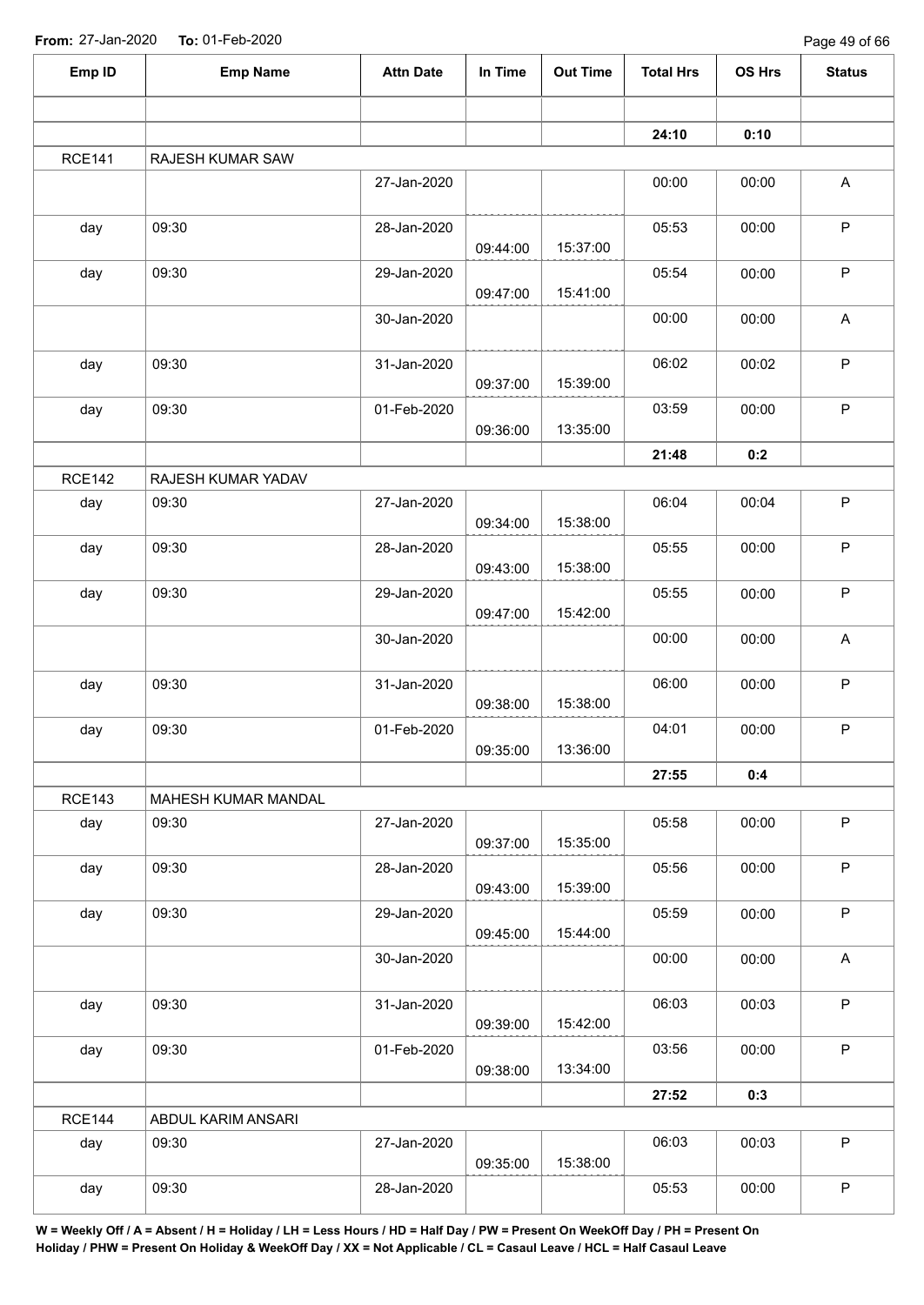| Emp ID        | <b>Emp Name</b>                                                                                                                                                                                                                                                                                                                                                                                                                                                                                                                                                                                                                                                                                                                                                                                                                                                                                                                                                                                                                                                                                                                                                                                                                                                                                                                                                                                                                                                                                                                                                                           | <b>Attn Date</b> | In Time  | <b>Out Time</b> | <b>Total Hrs</b> | OS Hrs | <b>Status</b> |
|---------------|-------------------------------------------------------------------------------------------------------------------------------------------------------------------------------------------------------------------------------------------------------------------------------------------------------------------------------------------------------------------------------------------------------------------------------------------------------------------------------------------------------------------------------------------------------------------------------------------------------------------------------------------------------------------------------------------------------------------------------------------------------------------------------------------------------------------------------------------------------------------------------------------------------------------------------------------------------------------------------------------------------------------------------------------------------------------------------------------------------------------------------------------------------------------------------------------------------------------------------------------------------------------------------------------------------------------------------------------------------------------------------------------------------------------------------------------------------------------------------------------------------------------------------------------------------------------------------------------|------------------|----------|-----------------|------------------|--------|---------------|
|               |                                                                                                                                                                                                                                                                                                                                                                                                                                                                                                                                                                                                                                                                                                                                                                                                                                                                                                                                                                                                                                                                                                                                                                                                                                                                                                                                                                                                                                                                                                                                                                                           |                  |          |                 |                  |        |               |
|               |                                                                                                                                                                                                                                                                                                                                                                                                                                                                                                                                                                                                                                                                                                                                                                                                                                                                                                                                                                                                                                                                                                                                                                                                                                                                                                                                                                                                                                                                                                                                                                                           |                  |          |                 |                  |        |               |
| <b>RCE141</b> | 24:10<br>0:10<br>RAJESH KUMAR SAW<br>27-Jan-2020<br>$\mathsf{A}$<br>00:00<br>00:00<br>$\mathsf P$<br>09:30<br>28-Jan-2020<br>05:53<br>day<br>00:00<br>15:37:00<br>09:44:00<br>$\mathsf P$<br>09:30<br>05:54<br>day<br>29-Jan-2020<br>00:00<br>15:41:00<br>09:47:00<br>$\mathsf A$<br>30-Jan-2020<br>00:00<br>00:00<br>$\sf P$<br>09:30<br>06:02<br>31-Jan-2020<br>00:02<br>day<br>15:39:00<br>09:37:00<br>$\mathsf P$<br>09:30<br>03:59<br>day<br>01-Feb-2020<br>00:00<br>13:35:00<br>09:36:00<br>21:48<br>0:2<br>RAJESH KUMAR YADAV<br>$\mathsf P$<br>27-Jan-2020<br>06:04<br>09:30<br>00:04<br>day<br>15:38:00<br>09:34:00<br>$\sf P$<br>05:55<br>09:30<br>28-Jan-2020<br>00:00<br>day<br>15:38:00<br>09:43:00<br>$\sf P$<br>05:55<br>09:30<br>29-Jan-2020<br>00:00<br>day<br>15:42:00<br>09:47:00<br>00:00<br>A<br>30-Jan-2020<br>00:00<br>$\sf P$<br>09:30<br>06:00<br>day<br>31-Jan-2020<br>00:00<br>15:38:00<br>09:38:00<br>$\mathsf P$<br>04:01<br>09:30<br>01-Feb-2020<br>00:00<br>day<br>13:36:00<br>09:35:00<br>27:55<br>0:4<br>MAHESH KUMAR MANDAL<br>$\mathsf P$<br>05:58<br>09:30<br>27-Jan-2020<br>00:00<br>day<br>15:35:00<br>09:37:00<br>$\sf P$<br>09:30<br>05:56<br>day<br>28-Jan-2020<br>00:00<br>15:39:00<br>09:43:00<br>P<br>05:59<br>09:30<br>29-Jan-2020<br>00:00<br>day<br>15:44:00<br>09:45:00<br>00:00<br>$\mathsf A$<br>30-Jan-2020<br>00:00<br>$\sf P$<br>06:03<br>09:30<br>31-Jan-2020<br>00:03<br>day<br>15:42:00<br>09:39:00<br>$\mathsf P$<br>09:30<br>03:56<br>00:00<br>day<br>01-Feb-2020<br>13:34:00<br>09:38:00<br>27:52<br>0:3<br>ABDUL KARIM ANSARI |                  |          |                 |                  |        |               |
|               |                                                                                                                                                                                                                                                                                                                                                                                                                                                                                                                                                                                                                                                                                                                                                                                                                                                                                                                                                                                                                                                                                                                                                                                                                                                                                                                                                                                                                                                                                                                                                                                           |                  |          |                 |                  |        |               |
|               |                                                                                                                                                                                                                                                                                                                                                                                                                                                                                                                                                                                                                                                                                                                                                                                                                                                                                                                                                                                                                                                                                                                                                                                                                                                                                                                                                                                                                                                                                                                                                                                           |                  |          |                 |                  |        |               |
|               |                                                                                                                                                                                                                                                                                                                                                                                                                                                                                                                                                                                                                                                                                                                                                                                                                                                                                                                                                                                                                                                                                                                                                                                                                                                                                                                                                                                                                                                                                                                                                                                           |                  |          |                 |                  |        |               |
|               |                                                                                                                                                                                                                                                                                                                                                                                                                                                                                                                                                                                                                                                                                                                                                                                                                                                                                                                                                                                                                                                                                                                                                                                                                                                                                                                                                                                                                                                                                                                                                                                           |                  |          |                 |                  |        |               |
|               |                                                                                                                                                                                                                                                                                                                                                                                                                                                                                                                                                                                                                                                                                                                                                                                                                                                                                                                                                                                                                                                                                                                                                                                                                                                                                                                                                                                                                                                                                                                                                                                           |                  |          |                 |                  |        |               |
|               |                                                                                                                                                                                                                                                                                                                                                                                                                                                                                                                                                                                                                                                                                                                                                                                                                                                                                                                                                                                                                                                                                                                                                                                                                                                                                                                                                                                                                                                                                                                                                                                           |                  |          |                 |                  |        |               |
|               |                                                                                                                                                                                                                                                                                                                                                                                                                                                                                                                                                                                                                                                                                                                                                                                                                                                                                                                                                                                                                                                                                                                                                                                                                                                                                                                                                                                                                                                                                                                                                                                           |                  |          |                 |                  |        |               |
| <b>RCE142</b> |                                                                                                                                                                                                                                                                                                                                                                                                                                                                                                                                                                                                                                                                                                                                                                                                                                                                                                                                                                                                                                                                                                                                                                                                                                                                                                                                                                                                                                                                                                                                                                                           |                  |          |                 |                  |        |               |
|               |                                                                                                                                                                                                                                                                                                                                                                                                                                                                                                                                                                                                                                                                                                                                                                                                                                                                                                                                                                                                                                                                                                                                                                                                                                                                                                                                                                                                                                                                                                                                                                                           |                  |          |                 |                  |        |               |
|               |                                                                                                                                                                                                                                                                                                                                                                                                                                                                                                                                                                                                                                                                                                                                                                                                                                                                                                                                                                                                                                                                                                                                                                                                                                                                                                                                                                                                                                                                                                                                                                                           |                  |          |                 |                  |        |               |
|               |                                                                                                                                                                                                                                                                                                                                                                                                                                                                                                                                                                                                                                                                                                                                                                                                                                                                                                                                                                                                                                                                                                                                                                                                                                                                                                                                                                                                                                                                                                                                                                                           |                  |          |                 |                  |        |               |
|               |                                                                                                                                                                                                                                                                                                                                                                                                                                                                                                                                                                                                                                                                                                                                                                                                                                                                                                                                                                                                                                                                                                                                                                                                                                                                                                                                                                                                                                                                                                                                                                                           |                  |          |                 |                  |        |               |
|               |                                                                                                                                                                                                                                                                                                                                                                                                                                                                                                                                                                                                                                                                                                                                                                                                                                                                                                                                                                                                                                                                                                                                                                                                                                                                                                                                                                                                                                                                                                                                                                                           |                  |          |                 |                  |        |               |
|               |                                                                                                                                                                                                                                                                                                                                                                                                                                                                                                                                                                                                                                                                                                                                                                                                                                                                                                                                                                                                                                                                                                                                                                                                                                                                                                                                                                                                                                                                                                                                                                                           |                  |          |                 |                  |        |               |
|               |                                                                                                                                                                                                                                                                                                                                                                                                                                                                                                                                                                                                                                                                                                                                                                                                                                                                                                                                                                                                                                                                                                                                                                                                                                                                                                                                                                                                                                                                                                                                                                                           |                  |          |                 |                  |        |               |
| <b>RCE143</b> |                                                                                                                                                                                                                                                                                                                                                                                                                                                                                                                                                                                                                                                                                                                                                                                                                                                                                                                                                                                                                                                                                                                                                                                                                                                                                                                                                                                                                                                                                                                                                                                           |                  |          |                 |                  |        |               |
|               |                                                                                                                                                                                                                                                                                                                                                                                                                                                                                                                                                                                                                                                                                                                                                                                                                                                                                                                                                                                                                                                                                                                                                                                                                                                                                                                                                                                                                                                                                                                                                                                           |                  |          |                 |                  |        |               |
|               |                                                                                                                                                                                                                                                                                                                                                                                                                                                                                                                                                                                                                                                                                                                                                                                                                                                                                                                                                                                                                                                                                                                                                                                                                                                                                                                                                                                                                                                                                                                                                                                           |                  |          |                 |                  |        |               |
|               |                                                                                                                                                                                                                                                                                                                                                                                                                                                                                                                                                                                                                                                                                                                                                                                                                                                                                                                                                                                                                                                                                                                                                                                                                                                                                                                                                                                                                                                                                                                                                                                           |                  |          |                 |                  |        |               |
|               |                                                                                                                                                                                                                                                                                                                                                                                                                                                                                                                                                                                                                                                                                                                                                                                                                                                                                                                                                                                                                                                                                                                                                                                                                                                                                                                                                                                                                                                                                                                                                                                           |                  |          |                 |                  |        |               |
|               |                                                                                                                                                                                                                                                                                                                                                                                                                                                                                                                                                                                                                                                                                                                                                                                                                                                                                                                                                                                                                                                                                                                                                                                                                                                                                                                                                                                                                                                                                                                                                                                           |                  |          |                 |                  |        |               |
|               |                                                                                                                                                                                                                                                                                                                                                                                                                                                                                                                                                                                                                                                                                                                                                                                                                                                                                                                                                                                                                                                                                                                                                                                                                                                                                                                                                                                                                                                                                                                                                                                           |                  |          |                 |                  |        |               |
|               |                                                                                                                                                                                                                                                                                                                                                                                                                                                                                                                                                                                                                                                                                                                                                                                                                                                                                                                                                                                                                                                                                                                                                                                                                                                                                                                                                                                                                                                                                                                                                                                           |                  |          |                 |                  |        |               |
| <b>RCE144</b> |                                                                                                                                                                                                                                                                                                                                                                                                                                                                                                                                                                                                                                                                                                                                                                                                                                                                                                                                                                                                                                                                                                                                                                                                                                                                                                                                                                                                                                                                                                                                                                                           |                  |          |                 |                  |        |               |
| day           | 09:30                                                                                                                                                                                                                                                                                                                                                                                                                                                                                                                                                                                                                                                                                                                                                                                                                                                                                                                                                                                                                                                                                                                                                                                                                                                                                                                                                                                                                                                                                                                                                                                     | 27-Jan-2020      | 09:35:00 | 15:38:00        | 06:03            | 00:03  | $\mathsf P$   |
| day           | 09:30                                                                                                                                                                                                                                                                                                                                                                                                                                                                                                                                                                                                                                                                                                                                                                                                                                                                                                                                                                                                                                                                                                                                                                                                                                                                                                                                                                                                                                                                                                                                                                                     | 28-Jan-2020      |          |                 | 05:53            | 00:00  | $\mathsf P$   |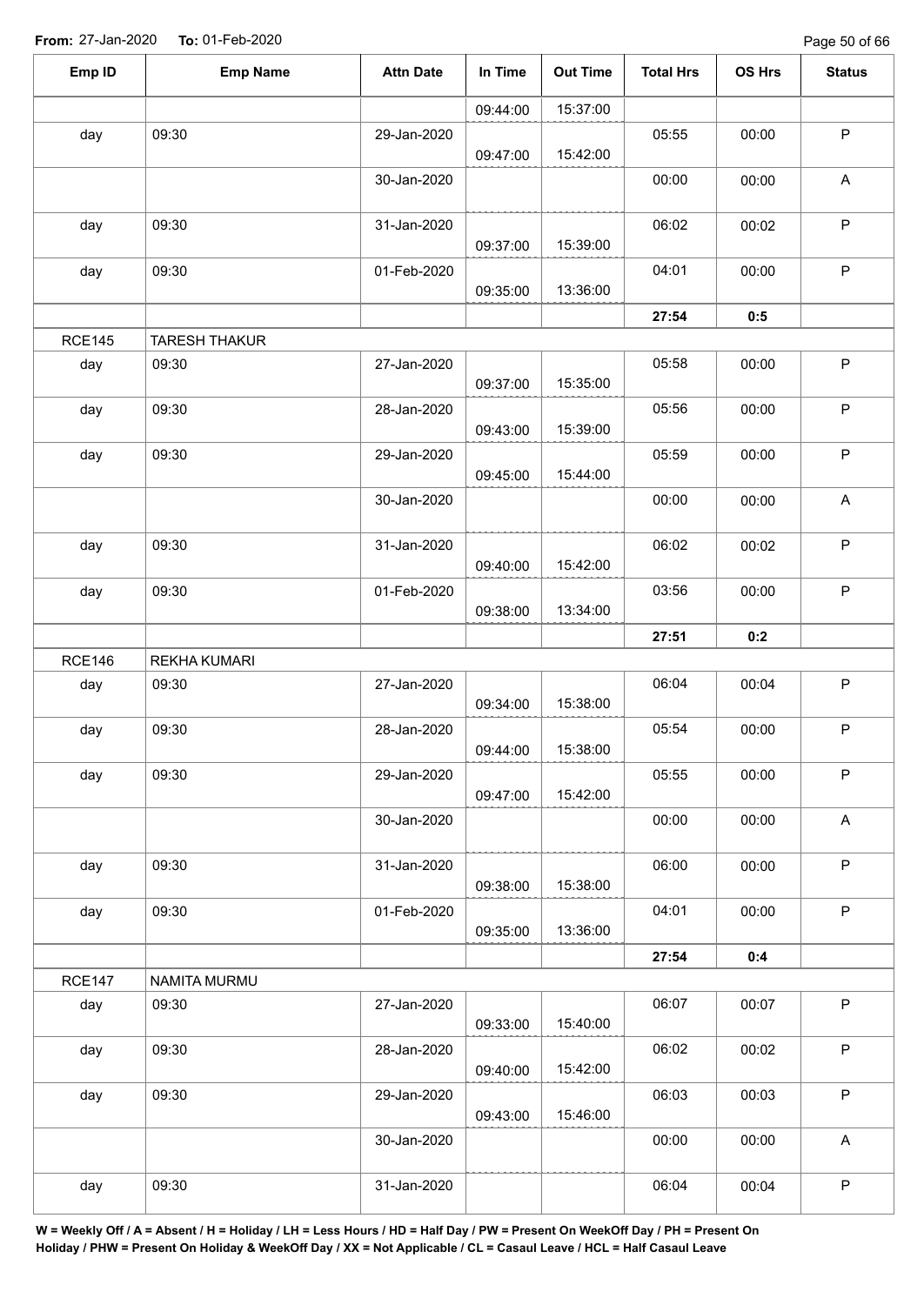| Emp ID        | <b>Emp Name</b>      | <b>Attn Date</b> | In Time  | <b>Out Time</b> | <b>Total Hrs</b> | OS Hrs | <b>Status</b> |
|---------------|----------------------|------------------|----------|-----------------|------------------|--------|---------------|
|               |                      |                  | 09:44:00 | 15:37:00        |                  |        |               |
| day           | 09:30                | 29-Jan-2020      | 09:47:00 | 15:42:00        | 05:55            | 00:00  | $\mathsf P$   |
|               |                      | 30-Jan-2020      |          |                 | 00:00            | 00:00  | $\mathsf{A}$  |
| day           | 09:30                | 31-Jan-2020      | 09:37:00 | 15:39:00        | 06:02            | 00:02  | $\sf P$       |
| day           | 09:30                | 01-Feb-2020      | 09:35:00 | 13:36:00        | 04:01            | 00:00  | $\sf P$       |
|               |                      |                  |          |                 | 27:54            | 0:5    |               |
| <b>RCE145</b> | <b>TARESH THAKUR</b> |                  |          |                 |                  |        |               |
| day           | 09:30                | 27-Jan-2020      | 09:37:00 | 15:35:00        | 05:58            | 00:00  | $\sf P$       |
| day           | 09:30                | 28-Jan-2020      | 09:43:00 | 15:39:00        | 05:56            | 00:00  | $\mathsf P$   |
| day           | 09:30                | 29-Jan-2020      | 09:45:00 | 15:44:00        | 05:59            | 00:00  | $\sf P$       |
|               |                      | 30-Jan-2020      |          |                 | 00:00            | 00:00  | A             |
| day           | 09:30                | 31-Jan-2020      | 09:40:00 | 15:42:00        | 06:02            | 00:02  | $\mathsf P$   |
| day           | 09:30                | 01-Feb-2020      | 09:38:00 | 13:34:00        | 03:56            | 00:00  | $\mathsf P$   |
|               |                      |                  |          |                 | 27:51            | 0:2    |               |
| <b>RCE146</b> | <b>REKHA KUMARI</b>  |                  |          |                 |                  |        |               |
| day           | 09:30                | 27-Jan-2020      | 09:34:00 | 15:38:00        | 06:04            | 00:04  | $\sf P$       |
| day           | 09:30                | 28-Jan-2020      | 09:44:00 | 15:38:00        | 05:54            | 00:00  | P             |
| day           | 09:30                | 29-Jan-2020      | 09:47:00 | 15:42:00        | 05:55            | 00:00  | $\mathsf P$   |
|               |                      | 30-Jan-2020      |          |                 | 00:00            | 00:00  | $\mathsf A$   |
| day           | 09:30                | 31-Jan-2020      | 09:38:00 | 15:38:00        | 06:00            | 00:00  | $\mathsf{P}$  |
| day           | 09:30                | 01-Feb-2020      | 09:35:00 | 13:36:00        | 04:01            | 00:00  | $\sf P$       |
|               |                      |                  |          |                 | 27:54            | 0:4    |               |
| <b>RCE147</b> | NAMITA MURMU         |                  |          |                 |                  |        |               |
| day           | 09:30                | 27-Jan-2020      | 09:33:00 | 15:40:00        | 06:07            | 00:07  | $\mathsf P$   |
| day           | 09:30                | 28-Jan-2020      | 09:40:00 | 15:42:00        | 06:02            | 00:02  | $\mathsf{P}$  |
| day           | 09:30                | 29-Jan-2020      | 09:43:00 | 15:46:00        | 06:03            | 00:03  | $\mathsf P$   |
|               |                      | 30-Jan-2020      |          |                 | 00:00            | 00:00  | A             |
| day           | 09:30                | 31-Jan-2020      |          |                 | 06:04            | 00:04  | ${\sf P}$     |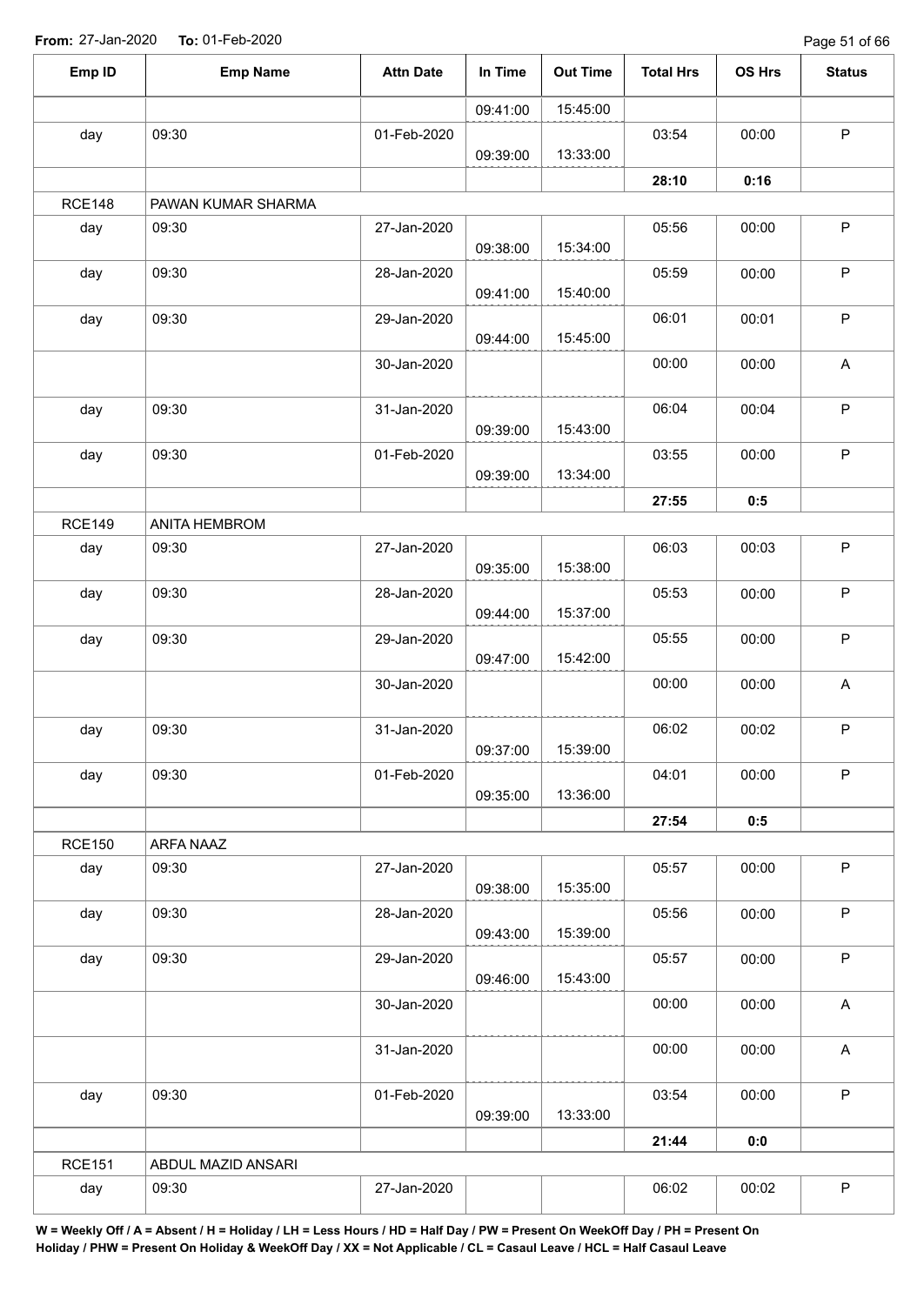Page 51 of 66

| Emp ID<br><b>Emp Name</b><br><b>Attn Date</b><br>In Time<br><b>Out Time</b><br><b>Total Hrs</b><br>15:45:00<br>09:41:00<br>09:30<br>day<br>01-Feb-2020<br>03:54<br>13:33:00<br>09:39:00<br>28:10<br><b>RCE148</b><br>PAWAN KUMAR SHARMA<br>day<br>09:30<br>27-Jan-2020<br>05:56<br>15:34:00<br>09:38:00<br>09:30<br>28-Jan-2020<br>05:59<br>day<br>15:40:00<br>09:41:00<br>09:30<br>29-Jan-2020<br>06:01<br>day<br>15:45:00<br>09:44:00<br>30-Jan-2020<br>00:00<br>09:30<br>31-Jan-2020<br>06:04<br>day<br>15:43:00<br>09:39:00<br>09:30<br>01-Feb-2020<br>03:55<br>day | OS Hrs<br>00:00<br>0:16<br>00:00<br>00:00<br>00:01<br>00:00<br>00:04<br>00:00<br>0:5 | <b>Status</b><br>$\mathsf P$<br>$\mathsf P$<br>$\sf P$<br>$\sf P$<br>$\mathsf A$<br>$\sf P$<br>$\mathsf P$ |
|-------------------------------------------------------------------------------------------------------------------------------------------------------------------------------------------------------------------------------------------------------------------------------------------------------------------------------------------------------------------------------------------------------------------------------------------------------------------------------------------------------------------------------------------------------------------------|--------------------------------------------------------------------------------------|------------------------------------------------------------------------------------------------------------|
|                                                                                                                                                                                                                                                                                                                                                                                                                                                                                                                                                                         |                                                                                      |                                                                                                            |
|                                                                                                                                                                                                                                                                                                                                                                                                                                                                                                                                                                         |                                                                                      |                                                                                                            |
|                                                                                                                                                                                                                                                                                                                                                                                                                                                                                                                                                                         |                                                                                      |                                                                                                            |
|                                                                                                                                                                                                                                                                                                                                                                                                                                                                                                                                                                         |                                                                                      |                                                                                                            |
|                                                                                                                                                                                                                                                                                                                                                                                                                                                                                                                                                                         |                                                                                      |                                                                                                            |
|                                                                                                                                                                                                                                                                                                                                                                                                                                                                                                                                                                         |                                                                                      |                                                                                                            |
|                                                                                                                                                                                                                                                                                                                                                                                                                                                                                                                                                                         |                                                                                      |                                                                                                            |
|                                                                                                                                                                                                                                                                                                                                                                                                                                                                                                                                                                         |                                                                                      |                                                                                                            |
|                                                                                                                                                                                                                                                                                                                                                                                                                                                                                                                                                                         |                                                                                      |                                                                                                            |
|                                                                                                                                                                                                                                                                                                                                                                                                                                                                                                                                                                         |                                                                                      |                                                                                                            |
|                                                                                                                                                                                                                                                                                                                                                                                                                                                                                                                                                                         |                                                                                      |                                                                                                            |
| 13:34:00<br>09:39:00                                                                                                                                                                                                                                                                                                                                                                                                                                                                                                                                                    |                                                                                      |                                                                                                            |
| 27:55                                                                                                                                                                                                                                                                                                                                                                                                                                                                                                                                                                   |                                                                                      |                                                                                                            |
| <b>RCE149</b><br>ANITA HEMBROM                                                                                                                                                                                                                                                                                                                                                                                                                                                                                                                                          |                                                                                      |                                                                                                            |
| 06:03<br>27-Jan-2020<br>day<br>09:30<br>15:38:00<br>09:35:00                                                                                                                                                                                                                                                                                                                                                                                                                                                                                                            | 00:03                                                                                | $\sf P$                                                                                                    |
| 05:53<br>09:30<br>day<br>28-Jan-2020<br>15:37:00<br>09:44:00                                                                                                                                                                                                                                                                                                                                                                                                                                                                                                            | 00:00                                                                                | $\sf P$                                                                                                    |
| 05:55<br>09:30<br>day<br>29-Jan-2020<br>15:42:00<br>09:47:00                                                                                                                                                                                                                                                                                                                                                                                                                                                                                                            | 00:00                                                                                | $\mathsf P$                                                                                                |
| 00:00<br>30-Jan-2020                                                                                                                                                                                                                                                                                                                                                                                                                                                                                                                                                    | 00:00                                                                                | A                                                                                                          |
| 06:02<br>09:30<br>31-Jan-2020<br>day<br>09:37:00<br>15:39:00                                                                                                                                                                                                                                                                                                                                                                                                                                                                                                            | 00:02                                                                                | $\mathsf P$                                                                                                |
| 04:01<br>09:30<br>day<br>01-Feb-2020<br>13:36:00<br>09:35:00                                                                                                                                                                                                                                                                                                                                                                                                                                                                                                            | 00:00                                                                                | $\mathsf P$                                                                                                |
| 27:54                                                                                                                                                                                                                                                                                                                                                                                                                                                                                                                                                                   | 0:5                                                                                  |                                                                                                            |
| <b>RCE150</b><br>ARFA NAAZ                                                                                                                                                                                                                                                                                                                                                                                                                                                                                                                                              |                                                                                      |                                                                                                            |
| 09:30<br>27-Jan-2020<br>05:57<br>day<br>15:35:00<br>09:38:00                                                                                                                                                                                                                                                                                                                                                                                                                                                                                                            | 00:00                                                                                | $\sf P$                                                                                                    |
| 05:56<br>09:30<br>day<br>28-Jan-2020<br>15:39:00<br>09:43:00                                                                                                                                                                                                                                                                                                                                                                                                                                                                                                            | 00:00                                                                                | $\sf P$                                                                                                    |
| 05:57<br>09:30<br>29-Jan-2020<br>day<br>15:43:00<br>09:46:00                                                                                                                                                                                                                                                                                                                                                                                                                                                                                                            | 00:00                                                                                | $\mathsf P$                                                                                                |
| 00:00<br>30-Jan-2020                                                                                                                                                                                                                                                                                                                                                                                                                                                                                                                                                    | 00:00                                                                                | A                                                                                                          |
| 00:00<br>31-Jan-2020                                                                                                                                                                                                                                                                                                                                                                                                                                                                                                                                                    | 00:00                                                                                | $\mathsf A$                                                                                                |
| 03:54<br>09:30<br>day<br>01-Feb-2020<br>13:33:00                                                                                                                                                                                                                                                                                                                                                                                                                                                                                                                        | 00:00                                                                                | $\mathsf P$                                                                                                |
| 09:39:00<br>21:44                                                                                                                                                                                                                                                                                                                                                                                                                                                                                                                                                       | 0:0                                                                                  |                                                                                                            |
| <b>RCE151</b><br>ABDUL MAZID ANSARI                                                                                                                                                                                                                                                                                                                                                                                                                                                                                                                                     |                                                                                      |                                                                                                            |
| 06:02<br>day<br>09:30<br>27-Jan-2020                                                                                                                                                                                                                                                                                                                                                                                                                                                                                                                                    | 00:02                                                                                | $\sf P$                                                                                                    |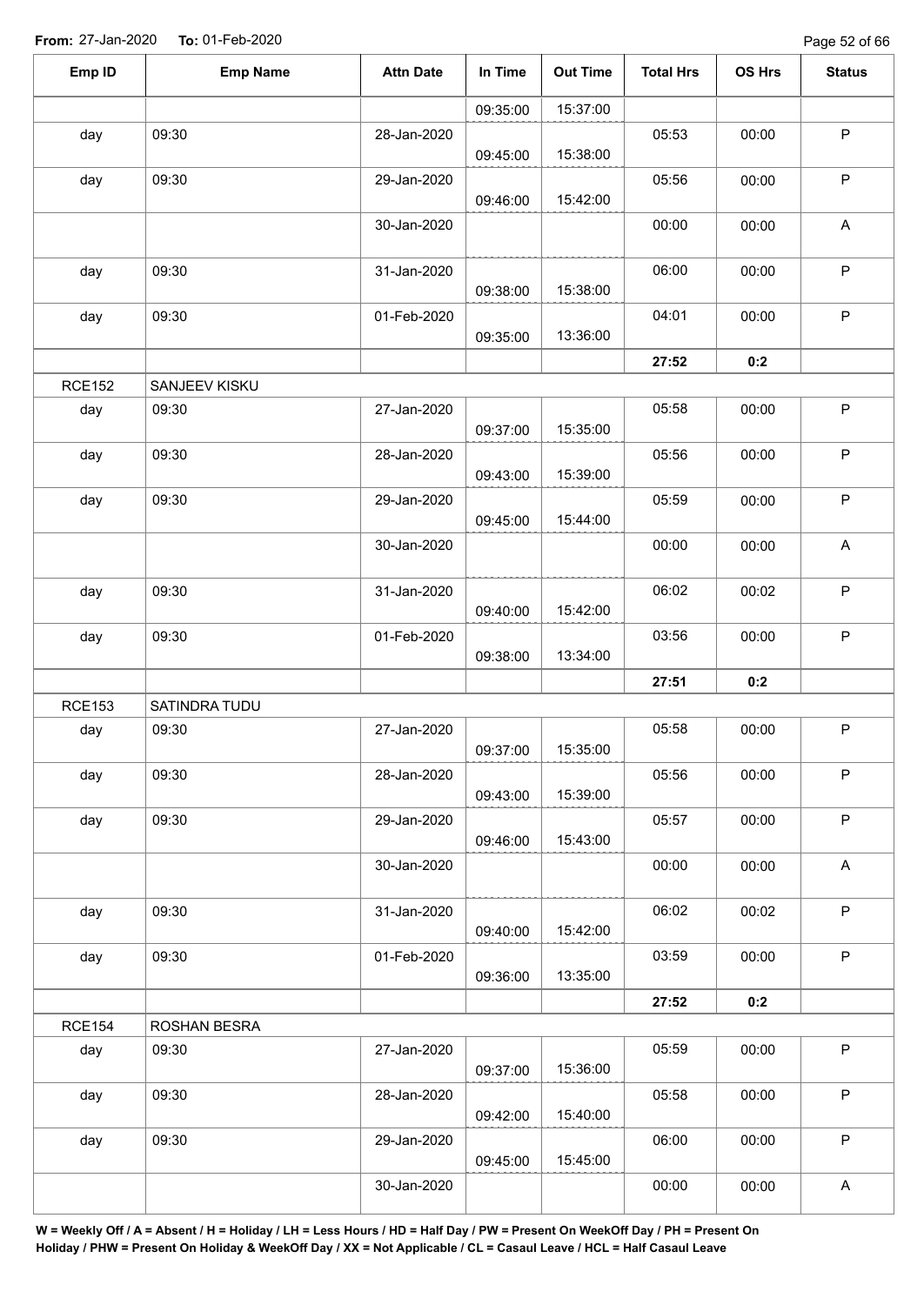| Emp ID        | <b>Emp Name</b> | <b>Attn Date</b> | In Time  | <b>Out Time</b> | <b>Total Hrs</b> | OS Hrs | <b>Status</b> |
|---------------|-----------------|------------------|----------|-----------------|------------------|--------|---------------|
|               |                 |                  | 09:35:00 | 15:37:00        |                  |        |               |
| day           | 09:30           | 28-Jan-2020      | 09:45:00 | 15:38:00        | 05:53            | 00:00  | $\sf P$       |
| day           | 09:30           | 29-Jan-2020      | 09:46:00 | 15:42:00        | 05:56            | 00:00  | $\sf P$       |
|               |                 | 30-Jan-2020      |          |                 | 00:00            | 00:00  | A             |
| day           | 09:30           | 31-Jan-2020      | 09:38:00 | 15:38:00        | 06:00            | 00:00  | $\mathsf P$   |
| day           | 09:30           | 01-Feb-2020      | 09:35:00 | 13:36:00        | 04:01            | 00:00  | $\mathsf P$   |
|               |                 |                  |          |                 | 27:52            | 0:2    |               |
| <b>RCE152</b> | SANJEEV KISKU   |                  |          |                 |                  |        |               |
| day           | 09:30           | 27-Jan-2020      | 09:37:00 | 15:35:00        | 05:58            | 00:00  | $\mathsf P$   |
| day           | 09:30           | 28-Jan-2020      | 09:43:00 | 15:39:00        | 05:56            | 00:00  | $\mathsf P$   |
| day           | 09:30           | 29-Jan-2020      | 09:45:00 | 15:44:00        | 05:59            | 00:00  | $\mathsf P$   |
|               |                 | 30-Jan-2020      |          |                 | 00:00            | 00:00  | A             |
| day           | 09:30           | 31-Jan-2020      | 09:40:00 | 15:42:00        | 06:02            | 00:02  | $\sf P$       |
| day           | 09:30           | 01-Feb-2020      | 09:38:00 | 13:34:00        | 03:56            | 00:00  | $\mathsf P$   |
|               |                 |                  |          |                 | 27:51            | 0:2    |               |
| <b>RCE153</b> | SATINDRA TUDU   |                  |          |                 |                  |        |               |
| day           | 09:30           | 27-Jan-2020      | 09:37:00 | 15:35:00        | 05:58            | 00:00  | $\sf P$       |
| day           | 09:30           | 28-Jan-2020      | 09:43:00 | 15:39:00        | 05:56            | 00:00  | $\mathsf P$   |
| day           | 09:30           | 29-Jan-2020      | 09:46:00 | 15:43:00        | 05:57            | 00:00  | $\sf P$       |
|               |                 | 30-Jan-2020      |          |                 | 00:00            | 00:00  | A             |
| day           | 09:30           | 31-Jan-2020      | 09:40:00 | 15:42:00        | 06:02            | 00:02  | $\mathsf P$   |
| day           | 09:30           | 01-Feb-2020      | 09:36:00 | 13:35:00        | 03:59            | 00:00  | $\mathsf{P}$  |
|               |                 |                  |          |                 | 27:52            | 0:2    |               |
| <b>RCE154</b> | ROSHAN BESRA    |                  |          |                 |                  |        |               |
| day           | 09:30           | 27-Jan-2020      | 09:37:00 | 15:36:00        | 05:59            | 00:00  | P             |
| day           | 09:30           | 28-Jan-2020      | 09:42:00 | 15:40:00        | 05:58            | 00:00  | $\sf P$       |
| day           | 09:30           | 29-Jan-2020      | 09:45:00 | 15:45:00        | 06:00            | 00:00  | $\mathsf P$   |
|               |                 | 30-Jan-2020      |          |                 | 00:00            | 00:00  | A             |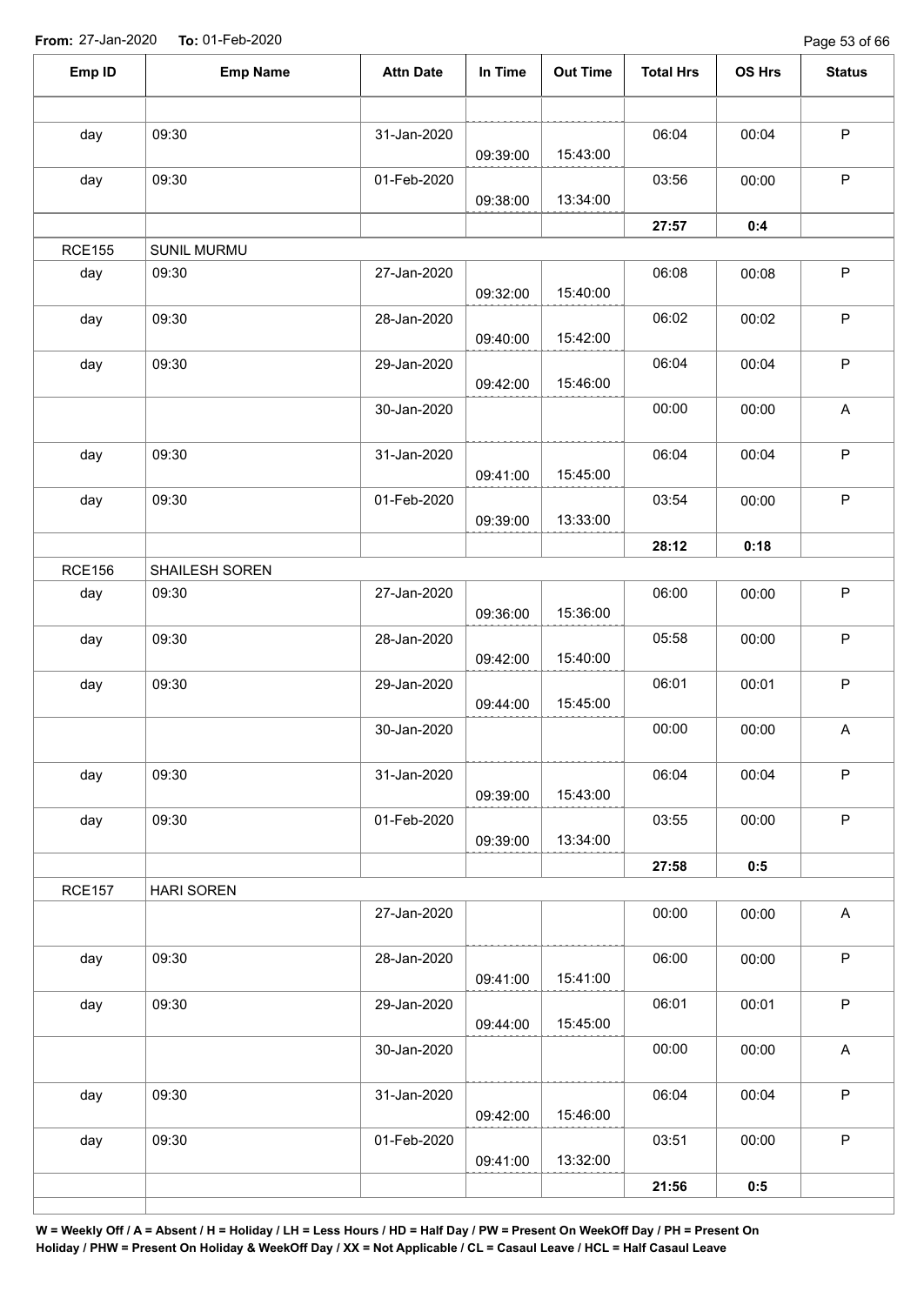Page 53 of 66

| Emp ID               | <b>Emp Name</b>      | <b>Attn Date</b> | In Time  | <b>Out Time</b> | <b>Total Hrs</b> | OS Hrs | <b>Status</b>             |
|----------------------|----------------------|------------------|----------|-----------------|------------------|--------|---------------------------|
|                      |                      |                  |          |                 |                  |        |                           |
| day                  | 09:30                | 31-Jan-2020      | 09:39:00 | 15:43:00        | 06:04            | 00:04  | $\sf P$                   |
| day                  | 09:30                | 01-Feb-2020      |          |                 | 03:56            | 00:00  | $\mathsf P$               |
|                      |                      |                  | 09:38:00 | 13:34:00        |                  |        |                           |
|                      |                      |                  |          |                 | 27:57            | 0:4    |                           |
| <b>RCE155</b><br>day | SUNIL MURMU<br>09:30 | 27-Jan-2020      |          |                 | 06:08            | 00:08  | $\mathsf P$               |
|                      |                      |                  | 09:32:00 | 15:40:00        |                  |        |                           |
| day                  | 09:30                | 28-Jan-2020      | 09:40:00 | 15:42:00        | 06:02            | 00:02  | $\mathsf P$               |
| day                  | 09:30                | 29-Jan-2020      | 09:42:00 | 15:46:00        | 06:04            | 00:04  | $\mathsf P$               |
|                      |                      | 30-Jan-2020      |          |                 | 00:00            | 00:00  | $\boldsymbol{\mathsf{A}}$ |
| day                  | 09:30                | 31-Jan-2020      | 09:41:00 | 15:45:00        | 06:04            | 00:04  | $\sf P$                   |
| day                  | 09:30                | 01-Feb-2020      | 09:39:00 | 13:33:00        | 03:54            | 00:00  | $\sf P$                   |
|                      |                      |                  |          |                 | 28:12            | 0:18   |                           |
| <b>RCE156</b>        | SHAILESH SOREN       |                  |          |                 |                  |        |                           |
| day                  | 09:30                | 27-Jan-2020      | 09:36:00 | 15:36:00        | 06:00            | 00:00  | $\mathsf P$               |
| day                  | 09:30                | 28-Jan-2020      | 09:42:00 | 15:40:00        | 05:58            | 00:00  | $\sf P$                   |
| day                  | 09:30                | 29-Jan-2020      | 09:44:00 | 15:45:00        | 06:01            | 00:01  | $\sf P$                   |
|                      |                      | 30-Jan-2020      |          |                 | 00:00            | 00:00  | $\boldsymbol{\mathsf{A}}$ |
| day                  | 09:30                | 31-Jan-2020      | 09:39:00 | 15:43:00        | 06:04            | 00:04  | $\mathsf P$               |
| day                  | 09:30                | 01-Feb-2020      | 09:39:00 | 13:34:00        | 03:55            | 00:00  | $\mathsf P$               |
|                      |                      |                  |          |                 | 27:58            | 0:5    |                           |
| <b>RCE157</b>        | <b>HARI SOREN</b>    |                  |          |                 |                  |        |                           |
|                      |                      | 27-Jan-2020      |          |                 | 00:00            | 00:00  | $\boldsymbol{\mathsf{A}}$ |
| day                  | 09:30                | 28-Jan-2020      | 09:41:00 | 15:41:00        | 06:00            | 00:00  | $\sf P$                   |
| day                  | 09:30                | 29-Jan-2020      | 09:44:00 | 15:45:00        | 06:01            | 00:01  | $\sf P$                   |
|                      |                      | 30-Jan-2020      |          |                 | 00:00            | 00:00  | $\boldsymbol{\mathsf{A}}$ |
| day                  | 09:30                | 31-Jan-2020      |          |                 | 06:04            | 00:04  | $\mathsf P$               |
|                      |                      |                  | 09:42:00 | 15:46:00        |                  |        |                           |
| day                  | 09:30                | 01-Feb-2020      | 09:41:00 | 13:32:00        | 03:51            | 00:00  | $\sf P$                   |
|                      |                      |                  |          |                 | 21:56            | 0:5    |                           |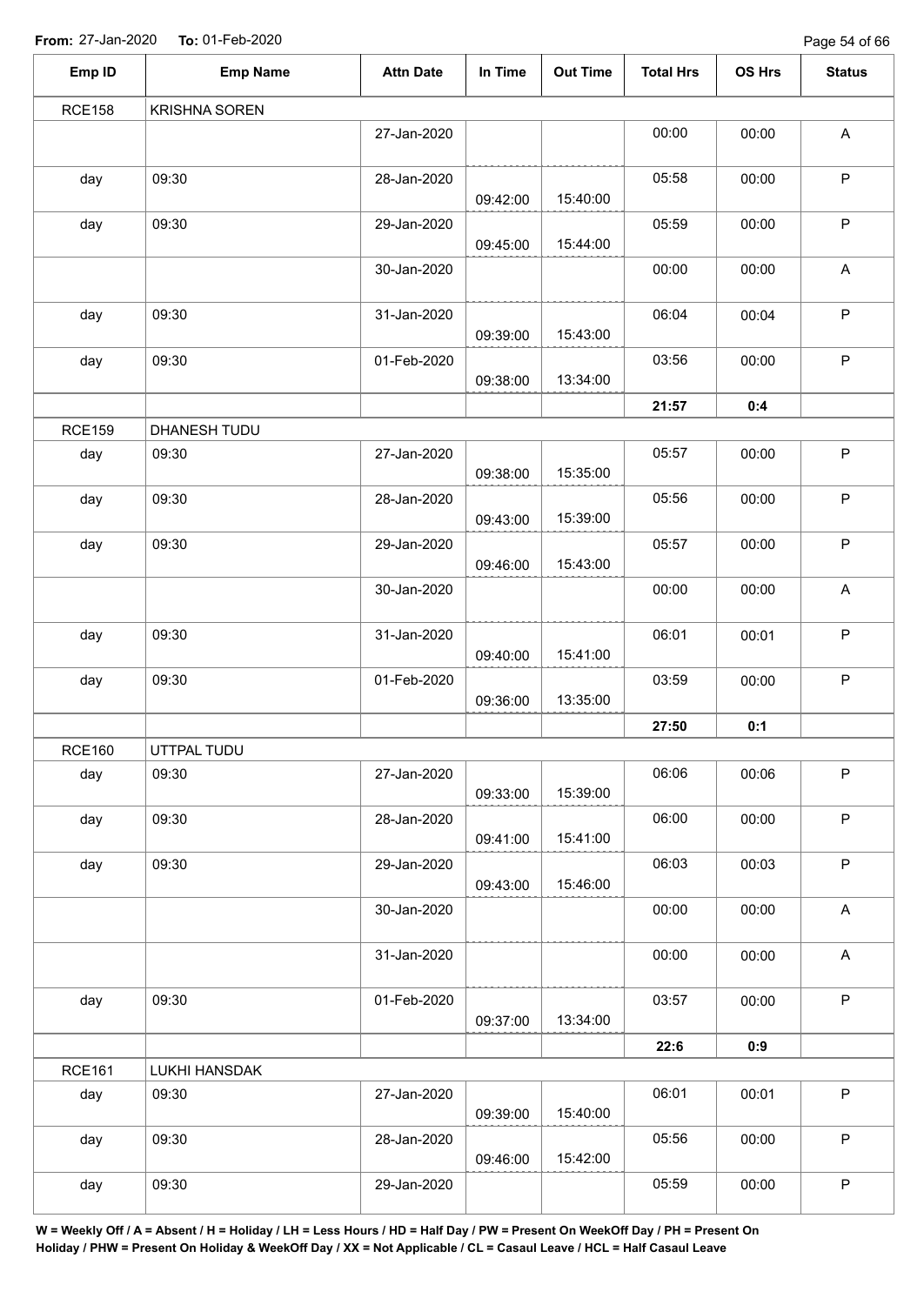Page 54 of 66

| Emp ID        | <b>Emp Name</b>      | <b>Attn Date</b> | In Time  | <b>Out Time</b> | <b>Total Hrs</b> | OS Hrs | <b>Status</b>             |
|---------------|----------------------|------------------|----------|-----------------|------------------|--------|---------------------------|
| <b>RCE158</b> | <b>KRISHNA SOREN</b> |                  |          |                 |                  |        |                           |
|               |                      | 27-Jan-2020      |          |                 | 00:00            | 00:00  | A                         |
| day           | 09:30                | 28-Jan-2020      | 09:42:00 | 15:40:00        | 05:58            | 00:00  | $\sf P$                   |
| day           | 09:30                | 29-Jan-2020      | 09:45:00 | 15:44:00        | 05:59            | 00:00  | $\sf P$                   |
|               |                      | 30-Jan-2020      |          |                 | 00:00            | 00:00  | A                         |
| day           | 09:30                | 31-Jan-2020      | 09:39:00 | 15:43:00        | 06:04            | 00:04  | $\mathsf P$               |
| day           | 09:30                | 01-Feb-2020      | 09:38:00 | 13:34:00        | 03:56            | 00:00  | P                         |
|               |                      |                  |          |                 | 21:57            | 0:4    |                           |
| <b>RCE159</b> | DHANESH TUDU         |                  |          |                 |                  |        |                           |
| day           | 09:30                | 27-Jan-2020      | 09:38:00 | 15:35:00        | 05:57            | 00:00  | P                         |
| day           | 09:30                | 28-Jan-2020      | 09:43:00 | 15:39:00        | 05:56            | 00:00  | P                         |
| day           | 09:30                | 29-Jan-2020      | 09:46:00 | 15:43:00        | 05:57            | 00:00  | $\sf P$                   |
|               |                      | 30-Jan-2020      |          |                 | 00:00            | 00:00  | A                         |
| day           | 09:30                | 31-Jan-2020      | 09:40:00 | 15:41:00        | 06:01            | 00:01  | $\sf P$                   |
| day           | 09:30                | 01-Feb-2020      | 09:36:00 | 13:35:00        | 03:59            | 00:00  | $\sf P$                   |
|               |                      |                  |          |                 | 27:50            | 0:1    |                           |
| <b>RCE160</b> | UTTPAL TUDU          |                  |          |                 |                  |        |                           |
| day           | 09:30                | 27-Jan-2020      | 09:33:00 | 15:39:00        | 06:06            | 00:06  | $\mathsf P$               |
| day           | 09:30                | 28-Jan-2020      | 09:41:00 | 15:41:00        | 06:00            | 00:00  | $\sf P$                   |
| day           | 09:30                | 29-Jan-2020      | 09:43:00 | 15:46:00        | 06:03            | 00:03  | $\mathsf P$               |
|               |                      | 30-Jan-2020      |          |                 | 00:00            | 00:00  | $\boldsymbol{\mathsf{A}}$ |
|               |                      | 31-Jan-2020      |          |                 | 00:00            | 00:00  | $\mathsf A$               |
| day           | 09:30                | 01-Feb-2020      | 09:37:00 | 13:34:00        | 03:57            | 00:00  | $\mathsf P$               |
|               |                      |                  |          |                 | 22:6             | 0:9    |                           |
| <b>RCE161</b> | LUKHI HANSDAK        |                  |          |                 |                  |        |                           |
| day           | 09:30                | 27-Jan-2020      | 09:39:00 | 15:40:00        | 06:01            | 00:01  | $\mathsf P$               |
| day           | 09:30                | 28-Jan-2020      | 09:46:00 | 15:42:00        | 05:56            | 00:00  | $\mathsf P$               |
| day           | 09:30                | 29-Jan-2020      |          |                 | 05:59            | 00:00  | $\sf P$                   |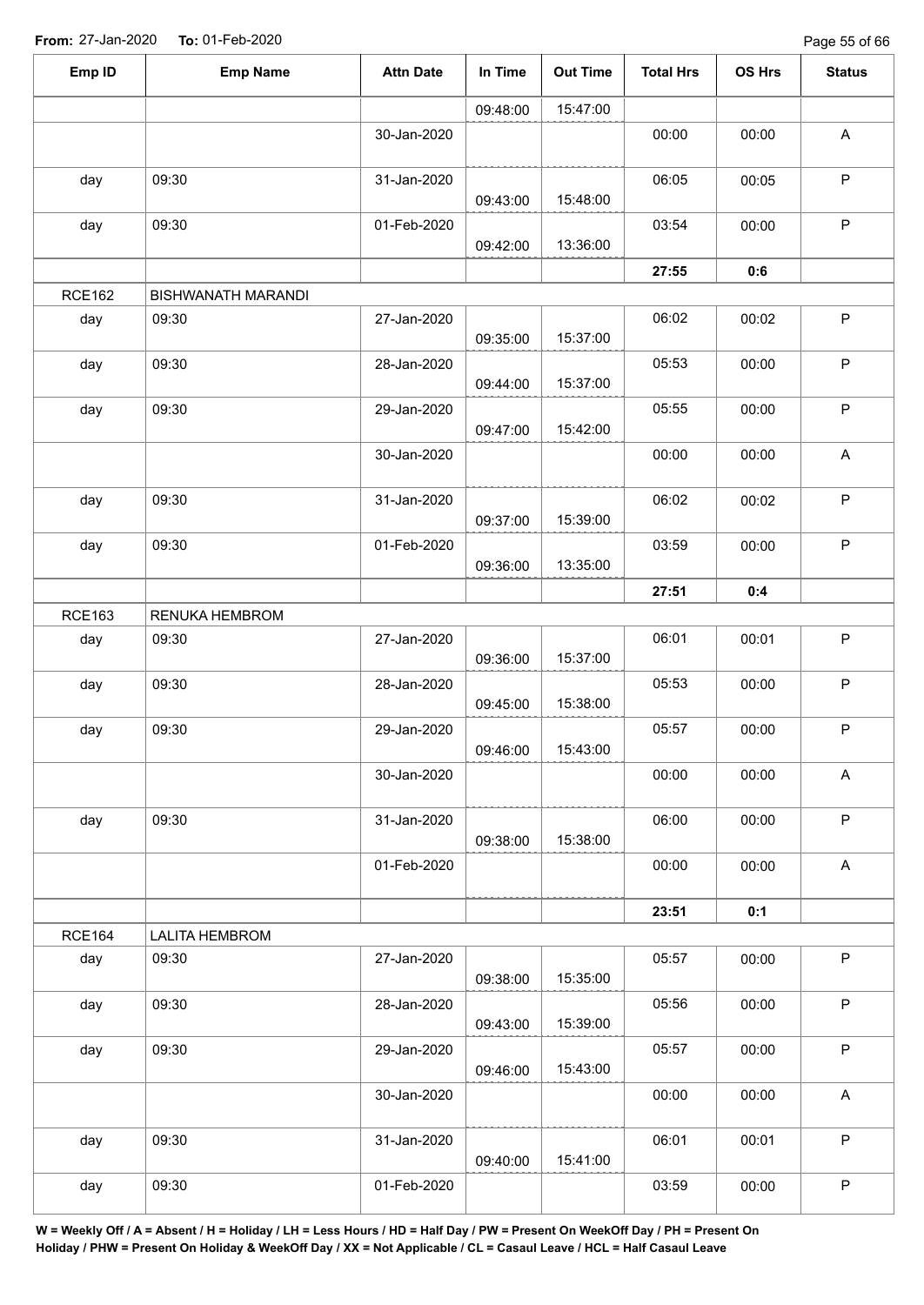Page 55 of 66

| Emp ID        | <b>Emp Name</b>       | <b>Attn Date</b> | In Time  | <b>Out Time</b> | <b>Total Hrs</b> | OS Hrs | <b>Status</b>             |
|---------------|-----------------------|------------------|----------|-----------------|------------------|--------|---------------------------|
|               |                       |                  | 09:48:00 | 15:47:00        |                  |        |                           |
|               |                       | 30-Jan-2020      |          |                 | 00:00            | 00:00  | $\mathsf A$               |
| day           | 09:30                 | 31-Jan-2020      | 09:43:00 | 15:48:00        | 06:05            | 00:05  | $\mathsf P$               |
| day           | 09:30                 | 01-Feb-2020      | 09:42:00 | 13:36:00        | 03:54            | 00:00  | $\mathsf P$               |
|               |                       |                  |          |                 | 27:55            | 0:6    |                           |
| <b>RCE162</b> | BISHWANATH MARANDI    |                  |          |                 |                  |        |                           |
| day           | 09:30                 | 27-Jan-2020      | 09:35:00 | 15:37:00        | 06:02            | 00:02  | $\mathsf P$               |
| day           | 09:30                 | 28-Jan-2020      | 09:44:00 | 15:37:00        | 05:53            | 00:00  | $\mathsf P$               |
| day           | 09:30                 | 29-Jan-2020      | 09:47:00 | 15:42:00        | 05:55            | 00:00  | $\mathsf P$               |
|               |                       | 30-Jan-2020      |          |                 | 00:00            | 00:00  | $\mathsf{A}$              |
| day           | 09:30                 | 31-Jan-2020      | 09:37:00 | 15:39:00        | 06:02            | 00:02  | $\mathsf P$               |
| day           | 09:30                 | 01-Feb-2020      | 09:36:00 | 13:35:00        | 03:59            | 00:00  | $\mathsf P$               |
|               |                       |                  |          |                 | 27:51            | 0:4    |                           |
| <b>RCE163</b> | RENUKA HEMBROM        |                  |          |                 |                  |        |                           |
| day           | 09:30                 | 27-Jan-2020      | 09:36:00 | 15:37:00        | 06:01            | 00:01  | $\mathsf P$               |
| day           | 09:30                 | 28-Jan-2020      | 09:45:00 | 15:38:00        | 05:53            | 00:00  | $\mathsf P$               |
| day           | 09:30                 | 29-Jan-2020      | 09:46:00 | 15:43:00        | 05:57            | 00:00  | $\mathsf P$               |
|               |                       | 30-Jan-2020      |          |                 | 00:00            | 00:00  | $\boldsymbol{\mathsf{A}}$ |
| day           | 09:30                 | 31-Jan-2020      | 09:38:00 | 15:38:00        | 06:00            | 00:00  | $\mathsf{P}$              |
|               |                       | 01-Feb-2020      |          |                 | 00:00            | 00:00  | $\mathsf A$               |
|               |                       |                  |          |                 | 23:51            | 0:1    |                           |
| <b>RCE164</b> | <b>LALITA HEMBROM</b> |                  |          |                 |                  |        |                           |
| day           | 09:30                 | 27-Jan-2020      | 09:38:00 | 15:35:00        | 05:57            | 00:00  | $\sf P$                   |
| day           | 09:30                 | 28-Jan-2020      | 09:43:00 | 15:39:00        | 05:56            | 00:00  | $\mathsf P$               |
| day           | 09:30                 | 29-Jan-2020      | 09:46:00 | 15:43:00        | 05:57            | 00:00  | $\sf P$                   |
|               |                       | 30-Jan-2020      |          |                 | 00:00            | 00:00  | A                         |
| day           | 09:30                 | 31-Jan-2020      | 09:40:00 | 15:41:00        | 06:01            | 00:01  | $\mathsf P$               |
| day           | 09:30                 | 01-Feb-2020      |          |                 | 03:59            | 00:00  | $\sf P$                   |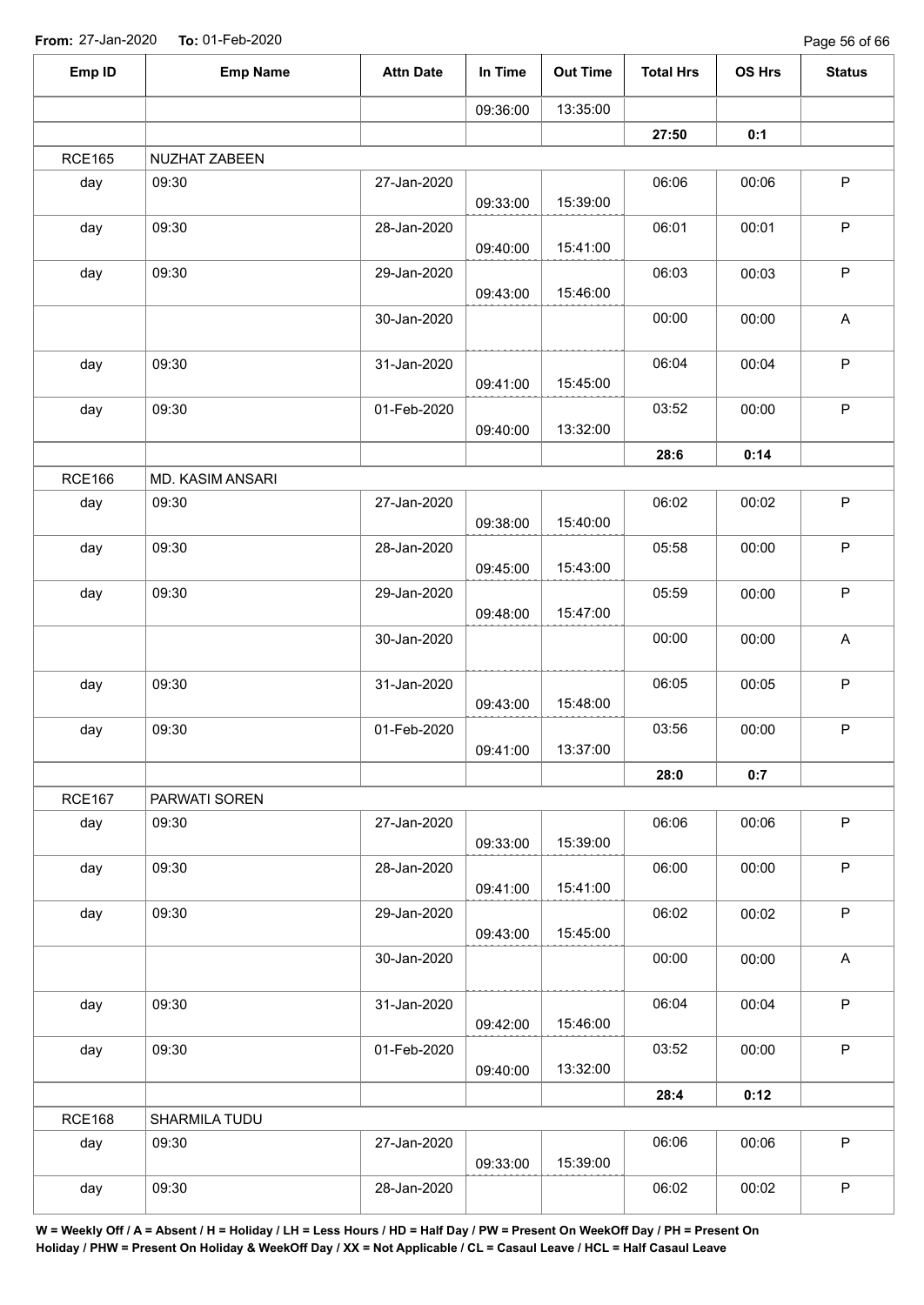| Emp ID        | <b>Emp Name</b>  | <b>Attn Date</b> | In Time  | <b>Out Time</b> | <b>Total Hrs</b> | OS Hrs | <b>Status</b> |
|---------------|------------------|------------------|----------|-----------------|------------------|--------|---------------|
|               |                  |                  | 09:36:00 | 13:35:00        |                  |        |               |
|               |                  |                  |          |                 | 27:50            | 0:1    |               |
| <b>RCE165</b> | NUZHAT ZABEEN    |                  |          |                 |                  |        |               |
| day           | 09:30            | 27-Jan-2020      | 09:33:00 | 15:39:00        | 06:06            | 00:06  | $\mathsf P$   |
| day           | 09:30            | 28-Jan-2020      | 09:40:00 | 15:41:00        | 06:01            | 00:01  | $\sf P$       |
| day           | 09:30            | 29-Jan-2020      | 09:43:00 | 15:46:00        | 06:03            | 00:03  | $\mathsf P$   |
|               |                  | 30-Jan-2020      |          |                 | 00:00            | 00:00  | A             |
| day           | 09:30            | 31-Jan-2020      | 09:41:00 | 15:45:00        | 06:04            | 00:04  | $\mathsf P$   |
| day           | 09:30            | 01-Feb-2020      | 09:40:00 | 13:32:00        | 03:52            | 00:00  | $\mathsf P$   |
|               |                  |                  |          |                 | 28:6             | 0:14   |               |
| <b>RCE166</b> | MD. KASIM ANSARI |                  |          |                 |                  |        |               |
| day           | 09:30            | 27-Jan-2020      | 09:38:00 | 15:40:00        | 06:02            | 00:02  | $\mathsf P$   |
| day           | 09:30            | 28-Jan-2020      | 09:45:00 | 15:43:00        | 05:58            | 00:00  | $\sf P$       |
| day           | 09:30            | 29-Jan-2020      | 09:48:00 | 15:47:00        | 05:59            | 00:00  | $\mathsf P$   |
|               |                  | 30-Jan-2020      |          |                 | 00:00            | 00:00  | A             |
| day           | 09:30            | 31-Jan-2020      | 09:43:00 | 15:48:00        | 06:05            | 00:05  | $\mathsf P$   |
| day           | 09:30            | 01-Feb-2020      | 09:41:00 | 13:37:00        | 03:56            | 00:00  | $\mathsf P$   |
|               |                  |                  |          |                 | 28:0             | 0:7    |               |
| <b>RCE167</b> | PARWATI SOREN    |                  |          |                 |                  |        |               |
| day           | 09:30            | 27-Jan-2020      | 09:33:00 | 15:39:00        | 06:06            | 00:06  | $\mathsf{P}$  |
| day           | 09:30            | 28-Jan-2020      | 09:41:00 | 15:41:00        | 06:00            | 00:00  | $\mathsf P$   |
| day           | 09:30            | 29-Jan-2020      | 09:43:00 | 15:45:00        | 06:02            | 00:02  | P             |
|               |                  | 30-Jan-2020      |          |                 | 00:00            | 00:00  | $\mathsf{A}$  |
| day           | 09:30            | 31-Jan-2020      | 09:42:00 | 15:46:00        | 06:04            | 00:04  | $\mathsf P$   |
| day           | 09:30            | 01-Feb-2020      | 09:40:00 | 13:32:00        | 03:52            | 00:00  | $\mathsf P$   |
|               |                  |                  |          |                 | 28:4             | 0:12   |               |
| <b>RCE168</b> | SHARMILA TUDU    |                  |          |                 |                  |        |               |
| day           | 09:30            | 27-Jan-2020      | 09:33:00 | 15:39:00        | 06:06            | 00:06  | $\mathsf P$   |
| day           | 09:30            | 28-Jan-2020      |          |                 | 06:02            | 00:02  | $\mathsf P$   |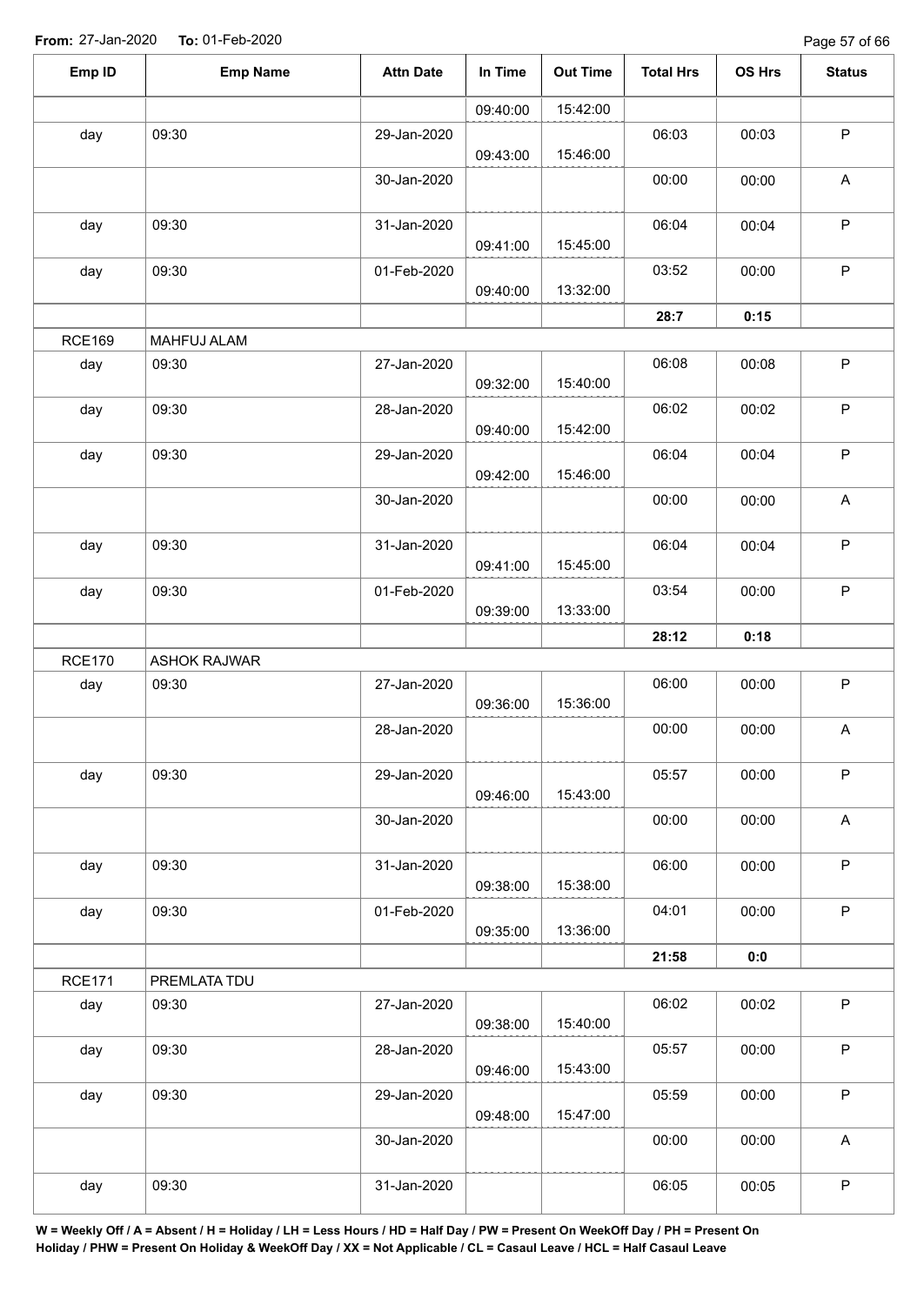| Emp ID        | <b>Emp Name</b>     | <b>Attn Date</b> | In Time  | <b>Out Time</b> | <b>Total Hrs</b> | OS Hrs | <b>Status</b>             |
|---------------|---------------------|------------------|----------|-----------------|------------------|--------|---------------------------|
|               |                     |                  | 09:40:00 | 15:42:00        |                  |        |                           |
| day           | 09:30               | 29-Jan-2020      | 09:43:00 | 15:46:00        | 06:03            | 00:03  | $\mathsf P$               |
|               |                     | 30-Jan-2020      |          |                 | 00:00            | 00:00  | $\boldsymbol{\mathsf{A}}$ |
| day           | 09:30               | 31-Jan-2020      | 09:41:00 | 15:45:00        | 06:04            | 00:04  | $\sf P$                   |
| day           | 09:30               | 01-Feb-2020      | 09:40:00 | 13:32:00        | 03:52            | 00:00  | $\sf P$                   |
|               |                     |                  |          |                 | 28:7             | 0:15   |                           |
| <b>RCE169</b> | MAHFUJ ALAM         |                  |          |                 |                  |        |                           |
| day           | 09:30               | 27-Jan-2020      | 09:32:00 | 15:40:00        | 06:08            | 00:08  | $\sf P$                   |
| day           | 09:30               | 28-Jan-2020      | 09:40:00 | 15:42:00        | 06:02            | 00:02  | $\mathsf P$               |
| day           | 09:30               | 29-Jan-2020      | 09:42:00 | 15:46:00        | 06:04            | 00:04  | $\sf P$                   |
|               |                     | 30-Jan-2020      |          |                 | 00:00            | 00:00  | A                         |
| day           | 09:30               | 31-Jan-2020      | 09:41:00 | 15:45:00        | 06:04            | 00:04  | $\sf P$                   |
| day           | 09:30               | 01-Feb-2020      | 09:39:00 | 13:33:00        | 03:54            | 00:00  | $\mathsf P$               |
|               |                     |                  |          |                 | 28:12            | 0:18   |                           |
| <b>RCE170</b> | <b>ASHOK RAJWAR</b> |                  |          |                 |                  |        |                           |
| day           | 09:30               | 27-Jan-2020      | 09:36:00 | 15:36:00        | 06:00            | 00:00  | $\sf P$                   |
|               |                     | 28-Jan-2020      |          |                 | 00:00            | 00:00  | $\boldsymbol{\mathsf{A}}$ |
| day           | 09:30               | 29-Jan-2020      | 09:46:00 | 15:43:00        | 05:57            | 00:00  | $\mathsf P$               |
|               |                     | 30-Jan-2020      |          |                 | 00:00            | 00:00  | $\mathsf A$               |
| day           | 09:30               | 31-Jan-2020      | 09:38:00 | 15:38:00        | 06:00            | 00:00  | $\mathsf{P}$              |
| day           | 09:30               | 01-Feb-2020      | 09:35:00 | 13:36:00        | 04:01            | 00:00  | $\sf P$                   |
|               |                     |                  |          |                 | 21:58            | 0:0    |                           |
| <b>RCE171</b> | PREMLATA TDU        |                  |          |                 |                  |        |                           |
| day           | 09:30               | 27-Jan-2020      | 09:38:00 | 15:40:00        | 06:02            | 00:02  | $\sf P$                   |
| day           | 09:30               | 28-Jan-2020      | 09:46:00 | 15:43:00        | 05:57            | 00:00  | $\mathsf{P}$              |
| day           | 09:30               | 29-Jan-2020      | 09:48:00 | 15:47:00        | 05:59            | 00:00  | $\mathsf P$               |
|               |                     | 30-Jan-2020      |          |                 | 00:00            | 00:00  | $\mathsf{A}$              |
| day           | 09:30               | 31-Jan-2020      |          |                 | 06:05            | 00:05  | ${\sf P}$                 |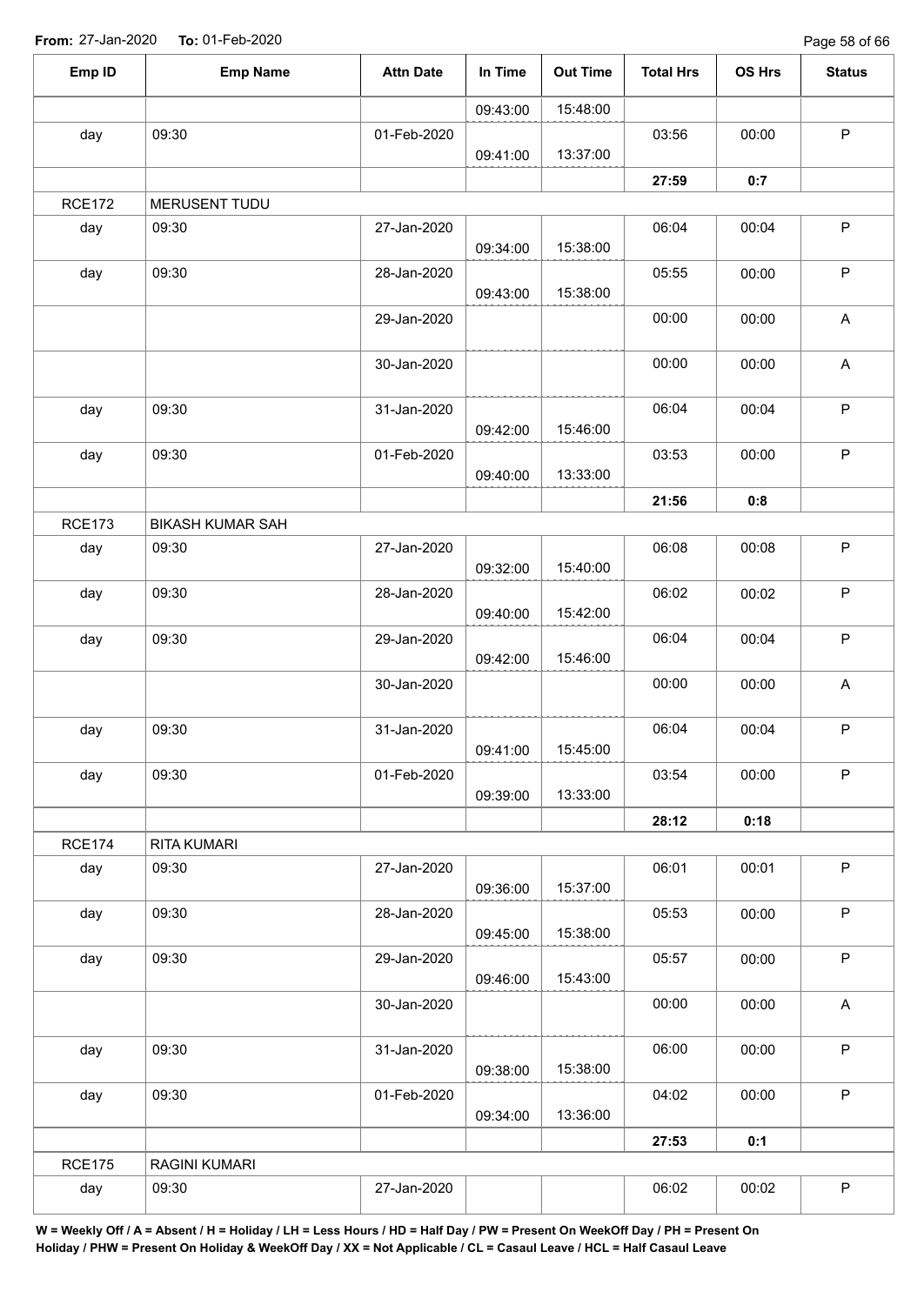Page 58 of 66

| Emp ID        | <b>Emp Name</b>         | <b>Attn Date</b> | In Time  | <b>Out Time</b> | <b>Total Hrs</b> | OS Hrs | <b>Status</b>             |
|---------------|-------------------------|------------------|----------|-----------------|------------------|--------|---------------------------|
|               |                         |                  | 09:43:00 | 15:48:00        |                  |        |                           |
| day           | 09:30                   | 01-Feb-2020      |          |                 | 03:56            | 00:00  | $\sf P$                   |
|               |                         |                  | 09:41:00 | 13:37:00        |                  |        |                           |
|               |                         |                  |          |                 | 27:59            | 0:7    |                           |
| <b>RCE172</b> | MERUSENT TUDU           |                  |          |                 |                  |        |                           |
| day           | 09:30                   | 27-Jan-2020      | 09:34:00 | 15:38:00        | 06:04            | 00:04  | $\mathsf P$               |
| day           | 09:30                   | 28-Jan-2020      | 09:43:00 | 15:38:00        | 05:55            | 00:00  | $\sf P$                   |
|               |                         | 29-Jan-2020      |          |                 | 00:00            | 00:00  | $\boldsymbol{\mathsf{A}}$ |
|               |                         | 30-Jan-2020      |          |                 | 00:00            | 00:00  | $\boldsymbol{\mathsf{A}}$ |
| day           | 09:30                   | 31-Jan-2020      |          |                 | 06:04            | 00:04  | P                         |
|               |                         |                  | 09:42:00 | 15:46:00        |                  |        |                           |
| day           | 09:30                   | 01-Feb-2020      | 09:40:00 | 13:33:00        | 03:53            | 00:00  | $\sf P$                   |
|               |                         |                  |          |                 | 21:56            | 0:8    |                           |
| <b>RCE173</b> | <b>BIKASH KUMAR SAH</b> |                  |          |                 |                  |        |                           |
| day           | 09:30                   | 27-Jan-2020      | 09:32:00 | 15:40:00        | 06:08            | 00:08  | $\sf P$                   |
| day           | 09:30                   | 28-Jan-2020      | 09:40:00 | 15:42:00        | 06:02            | 00:02  | $\sf P$                   |
| day           | 09:30                   | 29-Jan-2020      | 09:42:00 | 15:46:00        | 06:04            | 00:04  | $\sf P$                   |
|               |                         | 30-Jan-2020      |          |                 | 00:00            | 00:00  | $\boldsymbol{\mathsf{A}}$ |
| day           | 09:30                   | 31-Jan-2020      | 09:41:00 | 15:45:00        | 06:04            | 00:04  | $\mathsf P$               |
| day           | 09:30                   | 01-Feb-2020      | 09:39:00 | 13:33:00        | 03:54            | 00:00  | $\mathsf P$               |
|               |                         |                  |          |                 | 28:12            | 0:18   |                           |
| <b>RCE174</b> | RITA KUMARI             |                  |          |                 |                  |        |                           |
| day           | 09:30                   | 27-Jan-2020      | 09:36:00 | 15:37:00        | 06:01            | 00:01  | $\mathsf P$               |
| day           | 09:30                   | 28-Jan-2020      | 09:45:00 | 15:38:00        | 05:53            | 00:00  | $\mathsf P$               |
| day           | 09:30                   | 29-Jan-2020      | 09:46:00 | 15:43:00        | 05:57            | 00:00  | $\sf P$                   |
|               |                         | 30-Jan-2020      |          |                 | 00:00            | 00:00  | A                         |
| day           | 09:30                   | 31-Jan-2020      |          |                 | 06:00            | 00:00  | $\sf P$                   |
| day           | 09:30                   | 01-Feb-2020      | 09:38:00 | 15:38:00        | 04:02            | 00:00  | $\mathsf P$               |
|               |                         |                  | 09:34:00 | 13:36:00        |                  |        |                           |
|               |                         |                  |          |                 | 27:53            | 0:1    |                           |
| <b>RCE175</b> | RAGINI KUMARI           |                  |          |                 |                  |        |                           |
| day           | 09:30                   | 27-Jan-2020      |          |                 | 06:02            | 00:02  | $\sf P$                   |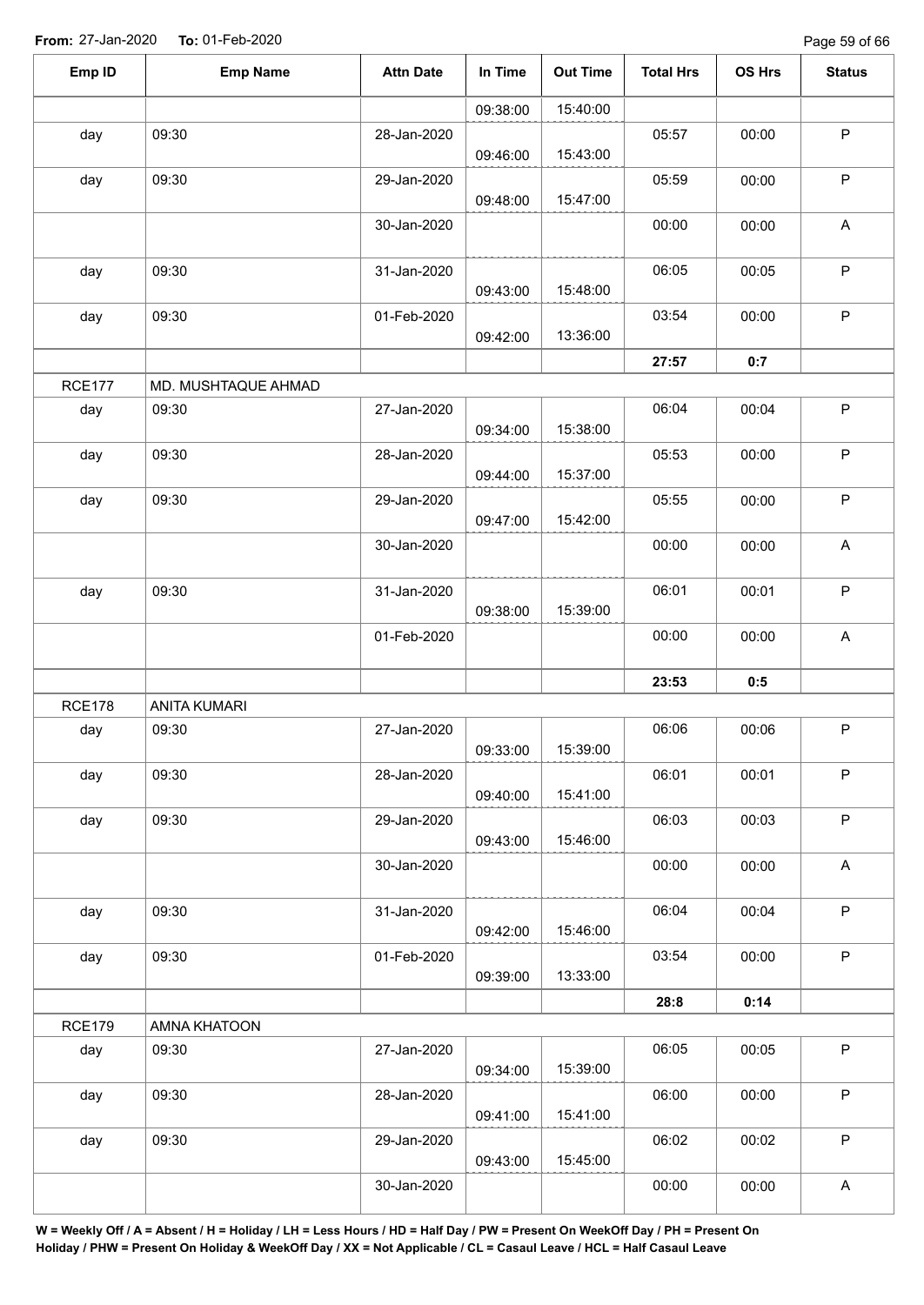Page 59 of 66

| Emp ID        | <b>Emp Name</b>     | <b>Attn Date</b> | In Time  | <b>Out Time</b> | <b>Total Hrs</b> | OS Hrs | <b>Status</b>             |
|---------------|---------------------|------------------|----------|-----------------|------------------|--------|---------------------------|
|               |                     |                  | 09:38:00 | 15:40:00        |                  |        |                           |
| day           | 09:30               | 28-Jan-2020      |          |                 | 05:57            | 00:00  | $\sf P$                   |
|               |                     |                  | 09:46:00 | 15:43:00        |                  |        |                           |
| day           | 09:30               | 29-Jan-2020      | 09:48:00 | 15:47:00        | 05:59            | 00:00  | $\mathsf P$               |
|               |                     | 30-Jan-2020      |          |                 | 00:00            | 00:00  | $\boldsymbol{\mathsf{A}}$ |
| day           | 09:30               | 31-Jan-2020      | 09:43:00 | 15:48:00        | 06:05            | 00:05  | $\mathsf P$               |
| day           | 09:30               | 01-Feb-2020      | 09:42:00 | 13:36:00        | 03:54            | 00:00  | $\mathsf P$               |
|               |                     |                  |          |                 | 27:57            | 0:7    |                           |
| <b>RCE177</b> | MD. MUSHTAQUE AHMAD |                  |          |                 |                  |        |                           |
| day           | 09:30               | 27-Jan-2020      | 09:34:00 | 15:38:00        | 06:04            | 00:04  | $\mathsf P$               |
| day           | 09:30               | 28-Jan-2020      | 09:44:00 | 15:37:00        | 05:53            | 00:00  | $\sf P$                   |
| day           | 09:30               | 29-Jan-2020      | 09:47:00 | 15:42:00        | 05:55            | 00:00  | $\sf P$                   |
|               |                     | 30-Jan-2020      |          |                 | 00:00            | 00:00  | A                         |
| day           | 09:30               | 31-Jan-2020      | 09:38:00 | 15:39:00        | 06:01            | 00:01  | $\mathsf P$               |
|               |                     | 01-Feb-2020      |          |                 | 00:00            | 00:00  | $\boldsymbol{\mathsf{A}}$ |
|               |                     |                  |          |                 | 23:53            | 0:5    |                           |
| <b>RCE178</b> | <b>ANITA KUMARI</b> |                  |          |                 |                  |        |                           |
| day           | 09:30               | 27-Jan-2020      | 09:33:00 | 15:39:00        | 06:06            | 00:06  | $\mathsf P$               |
| day           | 09:30               | 28-Jan-2020      | 09:40:00 | 15:41:00        | 06:01            | 00:01  | $\mathsf P$               |
| day           | 09:30               | 29-Jan-2020      | 09:43:00 | 15:46:00        | 06:03            | 00:03  | $\sf P$                   |
|               |                     | 30-Jan-2020      |          |                 | 00:00            | 00:00  | A                         |
| day           | 09:30               | 31-Jan-2020      | 09:42:00 | 15:46:00        | 06:04            | 00:04  | $\sf P$                   |
| day           | 09:30               | 01-Feb-2020      | 09:39:00 | 13:33:00        | 03:54            | 00:00  | $\sf P$                   |
|               |                     |                  |          |                 | 28:8             | 0:14   |                           |
| <b>RCE179</b> | AMNA KHATOON        |                  |          |                 |                  |        |                           |
| day           | 09:30               | 27-Jan-2020      | 09:34:00 | 15:39:00        | 06:05            | 00:05  | $\sf P$                   |
| day           | 09:30               | 28-Jan-2020      | 09:41:00 | 15:41:00        | 06:00            | 00:00  | $\sf P$                   |
| day           | 09:30               | 29-Jan-2020      | 09:43:00 | 15:45:00        | 06:02            | 00:02  | $\mathsf P$               |
|               |                     | 30-Jan-2020      |          |                 | 00:00            | 00:00  | $\boldsymbol{\mathsf{A}}$ |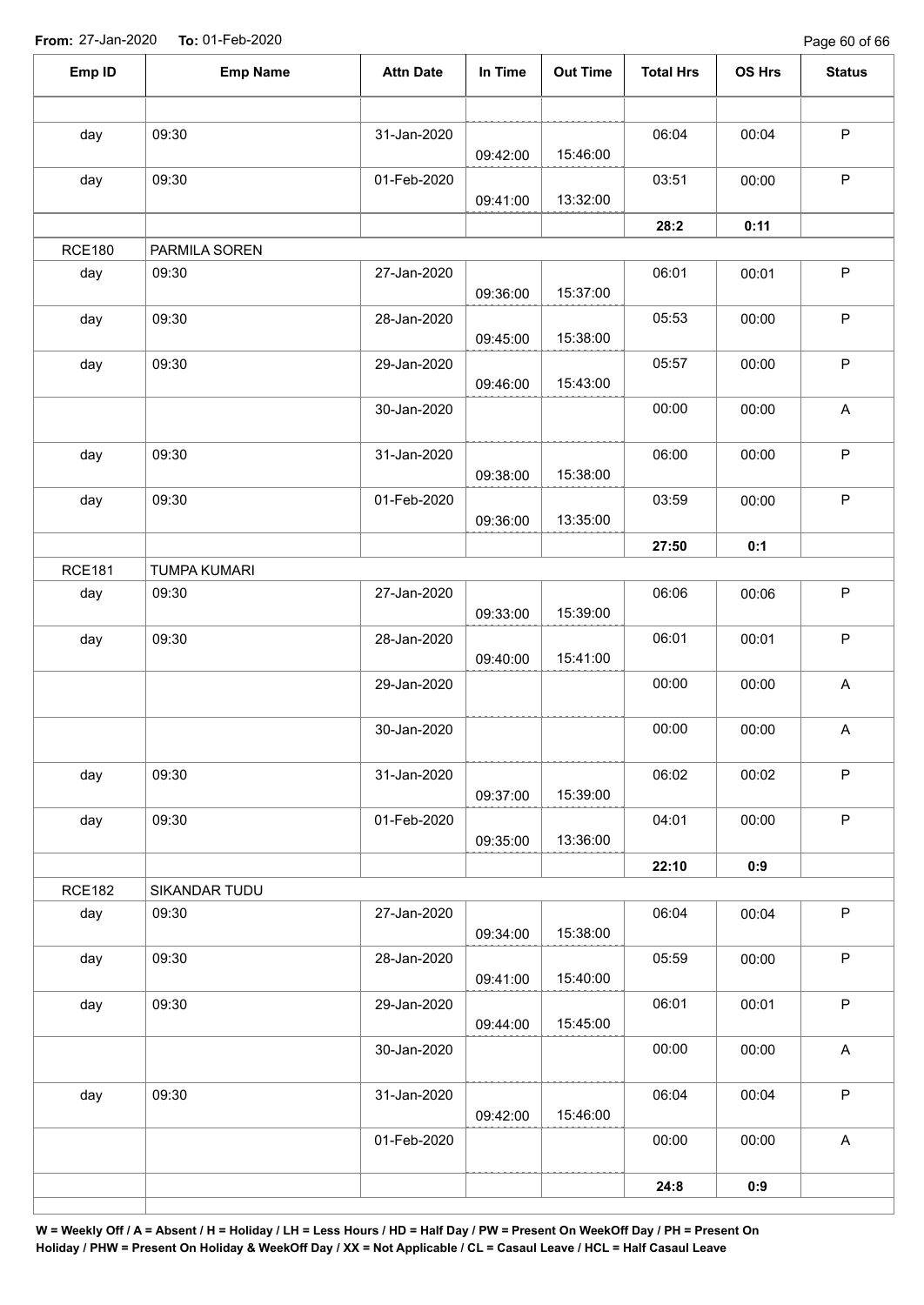Page 60 of 66

| Emp ID        | <b>Emp Name</b>     | <b>Attn Date</b> | In Time  | <b>Out Time</b> | <b>Total Hrs</b> | OS Hrs | <b>Status</b>             |
|---------------|---------------------|------------------|----------|-----------------|------------------|--------|---------------------------|
|               |                     |                  |          |                 |                  |        |                           |
| day           | 09:30               | 31-Jan-2020      | 09:42:00 | 15:46:00        | 06:04            | 00:04  | $\mathsf P$               |
| day           | 09:30               | 01-Feb-2020      | 09:41:00 | 13:32:00        | 03:51            | 00:00  | $\mathsf P$               |
|               |                     |                  |          |                 | 28:2             | 0:11   |                           |
| <b>RCE180</b> | PARMILA SOREN       |                  |          |                 |                  |        |                           |
| day           | 09:30               | 27-Jan-2020      |          |                 | 06:01            | 00:01  | $\sf P$                   |
|               |                     |                  | 09:36:00 | 15:37:00        |                  |        |                           |
| day           | 09:30               | 28-Jan-2020      | 09:45:00 | 15:38:00        | 05:53            | 00:00  | $\sf P$                   |
| day           | 09:30               | 29-Jan-2020      | 09:46:00 | 15:43:00        | 05:57            | 00:00  | $\sf P$                   |
|               |                     | 30-Jan-2020      |          |                 | 00:00            | 00:00  | A                         |
| day           | 09:30               | 31-Jan-2020      | 09:38:00 | 15:38:00        | 06:00            | 00:00  | $\mathsf P$               |
| day           | 09:30               | 01-Feb-2020      |          |                 | 03:59            | 00:00  | $\sf P$                   |
|               |                     |                  | 09:36:00 | 13:35:00        |                  |        |                           |
|               |                     |                  |          |                 | 27:50            | 0:1    |                           |
| <b>RCE181</b> | <b>TUMPA KUMARI</b> |                  |          |                 |                  |        |                           |
| day           | 09:30               | 27-Jan-2020      | 09:33:00 | 15:39:00        | 06:06            | 00:06  | $\sf P$                   |
| day           | 09:30               | 28-Jan-2020      | 09:40:00 | 15:41:00        | 06:01            | 00:01  | $\sf P$                   |
|               |                     | 29-Jan-2020      |          |                 | 00:00            | 00:00  | $\boldsymbol{\mathsf{A}}$ |
|               |                     | 30-Jan-2020      |          |                 | 00:00            | 00:00  | A                         |
| day           | 09:30               | 31-Jan-2020      | 09:37:00 | 15:39:00        | 06:02            | 00:02  | $\sf P$                   |
| day           | 09:30               | 01-Feb-2020      | 09:35:00 | 13:36:00        | 04:01            | 00:00  | $\mathsf P$               |
|               |                     |                  |          |                 | 22:10            | 0:9    |                           |
| <b>RCE182</b> | SIKANDAR TUDU       |                  |          |                 |                  |        |                           |
| day           | 09:30               | 27-Jan-2020      | 09:34:00 | 15:38:00        | 06:04            | 00:04  | $\sf P$                   |
| day           | 09:30               | 28-Jan-2020      | 09:41:00 | 15:40:00        | 05:59            | 00:00  | $\mathsf P$               |
| day           | 09:30               | 29-Jan-2020      | 09:44:00 | 15:45:00        | 06:01            | 00:01  | $\mathsf P$               |
|               |                     | 30-Jan-2020      |          |                 | 00:00            | 00:00  | $\boldsymbol{\mathsf{A}}$ |
| day           | 09:30               | 31-Jan-2020      | 09:42:00 | 15:46:00        | 06:04            | 00:04  | $\sf P$                   |
|               |                     | 01-Feb-2020      |          |                 | 00:00            | 00:00  | $\boldsymbol{\mathsf{A}}$ |
|               |                     |                  |          |                 | 24:8             | 0:9    |                           |
|               |                     |                  |          |                 |                  |        |                           |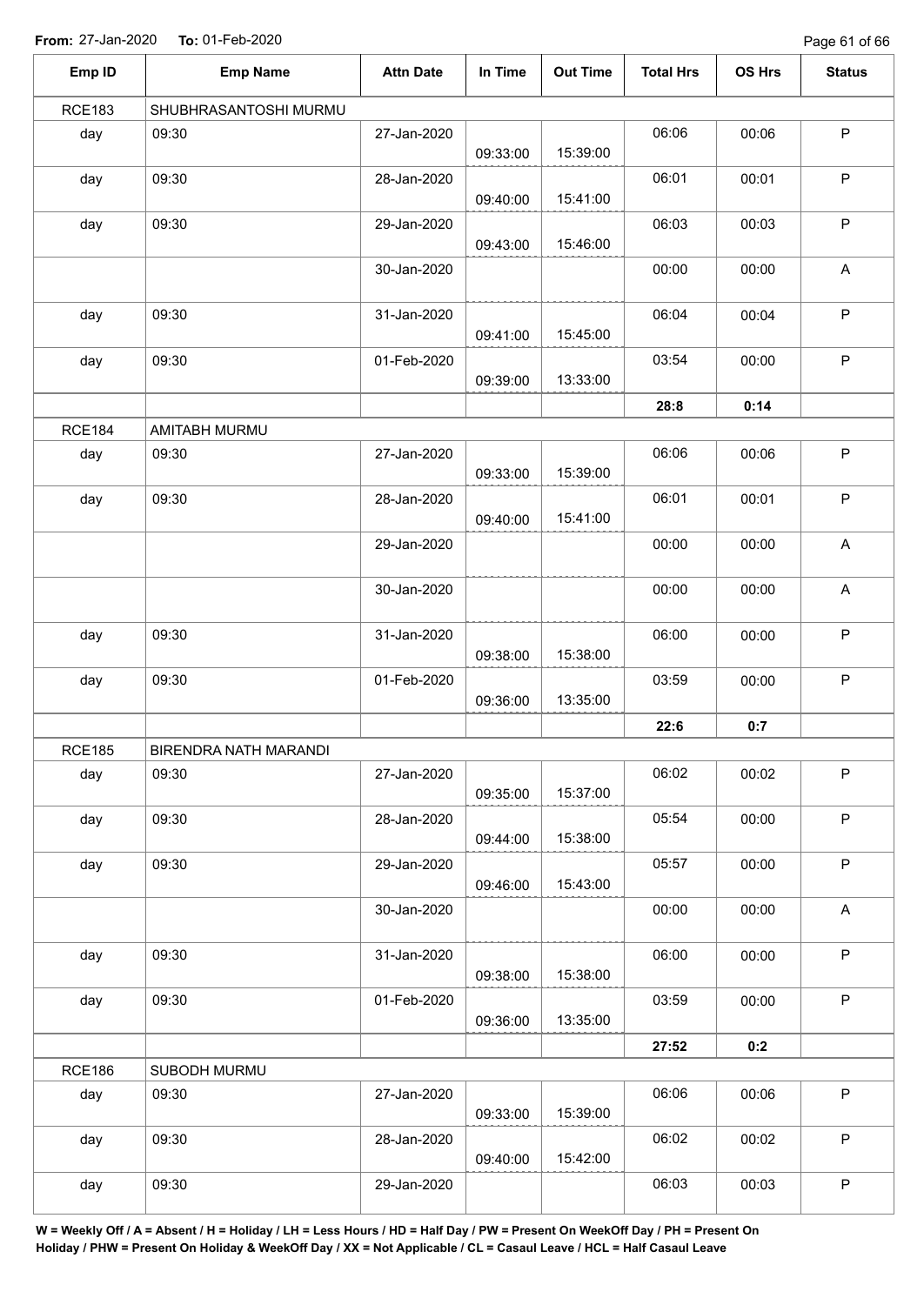Page 61 of 66

| Emp ID        | <b>Emp Name</b>       | <b>Attn Date</b> | In Time  | <b>Out Time</b> | <b>Total Hrs</b> | OS Hrs | <b>Status</b>             |
|---------------|-----------------------|------------------|----------|-----------------|------------------|--------|---------------------------|
| <b>RCE183</b> | SHUBHRASANTOSHI MURMU |                  |          |                 |                  |        |                           |
| day           | 09:30                 | 27-Jan-2020      | 09:33:00 | 15:39:00        | 06:06            | 00:06  | $\sf P$                   |
| day           | 09:30                 | 28-Jan-2020      | 09:40:00 | 15:41:00        | 06:01            | 00:01  | $\sf P$                   |
| day           | 09:30                 | 29-Jan-2020      | 09:43:00 | 15:46:00        | 06:03            | 00:03  | $\sf P$                   |
|               |                       | 30-Jan-2020      |          |                 | 00:00            | 00:00  | A                         |
| day           | 09:30                 | 31-Jan-2020      | 09:41:00 | 15:45:00        | 06:04            | 00:04  | P                         |
| day           | 09:30                 | 01-Feb-2020      | 09:39:00 | 13:33:00        | 03:54            | 00:00  | $\mathsf P$               |
|               |                       |                  |          |                 | 28:8             | 0:14   |                           |
| <b>RCE184</b> | AMITABH MURMU         |                  |          |                 |                  |        |                           |
| day           | 09:30                 | 27-Jan-2020      | 09:33:00 | 15:39:00        | 06:06            | 00:06  | P                         |
| day           | 09:30                 | 28-Jan-2020      | 09:40:00 | 15:41:00        | 06:01            | 00:01  | $\sf P$                   |
|               |                       | 29-Jan-2020      |          |                 | 00:00            | 00:00  | $\boldsymbol{\mathsf{A}}$ |
|               |                       | 30-Jan-2020      |          |                 | 00:00            | 00:00  | $\boldsymbol{\mathsf{A}}$ |
| day           | 09:30                 | 31-Jan-2020      | 09:38:00 | 15:38:00        | 06:00            | 00:00  | $\mathsf P$               |
| day           | 09:30                 | 01-Feb-2020      | 09:36:00 | 13:35:00        | 03:59            | 00:00  | $\sf P$                   |
|               |                       |                  |          |                 | 22:6             | 0:7    |                           |
| <b>RCE185</b> | BIRENDRA NATH MARANDI |                  |          |                 |                  |        |                           |
| day           | 09:30                 | 27-Jan-2020      | 09:35:00 | 15:37:00        | 06:02            | 00:02  | $\mathsf P$               |
| day           | 09:30                 | 28-Jan-2020      | 09:44:00 | 15:38:00        | 05:54            | 00:00  | P                         |
| day           | 09:30                 | 29-Jan-2020      | 09:46:00 | 15:43:00        | 05:57            | 00:00  | P                         |
|               |                       | 30-Jan-2020      |          |                 | 00:00            | 00:00  | $\mathsf A$               |
| day           | 09:30                 | 31-Jan-2020      | 09:38:00 | 15:38:00        | 06:00            | 00:00  | P                         |
| day           | 09:30                 | 01-Feb-2020      | 09:36:00 | 13:35:00        | 03:59            | 00:00  | $\mathsf P$               |
|               |                       |                  |          |                 | 27:52            | 0:2    |                           |
| <b>RCE186</b> | SUBODH MURMU          |                  |          |                 |                  |        |                           |
| day           | 09:30                 | 27-Jan-2020      | 09:33:00 | 15:39:00        | 06:06            | 00:06  | $\sf P$                   |
| day           | 09:30                 | 28-Jan-2020      | 09:40:00 | 15:42:00        | 06:02            | 00:02  | $\mathsf P$               |
| day           | 09:30                 | 29-Jan-2020      |          |                 | 06:03            | 00:03  | $\sf P$                   |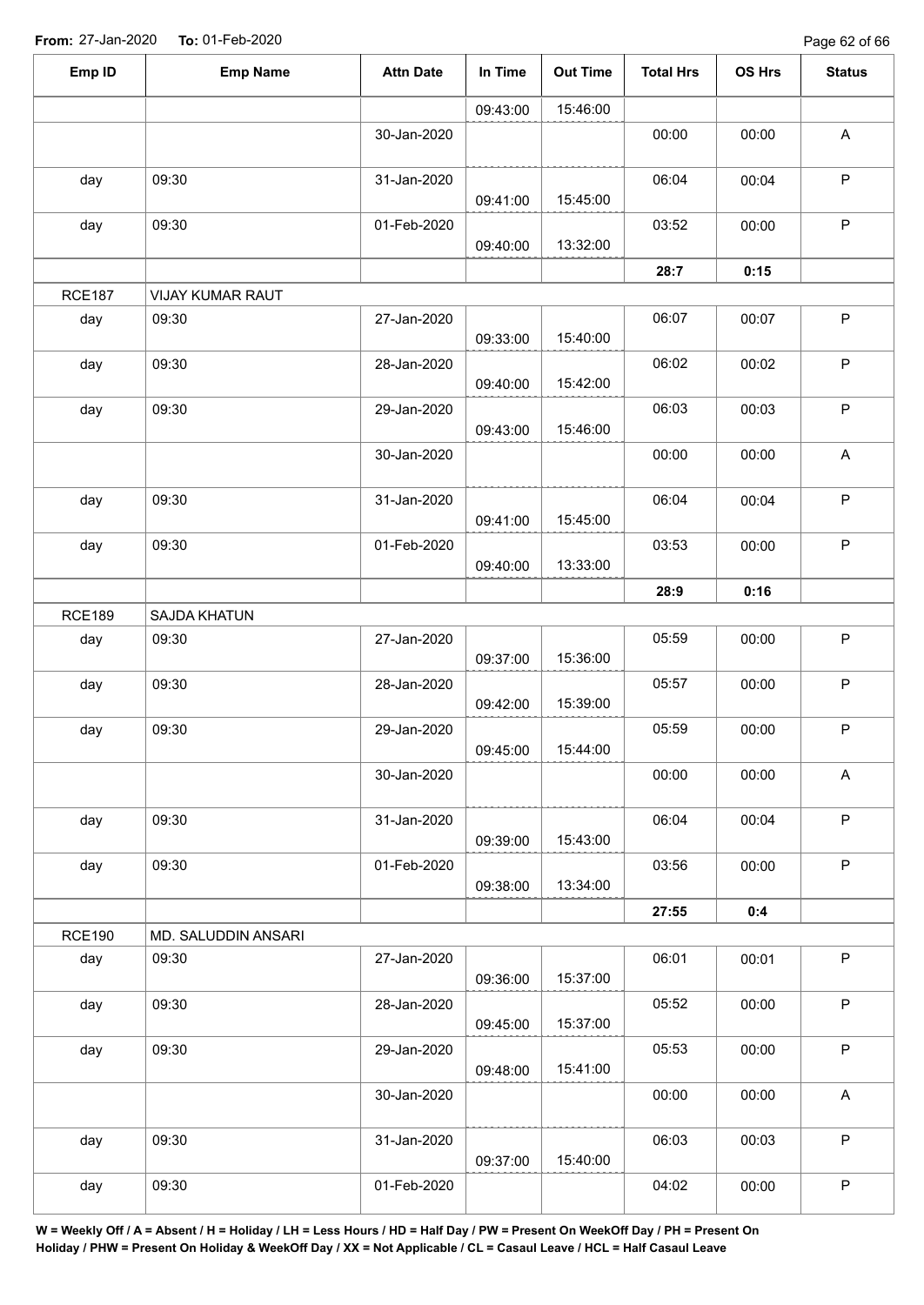Page 62 of 66

| Emp ID        | <b>Emp Name</b>     | <b>Attn Date</b> | In Time  | <b>Out Time</b> | <b>Total Hrs</b> | <b>OS Hrs</b>                                                                                                                   | <b>Status</b> |
|---------------|---------------------|------------------|----------|-----------------|------------------|---------------------------------------------------------------------------------------------------------------------------------|---------------|
|               |                     |                  | 09:43:00 | 15:46:00        |                  |                                                                                                                                 |               |
|               |                     | 30-Jan-2020      |          |                 | 00:00            | 00:00                                                                                                                           | $\mathsf A$   |
| day           | 09:30               | 31-Jan-2020      | 09:41:00 | 15:45:00        | 06:04            | 00:04                                                                                                                           | $\mathsf P$   |
| day           | 09:30               | 01-Feb-2020      | 09:40:00 | 13:32:00        | 03:52            | 00:00                                                                                                                           | $\mathsf P$   |
|               |                     |                  |          |                 | 28:7             |                                                                                                                                 |               |
| <b>RCE187</b> | VIJAY KUMAR RAUT    |                  |          |                 |                  |                                                                                                                                 |               |
| day           | 09:30               | 27-Jan-2020      | 09:33:00 | 15:40:00        | 06:07            | 00:07                                                                                                                           | $\mathsf P$   |
| day           | 09:30               | 28-Jan-2020      | 09:40:00 | 15:42:00        | 06:02            | 00:02                                                                                                                           | $\mathsf P$   |
| day           | 09:30               | 29-Jan-2020      | 09:43:00 | 15:46:00        | 06:03            | 00:03                                                                                                                           | $\mathsf P$   |
|               |                     | 30-Jan-2020      |          |                 | 00:00            | 00:00                                                                                                                           | $\mathsf A$   |
| day           | 09:30               | 31-Jan-2020      | 09:41:00 | 15:45:00        | 06:04            | 00:04                                                                                                                           | $\mathsf P$   |
| day           | 09:30               | 01-Feb-2020      | 09:40:00 | 13:33:00        | 03:53            | 00:00                                                                                                                           | $\sf P$       |
|               |                     |                  |          |                 | 28:9             | 0:15<br>0:16<br>00:00<br>00:00<br>00:00<br>00:00<br>00:04<br>00:00<br>0:4<br>00:01<br>00:00<br>00:00<br>00:00<br>00:03<br>00:00 |               |
| <b>RCE189</b> | SAJDA KHATUN        |                  |          |                 |                  |                                                                                                                                 |               |
| day           | 09:30               | 27-Jan-2020      | 09:37:00 | 15:36:00        | 05:59            |                                                                                                                                 | $\mathsf P$   |
| day           | 09:30               | 28-Jan-2020      | 09:42:00 | 15:39:00        | 05:57            |                                                                                                                                 | $\mathsf P$   |
| day           | 09:30               | 29-Jan-2020      | 09:45:00 | 15:44:00        | 05:59            |                                                                                                                                 | $\mathsf P$   |
|               |                     | 30-Jan-2020      |          |                 | 00:00            |                                                                                                                                 | A             |
| day           | 09:30               | 31-Jan-2020      | 09:39:00 | 15:43:00        | 06:04            |                                                                                                                                 | P             |
| day           | 09:30               | 01-Feb-2020      | 09:38:00 | 13:34:00        | 03:56            |                                                                                                                                 | $\mathsf P$   |
|               |                     |                  |          |                 | 27:55            |                                                                                                                                 |               |
| <b>RCE190</b> | MD. SALUDDIN ANSARI |                  |          |                 |                  |                                                                                                                                 |               |
| day           | 09:30               | 27-Jan-2020      | 09:36:00 | 15:37:00        | 06:01            |                                                                                                                                 | $\mathsf P$   |
| day           | 09:30               | 28-Jan-2020      | 09:45:00 | 15:37:00        | 05:52            |                                                                                                                                 | $\mathsf{P}$  |
| day           | 09:30               | 29-Jan-2020      | 09:48:00 | 15:41:00        | 05:53            |                                                                                                                                 | P             |
|               |                     | 30-Jan-2020      |          |                 | 00:00            |                                                                                                                                 | $\mathsf{A}$  |
| day           | 09:30               | 31-Jan-2020      | 09:37:00 | 15:40:00        | 06:03            |                                                                                                                                 | $\mathsf{P}$  |
| day           | 09:30               | 01-Feb-2020      |          |                 | 04:02            |                                                                                                                                 | $\sf P$       |
|               |                     |                  |          |                 |                  |                                                                                                                                 |               |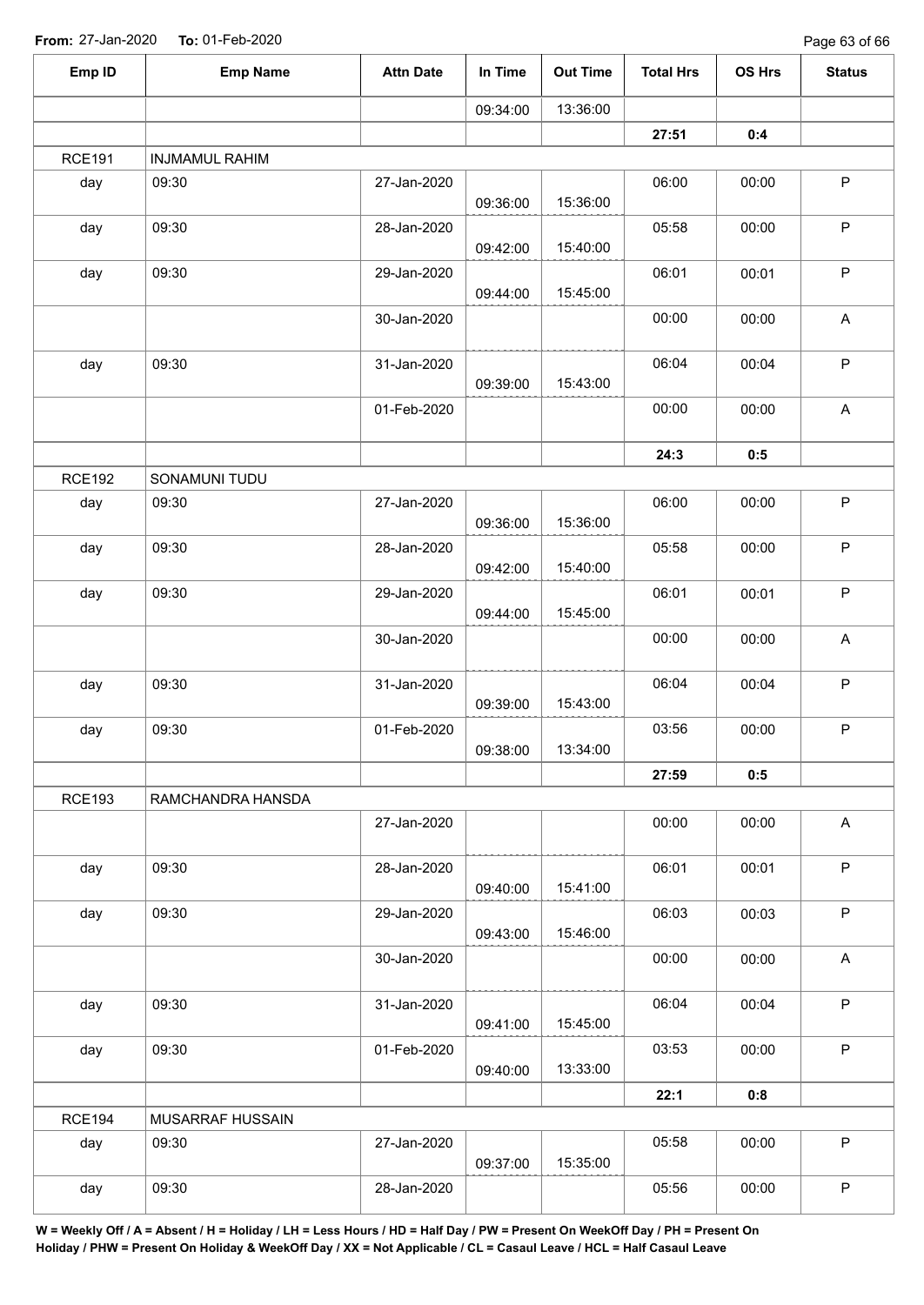| Emp ID        | <b>Emp Name</b>       | <b>Attn Date</b> | In Time  | <b>Out Time</b> | <b>Total Hrs</b> | OS Hrs | <b>Status</b>             |
|---------------|-----------------------|------------------|----------|-----------------|------------------|--------|---------------------------|
|               |                       |                  | 09:34:00 | 13:36:00        |                  |        |                           |
|               |                       |                  |          |                 | 27:51            | 0:4    |                           |
| <b>RCE191</b> | <b>INJMAMUL RAHIM</b> |                  |          |                 |                  |        |                           |
| day           | 09:30                 | 27-Jan-2020      | 09:36:00 | 15:36:00        | 06:00            | 00:00  | $\sf P$                   |
| day           | 09:30                 | 28-Jan-2020      | 09:42:00 | 15:40:00        | 05:58            | 00:00  | $\sf P$                   |
| day           | 09:30                 | 29-Jan-2020      | 09:44:00 | 15:45:00        | 06:01            | 00:01  | $\mathsf P$               |
|               |                       | 30-Jan-2020      |          |                 | 00:00            | 00:00  | $\boldsymbol{\mathsf{A}}$ |
| day           | 09:30                 | 31-Jan-2020      | 09:39:00 | 15:43:00        | 06:04            | 00:04  | $\sf P$                   |
|               |                       | 01-Feb-2020      |          |                 | 00:00            | 00:00  | $\boldsymbol{\mathsf{A}}$ |
|               |                       |                  |          |                 | 24:3             | 0:5    |                           |
| <b>RCE192</b> | SONAMUNI TUDU         |                  |          |                 |                  |        |                           |
| day           | 09:30                 | 27-Jan-2020      | 09:36:00 | 15:36:00        | 06:00            | 00:00  | $\mathsf P$               |
| day           | 09:30                 | 28-Jan-2020      | 09:42:00 | 15:40:00        | 05:58            | 00:00  | $\sf P$                   |
| day           | 09:30                 | 29-Jan-2020      | 09:44:00 | 15:45:00        | 06:01            | 00:01  | $\mathsf P$               |
|               |                       | 30-Jan-2020      |          |                 | 00:00            | 00:00  | $\boldsymbol{\mathsf{A}}$ |
| day           | 09:30                 | 31-Jan-2020      | 09:39:00 | 15:43:00        | 06:04            | 00:04  | $\mathsf P$               |
| day           | 09:30                 | 01-Feb-2020      | 09:38:00 | 13:34:00        | 03:56            | 00:00  | ${\sf P}$                 |
|               |                       |                  |          |                 | 27:59            | 0:5    |                           |
| <b>RCE193</b> | RAMCHANDRA HANSDA     |                  |          |                 |                  |        |                           |
|               |                       | 27-Jan-2020      |          |                 | 00:00            | 00:00  | $\mathsf{A}$              |
| day           | 09:30                 | 28-Jan-2020      | 09:40:00 | 15:41:00        | 06:01            | 00:01  | $\sf P$                   |
| day           | 09:30                 | 29-Jan-2020      | 09:43:00 | 15:46:00        | 06:03            | 00:03  | $\sf P$                   |
|               |                       | 30-Jan-2020      |          |                 | 00:00            | 00:00  | $\boldsymbol{\mathsf{A}}$ |
| day           | 09:30                 | 31-Jan-2020      | 09:41:00 | 15:45:00        | 06:04            | 00:04  | $\mathsf P$               |
| day           | 09:30                 | 01-Feb-2020      | 09:40:00 | 13:33:00        | 03:53            | 00:00  | $\mathsf P$               |
|               |                       |                  |          |                 | 22:1             | 0:8    |                           |
| <b>RCE194</b> | MUSARRAF HUSSAIN      |                  |          |                 |                  |        |                           |
| day           | 09:30                 | 27-Jan-2020      | 09:37:00 | 15:35:00        | 05:58            | 00:00  | $\mathsf P$               |
| day           | 09:30                 | 28-Jan-2020      |          |                 | 05:56            | 00:00  | ${\sf P}$                 |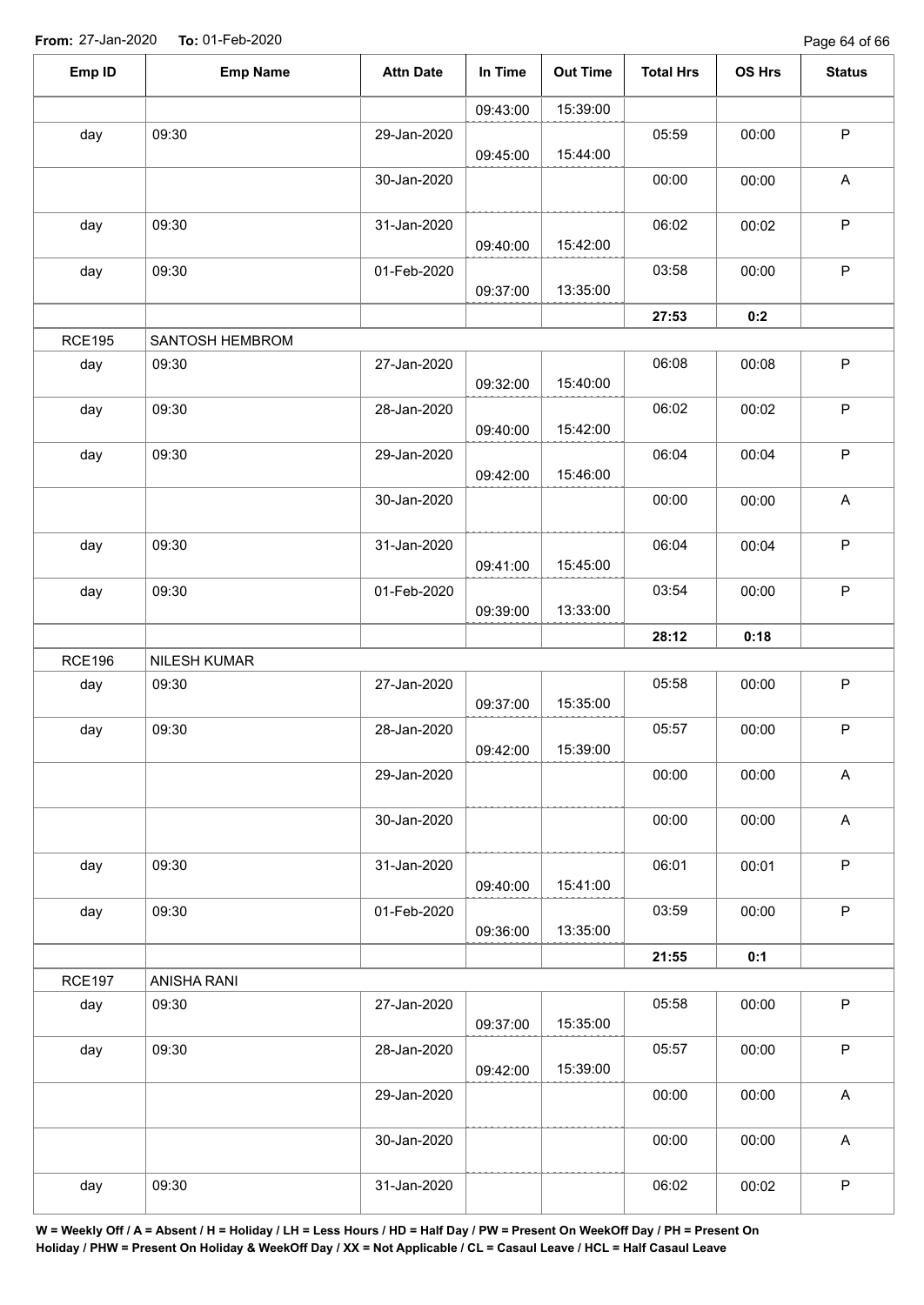| Emp ID        | <b>Emp Name</b> | <b>Attn Date</b> | In Time  | <b>Out Time</b> | <b>Total Hrs</b> | OS Hrs | <b>Status</b>             |
|---------------|-----------------|------------------|----------|-----------------|------------------|--------|---------------------------|
|               |                 |                  | 09:43:00 | 15:39:00        |                  |        |                           |
| day           | 09:30           | 29-Jan-2020      | 09:45:00 | 15:44:00        | 05:59            | 00:00  | $\mathsf P$               |
|               |                 | 30-Jan-2020      |          |                 | 00:00            | 00:00  | $\mathsf{A}$              |
| day           | 09:30           | 31-Jan-2020      | 09:40:00 | 15:42:00        | 06:02            | 00:02  | $\sf P$                   |
| day           | 09:30           | 01-Feb-2020      | 09:37:00 | 13:35:00        | 03:58            | 00:00  | $\sf P$                   |
|               |                 |                  |          |                 | 27:53            | 0:2    |                           |
| <b>RCE195</b> | SANTOSH HEMBROM |                  |          |                 |                  |        |                           |
| day           | 09:30           | 27-Jan-2020      | 09:32:00 | 15:40:00        | 06:08            | 00:08  | $\mathsf P$               |
| day           | 09:30           | 28-Jan-2020      | 09:40:00 | 15:42:00        | 06:02            | 00:02  | $\sf P$                   |
| day           | 09:30           | 29-Jan-2020      | 09:42:00 | 15:46:00        | 06:04            | 00:04  | $\sf P$                   |
|               |                 | 30-Jan-2020      |          |                 | 00:00            | 00:00  | $\mathsf A$               |
| day           | 09:30           | 31-Jan-2020      | 09:41:00 | 15:45:00        | 06:04            | 00:04  | $\mathsf P$               |
| day           | 09:30           | 01-Feb-2020      | 09:39:00 | 13:33:00        | 03:54            | 00:00  | $\mathsf P$               |
|               |                 |                  |          |                 | 28:12            | 0:18   |                           |
| <b>RCE196</b> | NILESH KUMAR    |                  |          |                 |                  |        |                           |
| day           | 09:30           | 27-Jan-2020      | 09:37:00 | 15:35:00        | 05:58            | 00:00  | $\mathsf P$               |
| day           | 09:30           | 28-Jan-2020      | 09:42:00 | 15:39:00        | 05:57            | 00:00  | $\sf P$                   |
|               |                 | 29-Jan-2020      |          |                 | 00:00            | 00:00  | A                         |
|               |                 | 30-Jan-2020      |          |                 | 00:00            | 00:00  | $\mathsf A$               |
| day           | 09:30           | 31-Jan-2020      | 09:40:00 | 15:41:00        | 06:01            | 00:01  | $\mathsf P$               |
| day           | 09:30           | 01-Feb-2020      | 09:36:00 | 13:35:00        | 03:59            | 00:00  | $\sf P$                   |
|               |                 |                  |          |                 | 21:55            | 0:1    |                           |
| <b>RCE197</b> | ANISHA RANI     |                  |          |                 |                  |        |                           |
| day           | 09:30           | 27-Jan-2020      | 09:37:00 | 15:35:00        | 05:58            | 00:00  | $\sf P$                   |
| day           | 09:30           | 28-Jan-2020      | 09:42:00 | 15:39:00        | 05:57            | 00:00  | $\mathsf P$               |
|               |                 | 29-Jan-2020      |          |                 | 00:00            | 00:00  | $\boldsymbol{\mathsf{A}}$ |
|               |                 | 30-Jan-2020      |          |                 | 00:00            | 00:00  | $\mathsf{A}$              |
| day           | 09:30           | 31-Jan-2020      |          |                 | 06:02            | 00:02  | $\mathsf P$               |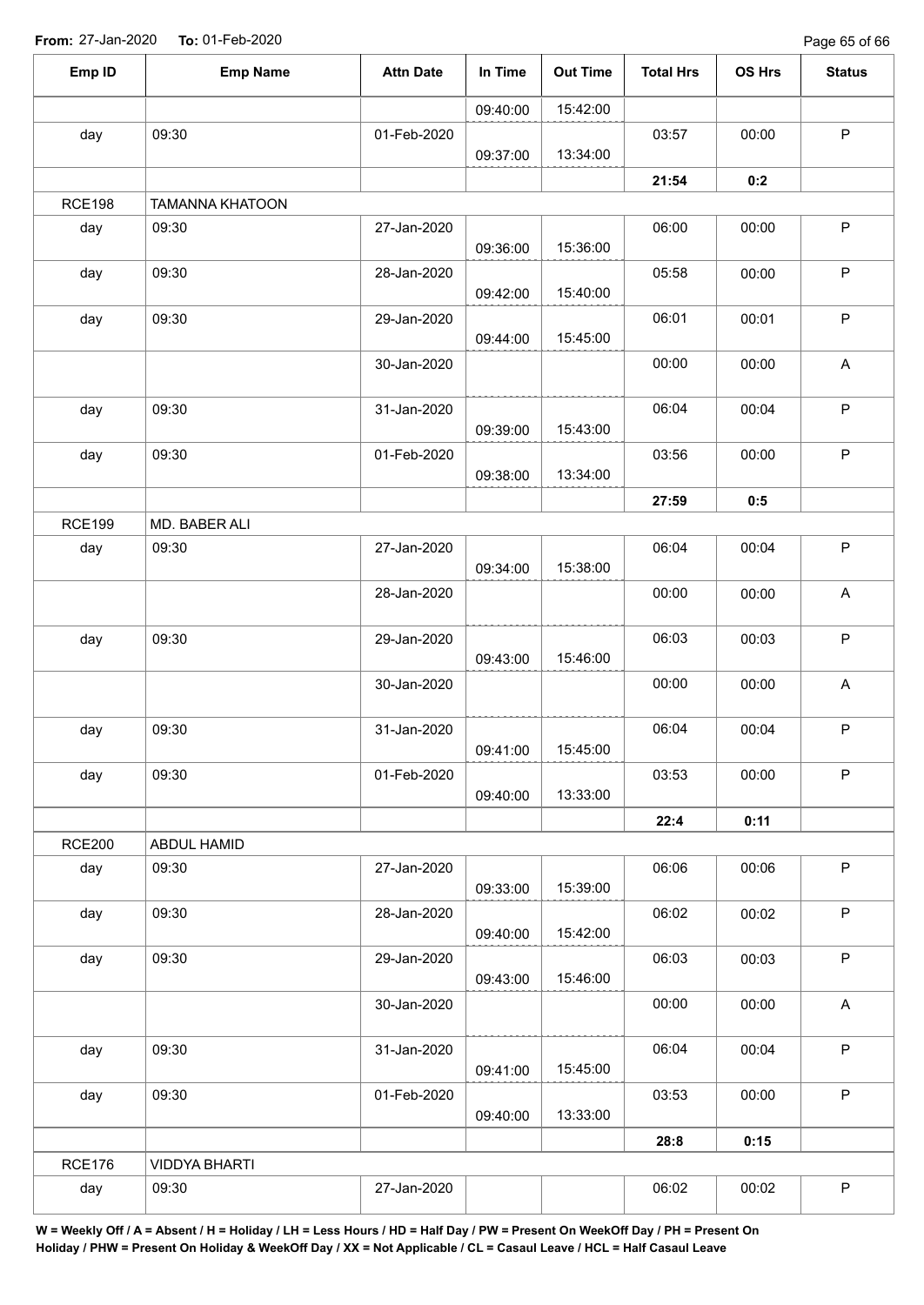Page 65 of 66

| Emp ID        | <b>Emp Name</b>        | <b>Attn Date</b> | In Time  | <b>Out Time</b> | <b>Total Hrs</b> | OS Hrs | <b>Status</b>             |
|---------------|------------------------|------------------|----------|-----------------|------------------|--------|---------------------------|
|               |                        |                  | 09:40:00 | 15:42:00        |                  |        |                           |
| day           | 09:30                  | 01-Feb-2020      |          |                 | 03:57            | 00:00  | $\sf P$                   |
|               |                        |                  | 09:37:00 | 13:34:00        |                  |        |                           |
|               |                        |                  |          |                 | 21:54            | 0:2    |                           |
| <b>RCE198</b> | <b>TAMANNA KHATOON</b> |                  |          |                 |                  |        |                           |
| day           | 09:30                  | 27-Jan-2020      | 09:36:00 | 15:36:00        | 06:00            | 00:00  | $\mathsf P$               |
| day           | 09:30                  | 28-Jan-2020      | 09:42:00 | 15:40:00        | 05:58            | 00:00  | $\sf P$                   |
| day           | 09:30                  | 29-Jan-2020      | 09:44:00 | 15:45:00        | 06:01            | 00:01  | $\sf P$                   |
|               |                        | 30-Jan-2020      |          |                 | 00:00            | 00:00  | $\mathsf A$               |
| day           | 09:30                  | 31-Jan-2020      | 09:39:00 | 15:43:00        | 06:04            | 00:04  | $\sf P$                   |
| day           | 09:30                  | 01-Feb-2020      |          |                 | 03:56            | 00:00  | $\mathsf P$               |
|               |                        |                  | 09:38:00 | 13:34:00        |                  |        |                           |
|               |                        |                  |          |                 | 27:59            | 0:5    |                           |
| <b>RCE199</b> | MD. BABER ALI          |                  |          |                 |                  |        |                           |
| day           | 09:30                  | 27-Jan-2020      | 09:34:00 | 15:38:00        | 06:04            | 00:04  | $\sf P$                   |
|               |                        | 28-Jan-2020      |          |                 | 00:00            | 00:00  | A                         |
| day           | 09:30                  | 29-Jan-2020      | 09:43:00 | 15:46:00        | 06:03            | 00:03  | $\sf P$                   |
|               |                        | 30-Jan-2020      |          |                 | 00:00            | 00:00  | A                         |
| day           | 09:30                  | 31-Jan-2020      | 09:41:00 | 15:45:00        | 06:04            | 00:04  | $\mathsf P$               |
| day           | 09:30                  | 01-Feb-2020      | 09:40:00 | 13:33:00        | 03:53            | 00:00  | $\mathsf P$               |
|               |                        |                  |          |                 | 22:4             | 0:11   |                           |
| <b>RCE200</b> | ABDUL HAMID            |                  |          |                 |                  |        |                           |
| day           | 09:30                  | 27-Jan-2020      | 09:33:00 | 15:39:00        | 06:06            | 00:06  | $\mathsf P$               |
| day           | 09:30                  | 28-Jan-2020      | 09:40:00 | 15:42:00        | 06:02            | 00:02  | $\mathsf P$               |
| day           | 09:30                  | 29-Jan-2020      | 09:43:00 | 15:46:00        | 06:03            | 00:03  | $\mathsf P$               |
|               |                        | 30-Jan-2020      |          |                 | 00:00            | 00:00  | $\boldsymbol{\mathsf{A}}$ |
| day           | 09:30                  | 31-Jan-2020      | 09:41:00 | 15:45:00        | 06:04            | 00:04  | $\mathsf P$               |
| day           | 09:30                  | 01-Feb-2020      | 09:40:00 | 13:33:00        | 03:53            | 00:00  | P                         |
|               |                        |                  |          |                 | 28:8             | 0:15   |                           |
| <b>RCE176</b> | <b>VIDDYA BHARTI</b>   |                  |          |                 |                  |        |                           |
| day           | 09:30                  | 27-Jan-2020      |          |                 | 06:02            | 00:02  | $\sf P$                   |